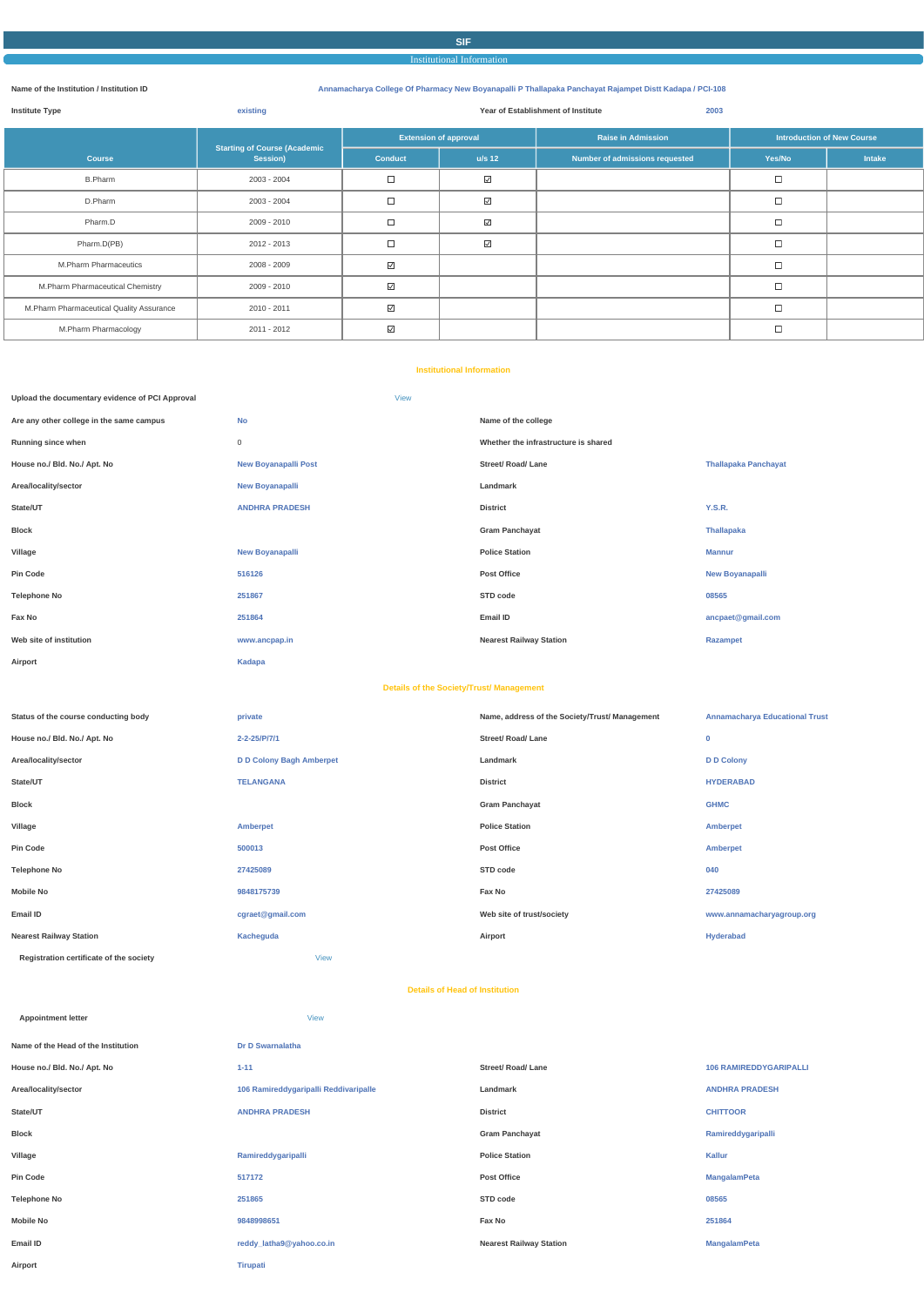# **SIF** Institutional Information

#### **Name of the Institution / Institution ID Annamacharya College Of Pharmacy New Boyanapalli P Thallapaka Panchayat Rajampet Distt Kadapa / PCI-108**

| <b>Institute Type</b>                    | existing                            |                   | Year of Establishment of Institute<br>2003    |                                |                                   |        |  |  |
|------------------------------------------|-------------------------------------|-------------------|-----------------------------------------------|--------------------------------|-----------------------------------|--------|--|--|
|                                          | <b>Starting of Course (Academic</b> |                   | <b>Extension of approval</b>                  | <b>Raise in Admission</b>      | <b>Introduction of New Course</b> |        |  |  |
| <b>Course</b>                            | Session)                            | <b>Conduct</b>    | $u/s$ 12                                      | Number of admissions requested | Yes/No                            | Intake |  |  |
| <b>B.Pharm</b>                           | 2003 - 2004                         | $\Box$            | $\hfill\ensuremath{\mathrel{\textstyle\sum}}$ |                                | $\Box$                            |        |  |  |
| D.Pharm                                  | 2003 - 2004                         | $\Box$            | $\hfill\ensuremath{\mathrel{\textstyle\sum}}$ |                                | $\Box$                            |        |  |  |
| Pharm.D                                  | 2009 - 2010                         | $\Box$            | $\hfill\ensuremath{\mathrel{\textstyle\sum}}$ |                                | $\Box$                            |        |  |  |
| Pharm.D(PB)                              | 2012 - 2013                         | $\Box$            | $\hfill\ensuremath{\mathrel{\textstyle\sum}}$ |                                | П                                 |        |  |  |
| M.Pharm Pharmaceutics                    | 2008 - 2009                         | $\overline{\vee}$ |                                               |                                | $\Box$                            |        |  |  |
| M.Pharm Pharmaceutical Chemistry         | 2009 - 2010                         | $\overline{\vee}$ |                                               |                                | $\Box$                            |        |  |  |
| M.Pharm Pharmaceutical Quality Assurance | 2010 - 2011                         | $\overline{\vee}$ |                                               |                                | П                                 |        |  |  |
| M.Pharm Pharmacology                     | 2011 - 2012                         | $\overline{\vee}$ |                                               |                                | $\Box$                            |        |  |  |

#### **Institutional Information**

| Upload the documentary evidence of PCI Approval |                             | <b>View</b>                                     |                                              |                                |
|-------------------------------------------------|-----------------------------|-------------------------------------------------|----------------------------------------------|--------------------------------|
| Are any other college in the same campus        | <b>No</b>                   |                                                 | Name of the college                          |                                |
| Running since when                              | $\mathsf{O}$                |                                                 | Whether the infrastructure is shared         |                                |
| House no./ Bld. No./ Apt. No                    | <b>New Boyanapalli Post</b> |                                                 | <b>Street/ Road/ Lane</b>                    | <b>Thallapaka Panchayat</b>    |
| Area/locality/sector                            | <b>New Boyanapalli</b>      |                                                 | Landmark                                     |                                |
| State/UT                                        | <b>ANDHRA PRADESH</b>       |                                                 | <b>District</b>                              | <b>Y.S.R.</b>                  |
| <b>Block</b>                                    |                             |                                                 | <b>Gram Panchayat</b>                        | <b>Thallapaka</b>              |
| Village                                         | <b>New Boyanapalli</b>      |                                                 | <b>Police Station</b>                        | <b>Mannur</b>                  |
| <b>Pin Code</b>                                 | 516126                      |                                                 | <b>Post Office</b>                           | <b>New Boyanapalli</b>         |
| <b>Telephone No</b>                             | 251867                      |                                                 | STD code                                     | 08565                          |
| Fax No                                          | 251864                      |                                                 | Email ID                                     | ancpaet@gmail.com              |
| Web site of institution                         | www.ancpap.in               |                                                 | <b>Nearest Railway Station</b>               | Razampet                       |
| Airport                                         | Kadapa                      |                                                 |                                              |                                |
|                                                 |                             | <b>Details of the Society/Trust/ Management</b> |                                              |                                |
| Status of the course conducting body            | nrivate                     |                                                 | Name address of the Society/Trust/Management | Annamacharya Educational Trust |

| Status of the course conducting body    | private                         | Name, address of the Society/Trust/ Management | <b>Annamacharya Educational Trust</b> |
|-----------------------------------------|---------------------------------|------------------------------------------------|---------------------------------------|
| House no./ Bld. No./ Apt. No            | 2-2-25/P/7/1                    | Street/ Road/ Lane                             | $\mathbf 0$                           |
| Area/locality/sector                    | <b>D D Colony Bagh Amberpet</b> | Landmark                                       | <b>D D Colony</b>                     |
| State/UT                                | <b>TELANGANA</b>                | <b>District</b>                                | <b>HYDERABAD</b>                      |
| Block                                   |                                 | <b>Gram Panchayat</b>                          | <b>GHMC</b>                           |
| Village                                 | Amberpet                        | <b>Police Station</b>                          | Amberpet                              |
| Pin Code                                | 500013                          | <b>Post Office</b>                             | Amberpet                              |
| Telephone No                            | 27425089                        | STD code                                       | 040                                   |
| Mobile No                               | 9848175739                      | Fax No                                         | 27425089                              |
| Email ID                                | cgraet@gmail.com                | Web site of trust/society                      | www.annamacharyagroup.org             |
| <b>Nearest Railway Station</b>          | Kacheguda                       | Airport                                        | Hyderabad                             |
| Registration certificate of the society | View                            |                                                |                                       |

#### **Details of Head of Institution**

| <b>Appointment letter</b>           | <b>View</b>                           |                                |                               |
|-------------------------------------|---------------------------------------|--------------------------------|-------------------------------|
| Name of the Head of the Institution | Dr D Swarnalatha                      |                                |                               |
| House no./ Bld. No./ Apt. No        | $1 - 11$                              | <b>Street/ Road/ Lane</b>      | <b>106 RAMIREDDYGARIPALLI</b> |
| Area/locality/sector                | 106 Ramireddygaripalli Reddivaripalle | Landmark                       | <b>ANDHRA PRADESH</b>         |
| State/UT                            | <b>ANDHRA PRADESH</b>                 | <b>District</b>                | <b>CHITTOOR</b>               |
| <b>Block</b>                        |                                       | <b>Gram Panchayat</b>          | Ramireddygaripalli            |
| Village                             | Ramireddygaripalli                    | <b>Police Station</b>          | Kallur                        |
| Pin Code                            | 517172                                | <b>Post Office</b>             | <b>MangalamPeta</b>           |
| <b>Telephone No</b>                 | 251865                                | STD code                       | 08565                         |
| <b>Mobile No</b>                    | 9848998651                            | Fax No                         | 251864                        |
| Email ID                            | reddy_latha9@yahoo.co.in              | <b>Nearest Railway Station</b> | <b>MangalamPeta</b>           |
|                                     |                                       |                                |                               |

**Airport Tirupati**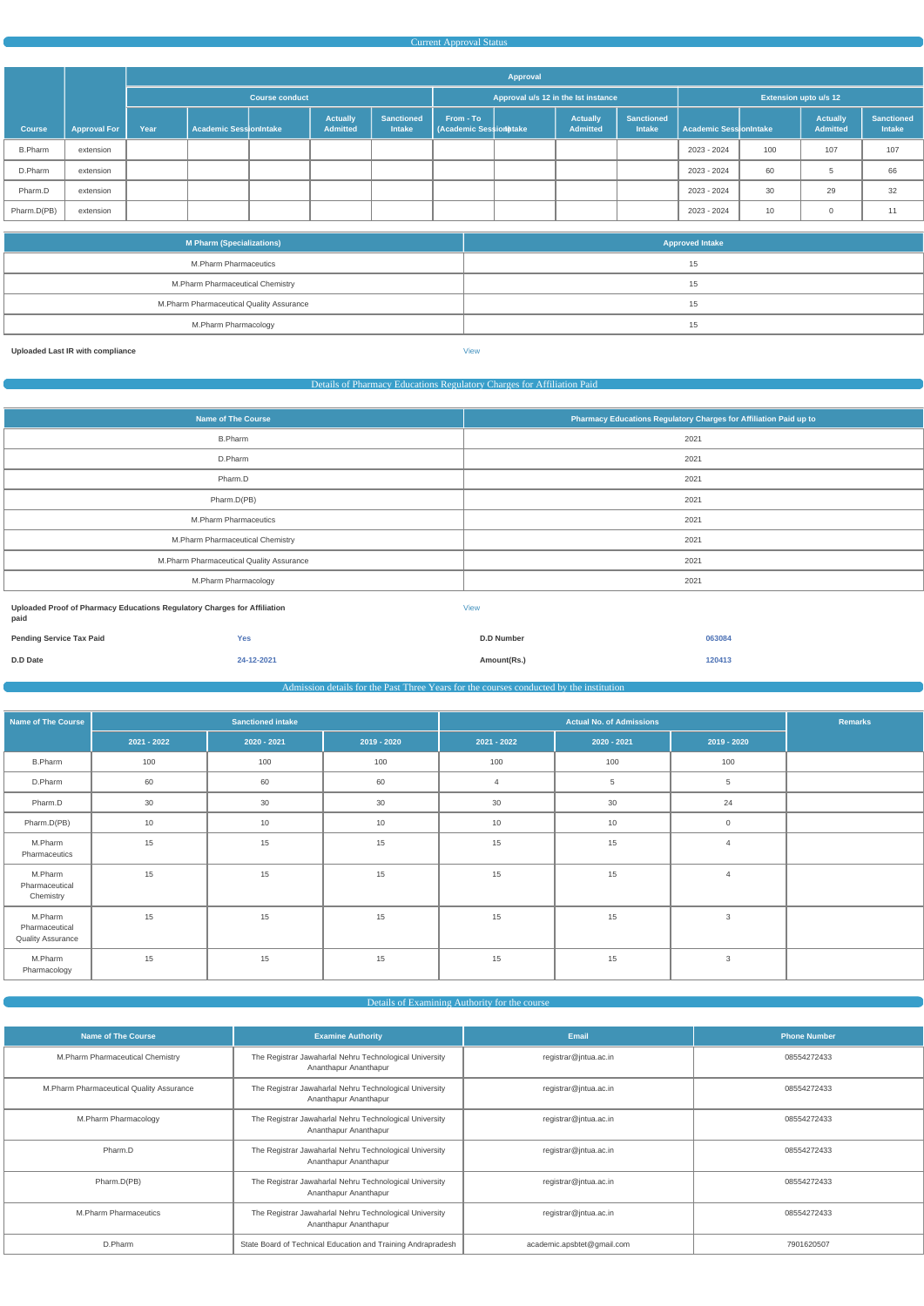#### Current Approval Status

|                |                     |                       | Approval                      |  |                                    |                                     |                                     |  |                                    |                                    |                        |     |                                    |                                    |
|----------------|---------------------|-----------------------|-------------------------------|--|------------------------------------|-------------------------------------|-------------------------------------|--|------------------------------------|------------------------------------|------------------------|-----|------------------------------------|------------------------------------|
|                |                     | <b>Course conduct</b> |                               |  |                                    | Approval u/s 12 in the Ist instance |                                     |  | <b>Extension upto u/s 12</b>       |                                    |                        |     |                                    |                                    |
| <b>Course</b>  | <b>Approval For</b> | Year                  | <b>Academic SessionIntake</b> |  | <b>Actually</b><br><b>Admitted</b> | <b>Sanctioned</b><br><b>Intake</b>  | From - To<br>(Academic Session take |  | <b>Actually</b><br><b>Admitted</b> | <b>Sanctioned</b><br><b>Intake</b> | Academic SessionIntake |     | <b>Actually</b><br><b>Admitted</b> | <b>Sanctioned</b><br><b>Intake</b> |
| <b>B.Pharm</b> | extension           |                       |                               |  |                                    |                                     |                                     |  |                                    |                                    | 2023 - 2024            | 100 | 107                                | 107                                |
| D.Pharm        | extension           |                       |                               |  |                                    |                                     |                                     |  |                                    |                                    | 2023 - 2024            | 60  | <sub>5</sub>                       | 66                                 |
| Pharm.D        | extension           |                       |                               |  |                                    |                                     |                                     |  |                                    |                                    | 2023 - 2024            | 30  | 29                                 | 32                                 |
| Pharm.D(PB)    | extension           |                       |                               |  |                                    |                                     |                                     |  |                                    |                                    | 2023 - 2024            | 10  | $\mathbf 0$                        | 11                                 |

| <b>M Pharm (Specializations)</b>         | <b>Approved Intake</b> |
|------------------------------------------|------------------------|
| M.Pharm Pharmaceutics                    | 15                     |
| M.Pharm Pharmaceutical Chemistry         | 15                     |
| M.Pharm Pharmaceutical Quality Assurance | 15                     |
| M.Pharm Pharmacology                     | 15                     |

**Uploaded Last IR with compliance** [View](https://dgpm.nic.in/institute/getmongoPdfFile.do?renreceiptid=fe8c1a1a-fcfa-4821-99d3-f4df85cb9e93&tablename=lastircompliance)

#### Details of Pharmacy Educations Regulatory Charges for Affiliation Paid

| <b>Name of The Course</b>                                                | Pharmacy Educations Regulatory Charges for Affiliation Paid up to |
|--------------------------------------------------------------------------|-------------------------------------------------------------------|
| <b>B.Pharm</b>                                                           | 2021                                                              |
| D.Pharm                                                                  | 2021                                                              |
| Pharm.D                                                                  | 2021                                                              |
| Pharm.D(PB)                                                              | 2021                                                              |
| M.Pharm Pharmaceutics                                                    | 2021                                                              |
| M.Pharm Pharmaceutical Chemistry                                         | 2021                                                              |
| M.Pharm Pharmaceutical Quality Assurance                                 | 2021                                                              |
| M.Pharm Pharmacology                                                     | 2021                                                              |
| Uploaded Proof of Pharmacy Educations Regulatory Charges for Affiliation | <b>View</b>                                                       |

**paid Pending Service Tax Paid Yes D.D Number 063084 D.D Date 24-12-2021 Amount(Rs.) 120413**

Admission details for the Past Three Years for the courses conducted by the institution

| <b>Name of The Course</b>                             | <b>Sanctioned intake</b> |             |               |               | <b>Remarks</b> |                |  |
|-------------------------------------------------------|--------------------------|-------------|---------------|---------------|----------------|----------------|--|
|                                                       | $2021 - 2022$            | 2020 - 2021 | $2019 - 2020$ | $2021 - 2022$ | $2020 - 2021$  | $2019 - 2020$  |  |
| <b>B.Pharm</b>                                        | 100                      | 100         | 100           | 100           | 100            | 100            |  |
| D.Pharm                                               | 60                       | 60          | 60            | 4             | $\overline{5}$ | 5              |  |
| Pharm.D                                               | 30                       | 30          | $30\,$        | 30            | 30             | 24             |  |
| Pharm.D(PB)                                           | 10                       | 10          | $10$          | 10            | 10             | $\overline{0}$ |  |
| M.Pharm<br>Pharmaceutics                              | 15                       | 15          | 15            | 15            | 15             | $\overline{4}$ |  |
| M.Pharm<br>Pharmaceutical<br>Chemistry                | 15                       | 15          | 15            | 15            | 15             | $\overline{4}$ |  |
| M.Pharm<br>Pharmaceutical<br><b>Quality Assurance</b> | 15                       | 15          | 15            | 15            | 15             | $\mathbf{3}$   |  |
| M.Pharm<br>Pharmacology                               | 15                       | 15          | $15\,$        | $15\,$        | 15             | $\mathbf{3}$   |  |

| <b>Name of The Course</b>                | <b>Examine Authority</b>                                                         | Email                      | <b>Phone Number</b> |
|------------------------------------------|----------------------------------------------------------------------------------|----------------------------|---------------------|
| M.Pharm Pharmaceutical Chemistry         | The Registrar Jawaharlal Nehru Technological University<br>Ananthapur Ananthapur | registrar@jntua.ac.in      | 08554272433         |
| M.Pharm Pharmaceutical Quality Assurance | The Registrar Jawaharlal Nehru Technological University<br>Ananthapur Ananthapur | registrar@jntua.ac.in      | 08554272433         |
| M.Pharm Pharmacology                     | The Registrar Jawaharlal Nehru Technological University<br>Ananthapur Ananthapur | registrar@jntua.ac.in      | 08554272433         |
| Pharm.D                                  | The Registrar Jawaharlal Nehru Technological University<br>Ananthapur Ananthapur | registrar@jntua.ac.in      | 08554272433         |
| Pharm.D(PB)                              | The Registrar Jawaharlal Nehru Technological University<br>Ananthapur Ananthapur | registrar@jntua.ac.in      | 08554272433         |
| <b>M.Pharm Pharmaceutics</b>             | The Registrar Jawaharlal Nehru Technological University<br>Ananthapur Ananthapur | registrar@jntua.ac.in      | 08554272433         |
| D.Pharm                                  | State Board of Technical Education and Training Andrapradesh                     | academic.apsbtet@gmail.com | 7901620507          |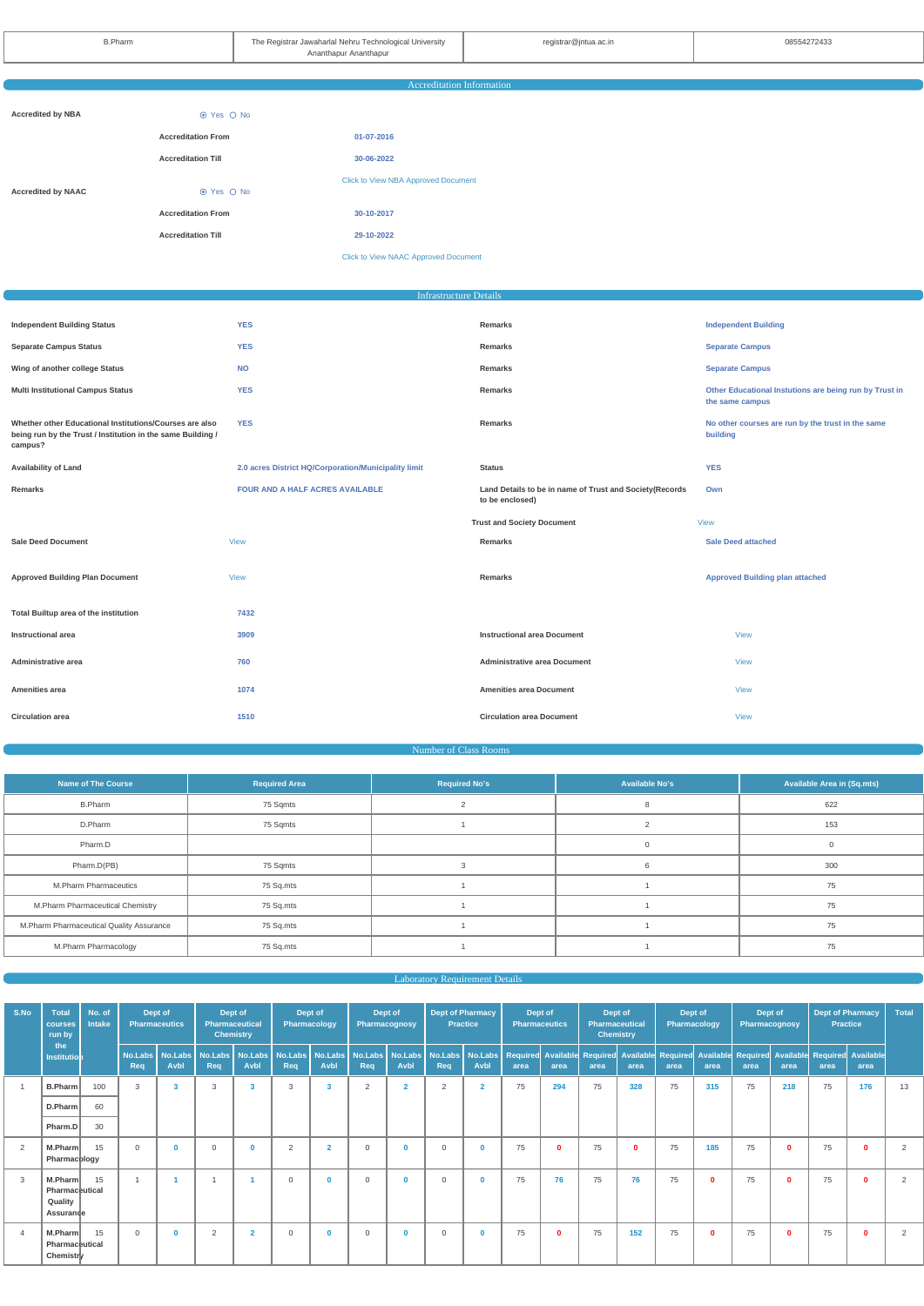|                           |                           | <b>Accreditation Information</b>            |  |
|---------------------------|---------------------------|---------------------------------------------|--|
|                           |                           |                                             |  |
| <b>Accredited by NBA</b>  | ⊙ Yes ○ No                |                                             |  |
|                           | <b>Accreditation From</b> | 01-07-2016                                  |  |
|                           | <b>Accreditation Till</b> | 30-06-2022                                  |  |
|                           |                           | <b>Click to View NBA Approved Document</b>  |  |
| <b>Accredited by NAAC</b> | ⊙ Yes ○ No                |                                             |  |
|                           | <b>Accreditation From</b> | 30-10-2017                                  |  |
|                           | <b>Accreditation Till</b> | 29-10-2022                                  |  |
|                           |                           | <b>Click to View NAAC Approved Document</b> |  |
|                           |                           |                                             |  |

# Infrastructure Details

| <b>YES</b><br><b>Independent Building</b><br>Remarks<br><b>YES</b><br><b>Separate Campus</b><br>Remarks<br><b>NO</b><br><b>Separate Campus</b><br><b>Remarks</b><br><b>YES</b><br>Other Educational Instutions are being run by Trust in<br>Remarks<br>the same campus<br><b>YES</b><br><b>Remarks</b><br>No other courses are run by the trust in the same<br>building<br>2.0 acres District HQ/Corporation/Municipality limit<br><b>YES</b><br><b>Status</b><br><b>FOUR AND A HALF ACRES AVAILABLE</b><br>Land Details to be in name of Trust and Society(Records<br>Remarks<br>Own<br>to be enclosed)<br><b>Trust and Society Document</b><br><b>View</b><br><b>Sale Deed attached</b><br><b>View</b><br><b>Remarks</b><br><b>Approved Building plan attached</b><br><b>View</b><br>Remarks<br>7432<br>3909<br><b>Instructional area Document</b><br><b>View</b><br><b>Administrative area Document</b><br>760<br><b>View</b><br>1074<br><b>Amenities area Document</b><br><b>View</b><br><b>Circulation area Document</b><br>1510<br><b>View</b> |                                                                                                                                   |  |  |
|------------------------------------------------------------------------------------------------------------------------------------------------------------------------------------------------------------------------------------------------------------------------------------------------------------------------------------------------------------------------------------------------------------------------------------------------------------------------------------------------------------------------------------------------------------------------------------------------------------------------------------------------------------------------------------------------------------------------------------------------------------------------------------------------------------------------------------------------------------------------------------------------------------------------------------------------------------------------------------------------------------------------------------------------------|-----------------------------------------------------------------------------------------------------------------------------------|--|--|
|                                                                                                                                                                                                                                                                                                                                                                                                                                                                                                                                                                                                                                                                                                                                                                                                                                                                                                                                                                                                                                                      | <b>Independent Building Status</b>                                                                                                |  |  |
|                                                                                                                                                                                                                                                                                                                                                                                                                                                                                                                                                                                                                                                                                                                                                                                                                                                                                                                                                                                                                                                      | <b>Separate Campus Status</b>                                                                                                     |  |  |
|                                                                                                                                                                                                                                                                                                                                                                                                                                                                                                                                                                                                                                                                                                                                                                                                                                                                                                                                                                                                                                                      | Wing of another college Status                                                                                                    |  |  |
|                                                                                                                                                                                                                                                                                                                                                                                                                                                                                                                                                                                                                                                                                                                                                                                                                                                                                                                                                                                                                                                      | <b>Multi Institutional Campus Status</b>                                                                                          |  |  |
|                                                                                                                                                                                                                                                                                                                                                                                                                                                                                                                                                                                                                                                                                                                                                                                                                                                                                                                                                                                                                                                      | Whether other Educational Institutions/Courses are also<br>being run by the Trust / Institution in the same Building /<br>campus? |  |  |
|                                                                                                                                                                                                                                                                                                                                                                                                                                                                                                                                                                                                                                                                                                                                                                                                                                                                                                                                                                                                                                                      | <b>Availability of Land</b>                                                                                                       |  |  |
|                                                                                                                                                                                                                                                                                                                                                                                                                                                                                                                                                                                                                                                                                                                                                                                                                                                                                                                                                                                                                                                      |                                                                                                                                   |  |  |
|                                                                                                                                                                                                                                                                                                                                                                                                                                                                                                                                                                                                                                                                                                                                                                                                                                                                                                                                                                                                                                                      |                                                                                                                                   |  |  |
|                                                                                                                                                                                                                                                                                                                                                                                                                                                                                                                                                                                                                                                                                                                                                                                                                                                                                                                                                                                                                                                      | <b>Sale Deed Document</b>                                                                                                         |  |  |
|                                                                                                                                                                                                                                                                                                                                                                                                                                                                                                                                                                                                                                                                                                                                                                                                                                                                                                                                                                                                                                                      | <b>Approved Building Plan Document</b>                                                                                            |  |  |
|                                                                                                                                                                                                                                                                                                                                                                                                                                                                                                                                                                                                                                                                                                                                                                                                                                                                                                                                                                                                                                                      | Total Builtup area of the institution                                                                                             |  |  |
|                                                                                                                                                                                                                                                                                                                                                                                                                                                                                                                                                                                                                                                                                                                                                                                                                                                                                                                                                                                                                                                      | <b>Instructional area</b>                                                                                                         |  |  |
|                                                                                                                                                                                                                                                                                                                                                                                                                                                                                                                                                                                                                                                                                                                                                                                                                                                                                                                                                                                                                                                      | Administrative area                                                                                                               |  |  |
|                                                                                                                                                                                                                                                                                                                                                                                                                                                                                                                                                                                                                                                                                                                                                                                                                                                                                                                                                                                                                                                      | Amenities area                                                                                                                    |  |  |
|                                                                                                                                                                                                                                                                                                                                                                                                                                                                                                                                                                                                                                                                                                                                                                                                                                                                                                                                                                                                                                                      | <b>Circulation area</b>                                                                                                           |  |  |

#### Number of Class Rooms

| <b>Name of The Course</b>                 | <b>Required Area</b> | <b>Required No's</b> | <b>Available No's</b> | <b>Available Area in (Sq.mts)</b> |
|-------------------------------------------|----------------------|----------------------|-----------------------|-----------------------------------|
| <b>B.Pharm</b>                            | 75 Sqmts             |                      |                       | 622                               |
| D.Pharm                                   | 75 Sqmts             |                      |                       | 153                               |
| Pharm.D                                   |                      |                      |                       |                                   |
| Pharm.D(PB)                               | 75 Sqmts             |                      |                       | 300                               |
| M.Pharm Pharmaceutics                     | 75 Sq.mts            |                      |                       | 75                                |
| M.Pharm Pharmaceutical Chemistry          | 75 Sq.mts            |                      |                       | 75                                |
| M. Pharm Pharmaceutical Quality Assurance | 75 Sq.mts            |                      |                       | 75                                |
| M.Pharm Pharmacology                      | 75 Sq.mts            |                      |                       | 75                                |

| S.No | <b>Total</b><br>courses<br>run by                 | No. of<br><b>Intake</b> | Dept of<br><b>Pharmaceutics</b> |                        | Dept of<br>Pharmaceutical<br><b>Chemistry</b> |                 | Dept of<br>Pharmacology |                         | Dept of<br>Pharmacognosy             |                | <b>Dept of Pharmacy</b><br><b>Practice</b> |                             | Dept of<br><b>Pharmaceutics</b> |      | Dept of<br><b>Pharmaceutical</b><br><b>Chemistry</b> |              | Dept of<br><b>Pharmacology</b> |          | Dept of<br><b>Pharmacognosy</b>   |             | <b>Dept of Pharmacy</b><br><b>Practice</b> |              | Total |
|------|---------------------------------------------------|-------------------------|---------------------------------|------------------------|-----------------------------------------------|-----------------|-------------------------|-------------------------|--------------------------------------|----------------|--------------------------------------------|-----------------------------|---------------------------------|------|------------------------------------------------------|--------------|--------------------------------|----------|-----------------------------------|-------------|--------------------------------------------|--------------|-------|
|      | the<br>Institution                                |                         | No.Labs<br>Req                  | No.Labs<br><b>Avbl</b> | No.Labs<br>Req                                | No.Labs<br>Avbl | No.Labs<br>Req          | Avbl                    | No.Labs   No.Labs   No.Labs  <br>Req | Avbl           | Req                                        | No.Labs   No.Labs  <br>Avbl | area                            | area | Required Available Required Available<br>area        | area         | <b>Required</b><br>area        | area     | <b>Available Required</b><br>area | area        | Available Required Available<br>area       | area         |       |
|      | B.Pharm                                           | 100                     | 3                               | 3                      | 3                                             |                 | 3                       | $\overline{\mathbf{3}}$ | 2                                    | $\overline{2}$ | 2                                          | $\overline{2}$              | 75                              | 294  | 75                                                   | 328          | 75                             | 315      | 75                                | 218         | 75                                         | 176          | 13    |
|      | D.Pharm                                           | 60                      |                                 |                        |                                               |                 |                         |                         |                                      |                |                                            |                             |                                 |      |                                                      |              |                                |          |                                   |             |                                            |              |       |
|      | Pharm.D                                           | 30                      |                                 |                        |                                               |                 |                         |                         |                                      |                |                                            |                             |                                 |      |                                                      |              |                                |          |                                   |             |                                            |              |       |
| 2    | M.Pharm<br>Pharmacology                           | 15                      | $\mathbf 0$                     | $\mathbf{0}$           | $\overline{0}$                                | $\Omega$        | $\overline{2}$          | $\overline{2}$          | $\mathbf 0$                          | $\bf{0}$       | $\mathbf 0$                                | $\mathbf 0$                 | 75                              | 0    | 75                                                   | $\mathbf{0}$ | 75                             | 185      | 75                                | $\mathbf 0$ | 75                                         | $\mathbf 0$  | 2     |
| 3    | M.Pharm<br>Pharmaceutical<br>Quality<br>Assurande | 15                      |                                 |                        |                                               |                 | $\Omega$                | $\mathbf{0}$            | $\Omega$                             | $\mathbf{0}$   | $\Omega$                                   | $\bf{0}$                    | 75                              | 76   | 75                                                   | 76           | 75                             | $\Omega$ | 75                                | $\Omega$    | 75                                         | $\mathbf{0}$ | 2     |
|      | M.Pharm<br>Pharmaceutical<br>Chemistry            | 15                      | $\mathbf{0}$                    | $\mathbf{0}$           | $\overline{2}$                                | $\overline{2}$  | $\Omega$                | $\mathbf{0}$            | $\overline{0}$                       | $\mathbf 0$    | $\mathbf 0$                                | $\mathbf{0}$                | 75                              | 0    | 75                                                   | 152          | 75                             | $\Omega$ | 75                                | $\Omega$    | 75                                         | $\mathbf{0}$ | 2     |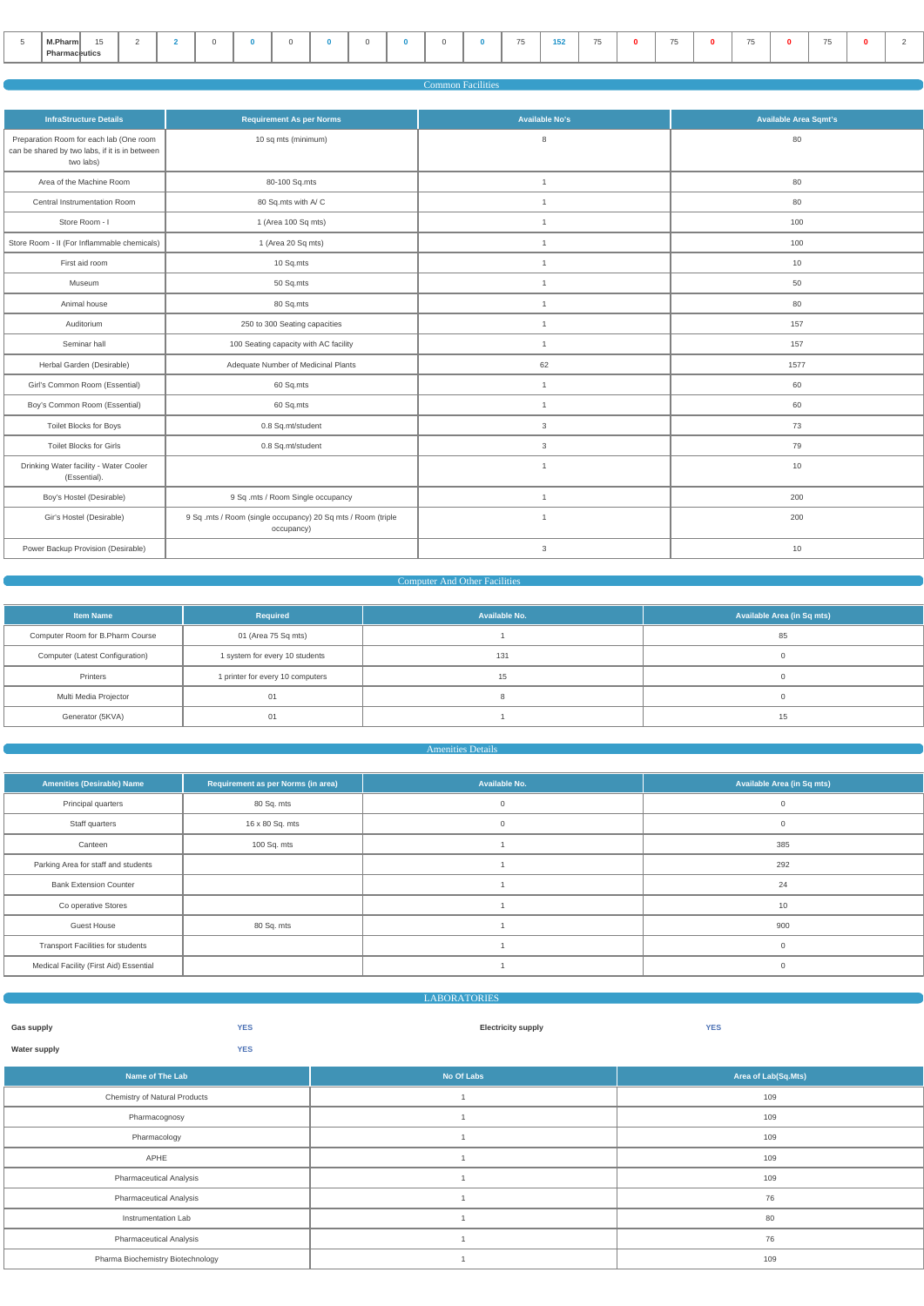| M.Pharm       | $\overline{\phantom{0}}$<br>$\overline{\phantom{a}}$ |  |  |  |  |  | $- -$<br>$\sim$ | <br>$\overline{\phantom{a}}$ | $-$ | $- -$ | $- -$ |  |
|---------------|------------------------------------------------------|--|--|--|--|--|-----------------|------------------------------|-----|-------|-------|--|
| Pharmaceutics |                                                      |  |  |  |  |  |                 |                              |     |       |       |  |

|                                                                                                        |                                                                            | <b>Common Facilities</b> |                              |
|--------------------------------------------------------------------------------------------------------|----------------------------------------------------------------------------|--------------------------|------------------------------|
| <b>InfraStructure Details</b>                                                                          | <b>Requirement As per Norms</b>                                            | <b>Available No's</b>    | <b>Available Area Sqmt's</b> |
| Preparation Room for each lab (One room<br>can be shared by two labs, if it is in between<br>two labs) | 10 sq mts (minimum)                                                        | 8                        | 80                           |
| Area of the Machine Room                                                                               | 80-100 Sq.mts                                                              | $\mathbf{1}$             | 80                           |
| Central Instrumentation Room                                                                           | 80 Sq.mts with A/C                                                         | $\mathbf{1}$             | 80                           |
| Store Room - I                                                                                         | 1 (Area 100 Sq mts)                                                        | $\overline{1}$           | 100                          |
| Store Room - II (For Inflammable chemicals)                                                            | 1 (Area 20 Sq mts)                                                         | $\overline{1}$           | 100                          |
| First aid room                                                                                         | 10 Sq.mts                                                                  | $\overline{1}$           | 10                           |
| Museum                                                                                                 | 50 Sq.mts                                                                  | $\mathbf{1}$             | 50                           |
| Animal house                                                                                           | 80 Sq.mts                                                                  | $\mathbf{1}$             | 80                           |
| Auditorium                                                                                             | 250 to 300 Seating capacities                                              | $\overline{1}$           | 157                          |
| Seminar hall                                                                                           | 100 Seating capacity with AC facility                                      | $\overline{1}$           | 157                          |
| Herbal Garden (Desirable)                                                                              | Adequate Number of Medicinal Plants                                        | 62                       | 1577                         |
| Girl's Common Room (Essential)                                                                         | 60 Sq.mts                                                                  | $\mathbf{1}$             | 60                           |
| Boy's Common Room (Essential)                                                                          | 60 Sq.mts                                                                  | $\mathbf{1}$             | 60                           |
| Toilet Blocks for Boys                                                                                 | 0.8 Sq.mt/student                                                          | 3                        | 73                           |
| <b>Toilet Blocks for Girls</b>                                                                         | 0.8 Sq.mt/student                                                          | 3                        | 79                           |
| Drinking Water facility - Water Cooler<br>(Essential).                                                 |                                                                            | $\overline{1}$           | 10                           |
| Boy's Hostel (Desirable)                                                                               | 9 Sq .mts / Room Single occupancy                                          | $\overline{1}$           | 200                          |
| Gir's Hostel (Desirable)                                                                               | 9 Sq .mts / Room (single occupancy) 20 Sq mts / Room (triple<br>occupancy) | $\overline{1}$           | 200                          |
| Power Backup Provision (Desirable)                                                                     |                                                                            | $\mathbf{3}$             | 10                           |

## Computer And Other Facilities

| <b>Item Name</b>                 | Required                         | Available No. | Available Area (in Sq mts) |
|----------------------------------|----------------------------------|---------------|----------------------------|
| Computer Room for B.Pharm Course | 01 (Area 75 Sq mts)              |               | 85                         |
| Computer (Latest Configuration)  | 1 system for every 10 students   | 131           |                            |
| Printers                         | 1 printer for every 10 computers | 15            |                            |
| Multi Media Projector            | 01                               |               |                            |
| Generator (5KVA)                 |                                  |               | 15                         |

#### Amenities Details

| <b>Amenities (Desirable) Name</b>        | Requirement as per Norms (in area) | Available No. | <b>Available Area (in Sq mts)</b> |
|------------------------------------------|------------------------------------|---------------|-----------------------------------|
| Principal quarters                       | 80 Sq. mts                         | $\Omega$      |                                   |
| Staff quarters                           | 16 x 80 Sq. mts                    | $\mathbf 0$   | $\Omega$                          |
| Canteen                                  | 100 Sq. mts                        |               | 385                               |
| Parking Area for staff and students      |                                    |               | 292                               |
| <b>Bank Extension Counter</b>            |                                    |               | 24                                |
| Co operative Stores                      |                                    |               | 10                                |
| <b>Guest House</b>                       | 80 Sq. mts                         |               | 900                               |
| <b>Transport Facilities for students</b> |                                    |               |                                   |
| Medical Facility (First Aid) Essential   |                                    |               |                                   |

|                            |                                   | <b>LABORATORIES</b>       |                     |
|----------------------------|-----------------------------------|---------------------------|---------------------|
| Gas supply<br>Water supply | <b>YES</b><br><b>YES</b>          | <b>Electricity supply</b> | <b>YES</b>          |
|                            | Name of The Lab                   | No Of Labs                | Area of Lab(Sq.Mts) |
|                            | Chemistry of Natural Products     |                           | 109                 |
|                            | Pharmacognosy                     |                           | 109                 |
|                            | Pharmacology                      |                           | 109                 |
|                            | APHE                              |                           | 109                 |
|                            | <b>Pharmaceutical Analysis</b>    |                           | 109                 |
|                            | <b>Pharmaceutical Analysis</b>    |                           | 76                  |
|                            | Instrumentation Lab               |                           | 80                  |
|                            | <b>Pharmaceutical Analysis</b>    |                           | 76                  |
|                            | Pharma Biochemistry Biotechnology |                           | 109                 |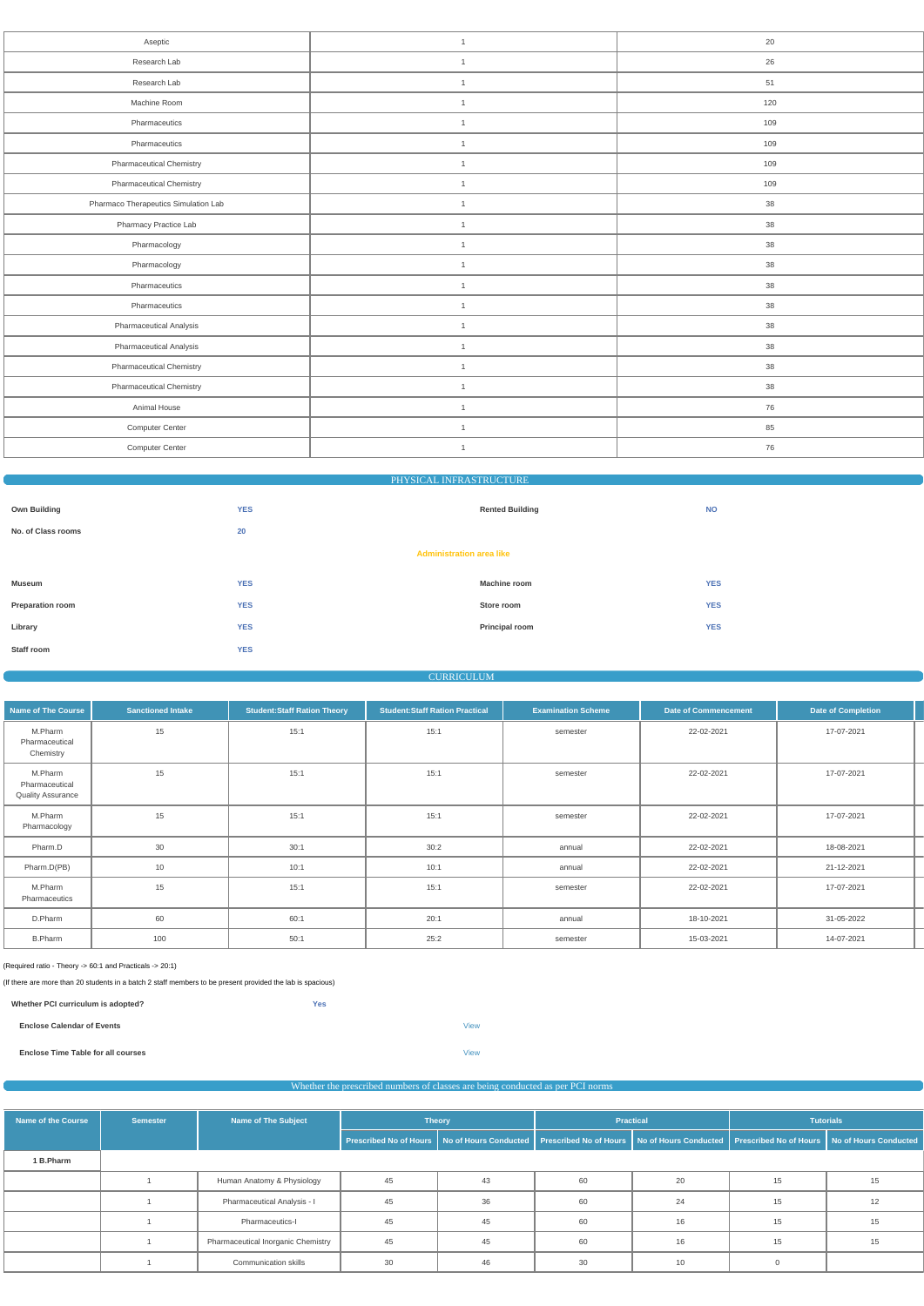| Aseptic                              | $\mathbf{1}$   | 20  |
|--------------------------------------|----------------|-----|
| Research Lab                         | $\mathbf{1}$   | 26  |
| Research Lab                         | $\overline{1}$ | 51  |
| Machine Room                         | $\overline{1}$ | 120 |
| Pharmaceutics                        | $\mathbf{1}$   | 109 |
| Pharmaceutics                        | $\overline{1}$ | 109 |
| <b>Pharmaceutical Chemistry</b>      | $\overline{1}$ | 109 |
| <b>Pharmaceutical Chemistry</b>      | $\mathbf{1}$   | 109 |
| Pharmaco Therapeutics Simulation Lab | $\mathbf{1}$   | 38  |
| Pharmacy Practice Lab                | $\mathbf{1}$   | 38  |
| Pharmacology                         | $\overline{1}$ | 38  |
| Pharmacology                         | $\mathbf{1}$   | 38  |
| Pharmaceutics                        | $\mathbf{1}$   | 38  |
| Pharmaceutics                        | $\mathbf{1}$   | 38  |
| Pharmaceutical Analysis              | $\overline{1}$ | 38  |
| Pharmaceutical Analysis              | $\mathbf{1}$   | 38  |
| <b>Pharmaceutical Chemistry</b>      | $\mathbf{1}$   | 38  |
| <b>Pharmaceutical Chemistry</b>      | $\mathbf{1}$   | 38  |
| Animal House                         | $\overline{1}$ | 76  |
| Computer Center                      | $\overline{1}$ | 85  |
| Computer Center                      | $\mathbf{1}$   | 76  |
|                                      |                |     |

| <b>PHYSICAL INFRASTRUCTURE</b> |  |
|--------------------------------|--|
|--------------------------------|--|

| <b>Own Building</b>     | <b>YES</b>                      | <b>Rented Building</b> | <b>NO</b>  |
|-------------------------|---------------------------------|------------------------|------------|
| No. of Class rooms      | 20                              |                        |            |
|                         | <b>Administration area like</b> |                        |            |
| Museum                  | <b>YES</b>                      | <b>Machine room</b>    | <b>YES</b> |
| <b>Preparation room</b> | <b>YES</b>                      | Store room             | <b>YES</b> |
| Library                 | <b>YES</b>                      | Principal room         | <b>YES</b> |
| Staff room              | <b>YES</b>                      |                        |            |

#### **CURRICULUM**

| <b>Name of The Course</b>                             | <b>Sanctioned Intake</b> | <b>Student:Staff Ration Theory</b> | <b>Student:Staff Ration Practical</b> | <b>Examination Scheme</b> | <b>Date of Commencement</b> | Date of Completion |  |
|-------------------------------------------------------|--------------------------|------------------------------------|---------------------------------------|---------------------------|-----------------------------|--------------------|--|
| M.Pharm<br>Pharmaceutical<br>Chemistry                | 15                       | 15:1                               | 15:1                                  | semester                  | 22-02-2021                  | 17-07-2021         |  |
| M.Pharm<br>Pharmaceutical<br><b>Quality Assurance</b> | 15                       | 15:1                               | 15:1                                  | semester                  | 22-02-2021                  | 17-07-2021         |  |
| M.Pharm<br>Pharmacology                               | 15                       | 15:1                               | 15:1                                  | semester                  | 22-02-2021                  | 17-07-2021         |  |
| Pharm.D                                               | 30                       | 30:1                               | 30:2                                  | annual                    | 22-02-2021                  | 18-08-2021         |  |
| Pharm.D(PB)                                           | 10                       | 10:1                               | 10:1                                  | annual                    | 22-02-2021                  | 21-12-2021         |  |
| M.Pharm<br>Pharmaceutics                              | 15                       | 15:1                               | 15:1                                  | semester                  | 22-02-2021                  | 17-07-2021         |  |
| D.Pharm                                               | 60                       | 60:1                               | 20:1                                  | annual                    | 18-10-2021                  | 31-05-2022         |  |
| <b>B.Pharm</b>                                        | 100                      | 50:1                               | 25:2                                  | semester                  | 15-03-2021                  | 14-07-2021         |  |

(Required ratio - Theory -> 60:1 and Practicals -> 20:1)

(If there are more than 20 students in a batch 2 staff members to be present provided the lab is spacious)

| Whether PCI curriculum is adopted? | <b>Yes</b> |             |  |
|------------------------------------|------------|-------------|--|
| <b>Enclose Calendar of Events</b>  |            | View        |  |
| Enclose Time Table for all courses |            | <b>View</b> |  |

# Whether the prescribed numbers of classes are being conducted as per PCI norms

| Name of the Course | <b>Semester</b> | <b>Name of The Subject</b>         | <b>Theory</b> |    | <b>Practical</b> |    | <b>Tutorials</b>                                                                                                                                 |    |  |
|--------------------|-----------------|------------------------------------|---------------|----|------------------|----|--------------------------------------------------------------------------------------------------------------------------------------------------|----|--|
|                    |                 |                                    |               |    |                  |    | Prescribed No of Hours   No of Hours Conducted   Prescribed No of Hours   No of Hours Conducted   Prescribed No of Hours   No of Hours Conducted |    |  |
| 1 B.Pharm          |                 |                                    |               |    |                  |    |                                                                                                                                                  |    |  |
|                    |                 | Human Anatomy & Physiology         | 45            | 43 | 60               | 20 | 15                                                                                                                                               | 15 |  |
|                    |                 | Pharmaceutical Analysis - I        | 45            | 36 | 60               | 24 | 15                                                                                                                                               | 12 |  |
|                    |                 | Pharmaceutics-I                    | 45            | 45 | 60               | 16 | 15                                                                                                                                               | 15 |  |
|                    |                 | Pharmaceutical Inorganic Chemistry | 45            | 45 | 60               | 16 | 15                                                                                                                                               | 15 |  |
|                    |                 | Communication skills               | 30            | 46 | 30               | 10 |                                                                                                                                                  |    |  |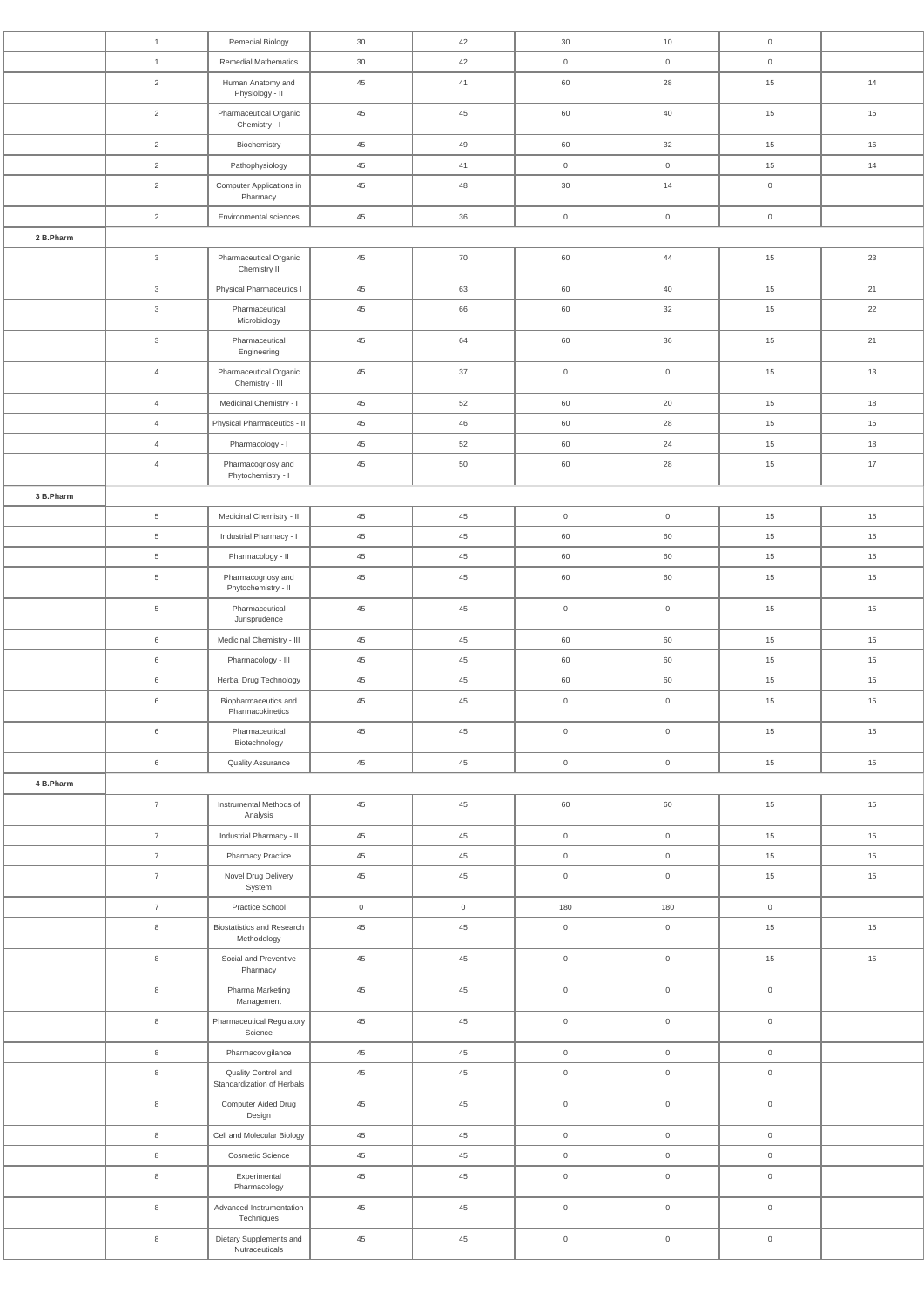|           | $\mathbf{1}$              | Remedial Biology                                  | $30\,$         | 42             | 30                  | 10                  | $\mathsf{O}\xspace$ |    |
|-----------|---------------------------|---------------------------------------------------|----------------|----------------|---------------------|---------------------|---------------------|----|
|           | $\mathbf{1}$              | <b>Remedial Mathematics</b>                       | 30             | 42             | $\overline{0}$      | $\overline{0}$      | $\overline{0}$      |    |
|           | $\overline{2}$            | Human Anatomy and<br>Physiology - II              | 45             | 41             | 60                  | 28                  | 15                  | 14 |
|           | $\overline{2}$            | Pharmaceutical Organic<br>Chemistry - I           | 45             | 45             | 60                  | 40                  | 15                  | 15 |
|           | $\overline{2}$            | Biochemistry                                      | 45             | 49             | 60                  | 32                  | 15                  | 16 |
|           | $\overline{2}$            | Pathophysiology                                   | 45             | 41             | $\overline{0}$      | $\mathsf{O}\xspace$ | 15                  | 14 |
|           | $\overline{c}$            | Computer Applications in<br>Pharmacy              | 45             | 48             | 30                  | 14                  | $\mathsf{O}\xspace$ |    |
| 2 B.Pharm | 2                         | Environmental sciences                            | 45             | 36             | $\overline{0}$      | $\overline{0}$      | $\overline{0}$      |    |
|           | $\ensuremath{\mathsf{3}}$ | Pharmaceutical Organic<br>Chemistry II            | 45             | 70             | 60                  | 44                  | 15                  | 23 |
|           | $\mathbf{3}$              | Physical Pharmaceutics I                          | 45             | 63             | 60                  | 40                  | 15                  | 21 |
|           | $\ensuremath{\mathsf{3}}$ | Pharmaceutical<br>Microbiology                    | 45             | 66             | 60                  | 32                  | 15                  | 22 |
|           | $\ensuremath{\mathsf{3}}$ | Pharmaceutical<br>Engineering                     | 45             | 64             | 60                  | 36                  | 15                  | 21 |
|           | $\overline{4}$            | Pharmaceutical Organic<br>Chemistry - III         | 45             | 37             | $\overline{0}$      | $\mathsf{O}$        | 15                  | 13 |
|           | $\overline{4}$            | Medicinal Chemistry - I                           | 45             | 52             | 60                  | 20                  | 15                  | 18 |
|           | $\overline{4}$            | Physical Pharmaceutics - II                       | 45             | 46             | 60                  | 28                  | 15                  | 15 |
|           | $\overline{4}$            | Pharmacology - I                                  | 45             | 52             | 60                  | 24                  | 15                  | 18 |
|           | $\overline{4}$            | Pharmacognosy and<br>Phytochemistry - I           | 45             | 50             | 60                  | 28                  | 15                  | 17 |
| 3 B.Pharm |                           |                                                   |                |                |                     |                     |                     |    |
|           | 5 <sup>5</sup>            | Medicinal Chemistry - II                          | 45             | 45             | $\overline{0}$      | $\overline{0}$      | 15                  | 15 |
|           | 5                         | Industrial Pharmacy - I                           | 45             | 45             | 60                  | 60                  | 15                  | 15 |
|           | $\,$ 5 $\,$               | Pharmacology - II                                 | 45             | 45             | 60                  | 60                  | 15                  | 15 |
|           | $\overline{5}$            | Pharmacognosy and<br>Phytochemistry - II          | 45             | 45             | 60                  | 60                  | 15                  | 15 |
|           | $\overline{5}$            | Pharmaceutical<br>Jurisprudence                   | 45             | 45             | $\overline{0}$      | $\mathsf{O}\xspace$ | 15                  | 15 |
|           | $\,6\,$                   | Medicinal Chemistry - III                         | 45             | 45             | 60                  | 60                  | 15                  | 15 |
|           | $\,6\,$                   | Pharmacology - III                                | 45             | 45             | 60                  | 60                  | 15                  | 15 |
|           | 6                         | Herbal Drug Technology                            | 45             | 45             | 60                  | 60                  | 15                  | 15 |
|           | $\,6\,$                   | Biopharmaceutics and<br>Pharmacokinetics          | 45             | 45             | $\overline{0}$      | $\overline{0}$      | 15                  | 15 |
|           | 6                         | Pharmaceutical<br>Biotechnology                   | 45             | 45             | $\overline{0}$      | $\overline{0}$      | 15                  | 15 |
|           | $\,6\,$                   | <b>Quality Assurance</b>                          | 45             | 45             | $\overline{0}$      | $\mathsf{O}\xspace$ | 15                  | 15 |
| 4 B.Pharm | $\overline{7}$            | Instrumental Methods of<br>Analysis               | 45             | 45             | 60                  | 60                  | 15                  | 15 |
|           | $\overline{7}$            | Industrial Pharmacy - II                          | 45             | 45             | $\overline{0}$      | $\overline{0}$      | 15                  | 15 |
|           | $\overline{7}$            | <b>Pharmacy Practice</b>                          | 45             | 45             | $\overline{0}$      | $\mathsf{O}\xspace$ | 15                  | 15 |
|           | $\overline{7}$            | Novel Drug Delivery<br>System                     | 45             | 45             | $\overline{0}$      | $\overline{0}$      | 15                  | 15 |
|           | $\overline{7}$            | Practice School                                   | $\overline{0}$ | $\overline{0}$ | 180                 | 180                 | $\mathsf{O}\xspace$ |    |
|           | $\,8\,$                   | <b>Biostatistics and Research</b><br>Methodology  | 45             | 45             | $\overline{0}$      | $\overline{0}$      | 15                  | 15 |
|           | $\,8\,$                   | Social and Preventive<br>Pharmacy                 | 45             | 45             | $\mathsf{O}$        | $\overline{0}$      | 15                  | 15 |
|           | $\,8\,$                   | Pharma Marketing<br>Management                    | 45             | 45             | $\mathsf{O}$        | $\mathsf{O}\xspace$ | $\mathsf{O}\xspace$ |    |
|           | $\,8\,$                   | <b>Pharmaceutical Regulatory</b><br>Science       | 45             | 45             | $\overline{0}$      | $\mathbf 0$         | $\mathsf{O}\xspace$ |    |
|           | $\,8\,$                   | Pharmacovigilance                                 | 45             | 45             | $\overline{0}$      | $\overline{0}$      | $\mathsf{O}\xspace$ |    |
|           | $\,8\,$                   | Quality Control and<br>Standardization of Herbals | $45\,$         | 45             | $\mathsf{O}$        | $\mathsf{O}\xspace$ | $\mathsf{O}\xspace$ |    |
|           | $\,8\,$                   | Computer Aided Drug<br>Design                     | $45\,$         | 45             | $\overline{0}$      | $\mathsf{O}\xspace$ | $\mathsf{O}\xspace$ |    |
|           | $\,8\,$                   | Cell and Molecular Biology                        | 45             | 45             | $\overline{0}$      | $\overline{0}$      | $\mathsf{O}\xspace$ |    |
|           | $\,8\,$                   | Cosmetic Science                                  | 45             | 45             | $\overline{0}$      | $\overline{0}$      | $\overline{0}$      |    |
|           | $\,8\,$                   | Experimental<br>Pharmacology                      | 45             | 45             | $\overline{0}$      | $\mathsf{O}\xspace$ | $\mathsf{O}\xspace$ |    |
|           | $\,8\,$                   | Advanced Instrumentation<br>Techniques            | 45             | 45             | $\mathsf{O}\xspace$ | $\mathsf{O}\xspace$ | $\mathsf{O}\xspace$ |    |
|           | $\,8\,$                   | Dietary Supplements and<br>Nutraceuticals         | 45             | 45             | $\overline{0}$      | $\overline{0}$      | $\mathsf{O}\xspace$ |    |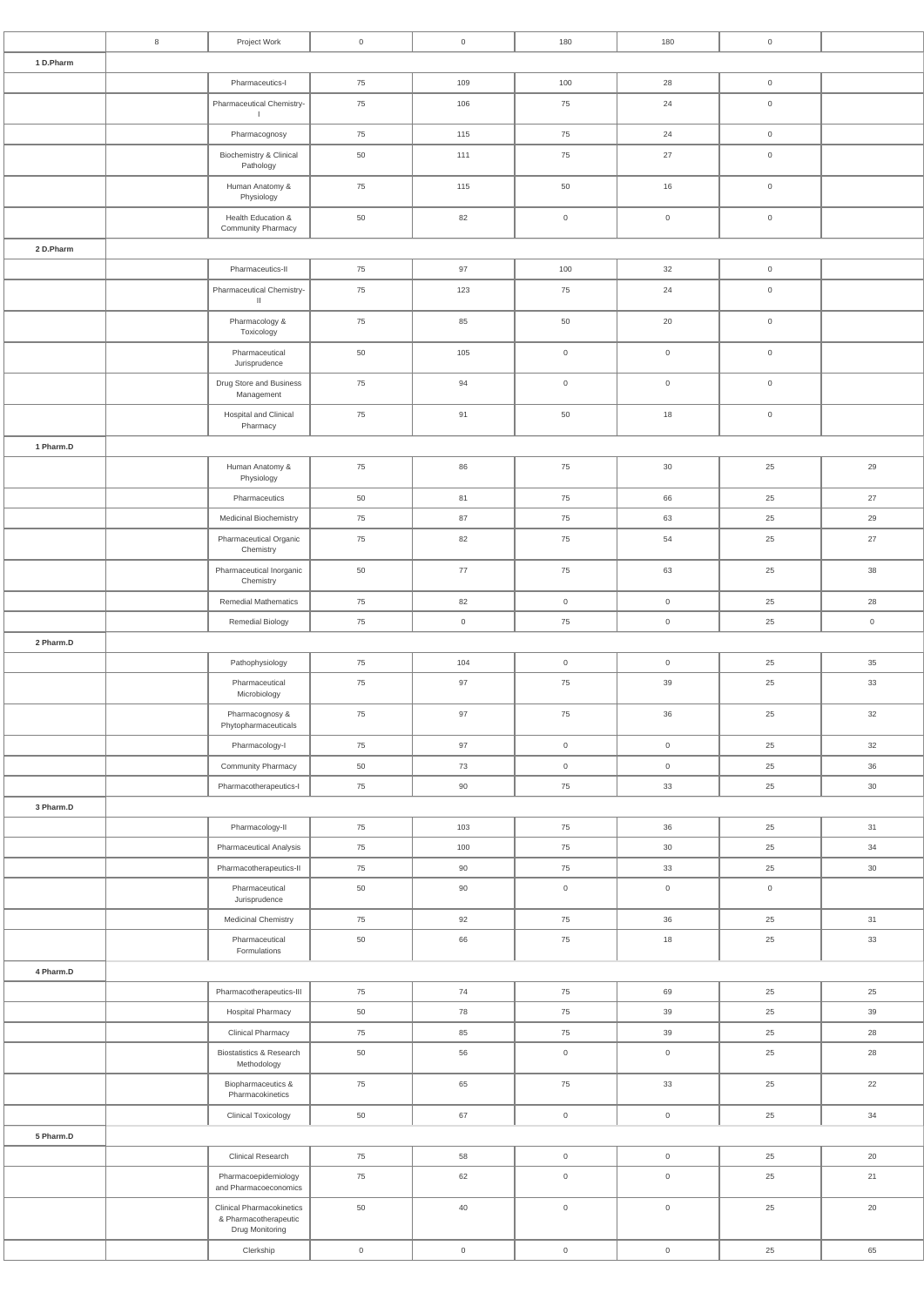|           | 8 | Project Work                                              | $\overline{0}$      | $\overline{0}$      | 180                                        | 180                 | $\mathsf{O}\xspace$ |                     |
|-----------|---|-----------------------------------------------------------|---------------------|---------------------|--------------------------------------------|---------------------|---------------------|---------------------|
| 1 D.Pharm |   |                                                           |                     |                     |                                            |                     |                     |                     |
|           |   | Pharmaceutics-I                                           | 75                  | 109                 | 100                                        | 28                  | $\boldsymbol{0}$    |                     |
|           |   | Pharmaceutical Chemistry-<br>$\mathbf{I}$                 | 75                  | 106                 | 75                                         | 24                  | $\mathsf{O}\xspace$ |                     |
|           |   | Pharmacognosy                                             | 75                  | 115                 | 75                                         | 24                  | $\mathsf{O}\xspace$ |                     |
|           |   | Biochemistry & Clinical<br>Pathology                      | 50                  | 111                 | 75                                         | 27                  | $\mathsf{O}\xspace$ |                     |
|           |   | Human Anatomy &<br>Physiology                             | 75                  | 115                 | 50                                         | 16                  | $\mathsf{O}\xspace$ |                     |
|           |   | Health Education &                                        | 50                  | 82                  | $\overline{0}$                             | $\mathbf 0$         | $\mathsf{O}$        |                     |
|           |   | Community Pharmacy                                        |                     |                     |                                            |                     |                     |                     |
| 2 D.Pharm |   | Pharmaceutics-II                                          | 75                  | 97                  | 100                                        | 32                  | $\mathsf{O}$        |                     |
|           |   | Pharmaceutical Chemistry-<br>$\,$ II                      | 75                  | 123                 | 75                                         | 24                  | $\mathsf{O}\xspace$ |                     |
|           |   | Pharmacology &<br>Toxicology                              | 75                  | 85                  | 50                                         | 20                  | $\mathsf{O}\xspace$ |                     |
|           |   | Pharmaceutical<br>Jurisprudence                           | 50                  | 105                 | $\mathsf{O}$                               | $\mathsf{O}\xspace$ | $\mathsf{O}\xspace$ |                     |
|           |   | Drug Store and Business<br>Management                     | 75                  | 94                  | $\overline{0}$                             | $\mathbf 0$         | $\mathsf{O}\xspace$ |                     |
|           |   | Hospital and Clinical<br>Pharmacy                         | 75                  | 91                  | 50                                         | 18                  | $\mathsf{O}\xspace$ |                     |
| 1 Pharm.D |   |                                                           |                     |                     |                                            |                     |                     |                     |
|           |   | Human Anatomy &                                           | 75                  | 86                  | 75                                         | $30\,$              | 25                  | 29                  |
|           |   | Physiology                                                |                     |                     |                                            |                     |                     |                     |
|           |   | Pharmaceutics<br>Medicinal Biochemistry                   | 50<br>75            | 81<br>87            | 75<br>${\bf 75}$                           | 66<br>63            | 25<br>$25\,$        | 27<br>29            |
|           |   | Pharmaceutical Organic                                    | 75                  | 82                  | 75                                         | 54                  | 25                  | 27                  |
|           |   | Chemistry<br>Pharmaceutical Inorganic                     | 50                  | 77                  | 75                                         | 63                  | 25                  | 38                  |
|           |   | Chemistry                                                 |                     |                     |                                            |                     |                     |                     |
|           |   | <b>Remedial Mathematics</b>                               | 75                  | 82                  | $\overline{0}$                             | $\overline{0}$      | 25                  | 28                  |
| 2 Pharm.D |   | Remedial Biology                                          | 75                  | $\mathsf{O}\xspace$ | 75                                         | $\mathsf{O}\xspace$ | 25                  | $\mathsf{O}\xspace$ |
|           |   | Pathophysiology                                           | 75                  | $104$               | $\mathsf{O}\xspace$                        | $\mathsf{O}\xspace$ | 25                  | 35                  |
|           |   | Pharmaceutical                                            | 75                  | 97                  | 75                                         | 39                  | 25                  | 33                  |
|           |   | Microbiology<br>Pharmacognosy &                           | 75                  | 97                  | 75                                         | 36                  | 25                  | 32                  |
|           |   | Phytopharmaceuticals<br>Pharmacology-I                    | 75                  | 97                  | $\overline{0}$                             | $\overline{0}$      | 25                  | 32                  |
|           |   | Community Pharmacy                                        | 50                  | 73                  | $\overline{0}$                             | $\overline{0}$      | 25                  | 36                  |
|           |   | Pharmacotherapeutics-I                                    | 75                  | 90                  | 75                                         | 33                  | 25                  | 30                  |
| 3 Pharm.D |   |                                                           |                     |                     |                                            |                     |                     |                     |
|           |   | Pharmacology-II                                           | 75                  | 103                 | 75                                         | 36                  | 25                  | 31                  |
|           |   | Pharmaceutical Analysis                                   | 75                  | 100                 | 75                                         | 30 <sup>°</sup>     | 25                  | 34                  |
|           |   | Pharmacotherapeutics-II                                   | 75                  | 90                  | 75                                         | 33                  | 25                  | 30                  |
|           |   | Pharmaceutical<br>Jurisprudence                           | 50                  | 90                  | $\mathsf{O}$                               | $\overline{0}$      | $\mathsf{O}$        |                     |
|           |   | Medicinal Chemistry                                       | 75                  | 92                  | 75                                         | 36                  | 25                  | 31                  |
|           |   | Pharmaceutical<br>Formulations                            | 50                  | 66                  | 75                                         | 18                  | 25                  | 33                  |
| 4 Pharm.D |   |                                                           |                     |                     |                                            |                     |                     |                     |
|           |   | Pharmacotherapeutics-III                                  | 75                  | 74                  | 75                                         | 69                  | 25                  | 25                  |
|           |   | <b>Hospital Pharmacy</b>                                  | 50                  | 78                  | ${\bf 75}$                                 | $39\,$              | $25\,$              | $39\,$              |
|           |   | <b>Clinical Pharmacy</b>                                  | 75                  | 85                  | 75                                         | 39                  | 25                  | 28                  |
|           |   | Biostatistics & Research<br>Methodology                   | 50                  | 56                  | $\mathsf{O}\xspace$                        | $\mathsf{O}\xspace$ | 25                  | 28                  |
|           |   | Biopharmaceutics &<br>Pharmacokinetics                    | 75                  | 65                  | 75                                         | $33\,$              | 25                  | 22                  |
|           |   | <b>Clinical Toxicology</b>                                | 50                  | 67                  | $\mathsf{O}\xspace$                        | $\mathsf{O}\xspace$ | 25                  | 34                  |
| 5 Pharm.D |   |                                                           |                     |                     |                                            |                     |                     |                     |
|           |   | <b>Clinical Research</b><br>Pharmacoepidemiology          | 75<br>75            | 58<br>62            | $\mathsf{O}\xspace$<br>$\mathsf{O}\xspace$ | $\mathsf{O}\xspace$ | 25<br>25            | 20<br>21            |
|           |   | and Pharmacoeconomics<br><b>Clinical Pharmacokinetics</b> | 50                  | 40                  |                                            | $\overline{0}$      | 25                  | $20\,$              |
|           |   | & Pharmacotherapeutic<br>Drug Monitoring                  |                     |                     | $\mathsf{O}\xspace$                        | $\mathsf{O}\xspace$ |                     |                     |
|           |   | Clerkship                                                 | $\mathsf{O}\xspace$ | $\mathsf{O}\xspace$ | $\mathbf 0$                                | $\mathsf{O}\xspace$ | 25                  | 65                  |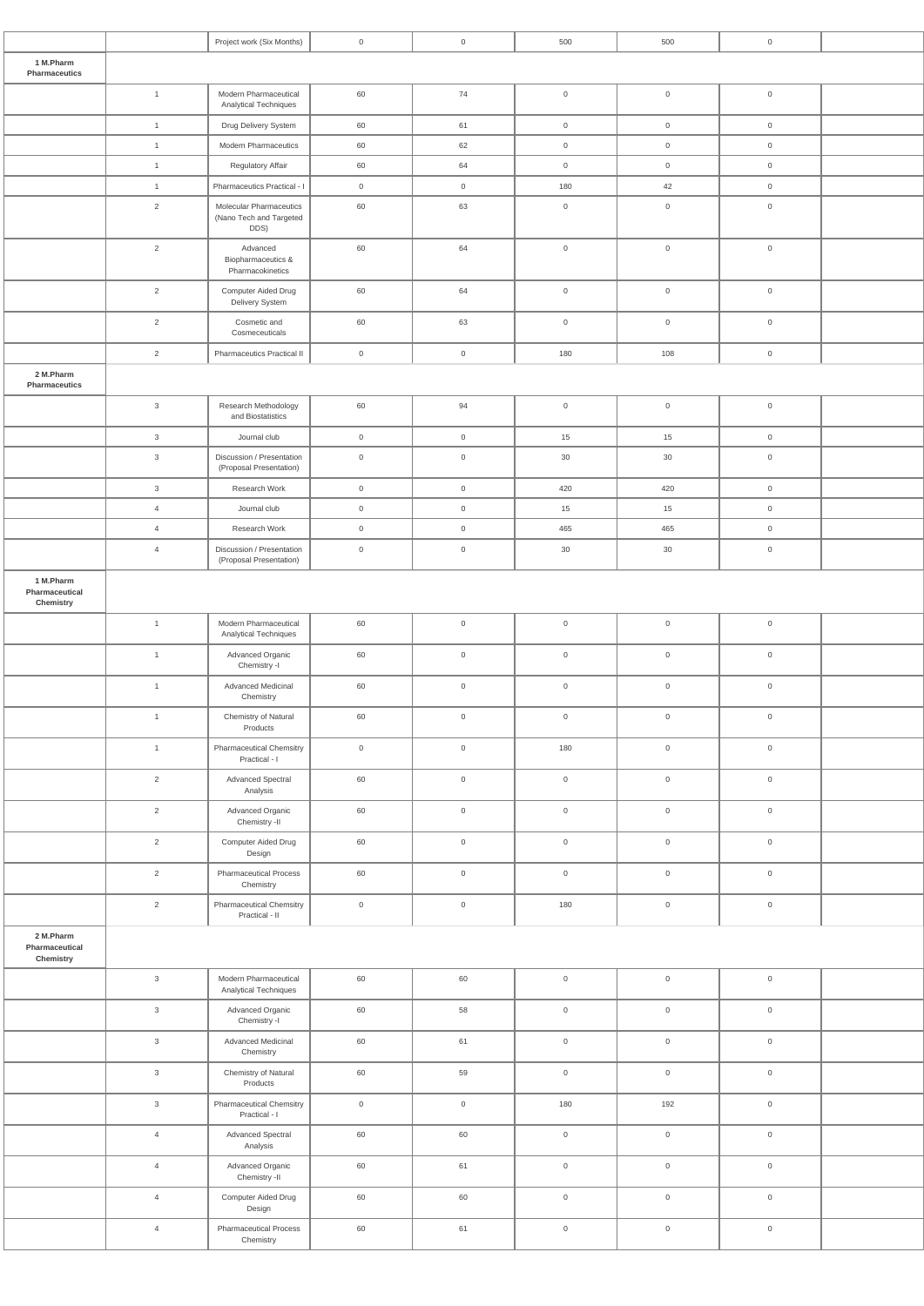|                                          |                | Project work (Six Months)                                  | $\mathsf{O}\xspace$ | $\mathsf{O}\xspace$ | 500            | 500                 | $\mathsf{O}\xspace$ |  |
|------------------------------------------|----------------|------------------------------------------------------------|---------------------|---------------------|----------------|---------------------|---------------------|--|
| 1 M.Pharm<br>Pharmaceutics               |                |                                                            |                     |                     |                |                     |                     |  |
|                                          | $\mathbf{1}$   | Modern Pharmaceutical<br>Analytical Techniques             | 60                  | $74$                | $\mathsf{O}$   | $\mathsf{O}\xspace$ | $\mathsf{O}\xspace$ |  |
|                                          | $\overline{1}$ | Drug Delivery System                                       | 60                  | 61                  | $\overline{0}$ | $\mathsf{O}\xspace$ | $\mathsf{O}$        |  |
|                                          | $\mathbf{1}$   | <b>Modern Pharmaceutics</b>                                | 60                  | 62                  | $\overline{0}$ | $\mathsf{O}\xspace$ | $\mathsf{O}$        |  |
|                                          | $\mathbf{1}$   | Regulatory Affair                                          | 60                  | 64                  | $\overline{0}$ | $\overline{0}$      | $\overline{0}$      |  |
|                                          | $\mathbf{1}$   | Pharmaceutics Practical - I                                | $\overline{0}$      | $\overline{0}$      | 180            | 42                  | $\overline{0}$      |  |
|                                          | $\overline{2}$ | Molecular Pharmaceutics<br>(Nano Tech and Targeted<br>DDS) | 60                  | 63                  | $\overline{0}$ | $\mathsf{O}\xspace$ | $\mathsf{O}\xspace$ |  |
|                                          | $\overline{2}$ | Advanced<br>Biopharmaceutics &<br>Pharmacokinetics         | 60                  | 64                  | $\overline{0}$ | $\mathsf{O}\xspace$ | $\mathsf{O}\xspace$ |  |
|                                          | $\overline{2}$ | Computer Aided Drug<br>Delivery System                     | 60                  | 64                  | $\mathsf{O}$   | $\mathsf{O}\xspace$ | $\mathsf{O}\xspace$ |  |
|                                          | $\overline{2}$ | Cosmetic and<br>Cosmeceuticals                             | 60                  | 63                  | $\overline{0}$ | $\mathsf 0$         | $\mathsf{O}\xspace$ |  |
|                                          | 2              | <b>Pharmaceutics Practical II</b>                          | $\overline{0}$      | $\overline{0}$      | 180            | 108                 | $\overline{0}$      |  |
| 2 M.Pharm<br>Pharmaceutics               |                |                                                            |                     |                     |                |                     |                     |  |
|                                          | $\mathbf{3}$   | Research Methodology<br>and Biostatistics                  | 60                  | 94                  | $\overline{0}$ | $\mathsf{O}\xspace$ | $\mathsf{O}\xspace$ |  |
|                                          | $\mathbf{3}$   | Journal club                                               | $\overline{0}$      | $\overline{0}$      | 15             | 15                  | $\mathsf{O}$        |  |
|                                          | $\mathbf{3}$   | Discussion / Presentation<br>(Proposal Presentation)       | $\mathbf 0$         | $\overline{0}$      | 30             | 30                  | $\mathsf{O}\xspace$ |  |
|                                          | $\mathbf{3}$   | Research Work                                              | $\overline{0}$      | $\overline{0}$      | 420            | 420                 | $\overline{0}$      |  |
|                                          | $\overline{4}$ | Journal club                                               | $\mathsf{O}\xspace$ | $\overline{0}$      | 15             | 15                  | $\mathsf{O}\xspace$ |  |
|                                          | $\overline{4}$ | Research Work                                              | $\mathsf 0$         | $\overline{0}$      | 465            | 465                 | $\mathsf{O}\xspace$ |  |
|                                          | $\overline{4}$ | Discussion / Presentation<br>(Proposal Presentation)       | $\boldsymbol{0}$    | $\overline{0}$      | 30             | $30\,$              | $\mathsf{O}\xspace$ |  |
| 1 M.Pharm<br>Pharmaceutical<br>Chemistry |                |                                                            |                     |                     |                |                     |                     |  |
|                                          | $\mathbf{1}$   | Modern Pharmaceutical<br>Analytical Techniques             | $60\,$              | $\overline{0}$      | $\overline{0}$ | $\mathsf{O}\xspace$ | $\mathsf{O}\xspace$ |  |
|                                          | $\mathbf{1}$   | Advanced Organic<br>Chemistry -I                           | 60                  | $\overline{0}$      | $\overline{0}$ | $\mathsf 0$         | $\mathsf{O}\xspace$ |  |
|                                          | $\mathbf{1}$   | Advanced Medicinal<br>Chemistry                            | 60                  | $\overline{0}$      | $\overline{0}$ | $\mathsf{O}\xspace$ | $\mathsf{O}\xspace$ |  |
|                                          | $\mathbf{1}$   | Chemistry of Natural<br>Products                           | 60                  | $\overline{0}$      | $\overline{0}$ | $\mathsf 0$         | $\mathsf{O}\xspace$ |  |
|                                          | $\mathbf{1}$   | <b>Pharmaceutical Chemsitry</b><br>Practical - I           | $\mathsf{O}\xspace$ | $\overline{0}$      | 180            | $\mathsf 0$         | $\mathsf{O}\xspace$ |  |
|                                          | $\overline{2}$ | Advanced Spectral<br>Analysis                              | 60                  | $\overline{0}$      | $\overline{0}$ | $\mathsf 0$         | $\overline{0}$      |  |
|                                          | $\overline{2}$ | Advanced Organic<br>Chemistry -II                          | 60                  | $\overline{0}$      | $\overline{0}$ | $\mathsf{O}\xspace$ | $\mathsf{O}\xspace$ |  |
|                                          | $\overline{2}$ | Computer Aided Drug<br>Design                              | 60                  | $\overline{0}$      | $\overline{0}$ | $\mathsf 0$         | $\mathsf{O}\xspace$ |  |
|                                          | $\overline{2}$ | <b>Pharmaceutical Process</b><br>Chemistry                 | 60                  | $\overline{0}$      | $\overline{0}$ | $\mathsf{O}\xspace$ | $\mathsf{O}\xspace$ |  |
|                                          | $\overline{2}$ | <b>Pharmaceutical Chemsitry</b><br>Practical - II          | $\mathsf{O}$        | $\overline{0}$      | 180            | $\mathsf 0$         | $\mathsf{O}\xspace$ |  |
| 2 M.Pharm<br>Pharmaceutical<br>Chemistry |                |                                                            |                     |                     |                |                     |                     |  |
|                                          | $\mathbf{3}$   | Modern Pharmaceutical<br>Analytical Techniques             | 60                  | 60                  | $\mathsf{O}$   | $\mathsf{O}\xspace$ | $\mathsf{O}\xspace$ |  |
|                                          | $\mathbf{3}$   | Advanced Organic<br>Chemistry -I                           | 60                  | 58                  | $\overline{0}$ | $\overline{0}$      | $\overline{0}$      |  |
|                                          | $\mathbf{3}$   | Advanced Medicinal<br>Chemistry                            | 60                  | 61                  | $\mathsf{O}$   | $\mathsf{O}\xspace$ | $\mathsf{O}\xspace$ |  |
|                                          | $\mathsf 3$    | Chemistry of Natural<br>Products                           | 60                  | 59                  | $\overline{0}$ | $\mathsf{O}\xspace$ | $\mathsf{O}\xspace$ |  |
|                                          | $\mathbf{3}$   | <b>Pharmaceutical Chemsitry</b><br>Practical - I           | $\mathsf{O}\xspace$ | $\mathsf{O}$        | 180            | 192                 | $\mathsf{O}\xspace$ |  |
|                                          | $\overline{4}$ | Advanced Spectral<br>Analysis                              | 60                  | 60                  | $\overline{0}$ | $\mathsf{O}\xspace$ | $\mathsf{O}\xspace$ |  |
|                                          | $\overline{4}$ | Advanced Organic<br>Chemistry -II                          | 60                  | 61                  | $\mathsf{O}$   | $\mathsf{O}\xspace$ | $\mathsf{O}\xspace$ |  |
|                                          | $\overline{4}$ | Computer Aided Drug<br>Design                              | 60                  | 60                  | $\overline{0}$ | $\mathsf{O}\xspace$ | $\mathsf{O}\xspace$ |  |
|                                          | $\overline{4}$ | <b>Pharmaceutical Process</b><br>Chemistry                 | 60                  | 61                  | $\overline{0}$ | $\mathsf{O}\xspace$ | $\mathsf{O}\xspace$ |  |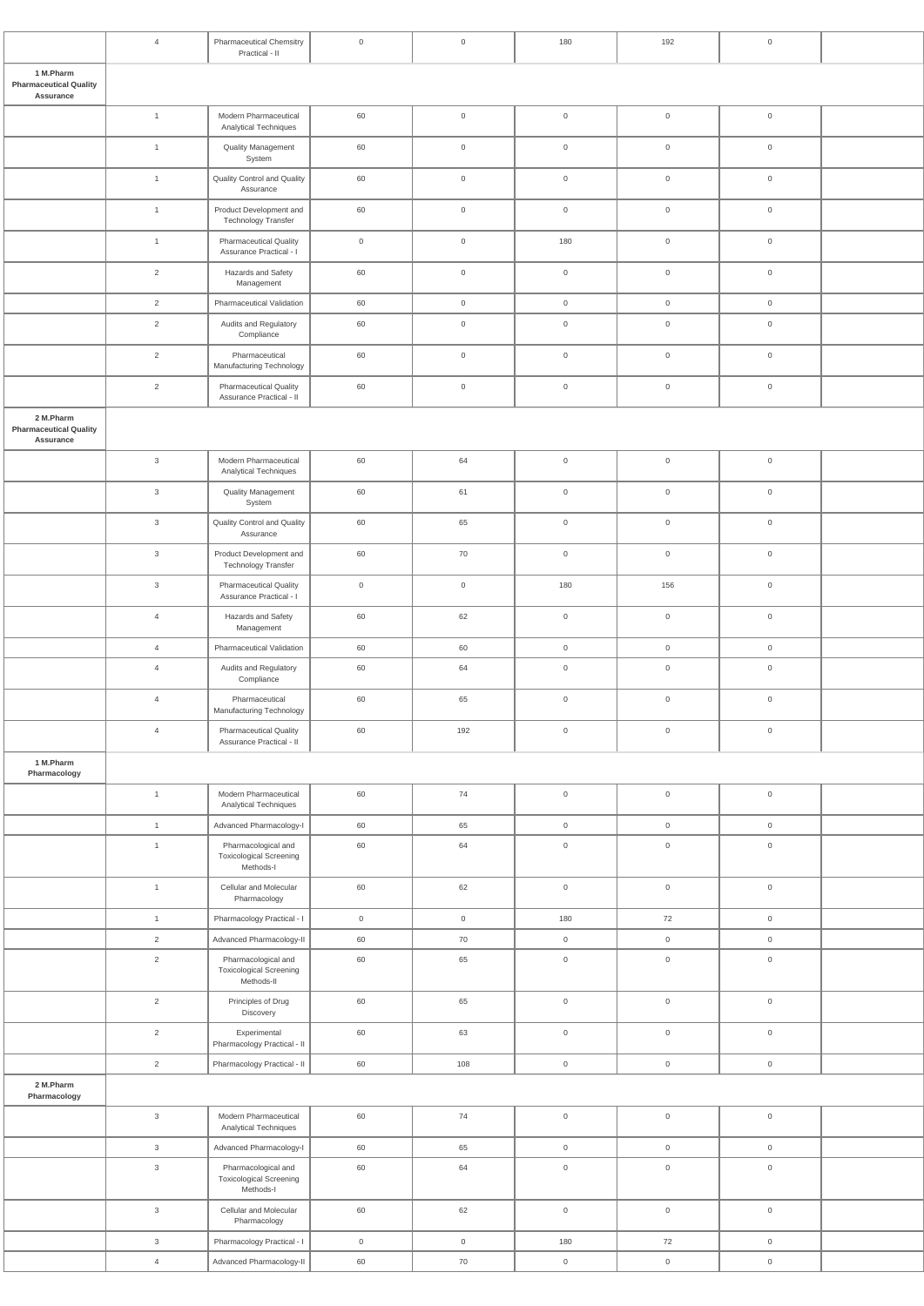|                                                         | $\overline{4}$ | <b>Pharmaceutical Chemsitry</b><br>Practical - II                   | $\mathsf{O}$   | $\overline{0}$      | 180                 | 192                 | $\mathsf{O}$        |  |
|---------------------------------------------------------|----------------|---------------------------------------------------------------------|----------------|---------------------|---------------------|---------------------|---------------------|--|
| 1 M.Pharm<br><b>Pharmaceutical Quality</b><br>Assurance |                |                                                                     |                |                     |                     |                     |                     |  |
|                                                         | $\overline{1}$ | Modern Pharmaceutical<br>Analytical Techniques                      | 60             | $\mathsf{O}\xspace$ | $\mathsf{O}\xspace$ | $\overline{0}$      | $\mathsf{O}\xspace$ |  |
|                                                         | $\mathbf{1}$   | <b>Quality Management</b><br>System                                 | 60             | $\mathsf{O}\xspace$ | $\mathsf{O}\xspace$ | $\overline{0}$      | $\mathsf{O}$        |  |
|                                                         | $\mathbf{1}$   | Quality Control and Quality<br>Assurance                            | 60             | $\overline{0}$      | $\mathsf{O}\xspace$ | $\overline{0}$      | $\mathsf{O}$        |  |
|                                                         | $\mathbf{1}$   | Product Development and<br><b>Technology Transfer</b>               | 60             | $\mathsf{O}\xspace$ | $\mathsf{O}\xspace$ | $\mathsf{O}\xspace$ | $\mathsf{O}$        |  |
|                                                         | $\overline{1}$ | <b>Pharmaceutical Quality</b><br>Assurance Practical - I            | $\overline{0}$ | $\overline{0}$      | 180                 | $\overline{0}$      | $\mathsf{O}$        |  |
|                                                         | $\overline{2}$ | Hazards and Safety<br>Management                                    | 60             | $\overline{0}$      | $\mathsf{O}\xspace$ | $\overline{0}$      | $\mathsf{O}$        |  |
|                                                         | $\overline{2}$ | Pharmaceutical Validation                                           | 60             | $\overline{0}$      | $\mathsf{O}\xspace$ | $\overline{0}$      | $\mathsf{O}$        |  |
|                                                         | 2              | Audits and Regulatory<br>Compliance                                 | 60             | $\overline{0}$      | $\mathsf{O}\xspace$ | $\overline{0}$      | $\overline{0}$      |  |
|                                                         | $\overline{2}$ | Pharmaceutical<br>Manufacturing Technology                          | 60             | $\mathsf{O}\xspace$ | $\mathsf{O}\xspace$ | $\mathsf{O}\xspace$ | $\mathsf{O}$        |  |
|                                                         | $\overline{2}$ | <b>Pharmaceutical Quality</b><br>Assurance Practical - II           | 60             | $\overline{0}$      | $\mathsf{O}\xspace$ | $\mathbf 0$         | $\mathsf{O}$        |  |
| 2 M.Pharm<br><b>Pharmaceutical Quality</b>              |                |                                                                     |                |                     |                     |                     |                     |  |
| Assurance                                               |                |                                                                     |                |                     |                     |                     |                     |  |
|                                                         | $\mathbf{3}$   | Modern Pharmaceutical<br>Analytical Techniques                      | 60             | 64                  | $\mathsf{O}\xspace$ | $\overline{0}$      | $\mathsf{O}$        |  |
|                                                         | $\mathbf{3}$   | <b>Quality Management</b><br>System                                 | 60             | 61                  | $\mathsf{O}\xspace$ | $\mathbf 0$         | $\overline{0}$      |  |
|                                                         | $\mathbf{3}$   | Quality Control and Quality<br>Assurance                            | 60             | 65                  | $\mathsf{O}\xspace$ | $\mathbf 0$         | $\overline{0}$      |  |
|                                                         | $\mathbf{3}$   | Product Development and<br><b>Technology Transfer</b>               | 60             | 70                  | $\mathsf{O}\xspace$ | $\overline{0}$      | $\mathsf{O}$        |  |
|                                                         | $\mathbf{3}$   | <b>Pharmaceutical Quality</b><br>Assurance Practical - I            | $\overline{0}$ | $\mathsf{O}\xspace$ | 180                 | 156                 | $\mathsf{O}$        |  |
|                                                         | $\overline{4}$ | Hazards and Safety<br>Management                                    | 60             | 62                  | $\mathsf{O}\xspace$ | $\overline{0}$      | $\mathsf{O}$        |  |
|                                                         | $\overline{4}$ | Pharmaceutical Validation                                           | 60             | 60                  | $\mathsf 0$         | $\overline{0}$      | $\overline{0}$      |  |
|                                                         | $\overline{4}$ | Audits and Regulatory<br>Compliance                                 | 60             | 64                  | $\mathsf{O}\xspace$ | $\overline{0}$      | $\mathsf{O}$        |  |
|                                                         | $\overline{4}$ | Pharmaceutical<br>Manufacturing Technology                          | 60             | 65                  | $\mathsf{O}\xspace$ | $\overline{0}$      | $\mathsf{O}$        |  |
|                                                         | $\overline{4}$ | <b>Pharmaceutical Quality</b><br>Assurance Practical - II           | 60             | 192                 | $\mathsf{O}\xspace$ | $\mathsf{O}\xspace$ | $\mathsf{O}$        |  |
| 1 M.Pharm<br>Pharmacology                               |                |                                                                     |                |                     |                     |                     |                     |  |
|                                                         | $\overline{1}$ | Modern Pharmaceutical<br><b>Analytical Techniques</b>               | 60             | $74$                | $\mathsf{O}\xspace$ | $\overline{0}$      | $\mathsf{O}\xspace$ |  |
|                                                         | $\overline{1}$ | Advanced Pharmacology-I                                             | 60             | 65                  | $\mathsf{O}\xspace$ | $\overline{0}$      | $\overline{0}$      |  |
|                                                         | $\mathbf{1}$   | Pharmacological and<br><b>Toxicological Screening</b><br>Methods-I  | 60             | 64                  | $\mathsf{O}\xspace$ | $\overline{0}$      | $\mathsf{O}$        |  |
|                                                         | $\mathbf{1}$   | Cellular and Molecular<br>Pharmacology                              | 60             | 62                  | $\mathsf{O}\xspace$ | $\mathsf{O}\xspace$ | $\mathsf{O}$        |  |
|                                                         | $\overline{1}$ | Pharmacology Practical - I                                          | $\overline{0}$ | $\overline{0}$      | 180                 | 72                  | $\overline{0}$      |  |
|                                                         | $\overline{2}$ | Advanced Pharmacology-II                                            | 60             | 70                  | $\mathsf{O}\xspace$ | $\overline{0}$      | $\mathsf{O}\xspace$ |  |
|                                                         | $\overline{2}$ | Pharmacological and<br><b>Toxicological Screening</b><br>Methods-II | 60             | 65                  | $\mathbf 0$         | $\overline{0}$      | $\overline{0}$      |  |
|                                                         | $\overline{2}$ | Principles of Drug<br>Discovery                                     | 60             | 65                  | $\mathsf{O}\xspace$ | $\mathbf 0$         | $\mathsf{O}$        |  |
|                                                         | $\overline{2}$ | Experimental<br>Pharmacology Practical - II                         | 60             | 63                  | $\mathsf{O}\xspace$ | $\mathsf{O}\xspace$ | $\mathsf{O}$        |  |
|                                                         | $\overline{2}$ | Pharmacology Practical - II                                         | 60             | 108                 | $\mathsf{O}\xspace$ | $\mathsf{O}\xspace$ | $\mathsf{O}\xspace$ |  |
| 2 M.Pharm<br>Pharmacology                               |                |                                                                     |                |                     |                     |                     |                     |  |
|                                                         | $\mathbf{3}$   | Modern Pharmaceutical<br>Analytical Techniques                      | 60             | 74                  | $\mathsf{O}\xspace$ | $\mathsf{O}\xspace$ | $\mathsf{O}\xspace$ |  |
|                                                         | $\mathbf{3}$   | Advanced Pharmacology-I                                             | 60             | 65                  | $\mathsf{O}\xspace$ | $\overline{0}$      | $\overline{0}$      |  |
|                                                         | $\mathbf{3}$   | Pharmacological and                                                 | 60             | 64                  | $\mathsf{O}\xspace$ | $\mathsf{O}\xspace$ | $\mathsf{O}\xspace$ |  |
|                                                         |                | <b>Toxicological Screening</b><br>Methods-I                         |                |                     |                     |                     |                     |  |
|                                                         | $\mathbf{3}$   | Cellular and Molecular<br>Pharmacology                              | 60             | 62                  | $\,0\,$             | $\overline{0}$      | $\mathsf{O}\xspace$ |  |
|                                                         | $\mathbf{3}$   | Pharmacology Practical - I                                          | $\overline{0}$ | $\overline{0}$      | 180                 | 72                  | $\overline{0}$      |  |
|                                                         | $\overline{4}$ | Advanced Pharmacology-II                                            | 60             | 70                  | $\mathsf{O}\xspace$ | $\mathsf{O}\xspace$ | $\boldsymbol{0}$    |  |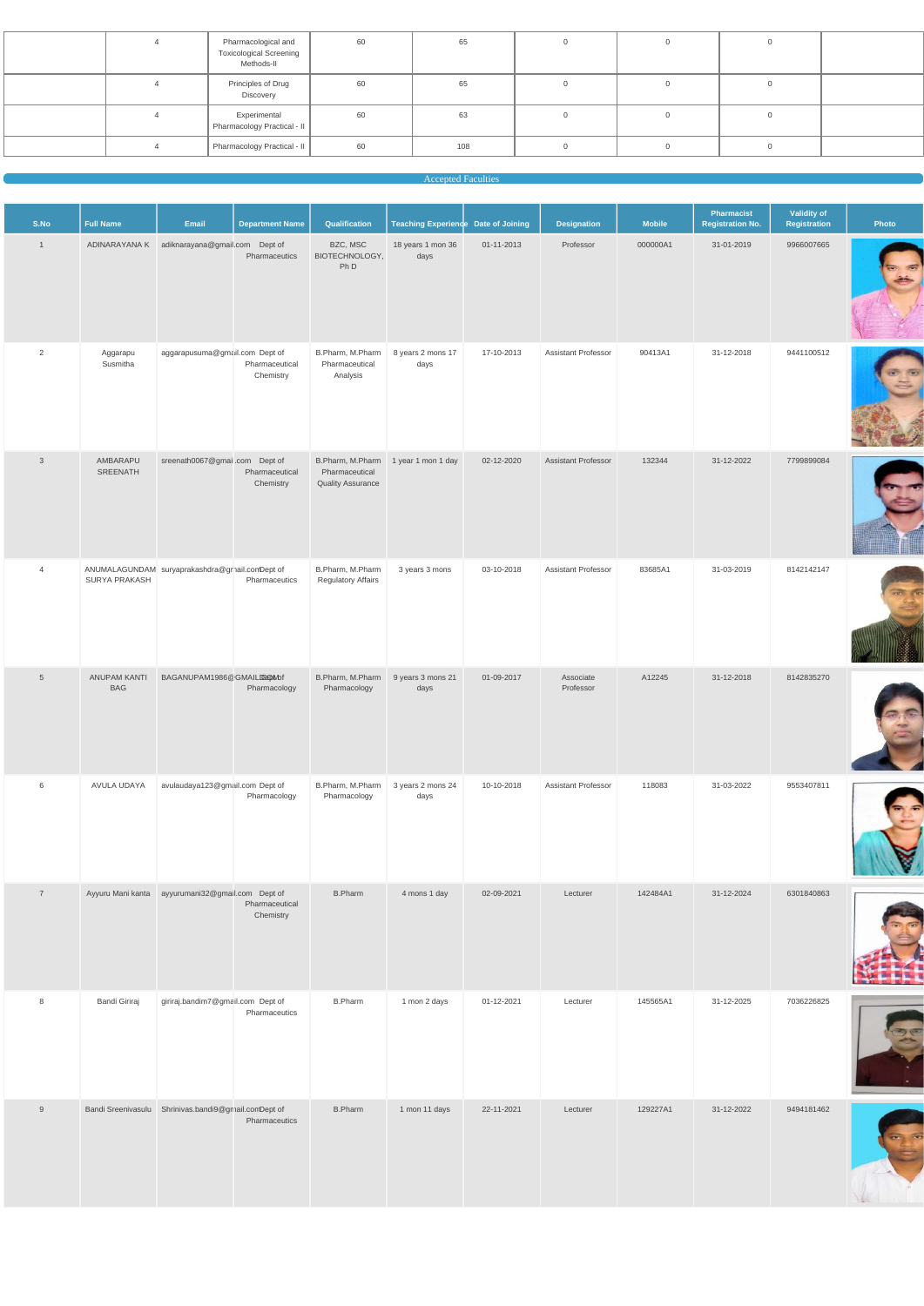|  | Pharmacological and<br><b>Toxicological Screening</b><br>Methods-II | 60 | 65  |  |  |
|--|---------------------------------------------------------------------|----|-----|--|--|
|  | Principles of Drug<br>Discovery                                     | 60 | 65  |  |  |
|  | Experimental<br>Pharmacology Practical - II                         | 60 | 63  |  |  |
|  | Pharmacology Practical - II                                         | 60 | 108 |  |  |
|  |                                                                     |    |     |  |  |

#### **Accepted Faculties**

| S.No            | <b>Full Name</b>                                                 | Email                                            | <b>Department Name</b>      | Qualification                                  | Teaching Experience Date of Joining |            | <b>Designation</b>         | <b>Mobile</b> | Pharmacist<br><b>Registration No.</b> | Validity of<br>Registration | Photo |
|-----------------|------------------------------------------------------------------|--------------------------------------------------|-----------------------------|------------------------------------------------|-------------------------------------|------------|----------------------------|---------------|---------------------------------------|-----------------------------|-------|
| $\overline{1}$  |                                                                  | ADINARAYANA K adiknarayana@gmail.com Dept of     | Pharmaceutics               | BZC, MSC<br>BIOTECHNOLOGY,<br>Ph D             | 18 years 1 mon 36<br>days           | 01-11-2013 | Professor                  | 000000A1      | 31-01-2019                            | 9966007665                  |       |
| 2               | Aggarapu<br>Susmitha                                             | aggarapusuma@gmail.com Dept of                   | Pharmaceutical<br>Chemistry | B.Pharm, M.Pharm<br>Pharmaceutical<br>Analysis | 8 years 2 mons 17<br>days           | 17-10-2013 | <b>Assistant Professor</b> | 90413A1       | 31-12-2018                            | 9441100512                  |       |
| $\mathbf{3}$    | AMBARAPU<br>SREENATH                                             | sreenath0067@gmail.com Dept of                   | Pharmaceutical<br>Chemistry | Pharmaceutical<br><b>Quality Assurance</b>     | B.Pharm, M.Pharm 1 year 1 mon 1 day | 02-12-2020 | Assistant Professor        | 132344        | 31-12-2022                            | 7799899084                  |       |
| $\overline{4}$  | ANUMALAGUNDAM suryaprakashdra@grnail.comDept of<br>SURYA PRAKASH |                                                  | Pharmaceutics               | B.Pharm, M.Pharm<br><b>Regulatory Affairs</b>  | 3 years 3 mons                      | 03-10-2018 | Assistant Professor        | 83685A1       | 31-03-2019                            | 8142142147                  |       |
| $5\phantom{.0}$ | <b>ANUPAM KANTI</b><br><b>BAG</b>                                | BAGANUPAM1986@GMAILD@OMbf                        | Pharmacology                | B.Pharm, M.Pharm<br>Pharmacology               | 9 years 3 mons 21<br>days           | 01-09-2017 | Associate<br>Professor     | A12245        | 31-12-2018                            | 8142835270                  |       |
| 6               | AVULA UDAYA                                                      | avulaudaya123@gmail.com Dept of                  | Pharmacology                | B.Pharm, M.Pharm<br>Pharmacology               | 3 years 2 mons 24<br>days           | 10-10-2018 | Assistant Professor        | 118083        | 31-03-2022                            | 9553407811                  |       |
| $\overline{7}$  |                                                                  | Ayyuru Mani kanta ayyurumani32@gmail.com Dept of | Pharmaceutical<br>Chemistry | <b>B.Pharm</b>                                 | 4 mons 1 day                        | 02-09-2021 | Lecturer                   | 142484A1      | 31-12-2024                            | 6301840863                  |       |



| 8 | Bandi Giriraj             | giriraj.bandim7@gmail.com Dept of | Pharmaceutics | <b>B.Pharm</b> | 1 mon 2 days  | 01-12-2021 | Lecturer | 145565A1 | 31-12-2025 | 7036226825 |  |
|---|---------------------------|-----------------------------------|---------------|----------------|---------------|------------|----------|----------|------------|------------|--|
| 9 | <b>Bandi Sreenivasulu</b> | Shrinivas.bandi9@gmail.comDept of | Pharmaceutics | <b>B.Pharm</b> | 1 mon 11 days | 22-11-2021 | Lecturer | 129227A1 | 31-12-2022 | 9494181462 |  |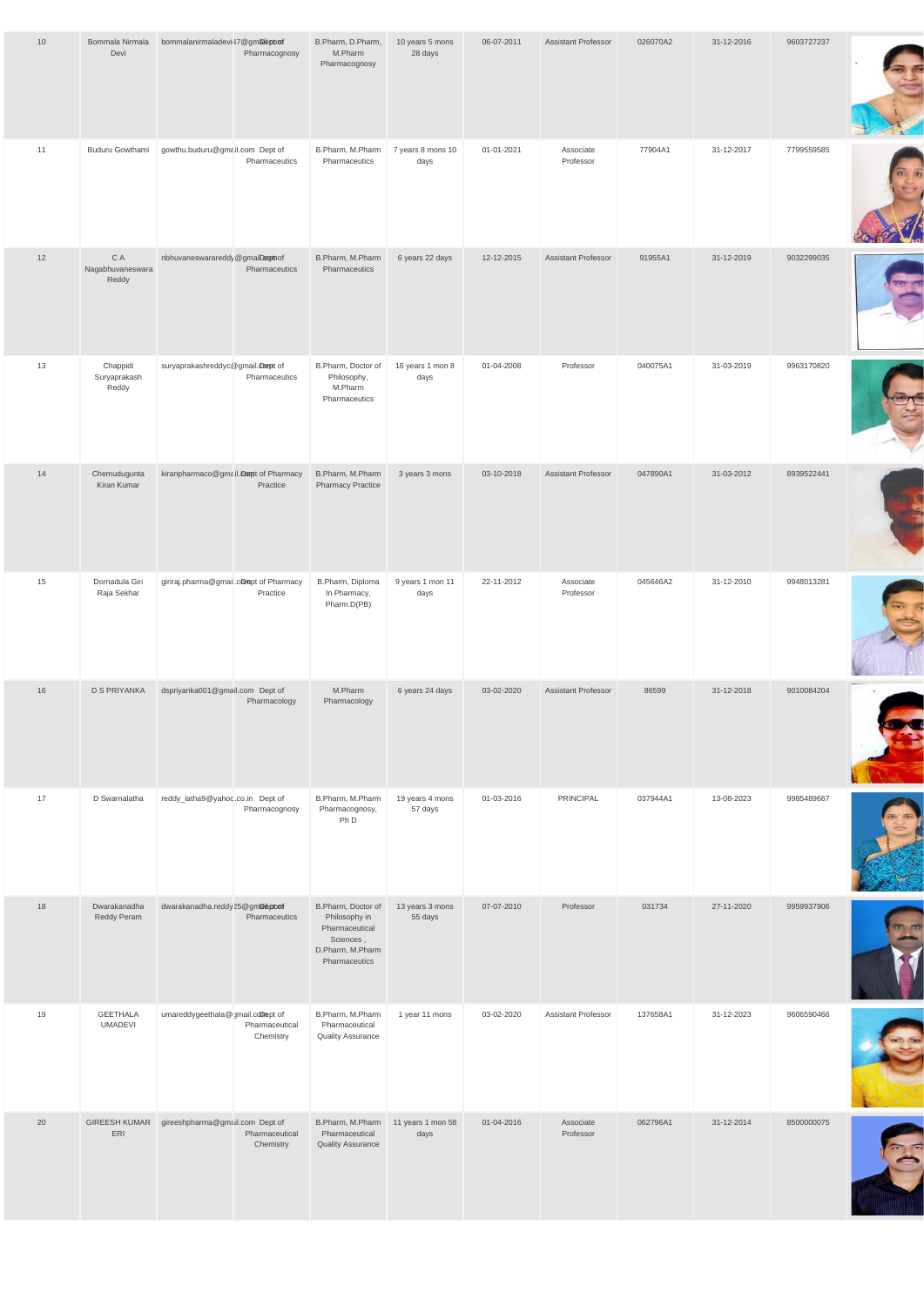| 10 | Bommala Nirmala<br>Devi                    | bommalanirmaladevi47@gmaleptoof         | Pharmacognosy | B.Pharm, D.Pharm,<br>M.Pharm<br>Pharmacognosy                                                           | 10 years 5 mons<br>28 days | 06-07-2011 | Assistant Professor        | 026070A2 | 31-12-2016 | 9603727237 |  |
|----|--------------------------------------------|-----------------------------------------|---------------|---------------------------------------------------------------------------------------------------------|----------------------------|------------|----------------------------|----------|------------|------------|--|
| 11 | Buduru Gowthami                            | gowthu.buduru@gmail.com Dept of         | Pharmaceutics | B.Pharm, M.Pharm<br>Pharmaceutics                                                                       | 7 years 8 mons 10<br>days  | 01-01-2021 | Associate<br>Professor     | 77904A1  | 31-12-2017 | 7799559585 |  |
| 12 | $\mathsf C$ A<br>Nagabhuvaneswara<br>Reddy | nbhuvaneswarareddy@gmaiDephof           | Pharmaceutics | B.Pharm, M.Pharm<br>Pharmaceutics                                                                       | 6 years 22 days            | 12-12-2015 | Assistant Professor        | 91955A1  | 31-12-2019 | 9032299035 |  |
| 13 | Chappidi<br>Suryaprakash<br>Reddy          | suryaprakashreddyc@gmail.compt of       | Pharmaceutics | B.Pharm, Doctor of<br>Philosophy,<br>M.Pharm<br>Pharmaceutics                                           | 16 years 1 mon 8<br>days   | 01-04-2008 | Professor                  | 040075A1 | 31-03-2019 | 9963170820 |  |
| 14 | Chemudugunta<br>Kiran Kumar                | kiranpharmaco@gmail.compt of Pharmacy   | Practice      | B.Pharm, M.Pharm<br><b>Pharmacy Practice</b>                                                            | 3 years 3 mons             | 03-10-2018 | <b>Assistant Professor</b> | 047890A1 | 31-03-2012 | 8939522441 |  |
| 15 | Dornadula Giri<br>Raja Sekhar              | giriraj.pharma@gmail.comept of Pharmacy | Practice      | B.Pharm, Diploma<br>In Pharmacy,<br>Pharm.D(PB)                                                         | 9 years 1 mon 11<br>days   | 22-11-2012 | Associate<br>Professor     | 045646A2 | 31-12-2010 | 9948013281 |  |
| 16 | <b>D S PRIYANKA</b>                        | dspriyanka001@gmail.com Dept of         | Pharmacology  | M.Pharm<br>Pharmacology                                                                                 | 6 years 24 days            | 03-02-2020 | <b>Assistant Professor</b> | 86599    | 31-12-2018 | 9010084204 |  |
| 17 | D Swarnalatha                              | reddy_latha9@yahoo.co.in Dept of        | Pharmacognosy | B.Pharm, M.Pharm<br>Pharmacognosy,<br>Ph D                                                              | 19 years 4 mons<br>57 days | 01-03-2016 | PRINCIPAL                  | 037944A1 | 13-08-2023 | 9985489667 |  |
| 18 | Dwarakanadha<br>Reddy Peram                | dwarakanadha.reddy25@gmDiepbon          | Pharmaceutics | B.Pharm, Doctor of<br>Philosophy in<br>Pharmaceutical<br>Sciences,<br>D.Pharm, M.Pharm<br>Pharmaceutics | 13 years 3 mons<br>55 days | 07-07-2010 | Professor                  | 031734   | 27-11-2020 | 9959937906 |  |

f,

| 19 | <b>GEETHALA</b><br><b>UMADEVI</b> | umareddygeethala@gmail.cdmept of | Pharmaceutical<br>Chemistry | B.Pharm, M.Pharm<br>Pharmaceutical<br><b>Quality Assurance</b> | 1 year 11 mons            | 03-02-2020 | <b>Assistant Professor</b> | 137658A1 | 31-12-2023 | 9606590466 |  |
|----|-----------------------------------|----------------------------------|-----------------------------|----------------------------------------------------------------|---------------------------|------------|----------------------------|----------|------------|------------|--|
| 20 | <b>GIREESH KUMAR</b><br>ERI       | gireeshpharma@gmail.com Dept of  | Pharmaceutical<br>Chemistry | B.Pharm, M.Pharm<br>Pharmaceutical<br><b>Quality Assurance</b> | 11 years 1 mon 58<br>days | 01-04-2016 | Associate<br>Professor     | 062796A1 | 31-12-2014 | 8500000075 |  |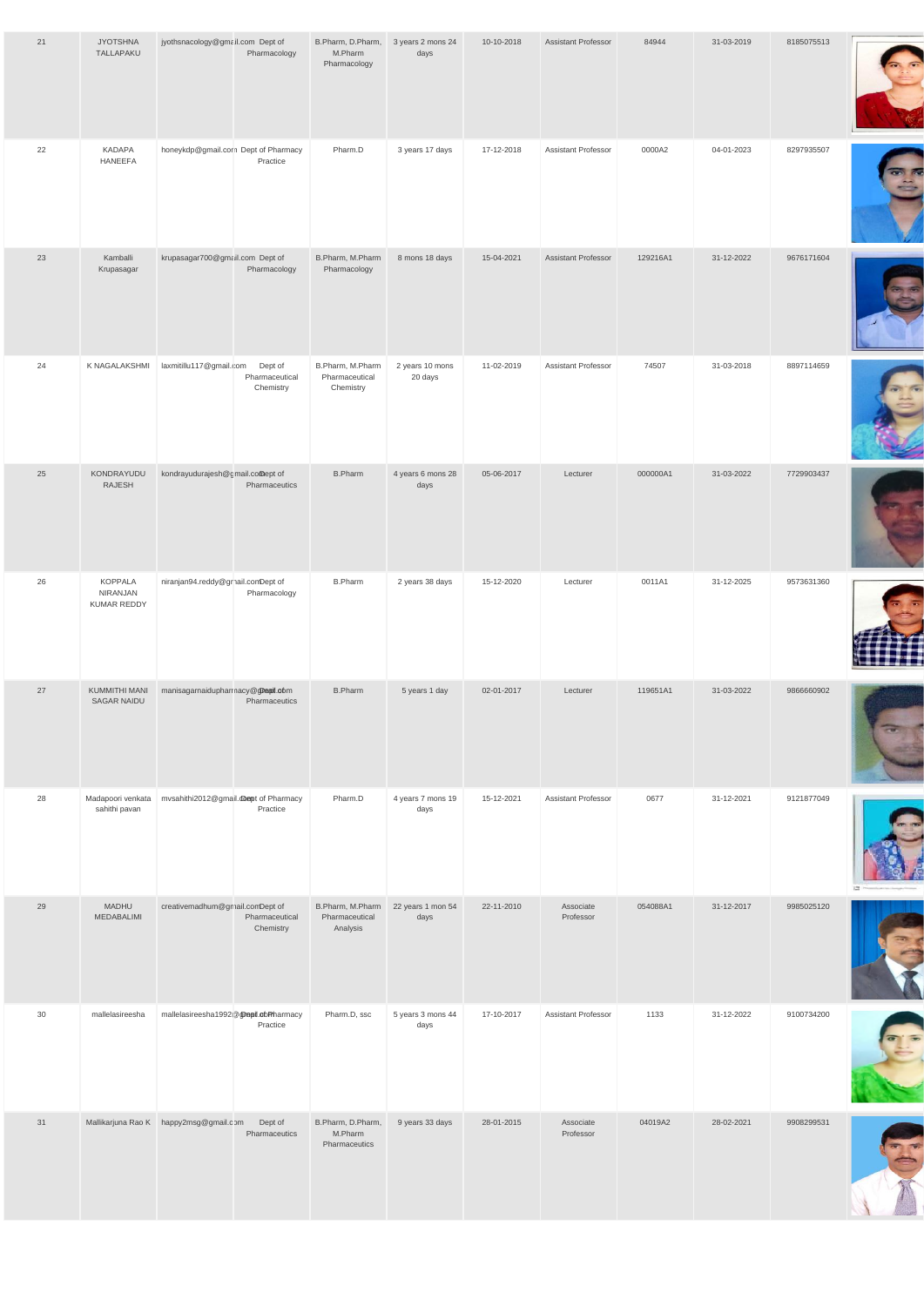| 21 | <b>JYOTSHNA</b><br>TALLAPAKU        | jyothsnacology@gmail.com Dept of      | Pharmacology                           | B.Pharm, D.Pharm,<br>M.Pharm<br>Pharmacology    | 3 years 2 mons 24<br>days  | 10-10-2018 | <b>Assistant Professor</b> | 84944    | 31-03-2019 | 8185075513 |  |
|----|-------------------------------------|---------------------------------------|----------------------------------------|-------------------------------------------------|----------------------------|------------|----------------------------|----------|------------|------------|--|
| 22 | KADAPA<br>HANEEFA                   | honeykdp@gmail.com Dept of Pharmacy   | Practice                               | Pharm.D                                         | 3 years 17 days            | 17-12-2018 | Assistant Professor        | 0000A2   | 04-01-2023 | 8297935507 |  |
| 23 | Kamballi<br>Krupasagar              | krupasagar700@gmail.com Dept of       | Pharmacology                           | B.Pharm, M.Pharm<br>Pharmacology                | 8 mons 18 days             | 15-04-2021 | <b>Assistant Professor</b> | 129216A1 | 31-12-2022 | 9676171604 |  |
| 24 | K NAGALAKSHMI                       | laxmitillu117@gmail.com               | Dept of<br>Pharmaceutical<br>Chemistry | B.Pharm, M.Pharm<br>Pharmaceutical<br>Chemistry | 2 years 10 mons<br>20 days | 11-02-2019 | Assistant Professor        | 74507    | 31-03-2018 | 8897114659 |  |
| 25 | KONDRAYUDU<br>RAJESH                | kondrayudurajesh@gmail.comept of      | Pharmaceutics                          | <b>B.Pharm</b>                                  | 4 years 6 mons 28<br>days  | 05-06-2017 | Lecturer                   | 000000A1 | 31-03-2022 | 7729903437 |  |
| 26 | KOPPALA<br>NIRANJAN<br>KUMAR REDDY  | niranjan94.reddy@grnail.comDept of    | Pharmacology                           | <b>B.Pharm</b>                                  | 2 years 38 days            | 15-12-2020 | Lecturer                   | 0011A1   | 31-12-2025 | 9573631360 |  |
| 27 | KUMMITHI MANI<br><b>SAGAR NAIDU</b> | manisagarnaidupharmacy@gDeail.obm     | Pharmaceutics                          | <b>B.Pharm</b>                                  | 5 years 1 day              | 02-01-2017 | Lecturer                   | 119651A1 | 31-03-2022 | 9866660902 |  |
| 28 | Madapoori venkata<br>sahithi pavan  | mvsahithi2012@gmail.dompt of Pharmacy | Practice                               | Pharm.D                                         | 4 years 7 mons 19<br>days  | 15-12-2021 | Assistant Professor        | 0677     | 31-12-2021 | 9121877049 |  |
| 29 | <b>MADHU</b><br>MEDABALIMI          | creativemadhum@gmail.comDept of       | Pharmaceutical<br>Chemistry            | B.Pharm, M.Pharm<br>Pharmaceutical<br>Analysis  | 22 years 1 mon 54<br>days  | 22-11-2010 | Associate<br>Professor     | 054088A1 | 31-12-2017 | 9985025120 |  |



| 30 | mallelasireesha | mallelasireesha1992@@nepil.com         | Practice                 | Pharm.D, ssc                                  | 5 years 3 mons 44<br>days | 17-10-2017 | <b>Assistant Professor</b> | 1133    | 31-12-2022 | 9100734200 |  |
|----|-----------------|----------------------------------------|--------------------------|-----------------------------------------------|---------------------------|------------|----------------------------|---------|------------|------------|--|
| 31 |                 | Mallikarjuna Rao K happy2msg@gmail.com | Dept of<br>Pharmaceutics | B.Pharm, D.Pharm,<br>M.Pharm<br>Pharmaceutics | 9 years 33 days           | 28-01-2015 | Associate<br>Professor     | 04019A2 | 28-02-2021 | 9908299531 |  |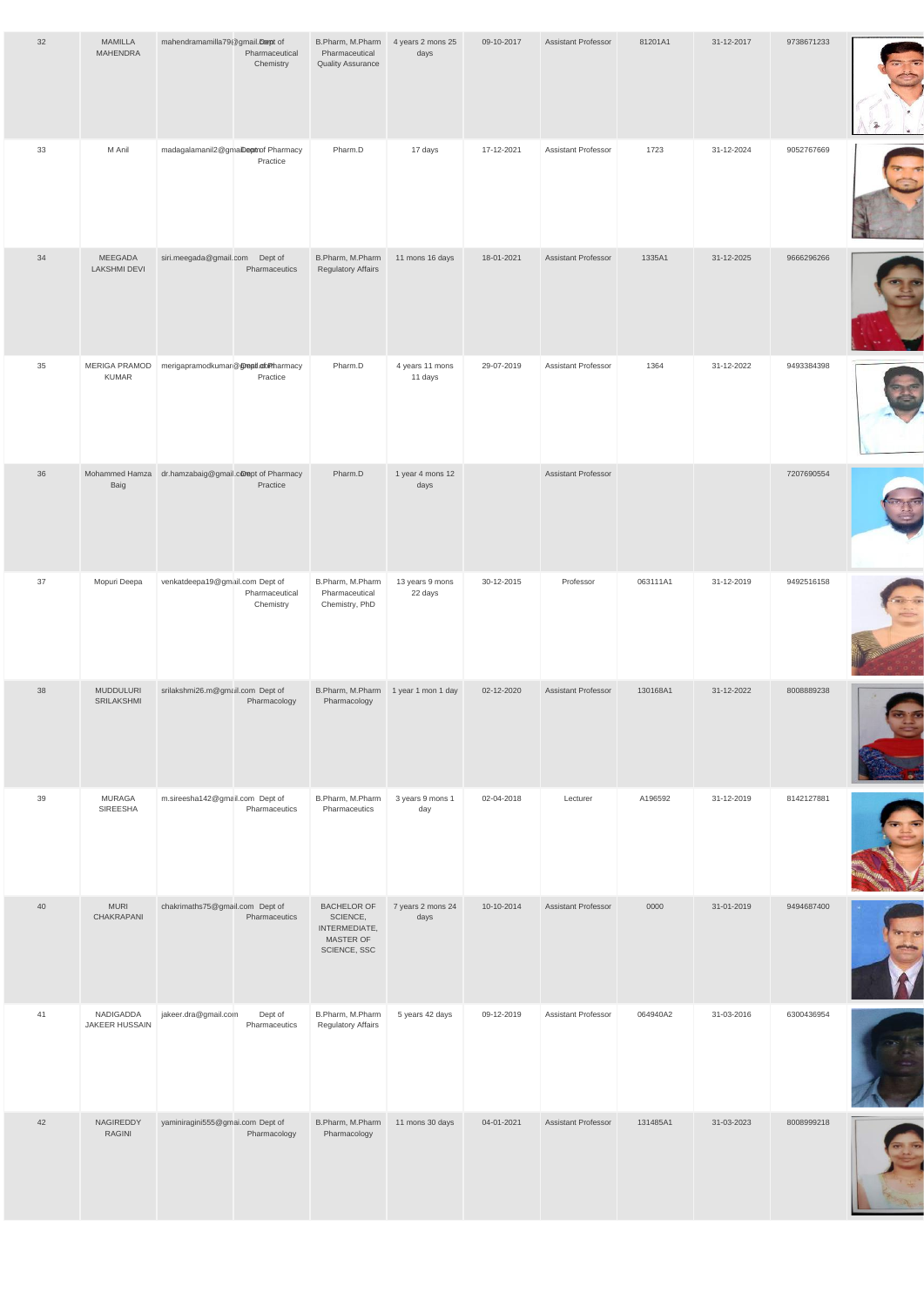| 32 | <b>MAMILLA</b><br>MAHENDRA            | mahendramamilla79@gmail.compt of                     | Pharmaceutical<br>Chemistry | B.Pharm, M.Pharm<br>Pharmaceutical<br><b>Quality Assurance</b>               | 4 years 2 mons 25<br>days  | 09-10-2017 | <b>Assistant Professor</b> | 81201A1  | 31-12-2017 | 9738671233 |  |
|----|---------------------------------------|------------------------------------------------------|-----------------------------|------------------------------------------------------------------------------|----------------------------|------------|----------------------------|----------|------------|------------|--|
| 33 | M Anil                                | madagalamanil2@gmaiDeptrof Pharmacy                  | Practice                    | Pharm.D                                                                      | 17 days                    | 17-12-2021 | <b>Assistant Professor</b> | 1723     | 31-12-2024 | 9052767669 |  |
| 34 | <b>MEEGADA</b><br><b>LAKSHMI DEVI</b> | siri.meegada@gmail.com Dept of                       | Pharmaceutics               | B.Pharm, M.Pharm<br><b>Regulatory Affairs</b>                                | 11 mons 16 days            | 18-01-2021 | <b>Assistant Professor</b> | 1335A1   | 31-12-2025 | 9666296266 |  |
| 35 | MERIGA PRAMOD<br><b>KUMAR</b>         | merigapramodkumar@@reptl.ofoPharmacy                 | Practice                    | Pharm.D                                                                      | 4 years 11 mons<br>11 days | 29-07-2019 | Assistant Professor        | 1364     | 31-12-2022 | 9493384398 |  |
| 36 | Baig                                  | Mohammed Hamza dr.hamzabaig@gmail.comept of Pharmacy | Practice                    | Pharm.D                                                                      | 1 year 4 mons 12<br>days   |            | <b>Assistant Professor</b> |          |            | 7207690554 |  |
| 37 | Mopuri Deepa                          | venkatdeepa19@gmail.com Dept of                      | Pharmaceutical<br>Chemistry | B.Pharm, M.Pharm<br>Pharmaceutical<br>Chemistry, PhD                         | 13 years 9 mons<br>22 days | 30-12-2015 | Professor                  | 063111A1 | 31-12-2019 | 9492516158 |  |
| 38 | <b>MUDDULURI</b><br>SRILAKSHMI        | srilakshmi26.m@gmail.com Dept of                     | Pharmacology                | B.Pharm, M.Pharm<br>Pharmacology                                             | 1 year 1 mon 1 day         | 02-12-2020 | <b>Assistant Professor</b> | 130168A1 | 31-12-2022 | 8008889238 |  |
| 39 | <b>MURAGA</b><br>SIREESHA             | m.sireesha142@gmail.com Dept of                      | Pharmaceutics               | B.Pharm, M.Pharm<br>Pharmaceutics                                            | 3 years 9 mons 1<br>day    | 02-04-2018 | Lecturer                   | A196592  | 31-12-2019 | 8142127881 |  |
| 40 | <b>MURI</b><br>CHAKRAPANI             | chakrimaths75@gmail.com Dept of                      | Pharmaceutics               | <b>BACHELOR OF</b><br>SCIENCE,<br>INTERMEDIATE,<br>MASTER OF<br>SCIENCE, SSC | 7 years 2 mons 24<br>days  | 10-10-2014 | Assistant Professor        | 0000     | 31-01-2019 | 9494687400 |  |

| 41 | NADIGADDA<br>JAKEER HUSSAIN | jakeer.dra@gmail.com             | Dept of<br>Pharmaceutics | B.Pharm, M.Pharm<br><b>Regulatory Affairs</b> | 5 years 42 days | 09-12-2019 | <b>Assistant Professor</b> | 064940A2 | 31-03-2016 | 6300436954 |  |
|----|-----------------------------|----------------------------------|--------------------------|-----------------------------------------------|-----------------|------------|----------------------------|----------|------------|------------|--|
| 42 | NAGIREDDY<br><b>RAGINI</b>  | yaminiragini555@gmai.com Dept of | Pharmacology             | B.Pharm, M.Pharm<br>Pharmacology              | 11 mons 30 days | 04-01-2021 | <b>Assistant Professor</b> | 131485A1 | 31-03-2023 | 8008999218 |  |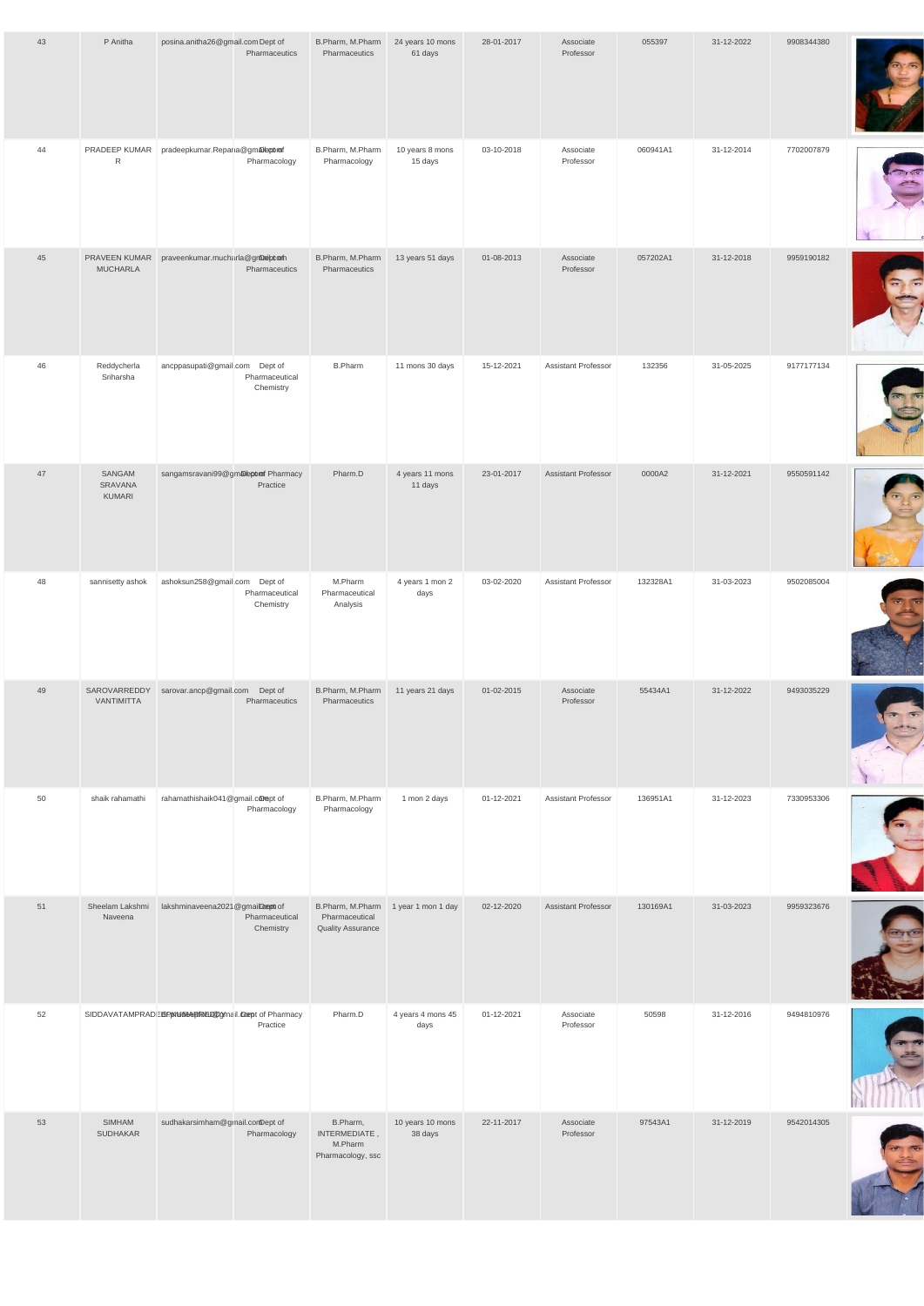| 43 | P Anitha                         | posina.anitha26@gmail.comDept of            | Pharmaceutics               | B.Pharm, M.Pharm<br>Pharmaceutics                              | 24 years 10 mons<br>61 days | 28-01-2017 | Associate<br>Professor     | 055397   | 31-12-2022 | 9908344380 |  |
|----|----------------------------------|---------------------------------------------|-----------------------------|----------------------------------------------------------------|-----------------------------|------------|----------------------------|----------|------------|------------|--|
| 44 | PRADEEP KUMAR<br>${\sf R}$       | pradeepkumar.Repana@gmaleptom               | Pharmacology                | B.Pharm, M.Pharm<br>Pharmacology                               | 10 years 8 mons<br>15 days  | 03-10-2018 | Associate<br>Professor     | 060941A1 | 31-12-2014 | 7702007879 |  |
| 45 | PRAVEEN KUMAR<br><b>MUCHARLA</b> | praveenkumar.mucharla@gnbaiptom             | Pharmaceutics               | B.Pharm, M.Pharm<br>Pharmaceutics                              | 13 years 51 days            | 01-08-2013 | Associate<br>Professor     | 057202A1 | 31-12-2018 | 9959190182 |  |
| 46 | Reddycherla<br>Sriharsha         | ancppasupati@gmail.com Dept of              | Pharmaceutical<br>Chemistry | <b>B.Pharm</b>                                                 | 11 mons 30 days             | 15-12-2021 | Assistant Professor        | 132356   | 31-05-2025 | 9177177134 |  |
| 47 | SANGAM<br>SRAVANA<br>KUMARI      | sangamsravani99@gmalbporof Pharmacy         | Practice                    | Pharm.D                                                        | 4 years 11 mons<br>11 days  | 23-01-2017 | <b>Assistant Professor</b> | 0000A2   | 31-12-2021 | 9550591142 |  |
| 48 | sannisetty ashok                 | ashoksun258@gmail.com Dept of               | Pharmaceutical<br>Chemistry | M.Pharm<br>Pharmaceutical<br>Analysis                          | 4 years 1 mon 2<br>days     | 03-02-2020 | Assistant Professor        | 132328A1 | 31-03-2023 | 9502085004 |  |
| 49 | <b>VANTIMITTA</b>                | SAROVARREDDY sarovar.ancp@gmail.com Dept of | Pharmaceutics               | B.Pharm, M.Pharm<br>Pharmaceutics                              | 11 years 21 days            | 01-02-2015 | Associate<br>Professor     | 55434A1  | 31-12-2022 | 9493035229 |  |
| 50 | shaik rahamathi                  | rahamathishaik041@gmail.comept of           | Pharmacology                | B.Pharm, M.Pharm<br>Pharmacology                               | 1 mon 2 days                | 01-12-2021 | Assistant Professor        | 136951A1 | 31-12-2023 | 7330953306 |  |
| 51 | Sheelam Lakshmi<br>Naveena       | lakshminaveena2021@gmailDept of             | Pharmaceutical<br>Chemistry | B.Pharm, M.Pharm<br>Pharmaceutical<br><b>Quality Assurance</b> | 1 year 1 mon 1 day          | 02-12-2020 | Assistant Professor        | 130169A1 | 31-03-2023 | 9959323676 |  |

| 52 |                           | SIDDAVATAMPRADEEP KHOOS REDDOMail. Compt of Pharmacy | Practice     | Pharm.D                                                   | 4 years 4 mons 45<br>days   | 01-12-2021 | Associate<br>Professor | 50598   | 31-12-2016 | 9494810976 |               |
|----|---------------------------|------------------------------------------------------|--------------|-----------------------------------------------------------|-----------------------------|------------|------------------------|---------|------------|------------|---------------|
| 53 | SIMHAM<br><b>SUDHAKAR</b> | sudhakarsimham@gmail.comDept of                      | Pharmacology | B.Pharm,<br>INTERMEDIATE,<br>M.Pharm<br>Pharmacology, ssc | 10 years 10 mons<br>38 days | 22-11-2017 | Associate<br>Professor | 97543A1 | 31-12-2019 | 9542014305 | $\rightarrow$ |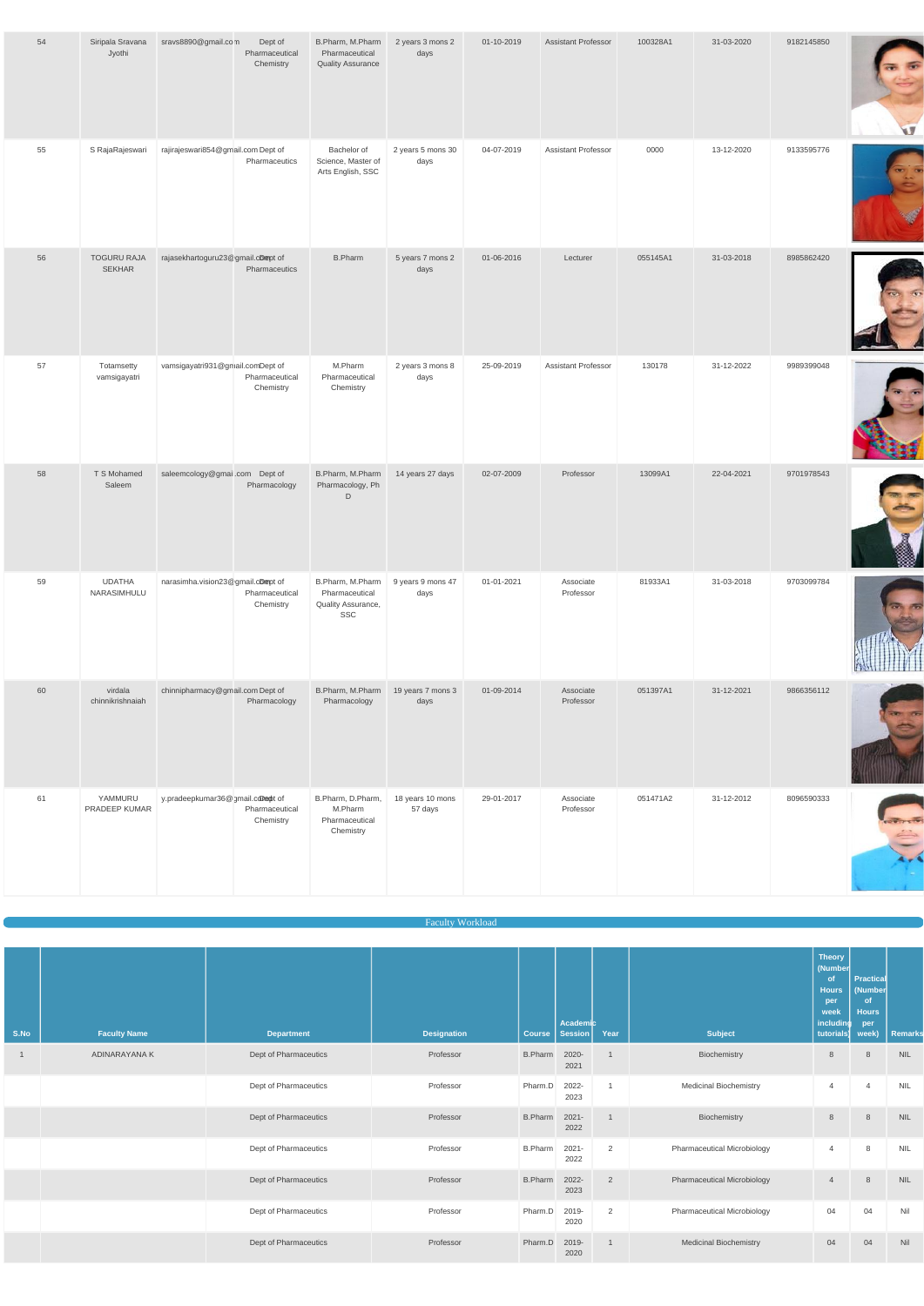| 54 | Siripala Sravana<br>Jyothi          | sravs8890@gmail.com                | Dept of<br>Pharmaceutical<br>Chemistry | B.Pharm, M.Pharm<br>Pharmaceutical<br><b>Quality Assurance</b>  | 2 years 3 mons 2<br>days    | 01-10-2019 | <b>Assistant Professor</b> | 100328A1 | 31-03-2020 | 9182145850 | ψŊ                       |
|----|-------------------------------------|------------------------------------|----------------------------------------|-----------------------------------------------------------------|-----------------------------|------------|----------------------------|----------|------------|------------|--------------------------|
| 55 | S RajaRajeswari                     | rajirajeswari854@gmail.com Dept of | Pharmaceutics                          | Bachelor of<br>Science, Master of<br>Arts English, SSC          | 2 years 5 mons 30<br>days   | 04-07-2019 | Assistant Professor        | 0000     | 13-12-2020 | 9133595776 | $\overline{\phantom{a}}$ |
| 56 | <b>TOGURU RAJA</b><br><b>SEKHAR</b> | rajasekhartoguru23@gmail.cDmept of | Pharmaceutics                          | <b>B.Pharm</b>                                                  | 5 years 7 mons 2<br>days    | 01-06-2016 | Lecturer                   | 055145A1 | 31-03-2018 | 8985862420 |                          |
| 57 | Totamsetty<br>vamsigayatri          | vamsigayatri931@gmail.comDept of   | Pharmaceutical<br>Chemistry            | M.Pharm<br>Pharmaceutical<br>Chemistry                          | 2 years 3 mons 8<br>days    | 25-09-2019 | <b>Assistant Professor</b> | 130178   | 31-12-2022 | 9989399048 |                          |
| 58 | T S Mohamed<br>Saleem               | saleemcology@gmail.com Dept of     | Pharmacology                           | B.Pharm, M.Pharm<br>Pharmacology, Ph<br>$\mathsf D$             | 14 years 27 days            | 02-07-2009 | Professor                  | 13099A1  | 22-04-2021 | 9701978543 |                          |
| 59 | <b>UDATHA</b><br>NARASIMHULU        | narasimha.vision23@gmail.cDmept of | Pharmaceutical<br>Chemistry            | B.Pharm, M.Pharm<br>Pharmaceutical<br>Quality Assurance,<br>SSC | 9 years 9 mons 47<br>days   | 01-01-2021 | Associate<br>Professor     | 81933A1  | 31-03-2018 | 9703099784 |                          |
| 60 | virdala<br>chinnikrishnaiah         | chinnipharmacy@gmail.com Dept of   | Pharmacology                           | B.Pharm, M.Pharm<br>Pharmacology                                | 19 years 7 mons 3<br>days   | 01-09-2014 | Associate<br>Professor     | 051397A1 | 31-12-2021 | 9866356112 | <b>REFERENCE</b>         |
| 61 | YAMMURU<br>PRADEEP KUMAR            | y.pradeepkumar36@gmail.comept of   | Pharmaceutical<br>Chemistry            | B.Pharm, D.Pharm,<br>M.Pharm<br>Pharmaceutical<br>Chemistry     | 18 years 10 mons<br>57 days | 29-01-2017 | Associate<br>Professor     | 051471A2 | 31-12-2012 | 8096590333 |                          |

| S.No | <b>Faculty Name</b> | <b>Department</b>     | <b>Designation</b> | <b>Course</b>  | Academic<br><b>Session</b> | Year           | <b>Subject</b>                | <b>Hours</b><br>per<br>week<br>including<br>tutorials) | (Number<br><b>of</b><br><b>Hours</b><br>per<br>week) | Remarks    |
|------|---------------------|-----------------------|--------------------|----------------|----------------------------|----------------|-------------------------------|--------------------------------------------------------|------------------------------------------------------|------------|
|      | ADINARAYANA K       | Dept of Pharmaceutics | Professor          | <b>B.Pharm</b> | 2020-<br>2021              |                | Biochemistry                  | 8                                                      | 8                                                    | <b>NIL</b> |
|      |                     | Dept of Pharmaceutics | Professor          | Pharm.D        | 2022-<br>2023              |                | <b>Medicinal Biochemistry</b> | $\overline{4}$                                         | $\overline{4}$                                       | <b>NIL</b> |
|      |                     | Dept of Pharmaceutics | Professor          | <b>B.Pharm</b> | $2021 -$<br>2022           |                | Biochemistry                  | 8                                                      | 8                                                    | <b>NIL</b> |
|      |                     | Dept of Pharmaceutics | Professor          | <b>B.Pharm</b> | $2021 -$<br>2022           | $\overline{2}$ | Pharmaceutical Microbiology   | $\overline{4}$                                         | 8                                                    | <b>NIL</b> |
|      |                     | Dept of Pharmaceutics | Professor          | <b>B.Pharm</b> | 2022-<br>2023              | 2              | Pharmaceutical Microbiology   | $\overline{4}$                                         | 8                                                    | <b>NIL</b> |
|      |                     | Dept of Pharmaceutics | Professor          | Pharm.D        | 2019-<br>2020              | $\overline{2}$ | Pharmaceutical Microbiology   | 04                                                     | 04                                                   | Nil        |
|      |                     | Dept of Pharmaceutics | Professor          | Pharm.D        | 2019-<br>2020              |                | <b>Medicinal Biochemistry</b> | 04                                                     | 04                                                   | Nil        |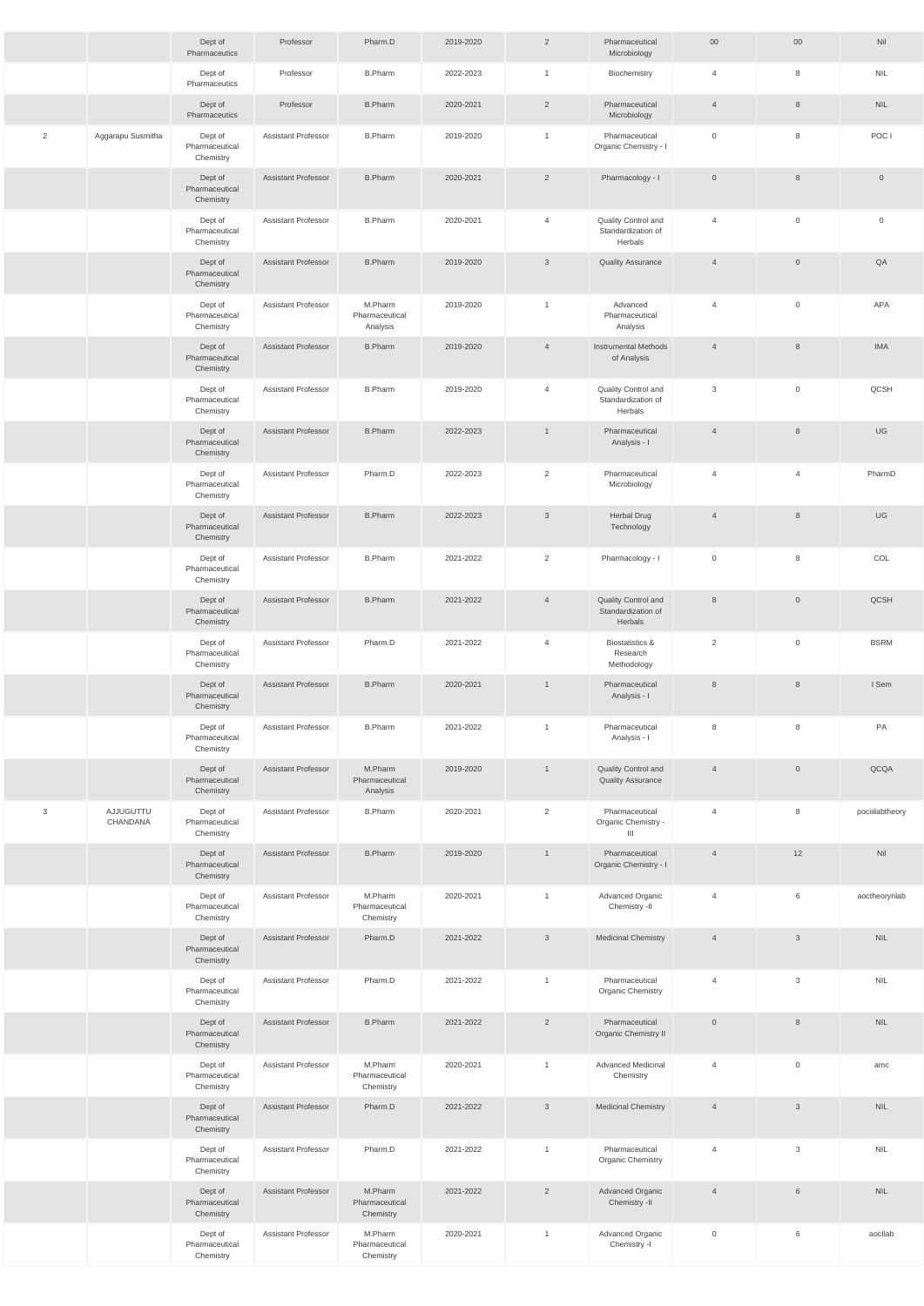|   |                       | Dept of<br>Pharmaceutics               | Professor                  | Pharm.D                                | 2019-2020 | $\overline{2}$ | Pharmaceutical<br>Microbiology                          | $00\,$         | $00\,$              | Nil             |
|---|-----------------------|----------------------------------------|----------------------------|----------------------------------------|-----------|----------------|---------------------------------------------------------|----------------|---------------------|-----------------|
|   |                       | Dept of<br>Pharmaceutics               | Professor                  | <b>B.Pharm</b>                         | 2022-2023 | $\overline{1}$ | Biochemistry                                            | $\overline{4}$ | 8                   | <b>NIL</b>      |
|   |                       | Dept of<br>Pharmaceutics               | Professor                  | <b>B.Pharm</b>                         | 2020-2021 | $\overline{2}$ | Pharmaceutical<br>Microbiology                          | $\overline{4}$ | 8                   | <b>NIL</b>      |
| 2 | Aggarapu Susmitha     | Dept of<br>Pharmaceutical<br>Chemistry | <b>Assistant Professor</b> | <b>B.Pharm</b>                         | 2019-2020 | $\mathbf{1}$   | Pharmaceutical<br>Organic Chemistry - I                 | $\overline{0}$ | 8                   | POC I           |
|   |                       | Dept of<br>Pharmaceutical<br>Chemistry | <b>Assistant Professor</b> | <b>B.Pharm</b>                         | 2020-2021 | 2              | Pharmacology - I                                        | $\overline{0}$ | 8                   | $\overline{0}$  |
|   |                       | Dept of<br>Pharmaceutical<br>Chemistry | Assistant Professor        | <b>B.Pharm</b>                         | 2020-2021 | $\overline{4}$ | Quality Control and<br>Standardization of<br>Herbals    | $\overline{4}$ | $\mathbf 0$         | $\mathbf 0$     |
|   |                       | Dept of<br>Pharmaceutical<br>Chemistry | Assistant Professor        | <b>B.Pharm</b>                         | 2019-2020 | $\mathbf{3}$   | <b>Quality Assurance</b>                                | $\overline{4}$ | $\overline{0}$      | QA              |
|   |                       | Dept of<br>Pharmaceutical<br>Chemistry | <b>Assistant Professor</b> | M.Pharm<br>Pharmaceutical<br>Analysis  | 2019-2020 | $\mathbf{1}$   | Advanced<br>Pharmaceutical<br>Analysis                  | $\overline{4}$ | $\mathbf 0$         | APA             |
|   |                       | Dept of<br>Pharmaceutical<br>Chemistry | <b>Assistant Professor</b> | <b>B.Pharm</b>                         | 2019-2020 | $\overline{4}$ | <b>Instrumental Methods</b><br>of Analysis              | $\overline{4}$ | 8                   | <b>IMA</b>      |
|   |                       | Dept of<br>Pharmaceutical<br>Chemistry | Assistant Professor        | <b>B.Pharm</b>                         | 2019-2020 | $\overline{4}$ | Quality Control and<br>Standardization of<br>Herbals    | 3              | $\mathbf 0$         | QCSH            |
|   |                       | Dept of<br>Pharmaceutical<br>Chemistry | <b>Assistant Professor</b> | <b>B.Pharm</b>                         | 2022-2023 | $\mathbf{1}$   | Pharmaceutical<br>Analysis - I                          | $\overline{4}$ | 8                   | UG              |
|   |                       | Dept of<br>Pharmaceutical<br>Chemistry | Assistant Professor        | Pharm.D                                | 2022-2023 | $\overline{2}$ | Pharmaceutical<br>Microbiology                          | $\overline{4}$ | $\overline{4}$      | PharmD          |
|   |                       | Dept of<br>Pharmaceutical<br>Chemistry | Assistant Professor        | B.Pharm                                | 2022-2023 | 3              | Herbal Drug<br>Technology                               | $\overline{4}$ | 8                   | UG              |
|   |                       | Dept of<br>Pharmaceutical<br>Chemistry | Assistant Professor        | <b>B.Pharm</b>                         | 2021-2022 | 2              | Pharmacology - I                                        | $\overline{0}$ | 8                   | COL             |
|   |                       | Dept of<br>Pharmaceutical<br>Chemistry | <b>Assistant Professor</b> | <b>B.Pharm</b>                         | 2021-2022 | $\overline{4}$ | Quality Control and<br>Standardization of<br>Herbals    | 8              | $\mathsf{O}\xspace$ | QCSH            |
|   |                       | Dept of<br>Pharmaceutical<br>Chemistry | Assistant Professor        | Pharm.D                                | 2021-2022 | $\overline{4}$ | <b>Biostatistics &amp;</b><br>Research<br>Methodology   | $\overline{2}$ | $\mathsf{O}\xspace$ | <b>BSRM</b>     |
|   |                       | Dept of<br>Pharmaceutical<br>Chemistry | Assistant Professor        | <b>B.Pharm</b>                         | 2020-2021 | $\mathbf{1}$   | Pharmaceutical<br>Analysis - I                          | 8              | 8                   | I Sem           |
|   |                       | Dept of<br>Pharmaceutical<br>Chemistry | Assistant Professor        | <b>B.Pharm</b>                         | 2021-2022 | $\mathbf{1}$   | Pharmaceutical<br>Analysis - I                          | 8              | 8                   | PA              |
|   |                       | Dept of<br>Pharmaceutical<br>Chemistry | <b>Assistant Professor</b> | M.Pharm<br>Pharmaceutical<br>Analysis  | 2019-2020 | $\overline{1}$ | Quality Control and<br><b>Quality Assurance</b>         | $\overline{4}$ | $\overline{0}$      | QCQA            |
| 3 | AJJUGUTTU<br>CHANDANA | Dept of<br>Pharmaceutical<br>Chemistry | Assistant Professor        | <b>B.Pharm</b>                         | 2020-2021 | $\overline{2}$ | Pharmaceutical<br>Organic Chemistry -<br>$\mathbf{III}$ | $\overline{4}$ | 8                   | pociiilabtheory |
|   |                       | Dept of<br>Pharmaceutical<br>Chemistry | Assistant Professor        | <b>B.Pharm</b>                         | 2019-2020 | $\mathbf{1}$   | Pharmaceutical<br>Organic Chemistry - I                 | $\overline{4}$ | 12                  | Nil             |
|   |                       | Dept of<br>Pharmaceutical<br>Chemistry | Assistant Professor        | M.Pharm<br>Pharmaceutical<br>Chemistry | 2020-2021 | $\mathbf{1}$   | Advanced Organic<br>Chemistry -II                       | $\overline{4}$ | 6                   | aoctheorynlab   |
|   |                       | Dept of<br>Pharmaceutical<br>Chemistry | <b>Assistant Professor</b> | Pharm.D                                | 2021-2022 | $\mathbf{3}$   | <b>Medicinal Chemistry</b>                              | $\overline{4}$ | $\mathbf{3}$        | <b>NIL</b>      |
|   |                       | Dept of<br>Pharmaceutical<br>Chemistry | Assistant Professor        | Pharm.D                                | 2021-2022 | $\mathbf{1}$   | Pharmaceutical<br><b>Organic Chemistry</b>              | $\overline{4}$ | 3                   | <b>NIL</b>      |
|   |                       | Dept of<br>Pharmaceutical<br>Chemistry | Assistant Professor        | <b>B.Pharm</b>                         | 2021-2022 | $\overline{2}$ | Pharmaceutical<br>Organic Chemistry II                  | $\overline{0}$ | 8                   | <b>NIL</b>      |
|   |                       | Dept of<br>Pharmaceutical<br>Chemistry | <b>Assistant Professor</b> | M.Pharm<br>Pharmaceutical<br>Chemistry | 2020-2021 | $\mathbf{1}$   | <b>Advanced Medicinal</b><br>Chemistry                  | $\overline{4}$ | $\mathbf 0$         | amc             |
|   |                       | Dept of<br>Pharmaceutical<br>Chemistry | <b>Assistant Professor</b> | Pharm.D                                | 2021-2022 | $\mathbf{3}$   | <b>Medicinal Chemistry</b>                              | $\overline{4}$ | $\mathbf{3}$        | <b>NIL</b>      |
|   |                       | Dept of<br>Pharmaceutical<br>Chemistry | Assistant Professor        | Pharm.D                                | 2021-2022 | $\overline{1}$ | Pharmaceutical<br>Organic Chemistry                     | $\overline{4}$ | $\mathbf{3}$        | <b>NIL</b>      |
|   |                       | Dept of<br>Pharmaceutical<br>Chemistry | <b>Assistant Professor</b> | M.Pharm<br>Pharmaceutical<br>Chemistry | 2021-2022 | $\overline{2}$ | Advanced Organic<br>Chemistry -II                       | $\overline{4}$ | 6                   | <b>NIL</b>      |
|   |                       | Dept of<br>Pharmaceutical<br>Chemistry | Assistant Professor        | M.Pharm<br>Pharmaceutical<br>Chemistry | 2020-2021 | $\mathbf{1}$   | Advanced Organic<br>Chemistry -I                        | $\mathsf 0$    | 6                   | aocllab         |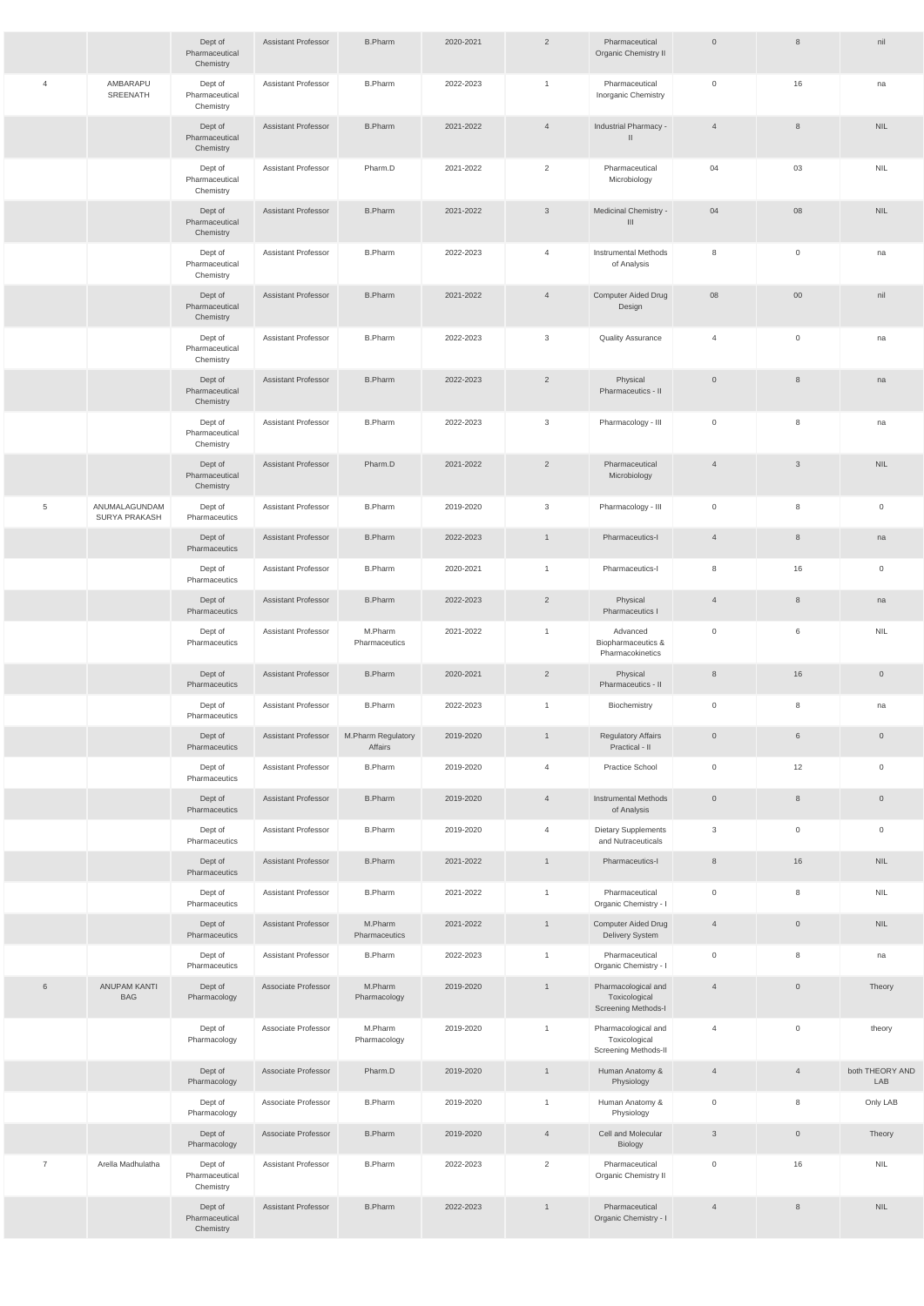|                |                                   | Dept of<br>Pharmaceutical<br>Chemistry | <b>Assistant Professor</b> | <b>B.Pharm</b>                | 2020-2021 | $\overline{2}$ | Pharmaceutical<br>Organic Chemistry II                       | $\overline{0}$ | 8                   | nil                    |
|----------------|-----------------------------------|----------------------------------------|----------------------------|-------------------------------|-----------|----------------|--------------------------------------------------------------|----------------|---------------------|------------------------|
| $\overline{4}$ | AMBARAPU<br>SREENATH              | Dept of<br>Pharmaceutical<br>Chemistry | <b>Assistant Professor</b> | <b>B.Pharm</b>                | 2022-2023 | $\mathbf{1}$   | Pharmaceutical<br>Inorganic Chemistry                        | $\overline{0}$ | 16                  | na                     |
|                |                                   | Dept of<br>Pharmaceutical<br>Chemistry | <b>Assistant Professor</b> | <b>B.Pharm</b>                | 2021-2022 | $\overline{4}$ | Industrial Pharmacy -<br>$\mathbf{I}$                        | $\overline{4}$ | 8                   | <b>NIL</b>             |
|                |                                   | Dept of<br>Pharmaceutical<br>Chemistry | <b>Assistant Professor</b> | Pharm.D                       | 2021-2022 | 2              | Pharmaceutical<br>Microbiology                               | 04             | 03                  | <b>NIL</b>             |
|                |                                   | Dept of<br>Pharmaceutical<br>Chemistry | <b>Assistant Professor</b> | <b>B.Pharm</b>                | 2021-2022 | $\mathbf{3}$   | Medicinal Chemistry -<br>$\mathbf{III}$                      | 04             | 08                  | <b>NIL</b>             |
|                |                                   | Dept of<br>Pharmaceutical<br>Chemistry | <b>Assistant Professor</b> | <b>B.Pharm</b>                | 2022-2023 | $\overline{4}$ | <b>Instrumental Methods</b><br>of Analysis                   | 8              | $\mathbf 0$         | na                     |
|                |                                   | Dept of<br>Pharmaceutical<br>Chemistry | <b>Assistant Professor</b> | <b>B.Pharm</b>                | 2021-2022 | $\overline{4}$ | Computer Aided Drug<br>Design                                | 08             | $00\,$              | nil                    |
|                |                                   | Dept of<br>Pharmaceutical<br>Chemistry | <b>Assistant Professor</b> | <b>B.Pharm</b>                | 2022-2023 | $\mathbf{3}$   | <b>Quality Assurance</b>                                     | $\overline{4}$ | $\mathsf{O}\xspace$ | na                     |
|                |                                   | Dept of<br>Pharmaceutical<br>Chemistry | <b>Assistant Professor</b> | <b>B.Pharm</b>                | 2022-2023 | $\overline{2}$ | Physical<br>Pharmaceutics - II                               | $\overline{0}$ | $\,8\,$             | na                     |
|                |                                   | Dept of<br>Pharmaceutical<br>Chemistry | <b>Assistant Professor</b> | <b>B.Pharm</b>                | 2022-2023 | 3              | Pharmacology - III                                           | $\overline{0}$ | 8                   | na                     |
|                |                                   | Dept of<br>Pharmaceutical<br>Chemistry | <b>Assistant Professor</b> | Pharm.D                       | 2021-2022 | $\overline{2}$ | Pharmaceutical<br>Microbiology                               | $\overline{4}$ | 3                   | <b>NIL</b>             |
| 5              | ANUMALAGUNDAM<br>SURYA PRAKASH    | Dept of<br>Pharmaceutics               | <b>Assistant Professor</b> | <b>B.Pharm</b>                | 2019-2020 | 3              | Pharmacology - III                                           | 0              | 8                   | $\overline{0}$         |
|                |                                   | Dept of<br>Pharmaceutics               | <b>Assistant Professor</b> | <b>B.Pharm</b>                | 2022-2023 | $\overline{1}$ | Pharmaceutics-I                                              | $\overline{4}$ | 8                   | na                     |
|                |                                   | Dept of<br>Pharmaceutics               | <b>Assistant Professor</b> | <b>B.Pharm</b>                | 2020-2021 | $\overline{1}$ | Pharmaceutics-I                                              | 8              | 16                  | $\overline{0}$         |
|                |                                   | Dept of<br>Pharmaceutics               | <b>Assistant Professor</b> | <b>B.Pharm</b>                | 2022-2023 | $\overline{2}$ | Physical<br>Pharmaceutics I                                  | $\overline{4}$ | $8\phantom{1}$      | na                     |
|                |                                   | Dept of<br>Pharmaceutics               | Assistant Professor        | M.Pharm<br>Pharmaceutics      | 2021-2022 | $\overline{1}$ | Advanced<br>Biopharmaceutics &<br>Pharmacokinetics           | 0              | 6                   | <b>NIL</b>             |
|                |                                   | Dept of<br>Pharmaceutics               | <b>Assistant Professor</b> | <b>B.Pharm</b>                | 2020-2021 | $\overline{2}$ | Physical<br>Pharmaceutics - II                               | 8              | 16                  | $\overline{0}$         |
|                |                                   | Dept of<br>Pharmaceutics               | <b>Assistant Professor</b> | <b>B.Pharm</b>                | 2022-2023 | $\overline{1}$ | Biochemistry                                                 | $\overline{0}$ | 8                   | na                     |
|                |                                   | Dept of<br>Pharmaceutics               | <b>Assistant Professor</b> | M.Pharm Regulatory<br>Affairs | 2019-2020 | $\overline{1}$ | <b>Regulatory Affairs</b><br>Practical - II                  | $\overline{0}$ | $6\,$               | $\overline{0}$         |
|                |                                   | Dept of<br>Pharmaceutics               | <b>Assistant Professor</b> | <b>B.Pharm</b>                | 2019-2020 | $\overline{4}$ | Practice School                                              | $\overline{0}$ | 12                  | $\mathsf 0$            |
|                |                                   | Dept of<br>Pharmaceutics               | <b>Assistant Professor</b> | <b>B.Pharm</b>                | 2019-2020 | $\overline{4}$ | <b>Instrumental Methods</b><br>of Analysis                   | $\overline{0}$ | $\,8\,$             | $\overline{0}$         |
|                |                                   | Dept of<br>Pharmaceutics               | <b>Assistant Professor</b> | <b>B.Pharm</b>                | 2019-2020 | $\overline{4}$ | Dietary Supplements<br>and Nutraceuticals                    | 3              | $\mathbf 0$         | $\overline{0}$         |
|                |                                   | Dept of<br>Pharmaceutics               | <b>Assistant Professor</b> | <b>B.Pharm</b>                | 2021-2022 | $\overline{1}$ | Pharmaceutics-I                                              | 8              | 16                  | <b>NIL</b>             |
|                |                                   | Dept of<br>Pharmaceutics               | <b>Assistant Professor</b> | <b>B.Pharm</b>                | 2021-2022 | $\mathbf{1}$   | Pharmaceutical<br>Organic Chemistry - I                      | $\overline{0}$ | 8                   | <b>NIL</b>             |
|                |                                   | Dept of<br>Pharmaceutics               | <b>Assistant Professor</b> | M.Pharm<br>Pharmaceutics      | 2021-2022 | $\overline{1}$ | <b>Computer Aided Drug</b><br>Delivery System                | $\overline{4}$ | $\overline{0}$      | <b>NIL</b>             |
|                |                                   | Dept of<br>Pharmaceutics               | <b>Assistant Professor</b> | <b>B.Pharm</b>                | 2022-2023 | $\mathbf{1}$   | Pharmaceutical<br>Organic Chemistry - I                      | 0              | 8                   | na                     |
| 6              | <b>ANUPAM KANTI</b><br><b>BAG</b> | Dept of<br>Pharmacology                | Associate Professor        | M.Pharm<br>Pharmacology       | 2019-2020 | $\overline{1}$ | Pharmacological and<br>Toxicological<br>Screening Methods-I  | $\overline{4}$ | $\overline{0}$      | Theory                 |
|                |                                   | Dept of<br>Pharmacology                | Associate Professor        | M.Pharm<br>Pharmacology       | 2019-2020 | $\overline{1}$ | Pharmacological and<br>Toxicological<br>Screening Methods-II | $\overline{4}$ | $\mathbf 0$         | theory                 |
|                |                                   | Dept of<br>Pharmacology                | Associate Professor        | Pharm.D                       | 2019-2020 | $\overline{1}$ | Human Anatomy &<br>Physiology                                | $\overline{4}$ | $\overline{4}$      | both THEORY AND<br>LAB |
|                |                                   | Dept of<br>Pharmacology                | Associate Professor        | <b>B.Pharm</b>                | 2019-2020 | $\mathbf{1}$   | Human Anatomy &<br>Physiology                                | $\overline{0}$ | 8                   | Only LAB               |
|                |                                   | Dept of<br>Pharmacology                | Associate Professor        | <b>B.Pharm</b>                | 2019-2020 | $\overline{4}$ | Cell and Molecular<br>Biology                                | $\mathfrak{S}$ | $\mathsf{O}\xspace$ | Theory                 |
| $\overline{7}$ | Arella Madhulatha                 | Dept of<br>Pharmaceutical<br>Chemistry | Assistant Professor        | <b>B.Pharm</b>                | 2022-2023 | $\overline{2}$ | Pharmaceutical<br>Organic Chemistry II                       | $\overline{0}$ | 16                  | <b>NIL</b>             |
|                |                                   | Dept of<br>Pharmaceutical<br>Chemistry | <b>Assistant Professor</b> | <b>B.Pharm</b>                | 2022-2023 | $\mathbf{1}$   | Pharmaceutical<br>Organic Chemistry - I                      | $\overline{4}$ | 8                   | <b>NIL</b>             |
|                |                                   |                                        |                            |                               |           |                |                                                              |                |                     |                        |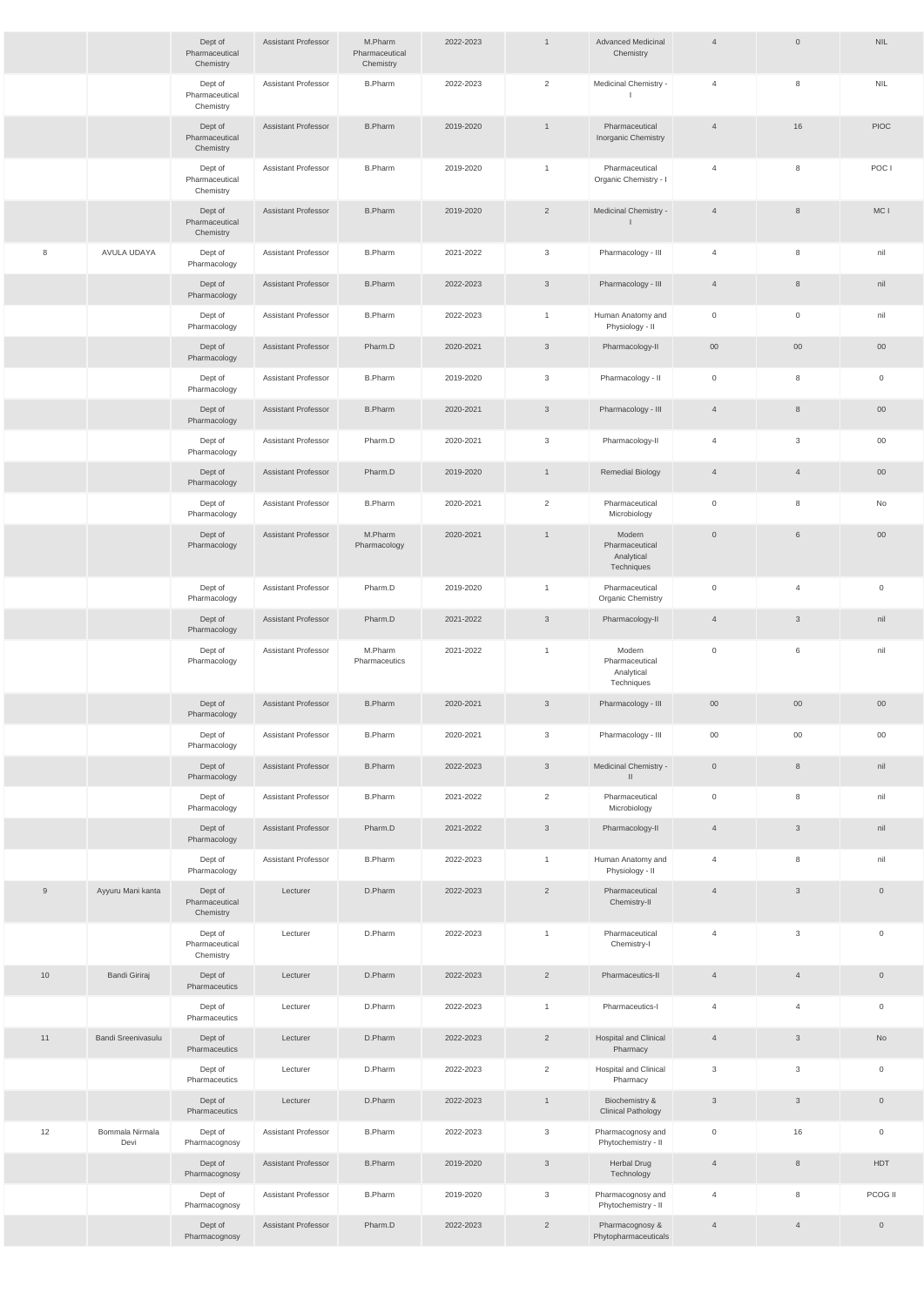|     |                         | Dept of<br>Pharmaceutical<br>Chemistry | <b>Assistant Professor</b> | M.Pharm<br>Pharmaceutical<br>Chemistry | 2022-2023 | $\mathbf{1}$   | <b>Advanced Medicinal</b><br>Chemistry               | $\overline{4}$ | $\overline{0}$  | <b>NIL</b>          |
|-----|-------------------------|----------------------------------------|----------------------------|----------------------------------------|-----------|----------------|------------------------------------------------------|----------------|-----------------|---------------------|
|     |                         | Dept of<br>Pharmaceutical<br>Chemistry | <b>Assistant Professor</b> | <b>B.Pharm</b>                         | 2022-2023 | $\overline{2}$ | Medicinal Chemistry -                                | 4              | 8               | <b>NIL</b>          |
|     |                         | Dept of<br>Pharmaceutical<br>Chemistry | <b>Assistant Professor</b> | <b>B.Pharm</b>                         | 2019-2020 | $\mathbf{1}$   | Pharmaceutical<br>Inorganic Chemistry                | $\overline{4}$ | 16              | <b>PIOC</b>         |
|     |                         | Dept of<br>Pharmaceutical<br>Chemistry | <b>Assistant Professor</b> | <b>B.Pharm</b>                         | 2019-2020 | $\mathbf{1}$   | Pharmaceutical<br>Organic Chemistry - I              | $\overline{4}$ | 8               | POC I               |
|     |                         | Dept of<br>Pharmaceutical<br>Chemistry | <b>Assistant Professor</b> | <b>B.Pharm</b>                         | 2019-2020 | $\overline{2}$ | Medicinal Chemistry -                                | $\overline{4}$ | 8               | MC I                |
| 8   | AVULA UDAYA             | Dept of<br>Pharmacology                | <b>Assistant Professor</b> | <b>B.Pharm</b>                         | 2021-2022 | $\mathbf{3}$   | Pharmacology - III                                   | $\overline{4}$ | 8               | nil                 |
|     |                         | Dept of<br>Pharmacology                | <b>Assistant Professor</b> | <b>B.Pharm</b>                         | 2022-2023 | $\mathbf{3}$   | Pharmacology - III                                   | $\overline{4}$ | 8               | nil                 |
|     |                         | Dept of<br>Pharmacology                | <b>Assistant Professor</b> | <b>B.Pharm</b>                         | 2022-2023 | $\overline{1}$ | Human Anatomy and<br>Physiology - II                 | 0              | $\overline{0}$  | nil                 |
|     |                         | Dept of<br>Pharmacology                | <b>Assistant Professor</b> | Pharm.D                                | 2020-2021 | $\mathbf{3}$   | Pharmacology-II                                      | $00\,$         | 00              | $00\,$              |
|     |                         | Dept of<br>Pharmacology                | <b>Assistant Professor</b> | <b>B.Pharm</b>                         | 2019-2020 | $\mathbf{3}$   | Pharmacology - II                                    | $\overline{0}$ | 8               | $\overline{0}$      |
|     |                         | Dept of<br>Pharmacology                | <b>Assistant Professor</b> | <b>B.Pharm</b>                         | 2020-2021 | $\mathbf{3}$   | Pharmacology - III                                   | $\overline{4}$ | 8               | 00                  |
|     |                         | Dept of<br>Pharmacology                | <b>Assistant Professor</b> | Pharm.D                                | 2020-2021 | 3              | Pharmacology-II                                      | 4              | 3               | $00\,$              |
|     |                         | Dept of<br>Pharmacology                | <b>Assistant Professor</b> | Pharm.D                                | 2019-2020 | $\overline{1}$ | <b>Remedial Biology</b>                              | $\overline{4}$ | $\overline{4}$  | $00\,$              |
|     |                         | Dept of<br>Pharmacology                | <b>Assistant Professor</b> | <b>B.Pharm</b>                         | 2020-2021 | 2              | Pharmaceutical<br>Microbiology                       | $\mathbf 0$    | 8               | No                  |
|     |                         | Dept of<br>Pharmacology                | <b>Assistant Professor</b> | M.Pharm<br>Pharmacology                | 2020-2021 | $\mathbf{1}$   | Modern<br>Pharmaceutical<br>Analytical<br>Techniques | $\overline{0}$ | $6\phantom{.}6$ | $00\,$              |
|     |                         | Dept of<br>Pharmacology                | <b>Assistant Professor</b> | Pharm.D                                | 2019-2020 | $\mathbf{1}$   | Pharmaceutical<br><b>Organic Chemistry</b>           | $\overline{0}$ | $\overline{4}$  | $\overline{0}$      |
|     |                         | Dept of<br>Pharmacology                | <b>Assistant Professor</b> | Pharm.D                                | 2021-2022 | $\mathbf{3}$   | Pharmacology-II                                      | $\overline{4}$ | $\mathbf{3}$    | nil                 |
|     |                         | Dept of<br>Pharmacology                | <b>Assistant Professor</b> | M.Pharm<br>Pharmaceutics               | 2021-2022 | $\mathbf{1}$   | Modern<br>Pharmaceutical<br>Analytical<br>Techniques | $\overline{0}$ | 6               | nil                 |
|     |                         | Dept of<br>Pharmacology                | <b>Assistant Professor</b> | <b>B.Pharm</b>                         | 2020-2021 | $\mathbf{3}$   | Pharmacology - III                                   | $00\,$         | $00\,$          | $00\,$              |
|     |                         | Dept of<br>Pharmacology                | <b>Assistant Professor</b> | <b>B.Pharm</b>                         | 2020-2021 | $\mathbf{3}$   | Pharmacology - III                                   | $00\,$         | $00\,$          | $00\,$              |
|     |                         | Dept of<br>Pharmacology                | <b>Assistant Professor</b> | <b>B.Pharm</b>                         | 2022-2023 | $\mathbf{3}$   | Medicinal Chemistry -<br>$\mathbf{II}$               | $\overline{0}$ | 8               | nil                 |
|     |                         | Dept of<br>Pharmacology                | <b>Assistant Professor</b> | <b>B.Pharm</b>                         | 2021-2022 | 2              | Pharmaceutical<br>Microbiology                       | $\overline{0}$ | 8               | nil                 |
|     |                         | Dept of<br>Pharmacology                | <b>Assistant Professor</b> | Pharm.D                                | 2021-2022 | $\mathbf{3}$   | Pharmacology-II                                      | $\overline{4}$ | $\mathbf{3}$    | nil                 |
|     |                         | Dept of<br>Pharmacology                | <b>Assistant Professor</b> | <b>B.Pharm</b>                         | 2022-2023 | $\mathbf{1}$   | Human Anatomy and<br>Physiology - II                 | $\overline{4}$ | 8               | nil                 |
| $9$ | Ayyuru Mani kanta       | Dept of<br>Pharmaceutical<br>Chemistry | Lecturer                   | D.Pharm                                | 2022-2023 | $\overline{2}$ | Pharmaceutical<br>Chemistry-II                       | $\overline{4}$ | 3 <sup>1</sup>  | $\mathsf{O}\xspace$ |
|     |                         | Dept of<br>Pharmaceutical<br>Chemistry | Lecturer                   | D.Pharm                                | 2022-2023 | $\mathbf{1}$   | Pharmaceutical<br>Chemistry-I                        | $\overline{4}$ | $\mathbf{3}$    | $\overline{0}$      |
| 10  | <b>Bandi Giriraj</b>    | Dept of<br>Pharmaceutics               | Lecturer                   | D.Pharm                                | 2022-2023 | $\overline{2}$ | Pharmaceutics-II                                     | $\overline{4}$ | $\overline{4}$  | $\mathsf{O}\xspace$ |
|     |                         | Dept of<br>Pharmaceutics               | Lecturer                   | D.Pharm                                | 2022-2023 | $\mathbf{1}$   | Pharmaceutics-I                                      | $\overline{4}$ | $\overline{4}$  | $\overline{0}$      |
| 11  | Bandi Sreenivasulu      | Dept of<br>Pharmaceutics               | Lecturer                   | D.Pharm                                | 2022-2023 | $\overline{2}$ | <b>Hospital and Clinical</b><br>Pharmacy             | $\overline{4}$ | 3 <sup>1</sup>  | No                  |
|     |                         | Dept of<br>Pharmaceutics               | Lecturer                   | D.Pharm                                | 2022-2023 | $\overline{2}$ | Hospital and Clinical<br>Pharmacy                    | $\mathbf{3}$   | $\mathbf{3}$    | $\overline{0}$      |
|     |                         | Dept of<br>Pharmaceutics               | Lecturer                   | D.Pharm                                | 2022-2023 | $\overline{1}$ | Biochemistry &<br><b>Clinical Pathology</b>          | $\mathfrak{S}$ | 3 <sup>1</sup>  | $\overline{0}$      |
| 12  | Bommala Nirmala<br>Devi | Dept of<br>Pharmacognosy               | <b>Assistant Professor</b> | <b>B.Pharm</b>                         | 2022-2023 | $\mathbf{3}$   | Pharmacognosy and<br>Phytochemistry - II             | $\overline{0}$ | 16              | $\overline{0}$      |
|     |                         | Dept of<br>Pharmacognosy               | Assistant Professor        | <b>B.Pharm</b>                         | 2019-2020 | $\mathbf{3}$   | Herbal Drug<br>Technology                            | $\overline{4}$ | 8               | <b>HDT</b>          |
|     |                         | Dept of<br>Pharmacognosy               | Assistant Professor        | <b>B.Pharm</b>                         | 2019-2020 | $\mathbf{3}$   | Pharmacognosy and<br>Phytochemistry - II             | $\overline{4}$ | 8               | PCOG II             |
|     |                         | Dept of<br>Pharmacognosy               | Assistant Professor        | Pharm.D                                | 2022-2023 | $\overline{2}$ | Pharmacognosy &<br>Phytopharmaceuticals              | $\overline{4}$ | $\overline{4}$  | $\overline{0}$      |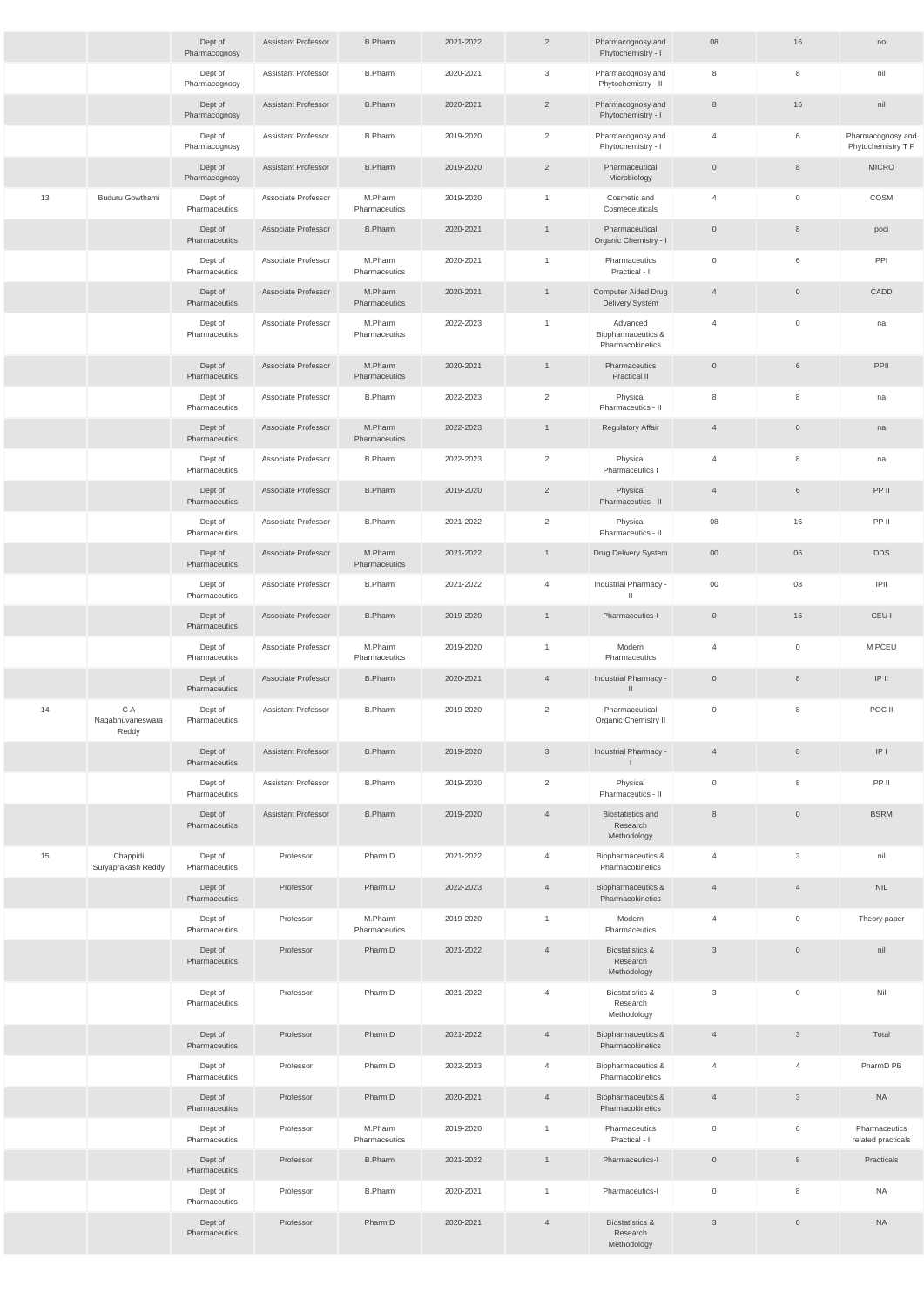|    |                                  | Dept of<br>Pharmacognosy | <b>Assistant Professor</b> | <b>B.Pharm</b>           | 2021-2022 | $\overline{2}$ | Pharmacognosy and<br>Phytochemistry - I               | 08             | 16                  | no                                      |
|----|----------------------------------|--------------------------|----------------------------|--------------------------|-----------|----------------|-------------------------------------------------------|----------------|---------------------|-----------------------------------------|
|    |                                  | Dept of<br>Pharmacognosy | Assistant Professor        | <b>B.Pharm</b>           | 2020-2021 | $\mathbf{3}$   | Pharmacognosy and<br>Phytochemistry - II              | 8              | 8                   | nil                                     |
|    |                                  | Dept of<br>Pharmacognosy | <b>Assistant Professor</b> | <b>B.Pharm</b>           | 2020-2021 | $\overline{2}$ | Pharmacognosy and<br>Phytochemistry - I               | 8              | 16                  | nil                                     |
|    |                                  | Dept of<br>Pharmacognosy | <b>Assistant Professor</b> | <b>B.Pharm</b>           | 2019-2020 | $\overline{2}$ | Pharmacognosy and<br>Phytochemistry - I               | $\overline{4}$ | 6                   | Pharmacognosy and<br>Phytochemistry T P |
|    |                                  | Dept of<br>Pharmacognosy | <b>Assistant Professor</b> | <b>B.Pharm</b>           | 2019-2020 | $\overline{2}$ | Pharmaceutical<br>Microbiology                        | $\overline{0}$ | $\,8\,$             | <b>MICRO</b>                            |
| 13 | Buduru Gowthami                  | Dept of<br>Pharmaceutics | Associate Professor        | M.Pharm<br>Pharmaceutics | 2019-2020 | $\mathbf{1}$   | Cosmetic and<br>Cosmeceuticals                        | $\overline{4}$ | $\mathbf 0$         | COSM                                    |
|    |                                  | Dept of<br>Pharmaceutics | Associate Professor        | <b>B.Pharm</b>           | 2020-2021 | $\mathbf{1}$   | Pharmaceutical<br>Organic Chemistry - I               | $\overline{0}$ | 8                   | poci                                    |
|    |                                  | Dept of<br>Pharmaceutics | Associate Professor        | M.Pharm<br>Pharmaceutics | 2020-2021 | $\overline{1}$ | Pharmaceutics<br>Practical - I                        | $\overline{0}$ | 6                   | PPI                                     |
|    |                                  | Dept of<br>Pharmaceutics | Associate Professor        | M.Pharm<br>Pharmaceutics | 2020-2021 | $\mathbf{1}$   | <b>Computer Aided Drug</b><br><b>Delivery System</b>  | $\overline{4}$ | $\overline{0}$      | CADD                                    |
|    |                                  | Dept of<br>Pharmaceutics | Associate Professor        | M.Pharm<br>Pharmaceutics | 2022-2023 | $\overline{1}$ | Advanced<br>Biopharmaceutics &<br>Pharmacokinetics    | $\overline{4}$ | $\mathbf 0$         | na                                      |
|    |                                  | Dept of<br>Pharmaceutics | Associate Professor        | M.Pharm<br>Pharmaceutics | 2020-2021 | $\overline{1}$ | Pharmaceutics<br><b>Practical II</b>                  | $\overline{0}$ | 6                   | PPII                                    |
|    |                                  | Dept of<br>Pharmaceutics | Associate Professor        | <b>B.Pharm</b>           | 2022-2023 | 2              | Physical<br>Pharmaceutics - II                        | 8              | 8                   | na                                      |
|    |                                  | Dept of<br>Pharmaceutics | Associate Professor        | M.Pharm<br>Pharmaceutics | 2022-2023 | $\overline{1}$ | <b>Regulatory Affair</b>                              | $\overline{4}$ | $\overline{0}$      | na                                      |
|    |                                  | Dept of<br>Pharmaceutics | Associate Professor        | <b>B.Pharm</b>           | 2022-2023 | 2              | Physical<br>Pharmaceutics I                           | 4              | 8                   | na                                      |
|    |                                  | Dept of<br>Pharmaceutics | Associate Professor        | <b>B.Pharm</b>           | 2019-2020 | $\overline{2}$ | Physical<br>Pharmaceutics - II                        | $\overline{4}$ | 6                   | PP II                                   |
|    |                                  | Dept of<br>Pharmaceutics | Associate Professor        | <b>B.Pharm</b>           | 2021-2022 | $\overline{2}$ | Physical<br>Pharmaceutics - II                        | 08             | 16                  | PP II                                   |
|    |                                  | Dept of<br>Pharmaceutics | Associate Professor        | M.Pharm<br>Pharmaceutics | 2021-2022 | $\overline{1}$ | Drug Delivery System                                  | $00\,$         | 06                  | <b>DDS</b>                              |
|    |                                  | Dept of<br>Pharmaceutics | Associate Professor        | <b>B.Pharm</b>           | 2021-2022 | $\overline{4}$ | Industrial Pharmacy -<br>$\mathbf{H}$                 | $00\,$         | 08                  | IPII                                    |
|    |                                  | Dept of<br>Pharmaceutics | Associate Professor        | <b>B.Pharm</b>           | 2019-2020 | $\overline{1}$ | Pharmaceutics-I                                       | $\overline{0}$ | 16                  | <b>CEUI</b>                             |
|    |                                  | Dept of<br>Pharmaceutics | Associate Professor        | M.Pharm<br>Pharmaceutics | 2019-2020 | $\mathbf{1}$   | Modern<br>Pharmaceutics                               | $\overline{4}$ | $\overline{0}$      | M PCEU                                  |
|    |                                  | Dept of<br>Pharmaceutics | Associate Professor        | <b>B.Pharm</b>           | 2020-2021 | $\overline{4}$ | Industrial Pharmacy -<br>$\mathbf{H}$                 | $\overline{0}$ | 8                   | $IP$ $II$                               |
| 14 | C A<br>Nagabhuvaneswara<br>Reddy | Dept of<br>Pharmaceutics | <b>Assistant Professor</b> | <b>B.Pharm</b>           | 2019-2020 | 2              | Pharmaceutical<br>Organic Chemistry II                | $\overline{0}$ | 8                   | POC II                                  |
|    |                                  | Dept of<br>Pharmaceutics | <b>Assistant Professor</b> | <b>B.Pharm</b>           | 2019-2020 | $\mathbf{3}$   | Industrial Pharmacy -                                 | $\overline{4}$ | 8                   | IP                                      |
|    |                                  | Dept of<br>Pharmaceutics | <b>Assistant Professor</b> | <b>B.Pharm</b>           | 2019-2020 | $\overline{2}$ | Physical<br>Pharmaceutics - II                        | 0              | 8                   | PP II                                   |
|    |                                  | Dept of<br>Pharmaceutics | <b>Assistant Professor</b> | <b>B.Pharm</b>           | 2019-2020 | $\overline{4}$ | <b>Biostatistics and</b><br>Research<br>Methodology   | 8              | $\overline{0}$      | <b>BSRM</b>                             |
| 15 | Chappidi<br>Suryaprakash Reddy   | Dept of<br>Pharmaceutics | Professor                  | Pharm.D                  | 2021-2022 | $\overline{4}$ | Biopharmaceutics &<br>Pharmacokinetics                | $\overline{4}$ | 3                   | nil                                     |
|    |                                  | Dept of<br>Pharmaceutics | Professor                  | Pharm.D                  | 2022-2023 | $\overline{4}$ | Biopharmaceutics &<br>Pharmacokinetics                | $\overline{4}$ | $\overline{4}$      | <b>NIL</b>                              |
|    |                                  | Dept of<br>Pharmaceutics | Professor                  | M.Pharm<br>Pharmaceutics | 2019-2020 | $\mathbf{1}$   | Modern<br>Pharmaceutics                               | $\overline{4}$ | $\mathbf 0$         | Theory paper                            |
|    |                                  | Dept of<br>Pharmaceutics | Professor                  | Pharm.D                  | 2021-2022 | $\overline{4}$ | <b>Biostatistics &amp;</b><br>Research<br>Methodology | $\mathbf{3}$   | $\mathsf{O}\xspace$ | nil                                     |
|    |                                  | Dept of<br>Pharmaceutics | Professor                  | Pharm.D                  | 2021-2022 | 4              | <b>Biostatistics &amp;</b><br>Research<br>Methodology | 3              | $\mathbf 0$         | Nil                                     |
|    |                                  | Dept of<br>Pharmaceutics | Professor                  | Pharm.D                  | 2021-2022 | $\overline{4}$ | Biopharmaceutics &<br>Pharmacokinetics                | $\overline{4}$ | $\mathbf{3}$        | Total                                   |
|    |                                  | Dept of<br>Pharmaceutics | Professor                  | Pharm.D                  | 2022-2023 | $\overline{4}$ | Biopharmaceutics &<br>Pharmacokinetics                | $\overline{4}$ | $\overline{4}$      | PharmD PB                               |
|    |                                  | Dept of<br>Pharmaceutics | Professor                  | Pharm.D                  | 2020-2021 | $\overline{4}$ | Biopharmaceutics &<br>Pharmacokinetics                | $\overline{4}$ | $\mathfrak{Z}$      | <b>NA</b>                               |
|    |                                  | Dept of<br>Pharmaceutics | Professor                  | M.Pharm<br>Pharmaceutics | 2019-2020 | $\mathbf{1}$   | Pharmaceutics<br>Practical - I                        | $\overline{0}$ | 6                   | Pharmaceutics<br>related practicals     |
|    |                                  | Dept of<br>Pharmaceutics | Professor                  | <b>B.Pharm</b>           | 2021-2022 | $\overline{1}$ | Pharmaceutics-I                                       | $\overline{0}$ | $8\phantom{1}$      | Practicals                              |
|    |                                  | Dept of<br>Pharmaceutics | Professor                  | <b>B.Pharm</b>           | 2020-2021 | $\overline{1}$ | Pharmaceutics-I                                       | $\overline{0}$ | 8                   | <b>NA</b>                               |
|    |                                  | Dept of<br>Pharmaceutics | Professor                  | Pharm.D                  | 2020-2021 | $\overline{4}$ | <b>Biostatistics &amp;</b><br>Research<br>Methodology | $\mathbf{3}$   | $\overline{0}$      | <b>NA</b>                               |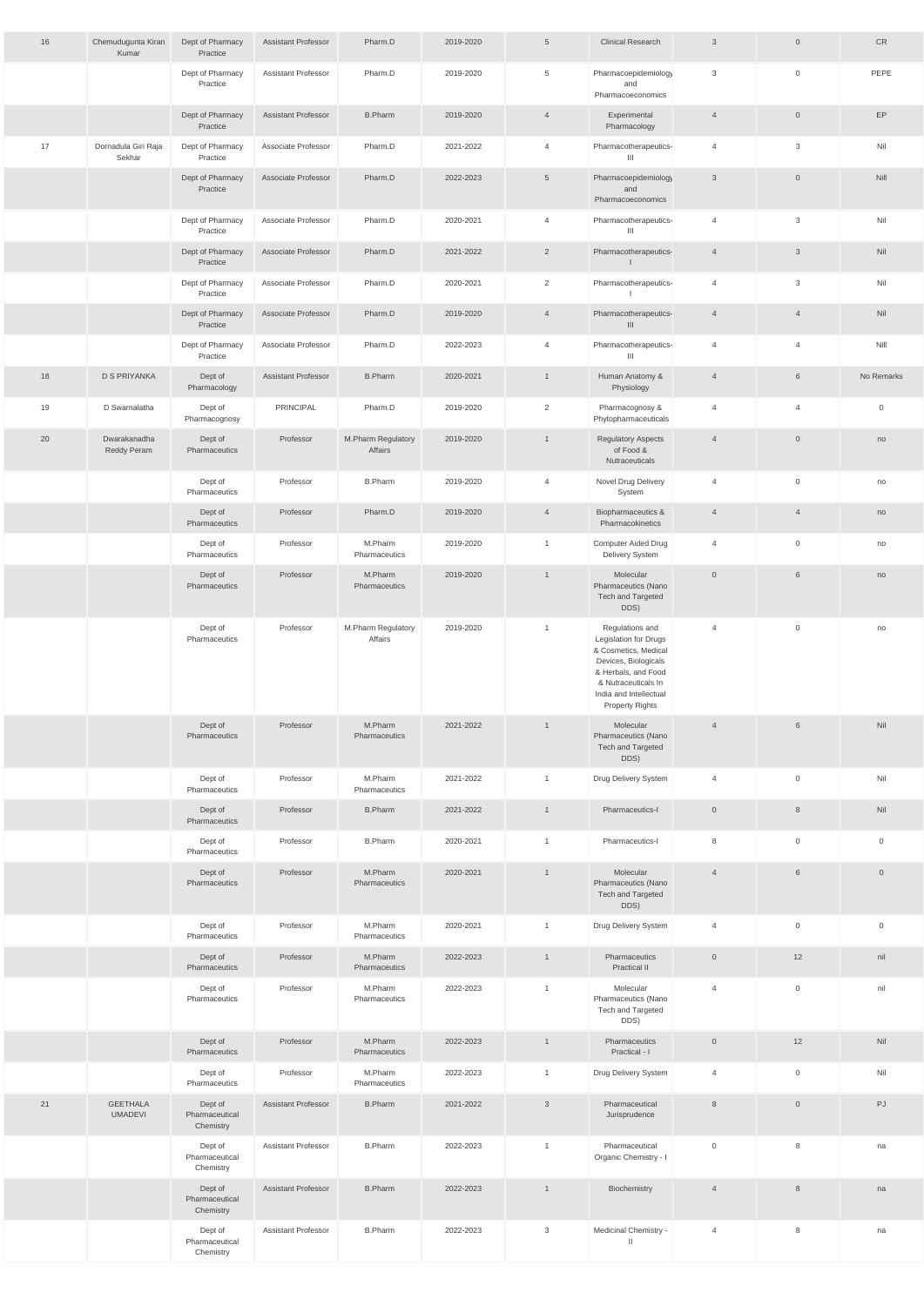| 16 | Chemudugunta Kiran                | Dept of Pharmacy                       | <b>Assistant Professor</b> | Pharm.D                       | 2019-2020 | $5\overline{)}$ | <b>Clinical Research</b>                                                                                                                                                                          | $\mathbf{3}$   | $\overline{0}$   | CR                  |
|----|-----------------------------------|----------------------------------------|----------------------------|-------------------------------|-----------|-----------------|---------------------------------------------------------------------------------------------------------------------------------------------------------------------------------------------------|----------------|------------------|---------------------|
|    | Kumar                             | Practice<br>Dept of Pharmacy           | <b>Assistant Professor</b> | Pharm.D                       | 2019-2020 | 5               | Pharmacoepidemiology                                                                                                                                                                              | 3              | $\overline{0}$   | PEPE                |
|    |                                   | Practice                               |                            |                               |           |                 | and<br>Pharmacoeconomics                                                                                                                                                                          |                |                  |                     |
|    |                                   | Dept of Pharmacy<br>Practice           | <b>Assistant Professor</b> | <b>B.Pharm</b>                | 2019-2020 | $\overline{4}$  | Experimental<br>Pharmacology                                                                                                                                                                      | $\overline{4}$ | $\overline{0}$   | EP                  |
| 17 | Dornadula Giri Raja<br>Sekhar     | Dept of Pharmacy<br>Practice           | Associate Professor        | Pharm.D                       | 2021-2022 | $\overline{4}$  | Pharmacotherapeutics-<br>Ш                                                                                                                                                                        | $\overline{4}$ | 3                | Nil                 |
|    |                                   | Dept of Pharmacy<br>Practice           | Associate Professor        | Pharm.D                       | 2022-2023 | 5               | Pharmacoepidemiology<br>and<br>Pharmacoeconomics                                                                                                                                                  | $\mathbf{3}$   | $\overline{0}$   | Nill                |
|    |                                   | Dept of Pharmacy<br>Practice           | Associate Professor        | Pharm.D                       | 2020-2021 | $\overline{4}$  | Pharmacotherapeutics-<br>Ш                                                                                                                                                                        | $\overline{4}$ | 3                | Nil                 |
|    |                                   | Dept of Pharmacy<br>Practice           | Associate Professor        | Pharm.D                       | 2021-2022 | $\overline{2}$  | Pharmacotherapeutics-<br>$\perp$                                                                                                                                                                  | $\overline{4}$ | $\mathbf{3}$     | Nil                 |
|    |                                   | Dept of Pharmacy<br>Practice           | Associate Professor        | Pharm.D                       | 2020-2021 | $\overline{2}$  | Pharmacotherapeutics-                                                                                                                                                                             | $\overline{4}$ | $\mathbf{3}$     | Nil                 |
|    |                                   | Dept of Pharmacy<br>Practice           | Associate Professor        | Pharm.D                       | 2019-2020 | $\overline{4}$  | Pharmacotherapeutics-<br>III                                                                                                                                                                      | $\overline{4}$ | $\overline{4}$   | Nil                 |
|    |                                   | Dept of Pharmacy<br>Practice           | Associate Professor        | Pharm.D                       | 2022-2023 | $\overline{4}$  | Pharmacotherapeutics-<br>Ш                                                                                                                                                                        | 4              | $\overline{4}$   | Nill                |
| 18 | <b>D S PRIYANKA</b>               | Dept of<br>Pharmacology                | <b>Assistant Professor</b> | <b>B.Pharm</b>                | 2020-2021 | $\mathbf{1}$    | Human Anatomy &<br>Physiology                                                                                                                                                                     | $\overline{4}$ | 6                | No Remarks          |
| 19 | D Swarnalatha                     | Dept of<br>Pharmacognosy               | PRINCIPAL                  | Pharm.D                       | 2019-2020 | $\overline{2}$  | Pharmacognosy &<br>Phytopharmaceuticals                                                                                                                                                           | 4              | $\overline{4}$   | $\overline{0}$      |
| 20 | Dwarakanadha<br>Reddy Peram       | Dept of<br>Pharmaceutics               | Professor                  | M.Pharm Regulatory<br>Affairs | 2019-2020 | $\mathbf{1}$    | <b>Regulatory Aspects</b><br>of Food &<br>Nutraceuticals                                                                                                                                          | $\overline{4}$ | $\overline{0}$   | no                  |
|    |                                   | Dept of<br>Pharmaceutics               | Professor                  | <b>B.Pharm</b>                | 2019-2020 | $\overline{4}$  | Novel Drug Delivery<br>System                                                                                                                                                                     | $\overline{4}$ | $\overline{0}$   | no                  |
|    |                                   | Dept of<br>Pharmaceutics               | Professor                  | Pharm.D                       | 2019-2020 | $\overline{4}$  | Biopharmaceutics &<br>Pharmacokinetics                                                                                                                                                            | $\overline{4}$ | $\overline{4}$   | no                  |
|    |                                   | Dept of<br>Pharmaceutics               | Professor                  | M.Pharm<br>Pharmaceutics      | 2019-2020 | $\mathbf{1}$    | <b>Computer Aided Drug</b><br>Delivery System                                                                                                                                                     | $\overline{4}$ | $\overline{0}$   | no                  |
|    |                                   | Dept of<br>Pharmaceutics               | Professor                  | M.Pharm<br>Pharmaceutics      | 2019-2020 | $\mathbf{1}$    | Molecular<br>Pharmaceutics (Nano<br>Tech and Targeted<br>DDS)                                                                                                                                     | $\overline{0}$ | 6                | no                  |
|    |                                   | Dept of<br>Pharmaceutics               | Professor                  | M.Pharm Regulatory<br>Affairs | 2019-2020 | $\mathbf{1}$    | Regulations and<br><b>Legislation for Drugs</b><br>& Cosmetics, Medical<br>Devices, Biologicals<br>& Herbals, and Food<br>& Nutraceuticals In<br>India and Intellectual<br><b>Property Rights</b> | $\overline{4}$ | $\overline{0}$   | no                  |
|    |                                   | Dept of<br>Pharmaceutics               | Professor                  | M.Pharm<br>Pharmaceutics      | 2021-2022 | $\mathbf{1}$    | Molecular<br>Pharmaceutics (Nano<br>Tech and Targeted<br>DDS)                                                                                                                                     | $\overline{4}$ | 6                | Nil                 |
|    |                                   | Dept of<br>Pharmaceutics               | Professor                  | M.Pharm<br>Pharmaceutics      | 2021-2022 | $\mathbf{1}$    | Drug Delivery System                                                                                                                                                                              | $\overline{4}$ | $\mathbf 0$      | Nil                 |
|    |                                   | Dept of<br>Pharmaceutics               | Professor                  | <b>B.Pharm</b>                | 2021-2022 | $\mathbf{1}$    | Pharmaceutics-I                                                                                                                                                                                   | $\overline{0}$ | 8                | Nil                 |
|    |                                   | Dept of<br>Pharmaceutics               | Professor                  | <b>B.Pharm</b>                | 2020-2021 | $\overline{1}$  | Pharmaceutics-I                                                                                                                                                                                   | 8              | $\mathsf 0$      | $\overline{0}$      |
|    |                                   | Dept of<br>Pharmaceutics               | Professor                  | M.Pharm<br>Pharmaceutics      | 2020-2021 | $\mathbf{1}$    | Molecular<br>Pharmaceutics (Nano<br>Tech and Targeted<br>DDS)                                                                                                                                     | $\overline{4}$ | 6                | $\overline{0}$      |
|    |                                   | Dept of<br>Pharmaceutics               | Professor                  | M.Pharm<br>Pharmaceutics      | 2020-2021 | $\mathbf{1}$    | Drug Delivery System                                                                                                                                                                              | $\overline{4}$ | $\boldsymbol{0}$ | $\mathsf{O}\xspace$ |
|    |                                   | Dept of<br>Pharmaceutics               | Professor                  | M.Pharm<br>Pharmaceutics      | 2022-2023 | $\overline{1}$  | Pharmaceutics<br>Practical II                                                                                                                                                                     | $\overline{0}$ | 12               | nil                 |
|    |                                   | Dept of<br>Pharmaceutics               | Professor                  | M.Pharm<br>Pharmaceutics      | 2022-2023 | $\mathbf{1}$    | Molecular<br>Pharmaceutics (Nano<br>Tech and Targeted<br>DDS)                                                                                                                                     | 4              | $\overline{0}$   | nil                 |
|    |                                   | Dept of<br>Pharmaceutics               | Professor                  | M.Pharm<br>Pharmaceutics      | 2022-2023 | $\mathbf{1}$    | Pharmaceutics<br>Practical - I                                                                                                                                                                    | $\overline{0}$ | 12               | Nil                 |
|    |                                   | Dept of<br>Pharmaceutics               | Professor                  | M.Pharm<br>Pharmaceutics      | 2022-2023 | $\mathbf{1}$    | Drug Delivery System                                                                                                                                                                              | $\overline{4}$ | $\mathsf 0$      | Nil                 |
| 21 | <b>GEETHALA</b><br><b>UMADEVI</b> | Dept of<br>Pharmaceutical<br>Chemistry | <b>Assistant Professor</b> | <b>B.Pharm</b>                | 2021-2022 | $\mathbf{3}$    | Pharmaceutical<br>Jurisprudence                                                                                                                                                                   | $\,8\,$        | $\mathbb O$      | PJ                  |
|    |                                   | Dept of<br>Pharmaceutical<br>Chemistry | <b>Assistant Professor</b> | <b>B.Pharm</b>                | 2022-2023 | $\mathbf{1}$    | Pharmaceutical<br>Organic Chemistry - I                                                                                                                                                           | $\overline{0}$ | 8                | na                  |
|    |                                   | Dept of<br>Pharmaceutical<br>Chemistry | <b>Assistant Professor</b> | <b>B.Pharm</b>                | 2022-2023 | $\mathbf{1}$    | Biochemistry                                                                                                                                                                                      | $\overline{4}$ | 8                | na                  |
|    |                                   | Dept of<br>Pharmaceutical<br>Chemistry | <b>Assistant Professor</b> | <b>B.Pharm</b>                | 2022-2023 | $\mathbf{3}$    | Medicinal Chemistry -<br>$\mathbf{H}$                                                                                                                                                             | $\overline{4}$ | 8                | na                  |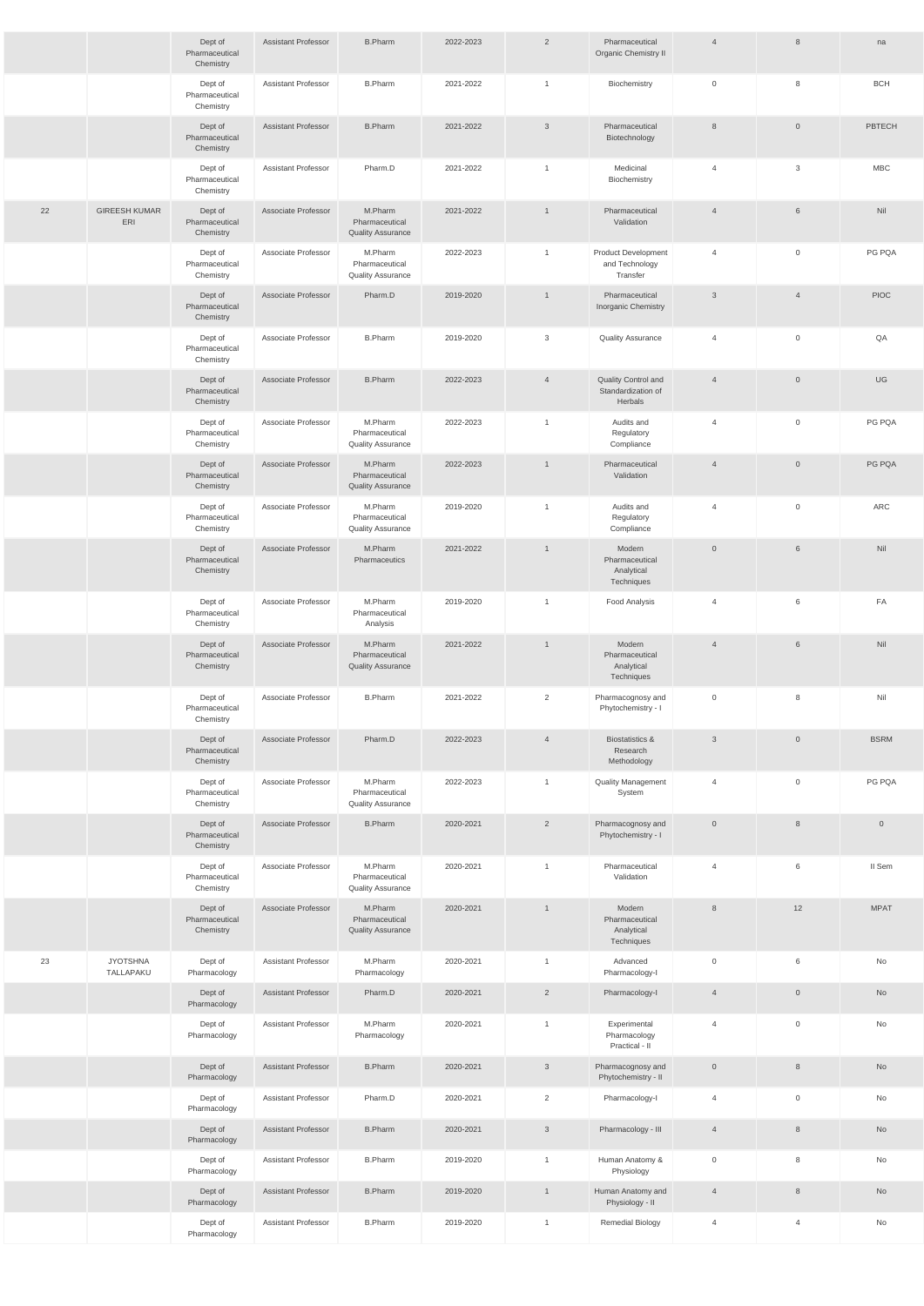|    |                              | Dept of<br>Pharmaceutical<br>Chemistry | <b>Assistant Professor</b> | <b>B.Pharm</b>                                        | 2022-2023 | 2              | Pharmaceutical<br>Organic Chemistry II                   | $\overline{4}$ | 8                   | na                  |
|----|------------------------------|----------------------------------------|----------------------------|-------------------------------------------------------|-----------|----------------|----------------------------------------------------------|----------------|---------------------|---------------------|
|    |                              | Dept of<br>Pharmaceutical<br>Chemistry | <b>Assistant Professor</b> | <b>B.Pharm</b>                                        | 2021-2022 | $\mathbf{1}$   | Biochemistry                                             | $\overline{0}$ | 8                   | <b>BCH</b>          |
|    |                              | Dept of<br>Pharmaceutical<br>Chemistry | <b>Assistant Professor</b> | <b>B.Pharm</b>                                        | 2021-2022 | $\mathbf{3}$   | Pharmaceutical<br>Biotechnology                          | 8              | $\overline{0}$      | PBTECH              |
|    |                              | Dept of<br>Pharmaceutical<br>Chemistry | <b>Assistant Professor</b> | Pharm.D                                               | 2021-2022 | $\overline{1}$ | Medicinal<br>Biochemistry                                | $\overline{4}$ | $\mathbf{3}$        | <b>MBC</b>          |
| 22 | <b>GIREESH KUMAR</b><br>ERI  | Dept of<br>Pharmaceutical<br>Chemistry | Associate Professor        | M.Pharm<br>Pharmaceutical<br><b>Quality Assurance</b> | 2021-2022 |                | Pharmaceutical<br>Validation                             | $\overline{4}$ | 6                   | Nil                 |
|    |                              | Dept of<br>Pharmaceutical<br>Chemistry | Associate Professor        | M.Pharm<br>Pharmaceutical<br><b>Quality Assurance</b> | 2022-2023 | $\mathbf{1}$   | <b>Product Development</b><br>and Technology<br>Transfer | $\overline{4}$ | $\mathsf{O}$        | PG PQA              |
|    |                              | Dept of<br>Pharmaceutical<br>Chemistry | Associate Professor        | Pharm.D                                               | 2019-2020 | $\mathbf{1}$   | Pharmaceutical<br>Inorganic Chemistry                    | $\mathbf{3}$   | $\overline{4}$      | <b>PIOC</b>         |
|    |                              | Dept of<br>Pharmaceutical<br>Chemistry | Associate Professor        | <b>B.Pharm</b>                                        | 2019-2020 | 3              | <b>Quality Assurance</b>                                 | $\overline{4}$ | $\mathbf 0$         | QA                  |
|    |                              | Dept of<br>Pharmaceutical<br>Chemistry | Associate Professor        | <b>B.Pharm</b>                                        | 2022-2023 | $\overline{4}$ | Quality Control and<br>Standardization of<br>Herbals     | $\overline{4}$ | $\mathsf{O}\xspace$ | UG                  |
|    |                              | Dept of<br>Pharmaceutical<br>Chemistry | Associate Professor        | M.Pharm<br>Pharmaceutical<br><b>Quality Assurance</b> | 2022-2023 | $\overline{1}$ | Audits and<br>Regulatory<br>Compliance                   | $\overline{4}$ | $\mathbf 0$         | PG PQA              |
|    |                              | Dept of<br>Pharmaceutical<br>Chemistry | Associate Professor        | M.Pharm<br>Pharmaceutical<br><b>Quality Assurance</b> | 2022-2023 |                | Pharmaceutical<br>Validation                             | $\overline{4}$ | $\overline{0}$      | PG PQA              |
|    |                              | Dept of<br>Pharmaceutical<br>Chemistry | Associate Professor        | M.Pharm<br>Pharmaceutical<br><b>Quality Assurance</b> | 2019-2020 | $\overline{1}$ | Audits and<br>Regulatory<br>Compliance                   | $\overline{4}$ | 0                   | ARC                 |
|    |                              | Dept of<br>Pharmaceutical<br>Chemistry | Associate Professor        | M.Pharm<br>Pharmaceutics                              | 2021-2022 | $\overline{1}$ | Modern<br>Pharmaceutical<br>Analytical<br>Techniques     | $\mathbb O$    | $6\phantom{.}$      | Nil                 |
|    |                              | Dept of<br>Pharmaceutical<br>Chemistry | Associate Professor        | M.Pharm<br>Pharmaceutical<br>Analysis                 | 2019-2020 | $\mathbf{1}$   | <b>Food Analysis</b>                                     | $\overline{4}$ | 6                   | FA                  |
|    |                              | Dept of<br>Pharmaceutical<br>Chemistry | Associate Professor        | M.Pharm<br>Pharmaceutical<br><b>Quality Assurance</b> | 2021-2022 | $\overline{1}$ | Modern<br>Pharmaceutical<br>Analytical<br>Techniques     | $\overline{4}$ | $6\phantom{.}$      | Nil                 |
|    |                              | Dept of<br>Pharmaceutical<br>Chemistry | Associate Professor        | <b>B.Pharm</b>                                        | 2021-2022 | $\overline{2}$ | Pharmacognosy and<br>Phytochemistry - I                  | $\overline{0}$ | 8                   | Nil                 |
|    |                              | Dept of<br>Pharmaceutical<br>Chemistry | Associate Professor        | Pharm.D                                               | 2022-2023 | $\overline{4}$ | <b>Biostatistics &amp;</b><br>Research<br>Methodology    | $\mathbf{3}$   | $\mathsf{O}\xspace$ | <b>BSRM</b>         |
|    |                              | Dept of<br>Pharmaceutical<br>Chemistry | Associate Professor        | M.Pharm<br>Pharmaceutical<br><b>Quality Assurance</b> | 2022-2023 | $\overline{1}$ | <b>Quality Management</b><br>System                      | $\overline{4}$ | $\mathbf 0$         | PG PQA              |
|    |                              | Dept of<br>Pharmaceutical<br>Chemistry | Associate Professor        | <b>B.Pharm</b>                                        | 2020-2021 | $\overline{2}$ | Pharmacognosy and<br>Phytochemistry - I                  | $\mathbb O$    | $8\phantom{.}$      | $\mathsf{O}\xspace$ |
|    |                              | Dept of<br>Pharmaceutical<br>Chemistry | Associate Professor        | M.Pharm<br>Pharmaceutical<br><b>Quality Assurance</b> | 2020-2021 | $\mathbf{1}$   | Pharmaceutical<br>Validation                             | $\overline{4}$ | 6                   | II Sem              |
|    |                              | Dept of<br>Pharmaceutical<br>Chemistry | Associate Professor        | M.Pharm<br>Pharmaceutical<br><b>Quality Assurance</b> | 2020-2021 |                | Modern<br>Pharmaceutical<br>Analytical<br>Techniques     | 8              | 12                  | <b>MPAT</b>         |
| 23 | <b>JYOTSHNA</b><br>TALLAPAKU | Dept of<br>Pharmacology                | <b>Assistant Professor</b> | M.Pharm<br>Pharmacology                               | 2020-2021 | $\overline{1}$ | Advanced<br>Pharmacology-I                               | $\overline{0}$ | 6                   | No                  |
|    |                              | Dept of<br>Pharmacology                | <b>Assistant Professor</b> | Pharm.D                                               | 2020-2021 | $\overline{2}$ | Pharmacology-I                                           | $\overline{4}$ | $\mathbb O$         | No                  |
|    |                              | Dept of<br>Pharmacology                | <b>Assistant Professor</b> | M.Pharm<br>Pharmacology                               | 2020-2021 | $\mathbf{1}$   | Experimental<br>Pharmacology<br>Practical - II           | $\overline{4}$ | $\mathsf 0$         | No                  |
|    |                              | Dept of<br>Pharmacology                | <b>Assistant Professor</b> | <b>B.Pharm</b>                                        | 2020-2021 | $\mathbf{3}$   | Pharmacognosy and<br>Phytochemistry - II                 | $\mathbb O$    | $8\phantom{.}$      | No                  |
|    |                              | Dept of<br>Pharmacology                | Assistant Professor        | Pharm.D                                               | 2020-2021 | $\overline{2}$ | Pharmacology-I                                           | $\overline{4}$ | $\mathsf{O}\xspace$ | No                  |
|    |                              | Dept of<br>Pharmacology                | <b>Assistant Professor</b> | <b>B.Pharm</b>                                        | 2020-2021 | $\mathbf{3}$   | Pharmacology - III                                       | $\overline{4}$ | $\,8\,$             | No                  |
|    |                              | Dept of<br>Pharmacology                | <b>Assistant Professor</b> | <b>B.Pharm</b>                                        | 2019-2020 | $\mathbf{1}$   | Human Anatomy &<br>Physiology                            | $\mathbb O$    | 8                   | No                  |
|    |                              | Dept of<br>Pharmacology                | <b>Assistant Professor</b> | <b>B.Pharm</b>                                        | 2019-2020 | $\overline{1}$ | Human Anatomy and<br>Physiology - II                     | $\overline{4}$ | $8\phantom{.}$      | No                  |
|    |                              | Dept of<br>Pharmacology                | <b>Assistant Professor</b> | <b>B.Pharm</b>                                        | 2019-2020 | $\mathbf{1}$   | Remedial Biology                                         | $\overline{4}$ | $\overline{4}$      | No                  |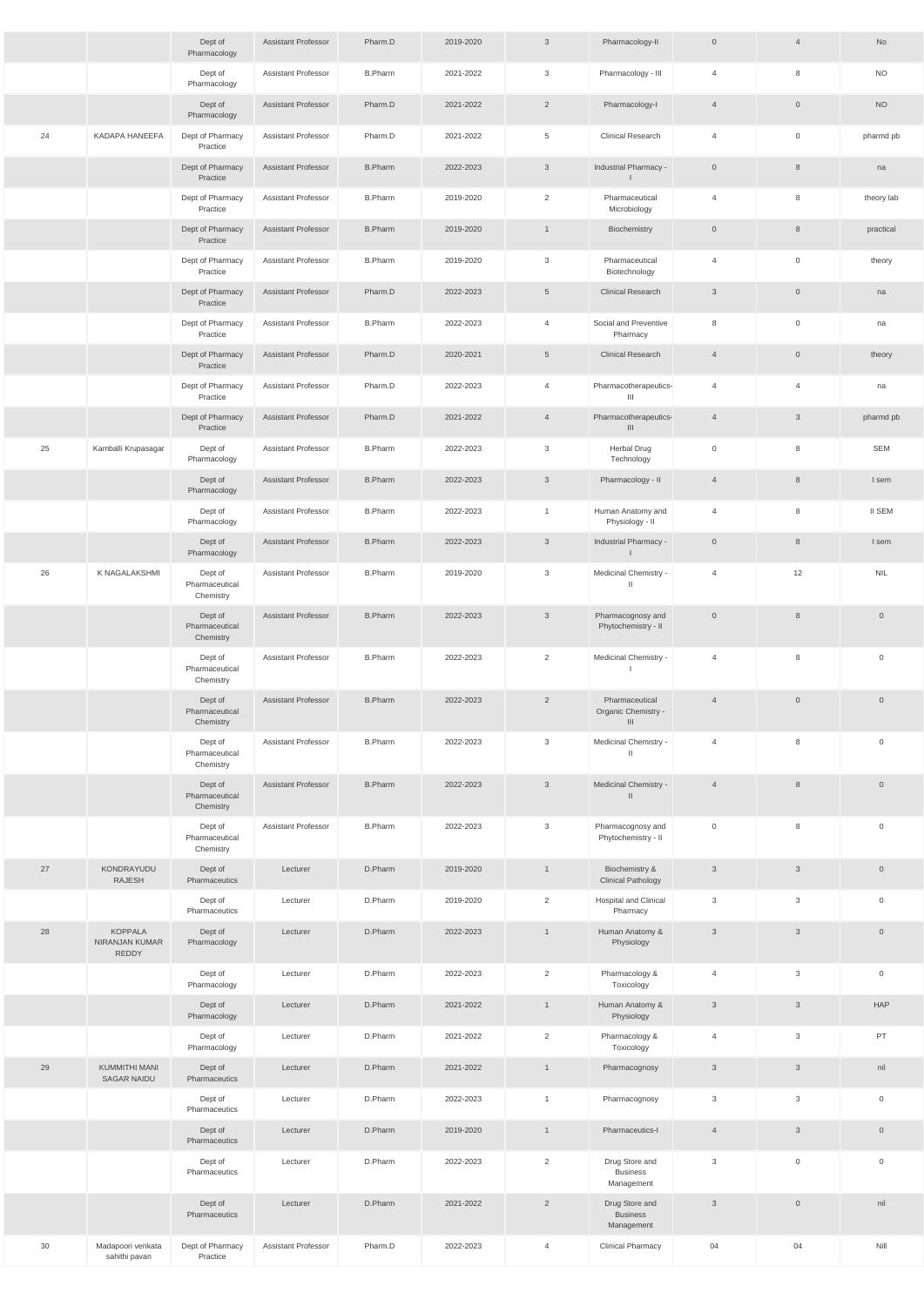|    |                                                  | Dept of<br>Pharmacology                | <b>Assistant Professor</b> | Pharm.D        | 2019-2020 | $\mathbf{3}$    | Pharmacology-II                                 | $\mathsf{O}$   | $\overline{4}$ | No                  |
|----|--------------------------------------------------|----------------------------------------|----------------------------|----------------|-----------|-----------------|-------------------------------------------------|----------------|----------------|---------------------|
|    |                                                  | Dept of<br>Pharmacology                | <b>Assistant Professor</b> | <b>B.Pharm</b> | 2021-2022 | 3               | Pharmacology - III                              | $\overline{4}$ | 8              | <b>NO</b>           |
|    |                                                  | Dept of<br>Pharmacology                | <b>Assistant Professor</b> | Pharm.D        | 2021-2022 | $\overline{2}$  | Pharmacology-I                                  | $\overline{4}$ | $\overline{0}$ | <b>NO</b>           |
| 24 | KADAPA HANEEFA                                   | Dept of Pharmacy<br>Practice           | <b>Assistant Professor</b> | Pharm.D        | 2021-2022 | 5               | <b>Clinical Research</b>                        | $\overline{4}$ | $\overline{0}$ | pharmd pb           |
|    |                                                  | Dept of Pharmacy<br>Practice           | <b>Assistant Professor</b> | <b>B.Pharm</b> | 2022-2023 | $\mathfrak{S}$  | Industrial Pharmacy -<br>$\mathsf{I}$           | $\overline{0}$ | 8              | na                  |
|    |                                                  | Dept of Pharmacy<br>Practice           | Assistant Professor        | <b>B.Pharm</b> | 2019-2020 | $\overline{2}$  | Pharmaceutical<br>Microbiology                  | 4              | 8              | theory lab          |
|    |                                                  | Dept of Pharmacy<br>Practice           | Assistant Professor        | <b>B.Pharm</b> | 2019-2020 | 1               | Biochemistry                                    | $\overline{0}$ | 8              | practical           |
|    |                                                  | Dept of Pharmacy<br>Practice           | <b>Assistant Professor</b> | <b>B.Pharm</b> | 2019-2020 | 3               | Pharmaceutical<br>Biotechnology                 | 4              | $\overline{0}$ | theory              |
|    |                                                  | Dept of Pharmacy<br>Practice           | <b>Assistant Professor</b> | Pharm.D        | 2022-2023 | $5\overline{)}$ | <b>Clinical Research</b>                        | $\mathbf{3}$   | $\overline{0}$ | na                  |
|    |                                                  | Dept of Pharmacy<br>Practice           | Assistant Professor        | <b>B.Pharm</b> | 2022-2023 | $\overline{4}$  | Social and Preventive<br>Pharmacy               | 8              | $\overline{0}$ | na                  |
|    |                                                  | Dept of Pharmacy<br>Practice           | Assistant Professor        | Pharm.D        | 2020-2021 | $5\overline{)}$ | <b>Clinical Research</b>                        | $\overline{4}$ | $\overline{0}$ | theory              |
|    |                                                  | Dept of Pharmacy<br>Practice           | <b>Assistant Professor</b> | Pharm.D        | 2022-2023 | $\overline{4}$  | Pharmacotherapeutics-<br>Ш                      | $\overline{4}$ | $\overline{4}$ | na                  |
|    |                                                  | Dept of Pharmacy<br>Practice           | <b>Assistant Professor</b> | Pharm.D        | 2021-2022 | $\overline{4}$  | Pharmacotherapeutics-<br>III                    | $\overline{4}$ | $\mathbf{3}$   | pharmd pb           |
| 25 | Kamballi Krupasagar                              | Dept of<br>Pharmacology                | Assistant Professor        | <b>B.Pharm</b> | 2022-2023 | 3               | <b>Herbal Drug</b><br>Technology                | $\mathbf 0$    | 8              | <b>SEM</b>          |
|    |                                                  | Dept of<br>Pharmacology                | <b>Assistant Professor</b> | <b>B.Pharm</b> | 2022-2023 | $\mathbf{3}$    | Pharmacology - II                               | $\overline{4}$ | $8\phantom{1}$ | I sem               |
|    |                                                  | Dept of<br>Pharmacology                | <b>Assistant Professor</b> | <b>B.Pharm</b> | 2022-2023 | $\mathbf{1}$    | Human Anatomy and<br>Physiology - II            | 4              | 8              | <b>II SEM</b>       |
|    |                                                  | Dept of<br>Pharmacology                | Assistant Professor        | <b>B.Pharm</b> | 2022-2023 | $\mathbf{3}$    | Industrial Pharmacy -                           | $\overline{0}$ | 8              | I sem               |
| 26 | K NAGALAKSHMI                                    | Dept of<br>Pharmaceutical<br>Chemistry | Assistant Professor        | <b>B.Pharm</b> | 2019-2020 | 3               | Medicinal Chemistry -<br>$\mathbf{H}$           | $\overline{4}$ | 12             | <b>NIL</b>          |
|    |                                                  | Dept of<br>Pharmaceutical<br>Chemistry | <b>Assistant Professor</b> | <b>B.Pharm</b> | 2022-2023 | $\mathfrak{Z}$  | Pharmacognosy and<br>Phytochemistry - II        | $\overline{0}$ | 8              | $\overline{0}$      |
|    |                                                  | Dept of<br>Pharmaceutical<br>Chemistry | Assistant Professor        | <b>B.Pharm</b> | 2022-2023 | $\overline{2}$  | Medicinal Chemistry -                           | $\overline{4}$ | 8              | $\mathsf 0$         |
|    |                                                  | Dept of<br>Pharmaceutical<br>Chemistry | <b>Assistant Professor</b> | <b>B.Pharm</b> | 2022-2023 | $\overline{2}$  | Pharmaceutical<br>Organic Chemistry -<br>III    | $\overline{4}$ | $\overline{0}$ | $\overline{0}$      |
|    |                                                  | Dept of<br>Pharmaceutical<br>Chemistry | Assistant Professor        | <b>B.Pharm</b> | 2022-2023 | $\mathbf{3}$    | Medicinal Chemistry -<br>$\mathbb{I}$           | $\overline{4}$ | 8              | $\overline{0}$      |
|    |                                                  | Dept of<br>Pharmaceutical<br>Chemistry | <b>Assistant Professor</b> | <b>B.Pharm</b> | 2022-2023 | $\mathbf{3}$    | Medicinal Chemistry -<br>$\mathbf{H}$           | $\overline{4}$ | 8              | $\overline{0}$      |
|    |                                                  | Dept of<br>Pharmaceutical<br>Chemistry | <b>Assistant Professor</b> | <b>B.Pharm</b> | 2022-2023 | 3               | Pharmacognosy and<br>Phytochemistry - II        | $\mathbf 0$    | 8              | $\mathsf{O}\xspace$ |
| 27 | KONDRAYUDU<br><b>RAJESH</b>                      | Dept of<br>Pharmaceutics               | Lecturer                   | D.Pharm        | 2019-2020 | $\mathbf{1}$    | Biochemistry &<br><b>Clinical Pathology</b>     | 3              | $\mathbf{3}$   | $\overline{0}$      |
|    |                                                  | Dept of<br>Pharmaceutics               | Lecturer                   | D.Pharm        | 2019-2020 | $\overline{2}$  | Hospital and Clinical<br>Pharmacy               | 3              | $\mathbf{3}$   | $\overline{0}$      |
| 28 | <b>KOPPALA</b><br>NIRANJAN KUMAR<br><b>REDDY</b> | Dept of<br>Pharmacology                | Lecturer                   | D.Pharm        | 2022-2023 | 1               | Human Anatomy &<br>Physiology                   | $\mathbf{3}$   | $\mathbf{3}$   | $\overline{0}$      |
|    |                                                  | Dept of<br>Pharmacology                | Lecturer                   | D.Pharm        | 2022-2023 | $\overline{2}$  | Pharmacology &<br>Toxicology                    | 4              | 3              | $\overline{0}$      |
|    |                                                  | Dept of<br>Pharmacology                | Lecturer                   | D.Pharm        | 2021-2022 | $\mathbf{1}$    | Human Anatomy &<br>Physiology                   | $\mathbf{3}$   | $\mathbf{3}$   | <b>HAP</b>          |
|    |                                                  | Dept of<br>Pharmacology                | Lecturer                   | D.Pharm        | 2021-2022 | $\overline{2}$  | Pharmacology &<br>Toxicology                    | $\overline{4}$ | $\mathbf{3}$   | PT                  |
| 29 | KUMMITHI MANI<br><b>SAGAR NAIDU</b>              | Dept of<br>Pharmaceutics               | Lecturer                   | D.Pharm        | 2021-2022 | $\mathbf{1}$    | Pharmacognosy                                   | $\mathbf{3}$   | $\mathbf{3}$   | nil                 |
|    |                                                  | Dept of<br>Pharmaceutics               | Lecturer                   | D.Pharm        | 2022-2023 | $\mathbf{1}$    | Pharmacognosy                                   | 3              | $\mathbf{3}$   | $\mathbf 0$         |
|    |                                                  | Dept of<br>Pharmaceutics               | Lecturer                   | D.Pharm        | 2019-2020 | 1               | Pharmaceutics-I                                 | $\overline{4}$ | $\mathbf{3}$   | $\mathsf{O}$        |
|    |                                                  | Dept of<br>Pharmaceutics               | Lecturer                   | D.Pharm        | 2022-2023 | $\overline{2}$  | Drug Store and<br><b>Business</b><br>Management | 3              | $\mathbf 0$    | $\,0\,$             |
|    |                                                  | Dept of<br>Pharmaceutics               | Lecturer                   | D.Pharm        | 2021-2022 | $\overline{2}$  | Drug Store and<br><b>Business</b><br>Management | $\mathbf{3}$   | $\overline{0}$ | nil                 |
| 30 | Madapoori venkata<br>sahithi pavan               | Dept of Pharmacy<br>Practice           | Assistant Professor        | Pharm.D        | 2022-2023 | $\overline{4}$  | <b>Clinical Pharmacy</b>                        | 04             | 04             | Nill                |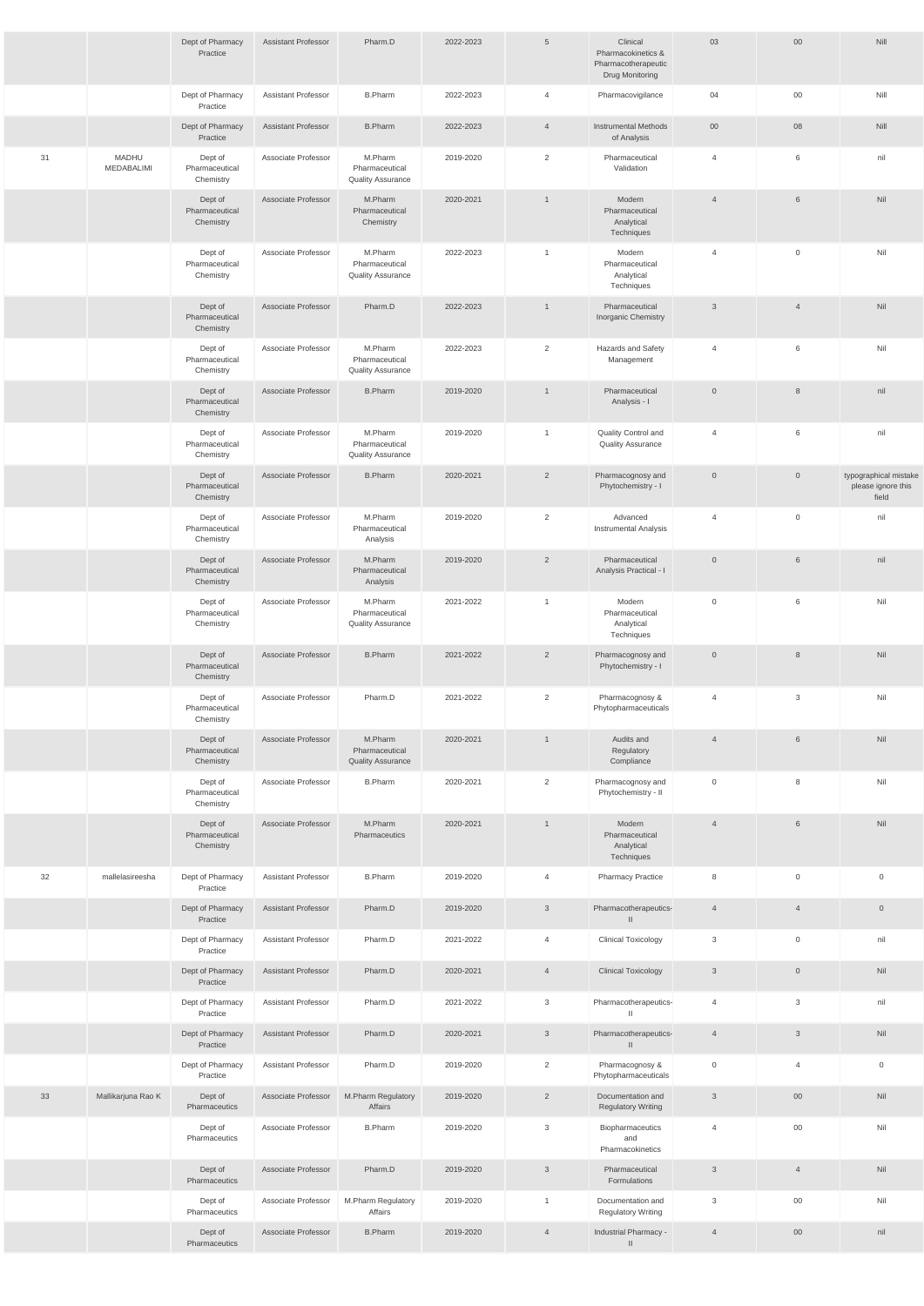|    |                     | Dept of Pharmacy<br>Practice           | <b>Assistant Professor</b> | Pharm.D                                               | 2022-2023 | $5\phantom{.0}$ | Clinical<br>Pharmacokinetics &<br>Pharmacotherapeutic<br>Drug Monitoring | 03             | $00\,$         | Nill                                                 |
|----|---------------------|----------------------------------------|----------------------------|-------------------------------------------------------|-----------|-----------------|--------------------------------------------------------------------------|----------------|----------------|------------------------------------------------------|
|    |                     | Dept of Pharmacy<br>Practice           | <b>Assistant Professor</b> | <b>B.Pharm</b>                                        | 2022-2023 | $\overline{4}$  | Pharmacovigilance                                                        | 04             | $00\,$         | Nill                                                 |
|    |                     | Dept of Pharmacy<br>Practice           | <b>Assistant Professor</b> | <b>B.Pharm</b>                                        | 2022-2023 | $\overline{4}$  | <b>Instrumental Methods</b><br>of Analysis                               | 00             | 08             | Nill                                                 |
| 31 | MADHU<br>MEDABALIMI | Dept of<br>Pharmaceutical<br>Chemistry | Associate Professor        | M.Pharm<br>Pharmaceutical<br><b>Quality Assurance</b> | 2019-2020 | $\overline{2}$  | Pharmaceutical<br>Validation                                             | $\overline{4}$ | 6              | nil                                                  |
|    |                     | Dept of<br>Pharmaceutical<br>Chemistry | Associate Professor        | M.Pharm<br>Pharmaceutical<br>Chemistry                | 2020-2021 | $\mathbf{1}$    | Modern<br>Pharmaceutical<br>Analytical<br>Techniques                     | $\overline{4}$ | 6              | Nil                                                  |
|    |                     | Dept of<br>Pharmaceutical<br>Chemistry | Associate Professor        | M.Pharm<br>Pharmaceutical<br><b>Quality Assurance</b> | 2022-2023 | $\mathbf{1}$    | Modern<br>Pharmaceutical<br>Analytical<br>Techniques                     | 4              | $\overline{0}$ | Nil                                                  |
|    |                     | Dept of<br>Pharmaceutical<br>Chemistry | Associate Professor        | Pharm.D                                               | 2022-2023 | $\mathbf{1}$    | Pharmaceutical<br>Inorganic Chemistry                                    | $\mathsf 3$    | $\overline{4}$ | Nil                                                  |
|    |                     | Dept of<br>Pharmaceutical<br>Chemistry | Associate Professor        | M.Pharm<br>Pharmaceutical<br><b>Quality Assurance</b> | 2022-2023 | $\overline{2}$  | Hazards and Safety<br>Management                                         | 4              | 6              | Nil                                                  |
|    |                     | Dept of<br>Pharmaceutical<br>Chemistry | Associate Professor        | <b>B.Pharm</b>                                        | 2019-2020 | $\mathbf{1}$    | Pharmaceutical<br>Analysis - I                                           | $\overline{0}$ | 8              | nil                                                  |
|    |                     | Dept of<br>Pharmaceutical<br>Chemistry | Associate Professor        | M.Pharm<br>Pharmaceutical<br><b>Quality Assurance</b> | 2019-2020 | $\mathbf{1}$    | Quality Control and<br><b>Quality Assurance</b>                          | 4              | 6              | nil                                                  |
|    |                     | Dept of<br>Pharmaceutical<br>Chemistry | Associate Professor        | <b>B.Pharm</b>                                        | 2020-2021 | $\overline{2}$  | Pharmacognosy and<br>Phytochemistry - I                                  | $\overline{0}$ | $\overline{0}$ | typographical mistake<br>please ignore this<br>field |
|    |                     | Dept of<br>Pharmaceutical<br>Chemistry | Associate Professor        | M.Pharm<br>Pharmaceutical<br>Analysis                 | 2019-2020 | 2               | Advanced<br><b>Instrumental Analysis</b>                                 | $\overline{4}$ | $\overline{0}$ | nil                                                  |
|    |                     | Dept of<br>Pharmaceutical<br>Chemistry | Associate Professor        | M.Pharm<br>Pharmaceutical<br>Analysis                 | 2019-2020 | $\overline{2}$  | Pharmaceutical<br>Analysis Practical - I                                 | $\overline{0}$ | $6\,$          | nil                                                  |
|    |                     | Dept of<br>Pharmaceutical<br>Chemistry | Associate Professor        | M.Pharm<br>Pharmaceutical<br><b>Quality Assurance</b> | 2021-2022 | $\mathbf{1}$    | Modern<br>Pharmaceutical<br>Analytical<br>Techniques                     | $\overline{0}$ | 6              | Nil                                                  |
|    |                     | Dept of<br>Pharmaceutical<br>Chemistry | Associate Professor        | <b>B.Pharm</b>                                        | 2021-2022 | $\overline{2}$  | Pharmacognosy and<br>Phytochemistry - I                                  | $\overline{0}$ | 8              | Nil                                                  |
|    |                     | Dept of<br>Pharmaceutical<br>Chemistry | Associate Professor        | Pharm.D                                               | 2021-2022 | $\overline{2}$  | Pharmacognosy &<br>Phytopharmaceuticals                                  | $\overline{4}$ | 3              | Nil                                                  |
|    |                     | Dept of<br>Pharmaceutical<br>Chemistry | Associate Professor        | M.Pharm<br>Pharmaceutical<br><b>Quality Assurance</b> | 2020-2021 | $\mathbf{1}$    | Audits and<br>Regulatory<br>Compliance                                   | $\overline{4}$ | 6              | Nil                                                  |
|    |                     | Dept of<br>Pharmaceutical<br>Chemistry | Associate Professor        | <b>B.Pharm</b>                                        | 2020-2021 | $\overline{2}$  | Pharmacognosy and<br>Phytochemistry - II                                 | $\mathbf 0$    | 8              | Nil                                                  |
|    |                     | Dept of<br>Pharmaceutical<br>Chemistry | Associate Professor        | M.Pharm<br>Pharmaceutics                              | 2020-2021 | $\mathbf{1}$    | Modern<br>Pharmaceutical<br>Analytical<br>Techniques                     | $\overline{4}$ | $\,6\,$        | Nil                                                  |
| 32 | mallelasireesha     | Dept of Pharmacy<br>Practice           | Assistant Professor        | <b>B.Pharm</b>                                        | 2019-2020 | $\overline{4}$  | <b>Pharmacy Practice</b>                                                 | 8              | $\mathbf 0$    | $\mathbf 0$                                          |
|    |                     | Dept of Pharmacy<br>Practice           | <b>Assistant Professor</b> | Pharm.D                                               | 2019-2020 | $\mathbf{3}$    | Pharmacotherapeutics-<br>$\mathbf{I}$                                    | $\overline{4}$ | $\overline{4}$ | $\mathsf{O}$                                         |
|    |                     | Dept of Pharmacy<br>Practice           | <b>Assistant Professor</b> | Pharm.D                                               | 2021-2022 | $\overline{4}$  | <b>Clinical Toxicology</b>                                               | 3              | $\mathbf 0$    | nil                                                  |
|    |                     | Dept of Pharmacy<br>Practice           | <b>Assistant Professor</b> | Pharm.D                                               | 2020-2021 | $\overline{4}$  | <b>Clinical Toxicology</b>                                               | $\mathbf{3}$   | $\mathbb O$    | Nil                                                  |
|    |                     | Dept of Pharmacy<br>Practice           | <b>Assistant Professor</b> | Pharm.D                                               | 2021-2022 | 3               | Pharmacotherapeutics-<br>$\Box$                                          | 4              | 3              | nil                                                  |
|    |                     | Dept of Pharmacy<br>Practice           | <b>Assistant Professor</b> | Pharm.D                                               | 2020-2021 | $\mathfrak{Z}$  | Pharmacotherapeutics-<br>$\mathbf{H}$                                    | $\overline{4}$ | $\mathbf{3}$   | Nil                                                  |
|    |                     | Dept of Pharmacy<br>Practice           | Assistant Professor        | Pharm.D                                               | 2019-2020 | $\overline{2}$  | Pharmacognosy &<br>Phytopharmaceuticals                                  | $\overline{0}$ | $\overline{4}$ | $\mathsf{O}\xspace$                                  |
| 33 | Mallikarjuna Rao K  | Dept of<br>Pharmaceutics               | Associate Professor        | M.Pharm Regulatory<br>Affairs                         | 2019-2020 | $\overline{2}$  | Documentation and<br><b>Regulatory Writing</b>                           | $\mathbf{3}$   | $00\,$         | Nil                                                  |
|    |                     | Dept of<br>Pharmaceutics               | Associate Professor        | <b>B.Pharm</b>                                        | 2019-2020 | $\mathbf{3}$    | Biopharmaceutics<br>and<br>Pharmacokinetics                              | $\overline{4}$ | $00\,$         | Nil                                                  |
|    |                     | Dept of<br>Pharmaceutics               | Associate Professor        | Pharm.D                                               | 2019-2020 | $\mathbf{3}$    | Pharmaceutical<br>Formulations                                           | $\mathbf{3}$   | $\overline{4}$ | Nil                                                  |
|    |                     | Dept of<br>Pharmaceutics               | Associate Professor        | M.Pharm Regulatory<br>Affairs                         | 2019-2020 | $\mathbf{1}$    | Documentation and<br><b>Regulatory Writing</b>                           | 3              | $00\,$         | Nil                                                  |
|    |                     | Dept of<br>Pharmaceutics               | Associate Professor        | <b>B.Pharm</b>                                        | 2019-2020 | $\overline{4}$  | Industrial Pharmacy -<br>$\mathbb{I}$                                    | $\overline{4}$ | $00\,$         | nil                                                  |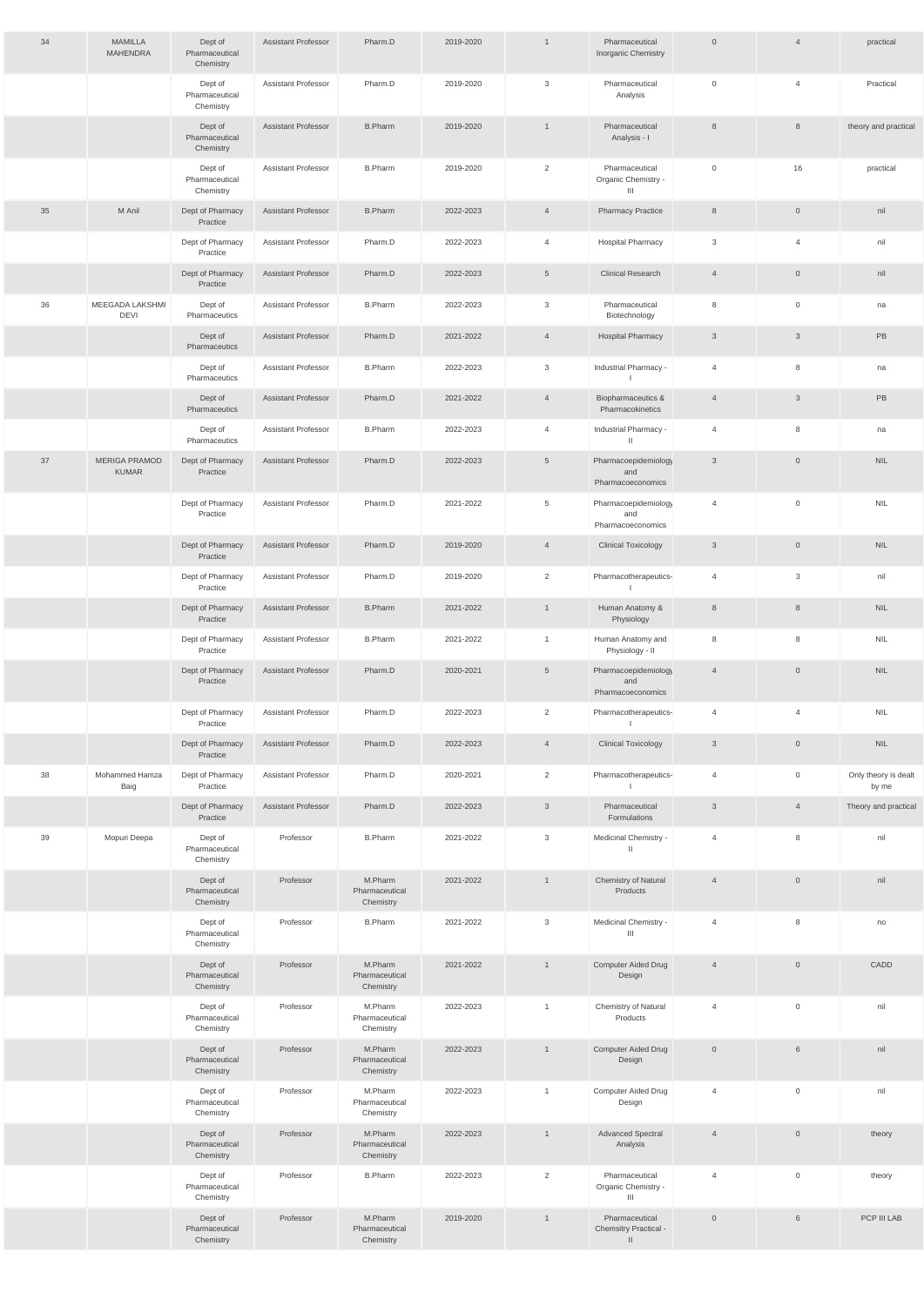| 34 | <b>MAMILLA</b><br><b>MAHENDRA</b>    | Dept of<br>Pharmaceutical<br>Chemistry | Assistant Professor | Pharm.D                                | 2019-2020 | $\mathbf{1}$    | Pharmaceutical<br>Inorganic Chemistry                   | $\overline{0}$ | $\overline{4}$      | practical                     |
|----|--------------------------------------|----------------------------------------|---------------------|----------------------------------------|-----------|-----------------|---------------------------------------------------------|----------------|---------------------|-------------------------------|
|    |                                      | Dept of<br>Pharmaceutical<br>Chemistry | Assistant Professor | Pharm.D                                | 2019-2020 | $\mathbf{3}$    | Pharmaceutical<br>Analysis                              | $\overline{0}$ | $\overline{4}$      | Practical                     |
|    |                                      | Dept of<br>Pharmaceutical<br>Chemistry | Assistant Professor | <b>B.Pharm</b>                         | 2019-2020 | $\mathbf{1}$    | Pharmaceutical<br>Analysis - I                          | 8              | 8                   | theory and practical          |
|    |                                      | Dept of<br>Pharmaceutical<br>Chemistry | Assistant Professor | <b>B.Pharm</b>                         | 2019-2020 | 2               | Pharmaceutical<br>Organic Chemistry -<br>Ш              | $\overline{0}$ | 16                  | practical                     |
| 35 | M Anil                               | Dept of Pharmacy<br>Practice           | Assistant Professor | <b>B.Pharm</b>                         | 2022-2023 | $\overline{4}$  | <b>Pharmacy Practice</b>                                | 8              | $\overline{0}$      | nil                           |
|    |                                      | Dept of Pharmacy<br>Practice           | Assistant Professor | Pharm.D                                | 2022-2023 | $\overline{4}$  | <b>Hospital Pharmacy</b>                                | 3              | $\overline{4}$      | nil                           |
|    |                                      | Dept of Pharmacy<br>Practice           | Assistant Professor | Pharm.D                                | 2022-2023 | $5\phantom{.0}$ | <b>Clinical Research</b>                                | $\overline{4}$ | $\overline{0}$      | nil                           |
| 36 | MEEGADA LAKSHMI<br><b>DEVI</b>       | Dept of<br>Pharmaceutics               | Assistant Professor | <b>B.Pharm</b>                         | 2022-2023 | $\mathbf{3}$    | Pharmaceutical<br>Biotechnology                         | 8              | $\mathbf 0$         | na                            |
|    |                                      | Dept of<br>Pharmaceutics               | Assistant Professor | Pharm.D                                | 2021-2022 | $\overline{4}$  | <b>Hospital Pharmacy</b>                                | $\mathbf{3}$   | $\mathfrak{S}$      | PB                            |
|    |                                      | Dept of<br>Pharmaceutics               | Assistant Professor | <b>B.Pharm</b>                         | 2022-2023 | $\mathbf{3}$    | Industrial Pharmacy -                                   | $\overline{4}$ | 8                   | na                            |
|    |                                      | Dept of<br>Pharmaceutics               | Assistant Professor | Pharm.D                                | 2021-2022 | $\overline{4}$  | Biopharmaceutics &<br>Pharmacokinetics                  | $\overline{4}$ | $\mathfrak{S}$      | PB                            |
|    |                                      | Dept of<br>Pharmaceutics               | Assistant Professor | <b>B.Pharm</b>                         | 2022-2023 | $\overline{4}$  | Industrial Pharmacy -<br>$\mathbf{H}$                   | $\overline{4}$ | 8                   | na                            |
| 37 | <b>MERIGA PRAMOD</b><br><b>KUMAR</b> | Dept of Pharmacy<br>Practice           | Assistant Professor | Pharm.D                                | 2022-2023 | $5\phantom{.0}$ | Pharmacoepidemiology<br>and<br>Pharmacoeconomics        | $\mathbf{3}$   | $\overline{0}$      | <b>NIL</b>                    |
|    |                                      | Dept of Pharmacy<br>Practice           | Assistant Professor | Pharm.D                                | 2021-2022 | 5               | Pharmacoepidemiology<br>and<br>Pharmacoeconomics        | $\overline{4}$ | $\overline{0}$      | <b>NIL</b>                    |
|    |                                      | Dept of Pharmacy<br>Practice           | Assistant Professor | Pharm.D                                | 2019-2020 | $\overline{4}$  | <b>Clinical Toxicology</b>                              | $\mathbf{3}$   | $\overline{0}$      | <b>NIL</b>                    |
|    |                                      | Dept of Pharmacy<br>Practice           | Assistant Professor | Pharm.D                                | 2019-2020 | 2               | Pharmacotherapeutics-                                   | $\overline{4}$ | 3                   | nil                           |
|    |                                      | Dept of Pharmacy<br>Practice           | Assistant Professor | <b>B.Pharm</b>                         | 2021-2022 | $\overline{1}$  | Human Anatomy &<br>Physiology                           | 8              | 8                   | NIL.                          |
|    |                                      | Dept of Pharmacy<br>Practice           | Assistant Professor | <b>B.Pharm</b>                         | 2021-2022 | $\mathbf{1}$    | Human Anatomy and<br>Physiology - II                    | 8              | 8                   | <b>NIL</b>                    |
|    |                                      | Dept of Pharmacy<br>Practice           | Assistant Professor | Pharm.D                                | 2020-2021 | $5\phantom{.0}$ | Pharmacoepidemiology<br>and<br>Pharmacoeconomics        | $\overline{4}$ | $\overline{0}$      | NIL.                          |
|    |                                      | Dept of Pharmacy<br>Practice           | Assistant Professor | Pharm.D                                | 2022-2023 | 2               | Pharmacotherapeutics-                                   | $\overline{4}$ | $\overline{4}$      | <b>NIL</b>                    |
|    |                                      | Dept of Pharmacy<br>Practice           | Assistant Professor | Pharm.D                                | 2022-2023 | $\overline{4}$  | <b>Clinical Toxicology</b>                              | $\mathbf{3}$   | $\overline{0}$      | <b>NIL</b>                    |
| 38 | Mohammed Hamza<br>Baig               | Dept of Pharmacy<br>Practice           | Assistant Professor | Pharm.D                                | 2020-2021 | 2               | Pharmacotherapeutics-                                   | $\overline{4}$ | $\mathbf 0$         | Only theory is dealt<br>by me |
|    |                                      | Dept of Pharmacy<br>Practice           | Assistant Professor | Pharm.D                                | 2022-2023 | $\mathbf{3}$    | Pharmaceutical<br>Formulations                          | $\mathbf{3}$   | $\overline{4}$      | Theory and practical          |
| 39 | Mopuri Deepa                         | Dept of<br>Pharmaceutical<br>Chemistry | Professor           | <b>B.Pharm</b>                         | 2021-2022 | $\mathbf{3}$    | Medicinal Chemistry -<br>Ш                              | 4              | 8                   | nil                           |
|    |                                      | Dept of<br>Pharmaceutical<br>Chemistry | Professor           | M.Pharm<br>Pharmaceutical<br>Chemistry | 2021-2022 | $\mathbf{1}$    | Chemistry of Natural<br>Products                        | $\overline{4}$ | $\overline{0}$      | nil                           |
|    |                                      | Dept of<br>Pharmaceutical<br>Chemistry | Professor           | <b>B.Pharm</b>                         | 2021-2022 | 3               | Medicinal Chemistry -<br>Ш                              | $\overline{4}$ | 8                   | no                            |
|    |                                      | Dept of<br>Pharmaceutical<br>Chemistry | Professor           | M.Pharm<br>Pharmaceutical<br>Chemistry | 2021-2022 | $\mathbf{1}$    | Computer Aided Drug<br>Design                           | $\overline{4}$ | $\overline{0}$      | CADD                          |
|    |                                      | Dept of<br>Pharmaceutical<br>Chemistry | Professor           | M.Pharm<br>Pharmaceutical<br>Chemistry | 2022-2023 | $\mathbf{1}$    | Chemistry of Natural<br>Products                        | 4              | 0                   | nil                           |
|    |                                      | Dept of<br>Pharmaceutical<br>Chemistry | Professor           | M.Pharm<br>Pharmaceutical<br>Chemistry | 2022-2023 | $\mathbf{1}$    | Computer Aided Drug<br>Design                           | $\overline{0}$ | $6\overline{6}$     | nil                           |
|    |                                      | Dept of<br>Pharmaceutical<br>Chemistry | Professor           | M.Pharm<br>Pharmaceutical<br>Chemistry | 2022-2023 | $\overline{1}$  | Computer Aided Drug<br>Design                           | $\overline{4}$ | $\mathsf{O}$        | nil                           |
|    |                                      | Dept of<br>Pharmaceutical<br>Chemistry | Professor           | M.Pharm<br>Pharmaceutical<br>Chemistry | 2022-2023 | $\mathbf{1}$    | Advanced Spectral<br>Analysis                           | $\overline{4}$ | $\overline{0}$      | theory                        |
|    |                                      | Dept of<br>Pharmaceutical<br>Chemistry | Professor           | <b>B.Pharm</b>                         | 2022-2023 | 2               | Pharmaceutical<br>Organic Chemistry -<br>$\mathbf{III}$ | $\overline{4}$ | $\mathsf{O}\xspace$ | theory                        |
|    |                                      | Dept of<br>Pharmaceutical<br>Chemistry | Professor           | M.Pharm<br>Pharmaceutical<br>Chemistry | 2019-2020 | $\overline{1}$  | Pharmaceutical<br>Chemsitry Practical -<br>$\parallel$  | $\overline{0}$ | $6\overline{6}$     | PCP III LAB                   |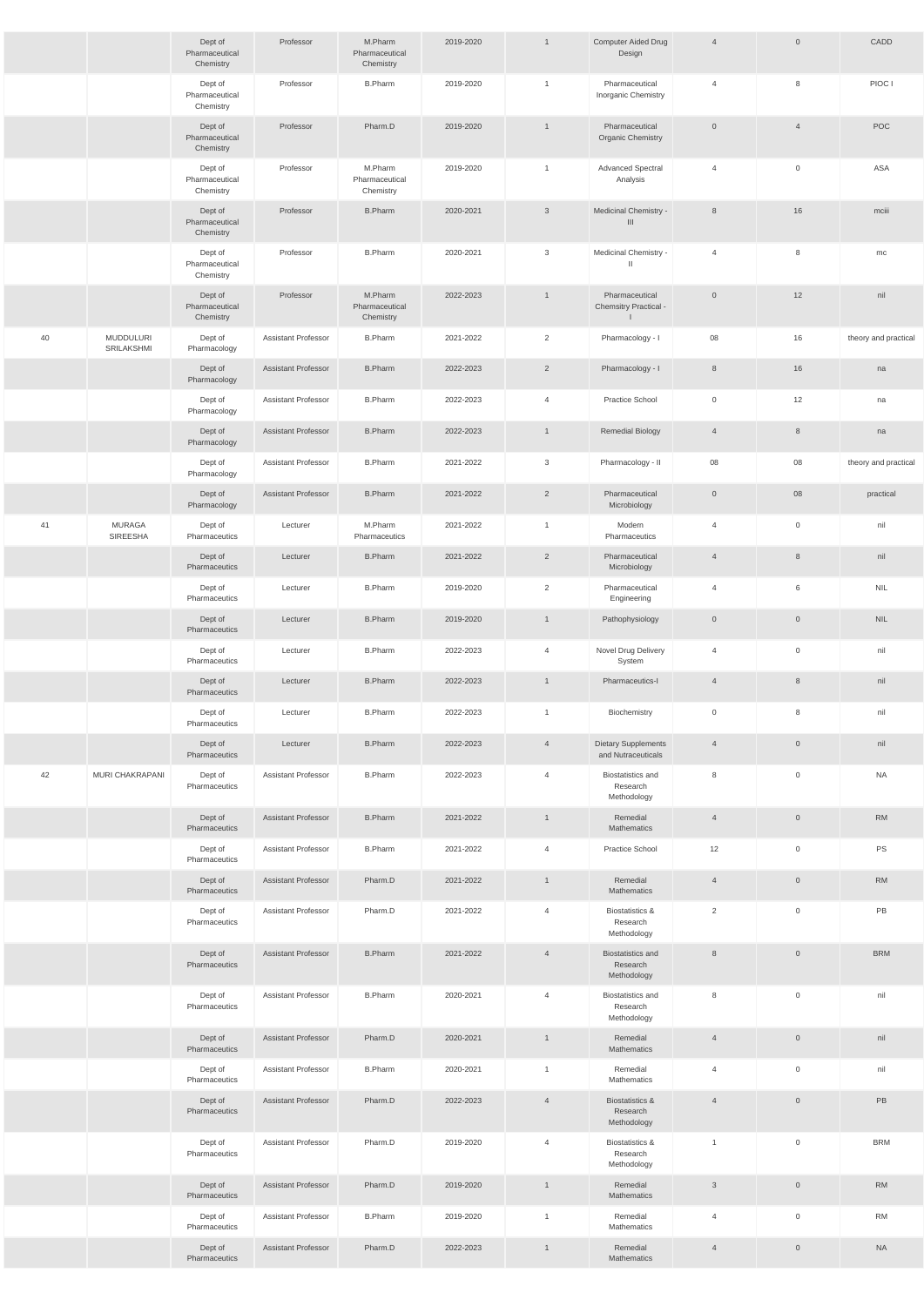|    |                                | Dept of<br>Pharmaceutical<br>Chemistry | Professor                  | M.Pharm<br>Pharmaceutical<br>Chemistry | 2019-2020 | $\overline{1}$ | Computer Aided Drug<br>Design                           | $\overline{4}$ | $\overline{0}$      | CADD                 |
|----|--------------------------------|----------------------------------------|----------------------------|----------------------------------------|-----------|----------------|---------------------------------------------------------|----------------|---------------------|----------------------|
|    |                                | Dept of<br>Pharmaceutical<br>Chemistry | Professor                  | <b>B.Pharm</b>                         | 2019-2020 | $\overline{1}$ | Pharmaceutical<br>Inorganic Chemistry                   | $\overline{4}$ | 8                   | PIOC I               |
|    |                                | Dept of<br>Pharmaceutical<br>Chemistry | Professor                  | Pharm.D                                | 2019-2020 | $\overline{1}$ | Pharmaceutical<br><b>Organic Chemistry</b>              | $\overline{0}$ | $\overline{4}$      | POC                  |
|    |                                | Dept of<br>Pharmaceutical<br>Chemistry | Professor                  | M.Pharm<br>Pharmaceutical<br>Chemistry | 2019-2020 | $\overline{1}$ | <b>Advanced Spectral</b><br>Analysis                    | $\overline{4}$ | $\mathbf{0}$        | ASA                  |
|    |                                | Dept of<br>Pharmaceutical<br>Chemistry | Professor                  | <b>B.Pharm</b>                         | 2020-2021 | $\mathbf{3}$   | Medicinal Chemistry -<br>$\mathbf{III}$                 | 8              | 16                  | mciii                |
|    |                                | Dept of<br>Pharmaceutical<br>Chemistry | Professor                  | <b>B.Pharm</b>                         | 2020-2021 | $\mathbf{3}$   | Medicinal Chemistry -<br>$\mathbf{H}$                   | $\overline{4}$ | 8                   | mc                   |
|    |                                | Dept of<br>Pharmaceutical<br>Chemistry | Professor                  | M.Pharm<br>Pharmaceutical<br>Chemistry | 2022-2023 | $\overline{1}$ | Pharmaceutical<br>Chemsitry Practical -<br>$\mathbf{L}$ | $\overline{0}$ | 12                  | nil                  |
| 40 | <b>MUDDULURI</b><br>SRILAKSHMI | Dept of<br>Pharmacology                | <b>Assistant Professor</b> | <b>B.Pharm</b>                         | 2021-2022 | $\overline{2}$ | Pharmacology - I                                        | 08             | 16                  | theory and practical |
|    |                                | Dept of<br>Pharmacology                | <b>Assistant Professor</b> | <b>B.Pharm</b>                         | 2022-2023 | $\overline{2}$ | Pharmacology - I                                        | 8              | 16                  | na                   |
|    |                                | Dept of<br>Pharmacology                | <b>Assistant Professor</b> | <b>B.Pharm</b>                         | 2022-2023 | $\overline{4}$ | Practice School                                         | $\mathbf 0$    | 12                  | na                   |
|    |                                | Dept of<br>Pharmacology                | <b>Assistant Professor</b> | <b>B.Pharm</b>                         | 2022-2023 | $\overline{1}$ | <b>Remedial Biology</b>                                 | $\overline{4}$ | 8                   | na                   |
|    |                                | Dept of<br>Pharmacology                | <b>Assistant Professor</b> | <b>B.Pharm</b>                         | 2021-2022 | 3              | Pharmacology - II                                       | 08             | 08                  | theory and practical |
|    |                                | Dept of<br>Pharmacology                | <b>Assistant Professor</b> | <b>B.Pharm</b>                         | 2021-2022 | $\overline{2}$ | Pharmaceutical<br>Microbiology                          | $\overline{0}$ | 08                  | practical            |
| 41 | <b>MURAGA</b><br>SIREESHA      | Dept of<br>Pharmaceutics               | Lecturer                   | M.Pharm<br>Pharmaceutics               | 2021-2022 | $\overline{1}$ | Modern<br>Pharmaceutics                                 | 4              | $\mathbf 0$         | nil                  |
|    |                                | Dept of<br>Pharmaceutics               | Lecturer                   | <b>B.Pharm</b>                         | 2021-2022 | $\overline{2}$ | Pharmaceutical<br>Microbiology                          | $\overline{4}$ | $\,8\,$             | nil                  |
|    |                                | Dept of<br>Pharmaceutics               | Lecturer                   | <b>B.Pharm</b>                         | 2019-2020 | $\overline{2}$ | Pharmaceutical<br>Engineering                           | 4              | 6                   | <b>NIL</b>           |
|    |                                | Dept of<br>Pharmaceutics               | Lecturer                   | <b>B.Pharm</b>                         | 2019-2020 | $\overline{1}$ | Pathophysiology                                         | $\overline{0}$ | $\mathsf{O}\xspace$ | <b>NIL</b>           |
|    |                                | Dept of<br>Pharmaceutics               | Lecturer                   | <b>B.Pharm</b>                         | 2022-2023 | $\overline{4}$ | Novel Drug Delivery<br>System                           | 4              | $\overline{0}$      | nil                  |
|    |                                | Dept of<br>Pharmaceutics               | Lecturer                   | <b>B.Pharm</b>                         | 2022-2023 | $\mathbf{1}$   | Pharmaceutics-I                                         | $\overline{4}$ | $\,8\,$             | nil                  |
|    |                                | Dept of<br>Pharmaceutics               | Lecturer                   | <b>B.Pharm</b>                         | 2022-2023 | $\overline{1}$ | Biochemistry                                            | $\mathbf 0$    | 8                   | nil                  |
|    |                                | Dept of<br>Pharmaceutics               | Lecturer                   | <b>B.Pharm</b>                         | 2022-2023 | $\overline{4}$ | <b>Dietary Supplements</b><br>and Nutraceuticals        | $\overline{4}$ | $\overline{0}$      | nil                  |
| 42 | MURI CHAKRAPANI                | Dept of<br>Pharmaceutics               | <b>Assistant Professor</b> | <b>B.Pharm</b>                         | 2022-2023 | $\overline{4}$ | <b>Biostatistics and</b><br>Research<br>Methodology     | 8              | $\mathbf 0$         | <b>NA</b>            |
|    |                                | Dept of<br>Pharmaceutics               | <b>Assistant Professor</b> | <b>B.Pharm</b>                         | 2021-2022 | $\overline{1}$ | Remedial<br>Mathematics                                 | $\overline{4}$ | $\overline{0}$      | <b>RM</b>            |
|    |                                | Dept of<br>Pharmaceutics               | <b>Assistant Professor</b> | <b>B.Pharm</b>                         | 2021-2022 | $\overline{4}$ | Practice School                                         | 12             | $\overline{0}$      | PS                   |
|    |                                | Dept of<br>Pharmaceutics               | <b>Assistant Professor</b> | Pharm.D                                | 2021-2022 | $\overline{1}$ | Remedial<br>Mathematics                                 | $\overline{4}$ | $\overline{0}$      | <b>RM</b>            |
|    |                                | Dept of<br>Pharmaceutics               | <b>Assistant Professor</b> | Pharm.D                                | 2021-2022 | $\overline{4}$ | <b>Biostatistics &amp;</b><br>Research<br>Methodology   | 2              | $\overline{0}$      | PB                   |
|    |                                | Dept of<br>Pharmaceutics               | <b>Assistant Professor</b> | <b>B.Pharm</b>                         | 2021-2022 | $\overline{4}$ | <b>Biostatistics and</b><br>Research<br>Methodology     | 8              | $\overline{0}$      | <b>BRM</b>           |
|    |                                | Dept of<br>Pharmaceutics               | <b>Assistant Professor</b> | <b>B.Pharm</b>                         | 2020-2021 | $\overline{4}$ | <b>Biostatistics and</b><br>Research<br>Methodology     | 8              | $\overline{0}$      | nil                  |
|    |                                | Dept of<br>Pharmaceutics               | <b>Assistant Professor</b> | Pharm.D                                | 2020-2021 | $\overline{1}$ | Remedial<br>Mathematics                                 | $\overline{4}$ | $\overline{0}$      | nil                  |
|    |                                | Dept of<br>Pharmaceutics               | <b>Assistant Professor</b> | <b>B.Pharm</b>                         | 2020-2021 | $\mathbf{1}$   | Remedial<br>Mathematics                                 | 4              | $\overline{0}$      | nil                  |
|    |                                | Dept of<br>Pharmaceutics               | <b>Assistant Professor</b> | Pharm.D                                | 2022-2023 | $\overline{4}$ | <b>Biostatistics &amp;</b><br>Research<br>Methodology   | $\overline{4}$ | $\overline{0}$      | PB                   |
|    |                                | Dept of<br>Pharmaceutics               | <b>Assistant Professor</b> | Pharm.D                                | 2019-2020 | $\overline{4}$ | <b>Biostatistics &amp;</b><br>Research<br>Methodology   | $\mathbf{1}$   | $\mathbf 0$         | <b>BRM</b>           |
|    |                                | Dept of<br>Pharmaceutics               | <b>Assistant Professor</b> | Pharm.D                                | 2019-2020 | $\overline{1}$ | Remedial<br>Mathematics                                 | $\mathbf{3}$   | $\mathsf{O}\xspace$ | <b>RM</b>            |
|    |                                | Dept of<br>Pharmaceutics               | <b>Assistant Professor</b> | <b>B.Pharm</b>                         | 2019-2020 | $\mathbf{1}$   | Remedial<br>Mathematics                                 | 4              | $\mathbf 0$         | <b>RM</b>            |
|    |                                | Dept of<br>Pharmaceutics               | <b>Assistant Professor</b> | Pharm.D                                | 2022-2023 | $\overline{1}$ | Remedial<br>Mathematics                                 | $\overline{4}$ | $\overline{0}$      | <b>NA</b>            |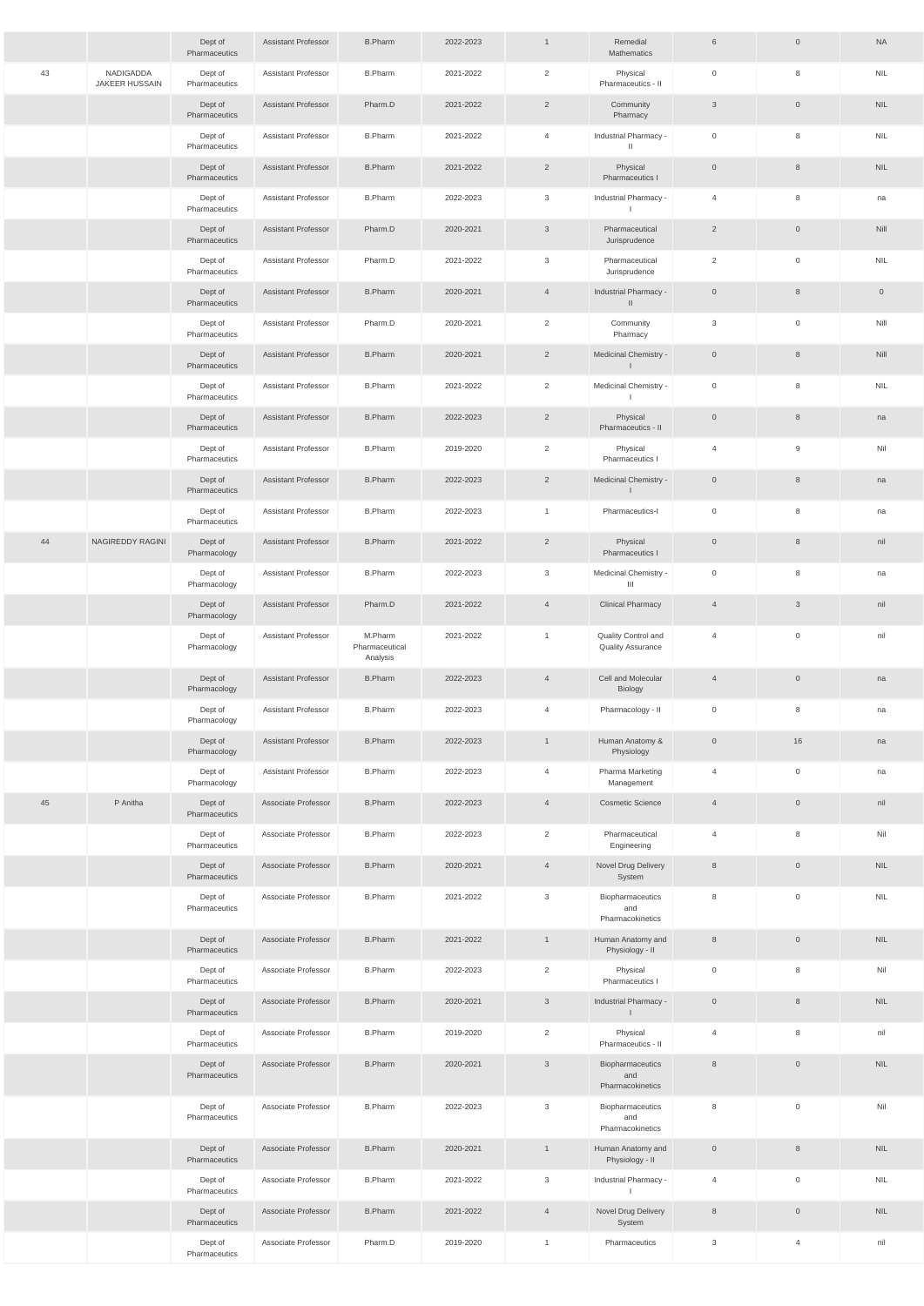|    |                             | Dept of<br>Pharmaceutics | <b>Assistant Professor</b> | <b>B.Pharm</b>                        | 2022-2023 | $\mathbf{1}$   | Remedial<br>Mathematics                         | $6\phantom{.}6$ | $\mathsf{O}$        | <b>NA</b>           |
|----|-----------------------------|--------------------------|----------------------------|---------------------------------------|-----------|----------------|-------------------------------------------------|-----------------|---------------------|---------------------|
| 43 | NADIGADDA<br>JAKEER HUSSAIN | Dept of<br>Pharmaceutics | <b>Assistant Professor</b> | <b>B.Pharm</b>                        | 2021-2022 | $\overline{2}$ | Physical<br>Pharmaceutics - II                  | $\overline{0}$  | 8                   | <b>NIL</b>          |
|    |                             | Dept of<br>Pharmaceutics | <b>Assistant Professor</b> | Pharm.D                               | 2021-2022 | $\overline{2}$ | Community<br>Pharmacy                           | $\mathbf{3}$    | $\mathsf{O}$        | <b>NIL</b>          |
|    |                             | Dept of<br>Pharmaceutics | Assistant Professor        | <b>B.Pharm</b>                        | 2021-2022 | $\overline{4}$ | Industrial Pharmacy -<br>$\mathbf{H}$           | $\overline{0}$  | 8                   | <b>NIL</b>          |
|    |                             | Dept of<br>Pharmaceutics | <b>Assistant Professor</b> | <b>B.Pharm</b>                        | 2021-2022 | $\overline{2}$ | Physical<br>Pharmaceutics I                     | $\overline{0}$  | $\,8\,$             | <b>NIL</b>          |
|    |                             | Dept of<br>Pharmaceutics | <b>Assistant Professor</b> | <b>B.Pharm</b>                        | 2022-2023 | 3              | Industrial Pharmacy -<br>$\perp$                | 4               | 8                   | na                  |
|    |                             | Dept of<br>Pharmaceutics | <b>Assistant Professor</b> | Pharm.D                               | 2020-2021 | $\mathbf{3}$   | Pharmaceutical<br>Jurisprudence                 | $\overline{2}$  | $\overline{0}$      | Nill                |
|    |                             | Dept of<br>Pharmaceutics | Assistant Professor        | Pharm.D                               | 2021-2022 | 3              | Pharmaceutical<br>Jurisprudence                 | $\overline{2}$  | $\mathsf{O}\xspace$ | <b>NIL</b>          |
|    |                             | Dept of<br>Pharmaceutics | <b>Assistant Professor</b> | <b>B.Pharm</b>                        | 2020-2021 | $\overline{4}$ | Industrial Pharmacy -<br>$\mathbf{II}$          | $\overline{0}$  | $\,8\,$             | $\mathsf{O}\xspace$ |
|    |                             | Dept of<br>Pharmaceutics | <b>Assistant Professor</b> | Pharm.D                               | 2020-2021 | $\overline{2}$ | Community<br>Pharmacy                           | 3               | $\mathsf{O}\xspace$ | Nill                |
|    |                             | Dept of<br>Pharmaceutics | <b>Assistant Professor</b> | <b>B.Pharm</b>                        | 2020-2021 | $\overline{2}$ | Medicinal Chemistry -<br>$\mathbf{L}$           | $\overline{0}$  | $\,8\,$             | Nill                |
|    |                             | Dept of<br>Pharmaceutics | Assistant Professor        | <b>B.Pharm</b>                        | 2021-2022 | $\overline{2}$ | Medicinal Chemistry -                           | $\overline{0}$  | 8                   | <b>NIL</b>          |
|    |                             | Dept of<br>Pharmaceutics | <b>Assistant Professor</b> | <b>B.Pharm</b>                        | 2022-2023 | $\overline{2}$ | Physical<br>Pharmaceutics - II                  | $\overline{0}$  | $8\phantom{1}$      | na                  |
|    |                             | Dept of<br>Pharmaceutics | <b>Assistant Professor</b> | <b>B.Pharm</b>                        | 2019-2020 | 2              | Physical<br>Pharmaceutics I                     | 4               | 9                   | Nil                 |
|    |                             | Dept of<br>Pharmaceutics | <b>Assistant Professor</b> | <b>B.Pharm</b>                        | 2022-2023 | $\overline{2}$ | Medicinal Chemistry -<br>$\mathbf{I}$           | $\overline{0}$  | $8\phantom{1}$      | na                  |
|    |                             | Dept of<br>Pharmaceutics | <b>Assistant Professor</b> | <b>B.Pharm</b>                        | 2022-2023 | $\mathbf{1}$   | Pharmaceutics-I                                 | $\mathbf 0$     | 8                   | na                  |
| 44 | NAGIREDDY RAGINI            | Dept of<br>Pharmacology  | <b>Assistant Professor</b> | <b>B.Pharm</b>                        | 2021-2022 | $\overline{2}$ | Physical<br>Pharmaceutics I                     | $\overline{0}$  | $\,8\,$             | nil                 |
|    |                             | Dept of<br>Pharmacology  | <b>Assistant Professor</b> | <b>B.Pharm</b>                        | 2022-2023 | 3              | Medicinal Chemistry -<br>$\mathbf{III}$         | $\mathbb O$     | 8                   | na                  |
|    |                             | Dept of<br>Pharmacology  | <b>Assistant Professor</b> | Pharm.D                               | 2021-2022 | $\overline{4}$ | <b>Clinical Pharmacy</b>                        | $\overline{4}$  | $\mathbf{3}$        | nil                 |
|    |                             | Dept of<br>Pharmacology  | <b>Assistant Professor</b> | M.Pharm<br>Pharmaceutical<br>Analysis | 2021-2022 | $\mathbf{1}$   | Quality Control and<br><b>Quality Assurance</b> | $\overline{4}$  | $\mathsf 0$         | nil                 |
|    |                             | Dept of<br>Pharmacology  | <b>Assistant Professor</b> | <b>B.Pharm</b>                        | 2022-2023 | $\overline{4}$ | Cell and Molecular<br>Biology                   | $\overline{4}$  | $\mathbb O$         | na                  |
|    |                             | Dept of<br>Pharmacology  | <b>Assistant Professor</b> | <b>B.Pharm</b>                        | 2022-2023 | $\overline{4}$ | Pharmacology - II                               | $\overline{0}$  | 8                   | na                  |
|    |                             | Dept of<br>Pharmacology  | <b>Assistant Professor</b> | <b>B.Pharm</b>                        | 2022-2023 | $\mathbf{1}$   | Human Anatomy &<br>Physiology                   | $\overline{0}$  | 16                  | na                  |
|    |                             | Dept of<br>Pharmacology  | <b>Assistant Professor</b> | <b>B.Pharm</b>                        | 2022-2023 | $\overline{4}$ | Pharma Marketing<br>Management                  | $\overline{4}$  | $\overline{0}$      | na                  |
| 45 | P Anitha                    | Dept of<br>Pharmaceutics | Associate Professor        | <b>B.Pharm</b>                        | 2022-2023 | $\overline{4}$ | <b>Cosmetic Science</b>                         | $\overline{4}$  | $\overline{0}$      | nil                 |
|    |                             | Dept of<br>Pharmaceutics | Associate Professor        | <b>B.Pharm</b>                        | 2022-2023 | $\overline{2}$ | Pharmaceutical<br>Engineering                   | $\overline{4}$  | 8                   | Nil                 |
|    |                             | Dept of<br>Pharmaceutics | Associate Professor        | <b>B.Pharm</b>                        | 2020-2021 | $\overline{4}$ | Novel Drug Delivery<br>System                   | 8               | $\overline{0}$      | <b>NIL</b>          |
|    |                             | Dept of<br>Pharmaceutics | Associate Professor        | <b>B.Pharm</b>                        | 2021-2022 | 3              | Biopharmaceutics<br>and<br>Pharmacokinetics     | 8               | $\mathbb O$         | <b>NIL</b>          |
|    |                             | Dept of<br>Pharmaceutics | Associate Professor        | <b>B.Pharm</b>                        | 2021-2022 | $\mathbf{1}$   | Human Anatomy and<br>Physiology - II            | $\,8\,$         | $\mathsf{O}$        | <b>NIL</b>          |
|    |                             | Dept of<br>Pharmaceutics | Associate Professor        | <b>B.Pharm</b>                        | 2022-2023 | $\overline{2}$ | Physical<br>Pharmaceutics I                     | $\overline{0}$  | 8                   | Nil                 |
|    |                             | Dept of<br>Pharmaceutics | Associate Professor        | <b>B.Pharm</b>                        | 2020-2021 | 3              | Industrial Pharmacy -<br>$\mathbf{L}$           | $\overline{0}$  | 8                   | <b>NIL</b>          |
|    |                             | Dept of<br>Pharmaceutics | Associate Professor        | <b>B.Pharm</b>                        | 2019-2020 | $\overline{2}$ | Physical<br>Pharmaceutics - II                  | $\overline{4}$  | 8                   | nil                 |
|    |                             | Dept of<br>Pharmaceutics | Associate Professor        | <b>B.Pharm</b>                        | 2020-2021 | $\mathfrak{Z}$ | Biopharmaceutics<br>and<br>Pharmacokinetics     | 8               | $\mathsf{O}\xspace$ | <b>NIL</b>          |
|    |                             | Dept of<br>Pharmaceutics | Associate Professor        | <b>B.Pharm</b>                        | 2022-2023 | 3              | Biopharmaceutics<br>and<br>Pharmacokinetics     | 8               | $\mathsf 0$         | Nil                 |
|    |                             | Dept of<br>Pharmaceutics | Associate Professor        | <b>B.Pharm</b>                        | 2020-2021 | $\mathbf{1}$   | Human Anatomy and<br>Physiology - II            | $\mathsf{O}$    | $\,8\,$             | <b>NIL</b>          |
|    |                             | Dept of<br>Pharmaceutics | Associate Professor        | <b>B.Pharm</b>                        | 2021-2022 | 3              | Industrial Pharmacy -                           | $\overline{4}$  | $\mathsf{O}\xspace$ | <b>NIL</b>          |
|    |                             | Dept of<br>Pharmaceutics | Associate Professor        | <b>B.Pharm</b>                        | 2021-2022 | $\overline{4}$ | Novel Drug Delivery<br>System                   | 8               | $\mathsf{O}$        | <b>NIL</b>          |
|    |                             | Dept of<br>Pharmaceutics | Associate Professor        | Pharm.D                               | 2019-2020 | $\mathbf{1}$   | Pharmaceutics                                   | $\mathbf{3}$    | $\overline{4}$      | nil                 |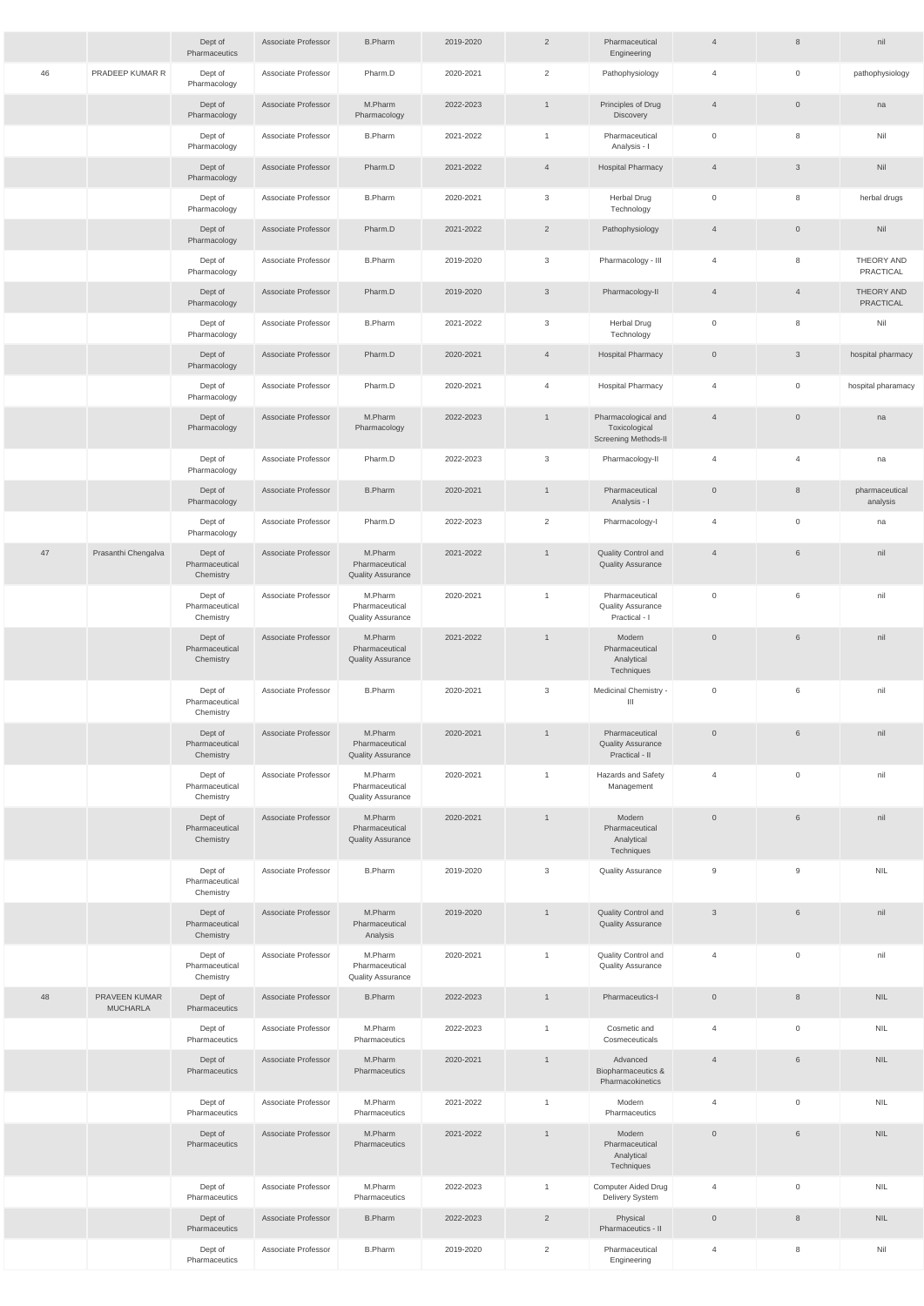|    |                                  | Dept of<br>Pharmaceutics               | Associate Professor | <b>B.Pharm</b>                                        | 2019-2020 | $\overline{2}$ | Pharmaceutical<br>Engineering                                       | $\overline{4}$ | 8              | nil                        |
|----|----------------------------------|----------------------------------------|---------------------|-------------------------------------------------------|-----------|----------------|---------------------------------------------------------------------|----------------|----------------|----------------------------|
| 46 | PRADEEP KUMAR R                  | Dept of<br>Pharmacology                | Associate Professor | Pharm.D                                               | 2020-2021 | 2              | Pathophysiology                                                     | $\overline{4}$ | $\mathbf 0$    | pathophysiology            |
|    |                                  | Dept of<br>Pharmacology                | Associate Professor | M.Pharm<br>Pharmacology                               | 2022-2023 | $\mathbf{1}$   | Principles of Drug<br>Discovery                                     | $\overline{4}$ | $\overline{0}$ | na                         |
|    |                                  | Dept of<br>Pharmacology                | Associate Professor | <b>B.Pharm</b>                                        | 2021-2022 | $\mathbf{1}$   | Pharmaceutical<br>Analysis - I                                      | $\overline{0}$ | 8              | Nil                        |
|    |                                  | Dept of<br>Pharmacology                | Associate Professor | Pharm.D                                               | 2021-2022 | $\overline{4}$ | <b>Hospital Pharmacy</b>                                            | $\overline{4}$ | 3              | Nil                        |
|    |                                  | Dept of<br>Pharmacology                | Associate Professor | <b>B.Pharm</b>                                        | 2020-2021 | 3              | <b>Herbal Drug</b><br>Technology                                    | $\overline{0}$ | 8              | herbal drugs               |
|    |                                  | Dept of<br>Pharmacology                | Associate Professor | Pharm.D                                               | 2021-2022 | $\overline{2}$ | Pathophysiology                                                     | $\overline{4}$ | $\overline{0}$ | Nil                        |
|    |                                  | Dept of<br>Pharmacology                | Associate Professor | <b>B.Pharm</b>                                        | 2019-2020 | $\mathbf{3}$   | Pharmacology - III                                                  | $\overline{4}$ | 8              | THEORY AND<br>PRACTICAL    |
|    |                                  | Dept of<br>Pharmacology                | Associate Professor | Pharm.D                                               | 2019-2020 | $\mathbf{3}$   | Pharmacology-II                                                     | $\overline{4}$ | $\overline{4}$ | THEORY AND<br>PRACTICAL    |
|    |                                  | Dept of<br>Pharmacology                | Associate Professor | <b>B.Pharm</b>                                        | 2021-2022 | 3              | Herbal Drug<br>Technology                                           | $\overline{0}$ | 8              | Nil                        |
|    |                                  | Dept of<br>Pharmacology                | Associate Professor | Pharm.D                                               | 2020-2021 | $\overline{4}$ | <b>Hospital Pharmacy</b>                                            | $\overline{0}$ | $\mathbf{3}$   | hospital pharmacy          |
|    |                                  | Dept of<br>Pharmacology                | Associate Professor | Pharm.D                                               | 2020-2021 | $\overline{4}$ | <b>Hospital Pharmacy</b>                                            | $\overline{4}$ | $\overline{0}$ | hospital pharamacy         |
|    |                                  | Dept of<br>Pharmacology                | Associate Professor | M.Pharm<br>Pharmacology                               | 2022-2023 | $\mathbf{1}$   | Pharmacological and<br>Toxicological<br><b>Screening Methods-II</b> | $\overline{4}$ | $\mathbf{0}$   | na                         |
|    |                                  | Dept of<br>Pharmacology                | Associate Professor | Pharm.D                                               | 2022-2023 | 3              | Pharmacology-II                                                     | 4              | $\overline{4}$ | na                         |
|    |                                  | Dept of<br>Pharmacology                | Associate Professor | <b>B.Pharm</b>                                        | 2020-2021 | $\mathbf{1}$   | Pharmaceutical<br>Analysis - I                                      | $\overline{0}$ | 8              | pharmaceutical<br>analysis |
|    |                                  | Dept of<br>Pharmacology                | Associate Professor | Pharm.D                                               | 2022-2023 | $\overline{2}$ | Pharmacology-I                                                      | 4              | $\overline{0}$ | na                         |
| 47 | Prasanthi Chengalva              | Dept of<br>Pharmaceutical<br>Chemistry | Associate Professor | M.Pharm<br>Pharmaceutical<br><b>Quality Assurance</b> | 2021-2022 | $\mathbf{1}$   | Quality Control and<br><b>Quality Assurance</b>                     | $\overline{4}$ | 6              | nil                        |
|    |                                  | Dept of<br>Pharmaceutical<br>Chemistry | Associate Professor | M.Pharm<br>Pharmaceutical<br><b>Quality Assurance</b> | 2020-2021 | $\mathbf{1}$   | Pharmaceutical<br><b>Quality Assurance</b><br>Practical - I         | $\mathbb O$    | 6              | nil                        |
|    |                                  | Dept of<br>Pharmaceutical<br>Chemistry | Associate Professor | M.Pharm<br>Pharmaceutical<br><b>Quality Assurance</b> | 2021-2022 | $\mathbf{1}$   | Modern<br>Pharmaceutical<br>Analytical<br>Techniques                | $\overline{0}$ | $6\phantom{.}$ | nil                        |
|    |                                  | Dept of<br>Pharmaceutical<br>Chemistry | Associate Professor | <b>B.Pharm</b>                                        | 2020-2021 | 3              | Medicinal Chemistry -<br>Ш                                          | $\overline{0}$ | 6              | nil                        |
|    |                                  | Dept of<br>Pharmaceutical<br>Chemistry | Associate Professor | M.Pharm<br>Pharmaceutical<br><b>Quality Assurance</b> | 2020-2021 | $\mathbf{1}$   | Pharmaceutical<br><b>Quality Assurance</b><br>Practical - II        | $\overline{0}$ | 6              | nil                        |
|    |                                  | Dept of<br>Pharmaceutical<br>Chemistry | Associate Professor | M.Pharm<br>Pharmaceutical<br><b>Quality Assurance</b> | 2020-2021 | $\overline{1}$ | Hazards and Safety<br>Management                                    | 4              | $\overline{0}$ | nil                        |
|    |                                  | Dept of<br>Pharmaceutical<br>Chemistry | Associate Professor | M.Pharm<br>Pharmaceutical<br><b>Quality Assurance</b> | 2020-2021 | $\mathbf{1}$   | Modern<br>Pharmaceutical<br>Analytical<br>Techniques                | $\overline{0}$ | 6              | nil                        |
|    |                                  | Dept of<br>Pharmaceutical<br>Chemistry | Associate Professor | <b>B.Pharm</b>                                        | 2019-2020 | 3              | <b>Quality Assurance</b>                                            | 9              | 9              | <b>NIL</b>                 |
|    |                                  | Dept of<br>Pharmaceutical<br>Chemistry | Associate Professor | M.Pharm<br>Pharmaceutical<br>Analysis                 | 2019-2020 | $\mathbf{1}$   | Quality Control and<br><b>Quality Assurance</b>                     | $\mathbf{3}$   | 6              | nil                        |
|    |                                  | Dept of<br>Pharmaceutical<br>Chemistry | Associate Professor | M.Pharm<br>Pharmaceutical<br><b>Quality Assurance</b> | 2020-2021 | $\mathbf{1}$   | Quality Control and<br><b>Quality Assurance</b>                     | 4              | $\overline{0}$ | nil                        |
| 48 | PRAVEEN KUMAR<br><b>MUCHARLA</b> | Dept of<br>Pharmaceutics               | Associate Professor | <b>B.Pharm</b>                                        | 2022-2023 | $\mathbf{1}$   | Pharmaceutics-I                                                     | $\overline{0}$ | 8              | <b>NIL</b>                 |
|    |                                  | Dept of<br>Pharmaceutics               | Associate Professor | M.Pharm<br>Pharmaceutics                              | 2022-2023 | $\overline{1}$ | Cosmetic and<br>Cosmeceuticals                                      | 4              | $\mathbf 0$    | <b>NIL</b>                 |
|    |                                  | Dept of<br>Pharmaceutics               | Associate Professor | M.Pharm<br>Pharmaceutics                              | 2020-2021 | $\overline{1}$ | Advanced<br>Biopharmaceutics &<br>Pharmacokinetics                  | $\overline{4}$ | $6\phantom{.}$ | NIL.                       |
|    |                                  | Dept of<br>Pharmaceutics               | Associate Professor | M.Pharm<br>Pharmaceutics                              | 2021-2022 | $\mathbf{1}$   | Modern<br>Pharmaceutics                                             | $\overline{4}$ | $\overline{0}$ | <b>NIL</b>                 |
|    |                                  | Dept of<br><b>Pharmaceutics</b>        | Associate Professor | M.Pharm<br>Pharmaceutics                              | 2021-2022 | $\mathbf{1}$   | Modern<br>Pharmaceutical<br>Analytical<br>Techniques                | $\overline{0}$ | 6              | NIL.                       |
|    |                                  | Dept of<br>Pharmaceutics               | Associate Professor | M.Pharm<br>Pharmaceutics                              | 2022-2023 | $\mathbf{1}$   | Computer Aided Drug<br>Delivery System                              | 4              | $\overline{0}$ | <b>NIL</b>                 |
|    |                                  | Dept of<br>Pharmaceutics               | Associate Professor | <b>B.Pharm</b>                                        | 2022-2023 | $\overline{2}$ | Physical<br>Pharmaceutics - II                                      | $\overline{0}$ | 8              | NIL.                       |
|    |                                  | Dept of<br>Pharmaceutics               | Associate Professor | <b>B.Pharm</b>                                        | 2019-2020 | $\overline{2}$ | Pharmaceutical<br>Engineering                                       | 4              | 8              | Nil                        |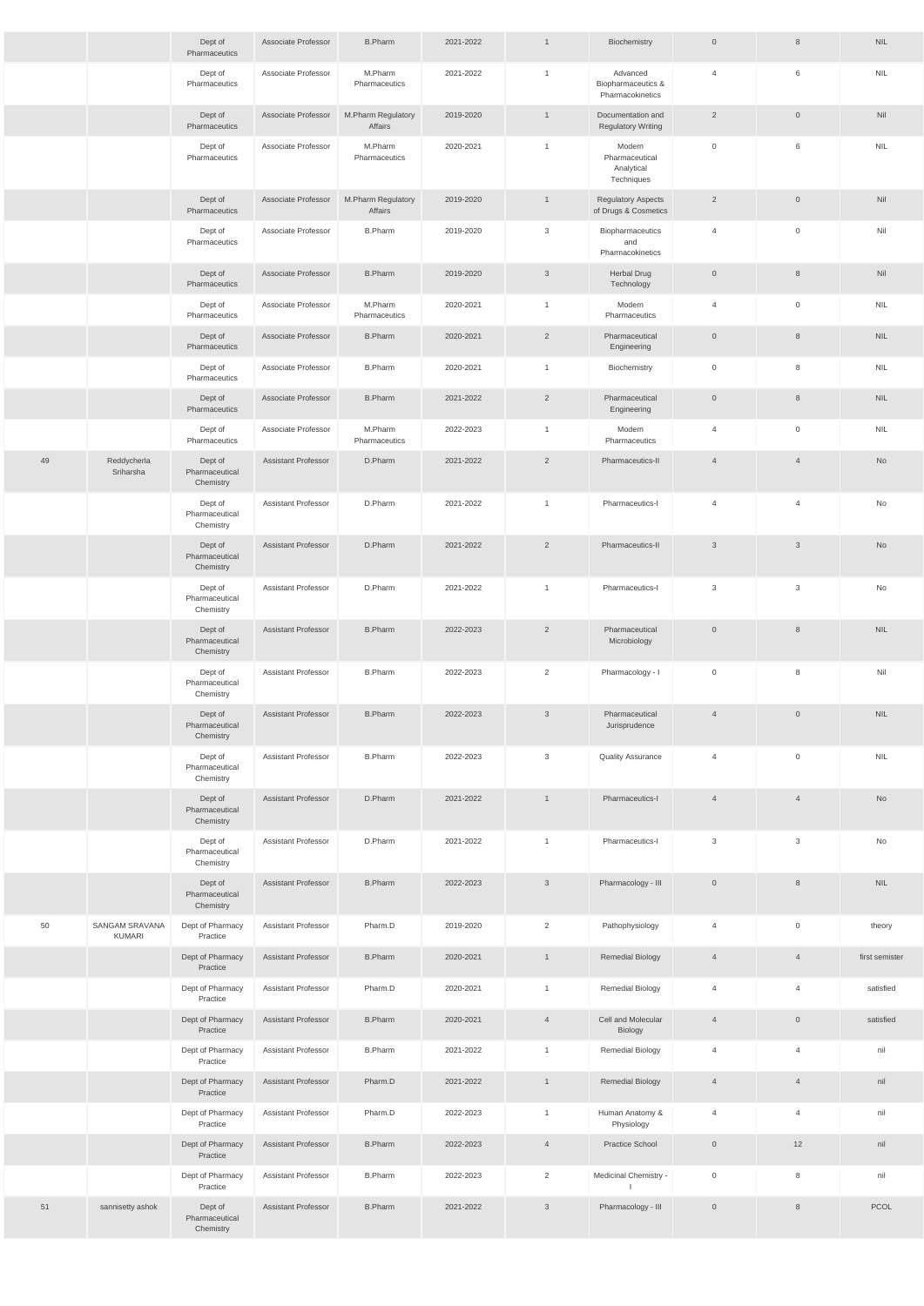|    |                                        | Dept of<br>Pharmaceutics               | Associate Professor        | <b>B.Pharm</b>                | 2021-2022 | $\mathbf{1}$   | Biochemistry                                         | $\mathsf{O}$        | 8                   | <b>NIL</b>     |
|----|----------------------------------------|----------------------------------------|----------------------------|-------------------------------|-----------|----------------|------------------------------------------------------|---------------------|---------------------|----------------|
|    |                                        | Dept of<br>Pharmaceutics               | Associate Professor        | M.Pharm<br>Pharmaceutics      | 2021-2022 | $\mathbf{1}$   | Advanced<br>Biopharmaceutics &<br>Pharmacokinetics   | $\overline{4}$      | 6                   | <b>NIL</b>     |
|    |                                        | Dept of<br>Pharmaceutics               | Associate Professor        | M.Pharm Regulatory<br>Affairs | 2019-2020 | $\mathbf{1}$   | Documentation and<br><b>Regulatory Writing</b>       | $\overline{2}$      | $\overline{0}$      | Nil            |
|    |                                        | Dept of<br>Pharmaceutics               | Associate Professor        | M.Pharm<br>Pharmaceutics      | 2020-2021 | $\mathbf{1}$   | Modern<br>Pharmaceutical<br>Analytical<br>Techniques | $\mathsf 0$         | 6                   | <b>NIL</b>     |
|    |                                        | Dept of<br>Pharmaceutics               | Associate Professor        | M.Pharm Regulatory<br>Affairs | 2019-2020 | $\mathbf{1}$   | <b>Regulatory Aspects</b><br>of Drugs & Cosmetics    | $\overline{2}$      | $\overline{0}$      | Nil            |
|    |                                        | Dept of<br>Pharmaceutics               | Associate Professor        | <b>B.Pharm</b>                | 2019-2020 | 3              | Biopharmaceutics<br>and<br>Pharmacokinetics          | $\overline{4}$      | $\overline{0}$      | Nil            |
|    |                                        | Dept of<br>Pharmaceutics               | Associate Professor        | <b>B.Pharm</b>                | 2019-2020 | $\mathfrak{Z}$ | <b>Herbal Drug</b><br>Technology                     | $\mathsf{O}$        | 8                   | Nil            |
|    |                                        | Dept of<br>Pharmaceutics               | Associate Professor        | M.Pharm<br>Pharmaceutics      | 2020-2021 | $\mathbf{1}$   | Modern<br>Pharmaceutics                              | $\overline{4}$      | $\overline{0}$      | <b>NIL</b>     |
|    |                                        | Dept of<br>Pharmaceutics               | Associate Professor        | <b>B.Pharm</b>                | 2020-2021 | $\overline{2}$ | Pharmaceutical<br>Engineering                        | $\mathsf{O}$        | 8                   | <b>NIL</b>     |
|    |                                        | Dept of<br>Pharmaceutics               | Associate Professor        | <b>B.Pharm</b>                | 2020-2021 | $\mathbf{1}$   | Biochemistry                                         | $\mathsf{O}\xspace$ | 8                   | <b>NIL</b>     |
|    |                                        | Dept of<br>Pharmaceutics               | Associate Professor        | <b>B.Pharm</b>                | 2021-2022 | $\overline{2}$ | Pharmaceutical<br>Engineering                        | $\mathsf{O}$        | 8                   | <b>NIL</b>     |
|    |                                        | Dept of<br>Pharmaceutics               | Associate Professor        | M.Pharm<br>Pharmaceutics      | 2022-2023 | $\mathbf{1}$   | Modern<br>Pharmaceutics                              | $\overline{4}$      | $\overline{0}$      | <b>NIL</b>     |
| 49 | Reddycherla<br>Sriharsha               | Dept of<br>Pharmaceutical<br>Chemistry | <b>Assistant Professor</b> | D.Pharm                       | 2021-2022 | $\overline{2}$ | Pharmaceutics-II                                     | $\overline{4}$      | $\overline{4}$      | No             |
|    |                                        | Dept of<br>Pharmaceutical<br>Chemistry | <b>Assistant Professor</b> | D.Pharm                       | 2021-2022 | $\mathbf{1}$   | Pharmaceutics-I                                      | $\overline{4}$      | $\overline{4}$      | No             |
|    |                                        | Dept of<br>Pharmaceutical<br>Chemistry | <b>Assistant Professor</b> | D.Pharm                       | 2021-2022 | $\overline{2}$ | Pharmaceutics-II                                     | $\overline{3}$      | $\mathbf{3}$        | No             |
|    |                                        | Dept of<br>Pharmaceutical<br>Chemistry | <b>Assistant Professor</b> | D.Pharm                       | 2021-2022 | $\mathbf{1}$   | Pharmaceutics-I                                      | 3                   | $\mathbf{3}$        | No             |
|    |                                        | Dept of<br>Pharmaceutical<br>Chemistry | <b>Assistant Professor</b> | <b>B.Pharm</b>                | 2022-2023 | $\overline{2}$ | Pharmaceutical<br>Microbiology                       | $\overline{0}$      | 8                   | <b>NIL</b>     |
|    |                                        | Dept of<br>Pharmaceutical<br>Chemistry | <b>Assistant Professor</b> | <b>B.Pharm</b>                | 2022-2023 | $\overline{2}$ | Pharmacology - I                                     | $\mathsf{O}\xspace$ | 8                   | Nil            |
|    |                                        | Dept of<br>Pharmaceutical<br>Chemistry | <b>Assistant Professor</b> | <b>B.Pharm</b>                | 2022-2023 | $\mathbf{3}$   | Pharmaceutical<br>Jurisprudence                      | $\overline{4}$      | $\overline{0}$      | <b>NIL</b>     |
|    |                                        | Dept of<br>Pharmaceutical<br>Chemistry | <b>Assistant Professor</b> | <b>B.Pharm</b>                | 2022-2023 | 3              | <b>Quality Assurance</b>                             | 4                   | $\overline{0}$      | <b>NIL</b>     |
|    |                                        | Dept of<br>Pharmaceutical<br>Chemistry | <b>Assistant Professor</b> | D.Pharm                       | 2021-2022 | $\mathbf{1}$   | Pharmaceutics-I                                      | $\overline{4}$      | $\overline{4}$      | No             |
|    |                                        | Dept of<br>Pharmaceutical<br>Chemistry | <b>Assistant Professor</b> | D.Pharm                       | 2021-2022 | $\mathbf{1}$   | Pharmaceutics-I                                      | 3                   | $\mathbf{3}$        | No             |
|    |                                        | Dept of<br>Pharmaceutical<br>Chemistry | <b>Assistant Professor</b> | <b>B.Pharm</b>                | 2022-2023 | $\mathbf{3}$   | Pharmacology - III                                   | $\overline{0}$      | 8                   | <b>NIL</b>     |
| 50 | <b>SANGAM SRAVANA</b><br><b>KUMARI</b> | Dept of Pharmacy<br>Practice           | <b>Assistant Professor</b> | Pharm.D                       | 2019-2020 | $\overline{2}$ | Pathophysiology                                      | $\overline{4}$      | $\overline{0}$      | theory         |
|    |                                        | Dept of Pharmacy<br>Practice           | <b>Assistant Professor</b> | <b>B.Pharm</b>                | 2020-2021 | $\mathbf{1}$   | <b>Remedial Biology</b>                              | $\overline{4}$      | $\overline{4}$      | first semister |
|    |                                        | Dept of Pharmacy<br>Practice           | <b>Assistant Professor</b> | Pharm.D                       | 2020-2021 | 1              | <b>Remedial Biology</b>                              | $\overline{4}$      | $\overline{4}$      | satisfied      |
|    |                                        | Dept of Pharmacy<br>Practice           | <b>Assistant Professor</b> | <b>B.Pharm</b>                | 2020-2021 | $\overline{4}$ | Cell and Molecular<br>Biology                        | $\overline{4}$      | $\mathsf{O}\xspace$ | satisfied      |
|    |                                        | Dept of Pharmacy<br>Practice           | <b>Assistant Professor</b> | <b>B.Pharm</b>                | 2021-2022 | $\mathbf{1}$   | <b>Remedial Biology</b>                              | $\overline{4}$      | $\overline{4}$      | nil            |
|    |                                        | Dept of Pharmacy<br>Practice           | Assistant Professor        | Pharm.D                       | 2021-2022 | 1              | <b>Remedial Biology</b>                              | $\overline{4}$      | $\overline{4}$      | nil            |
|    |                                        | Dept of Pharmacy<br>Practice           | Assistant Professor        | Pharm.D                       | 2022-2023 | $\mathbf{1}$   | Human Anatomy &<br>Physiology                        | $\overline{4}$      | $\overline{4}$      | nil            |
|    |                                        | Dept of Pharmacy<br>Practice           | <b>Assistant Professor</b> | <b>B.Pharm</b>                | 2022-2023 | $\overline{4}$ | Practice School                                      | $\mathsf{O}\xspace$ | 12                  | nil            |
|    |                                        | Dept of Pharmacy<br>Practice           | <b>Assistant Professor</b> | <b>B.Pharm</b>                | 2022-2023 | $\overline{2}$ | Medicinal Chemistry -                                | $\mathsf 0$         | 8                   | nil            |
| 51 | sannisetty ashok                       | Dept of<br>Pharmaceutical<br>Chemistry | <b>Assistant Professor</b> | <b>B.Pharm</b>                | 2021-2022 | $\mathbf{3}$   | Pharmacology - III                                   | $\mathsf{O}$        | $8\phantom{1}$      | PCOL           |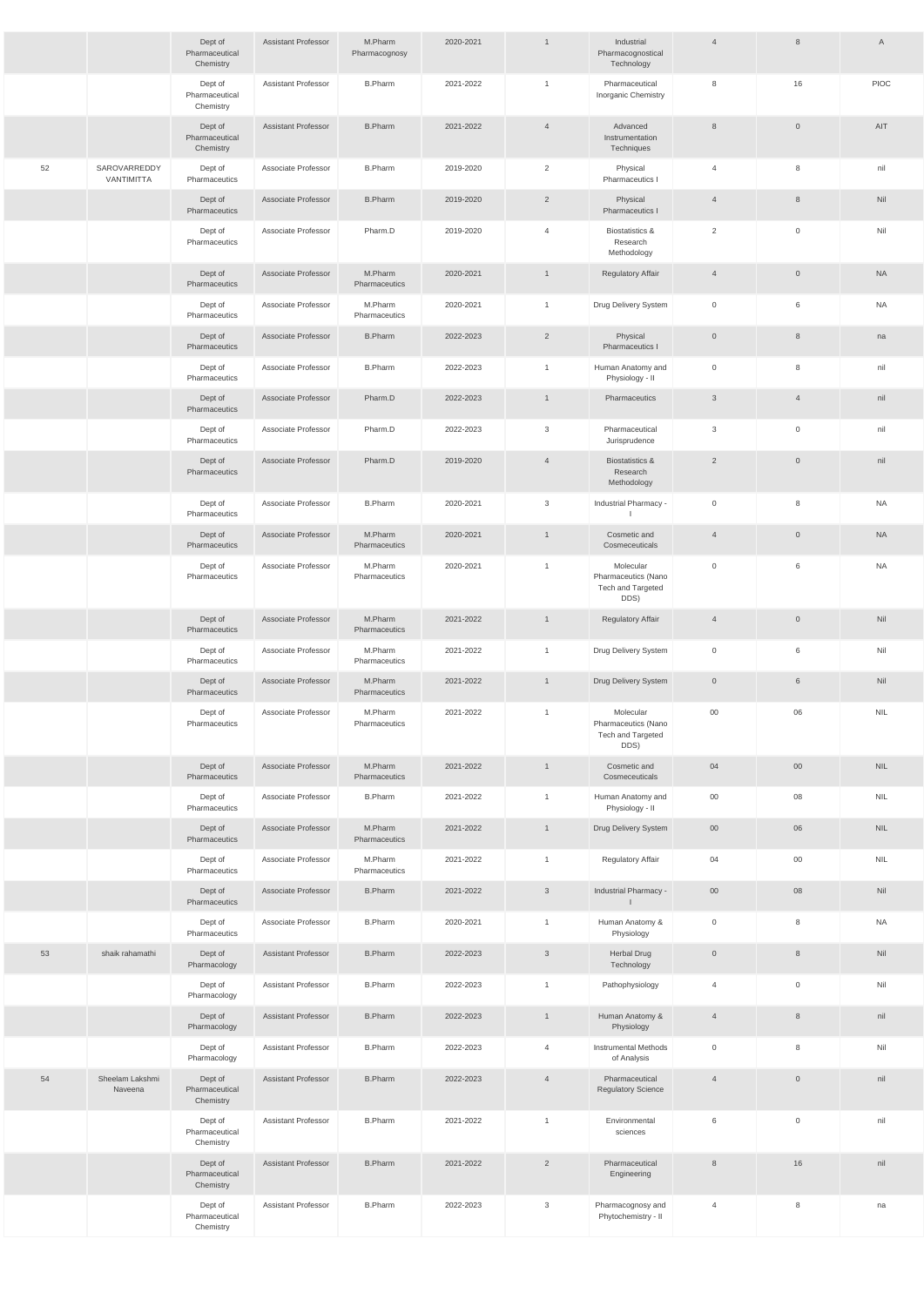|    |                            | Dept of<br>Pharmaceutical<br>Chemistry | <b>Assistant Professor</b> | M.Pharm<br>Pharmacognosy | 2020-2021 | $\mathbf{1}$   | Industrial<br>Pharmacognostical<br>Technology                        | $\overline{4}$ | $8\phantom{1}$      | A          |
|----|----------------------------|----------------------------------------|----------------------------|--------------------------|-----------|----------------|----------------------------------------------------------------------|----------------|---------------------|------------|
|    |                            | Dept of<br>Pharmaceutical<br>Chemistry | <b>Assistant Professor</b> | <b>B.Pharm</b>           | 2021-2022 | $\mathbf{1}$   | Pharmaceutical<br>Inorganic Chemistry                                | 8              | 16                  | PIOC       |
|    |                            | Dept of<br>Pharmaceutical<br>Chemistry | <b>Assistant Professor</b> | <b>B.Pharm</b>           | 2021-2022 | $\overline{4}$ | Advanced<br>Instrumentation<br>Techniques                            | $\,8\,$        | $\mathbf 0$         | AIT        |
| 52 | SAROVARREDDY<br>VANTIMITTA | Dept of<br>Pharmaceutics               | Associate Professor        | <b>B.Pharm</b>           | 2019-2020 | $\overline{2}$ | Physical<br>Pharmaceutics I                                          | $\overline{4}$ | 8                   | nil        |
|    |                            | Dept of<br>Pharmaceutics               | Associate Professor        | <b>B.Pharm</b>           | 2019-2020 | $\overline{2}$ | Physical<br>Pharmaceutics I                                          | $\overline{4}$ | $8\phantom{1}$      | Nil        |
|    |                            | Dept of<br>Pharmaceutics               | Associate Professor        | Pharm.D                  | 2019-2020 | $\overline{4}$ | <b>Biostatistics &amp;</b><br>Research<br>Methodology                | 2              | $\mathbf 0$         | Nil        |
|    |                            | Dept of<br>Pharmaceutics               | Associate Professor        | M.Pharm<br>Pharmaceutics | 2020-2021 | $\mathbf{1}$   | <b>Regulatory Affair</b>                                             | $\overline{4}$ | $\overline{0}$      | <b>NA</b>  |
|    |                            | Dept of<br>Pharmaceutics               | Associate Professor        | M.Pharm<br>Pharmaceutics | 2020-2021 | $\mathbf{1}$   | Drug Delivery System                                                 | $\mathsf 0$    | 6                   | <b>NA</b>  |
|    |                            | Dept of<br>Pharmaceutics               | Associate Professor        | <b>B.Pharm</b>           | 2022-2023 | $\overline{2}$ | Physical<br>Pharmaceutics I                                          | $\overline{0}$ | 8                   | na         |
|    |                            | Dept of<br>Pharmaceutics               | Associate Professor        | <b>B.Pharm</b>           | 2022-2023 | $\mathbf{1}$   | Human Anatomy and<br>Physiology - II                                 | $\mathsf 0$    | 8                   | nil        |
|    |                            | Dept of<br>Pharmaceutics               | Associate Professor        | Pharm.D                  | 2022-2023 | $\mathbf{1}$   | Pharmaceutics                                                        | $\mathbf{3}$   | $\overline{4}$      | nil        |
|    |                            | Dept of<br>Pharmaceutics               | Associate Professor        | Pharm.D                  | 2022-2023 | 3              | Pharmaceutical<br>Jurisprudence                                      | 3              | $\mathbf 0$         | nil        |
|    |                            | Dept of<br>Pharmaceutics               | Associate Professor        | Pharm.D                  | 2019-2020 | $\overline{4}$ | <b>Biostatistics &amp;</b><br>Research<br>Methodology                | $\overline{2}$ | $\overline{0}$      | nil        |
|    |                            | Dept of<br>Pharmaceutics               | Associate Professor        | <b>B.Pharm</b>           | 2020-2021 | 3              | Industrial Pharmacy -                                                | $\mathbf 0$    | 8                   | <b>NA</b>  |
|    |                            | Dept of<br>Pharmaceutics               | Associate Professor        | M.Pharm<br>Pharmaceutics | 2020-2021 | $\mathbf{1}$   | Cosmetic and<br>Cosmeceuticals                                       | $\overline{4}$ | $\overline{0}$      | <b>NA</b>  |
|    |                            | Dept of<br>Pharmaceutics               | Associate Professor        | M.Pharm<br>Pharmaceutics | 2020-2021 | $\overline{1}$ | Molecular<br>Pharmaceutics (Nano<br>Tech and Targeted<br>DDS)        | $\mathsf 0$    | 6                   | <b>NA</b>  |
|    |                            | Dept of<br>Pharmaceutics               | Associate Professor        | M.Pharm<br>Pharmaceutics | 2021-2022 | $\mathbf{1}$   | <b>Regulatory Affair</b>                                             | $\overline{4}$ | $\mathsf{O}\xspace$ | Nil        |
|    |                            | Dept of<br>Pharmaceutics               | Associate Professor        | M.Pharm<br>Pharmaceutics | 2021-2022 | $\mathbf{1}$   | Drug Delivery System                                                 | $\mathsf 0$    | 6                   | Nil        |
|    |                            | Dept of<br>Pharmaceutics               | Associate Professor        | M.Pharm<br>Pharmaceutics | 2021-2022 | $\mathbf{1}$   | Drug Delivery System                                                 | $\mathbb O$    | 6                   | Nil        |
|    |                            | Dept of<br>Pharmaceutics               | Associate Professor        | M.Pharm<br>Pharmaceutics | 2021-2022 | $\mathbf{1}$   | Molecular<br>Pharmaceutics (Nano<br><b>Tech and Targeted</b><br>DDS) | 00             | 06                  | <b>NIL</b> |
|    |                            | Dept of<br>Pharmaceutics               | Associate Professor        | M.Pharm<br>Pharmaceutics | 2021-2022 | $\mathbf{1}$   | Cosmetic and<br>Cosmeceuticals                                       | 04             | $00\,$              | <b>NIL</b> |
|    |                            | Dept of<br>Pharmaceutics               | Associate Professor        | <b>B.Pharm</b>           | 2021-2022 | $\mathbf{1}$   | Human Anatomy and<br>Physiology - II                                 | $00\,$         | 08                  | <b>NIL</b> |
|    |                            | Dept of<br>Pharmaceutics               | Associate Professor        | M.Pharm<br>Pharmaceutics | 2021-2022 | $\mathbf{1}$   | Drug Delivery System                                                 | $00\,$         | 06                  | <b>NIL</b> |
|    |                            | Dept of<br>Pharmaceutics               | Associate Professor        | M.Pharm<br>Pharmaceutics | 2021-2022 | $\mathbf{1}$   | Regulatory Affair                                                    | 04             | $00\,$              | <b>NIL</b> |
|    |                            | Dept of<br>Pharmaceutics               | Associate Professor        | <b>B.Pharm</b>           | 2021-2022 | $\mathbf{3}$   | Industrial Pharmacy -<br>$\perp$                                     | $00\,$         | 08                  | Nil        |
|    |                            | Dept of<br>Pharmaceutics               | Associate Professor        | <b>B.Pharm</b>           | 2020-2021 | $\mathbf{1}$   | Human Anatomy &<br>Physiology                                        | $\mathbf 0$    | 8                   | <b>NA</b>  |
| 53 | shaik rahamathi            | Dept of<br>Pharmacology                | <b>Assistant Professor</b> | <b>B.Pharm</b>           | 2022-2023 | $\mathbf{3}$   | <b>Herbal Drug</b><br>Technology                                     | $\overline{0}$ | 8                   | Nil        |
|    |                            | Dept of<br>Pharmacology                | <b>Assistant Professor</b> | <b>B.Pharm</b>           | 2022-2023 | $\mathbf{1}$   | Pathophysiology                                                      | $\overline{4}$ | $\mathbf 0$         | Nil        |
|    |                            | Dept of<br>Pharmacology                | <b>Assistant Professor</b> | <b>B.Pharm</b>           | 2022-2023 | $\mathbf{1}$   | Human Anatomy &<br>Physiology                                        | $\overline{4}$ | $8\phantom{1}$      | nil        |
|    |                            | Dept of<br>Pharmacology                | <b>Assistant Professor</b> | <b>B.Pharm</b>           | 2022-2023 | $\overline{4}$ | <b>Instrumental Methods</b><br>of Analysis                           | $\mathbb O$    | 8                   | Nil        |
| 54 | Sheelam Lakshmi<br>Naveena | Dept of<br>Pharmaceutical<br>Chemistry | Assistant Professor        | <b>B.Pharm</b>           | 2022-2023 | $\overline{4}$ | Pharmaceutical<br><b>Regulatory Science</b>                          | $\overline{4}$ | $\overline{0}$      | nil        |
|    |                            | Dept of<br>Pharmaceutical<br>Chemistry | <b>Assistant Professor</b> | <b>B.Pharm</b>           | 2021-2022 | $\mathbf{1}$   | Environmental<br>sciences                                            | 6              | $\mathsf{O}\xspace$ | nil        |
|    |                            | Dept of<br>Pharmaceutical<br>Chemistry | <b>Assistant Professor</b> | <b>B.Pharm</b>           | 2021-2022 | $\overline{2}$ | Pharmaceutical<br>Engineering                                        | $\,8\,$        | 16                  | nil        |
|    |                            | Dept of<br>Pharmaceutical<br>Chemistry | Assistant Professor        | <b>B.Pharm</b>           | 2022-2023 | $\mathbf{3}$   | Pharmacognosy and<br>Phytochemistry - II                             | $\overline{4}$ | 8                   | na         |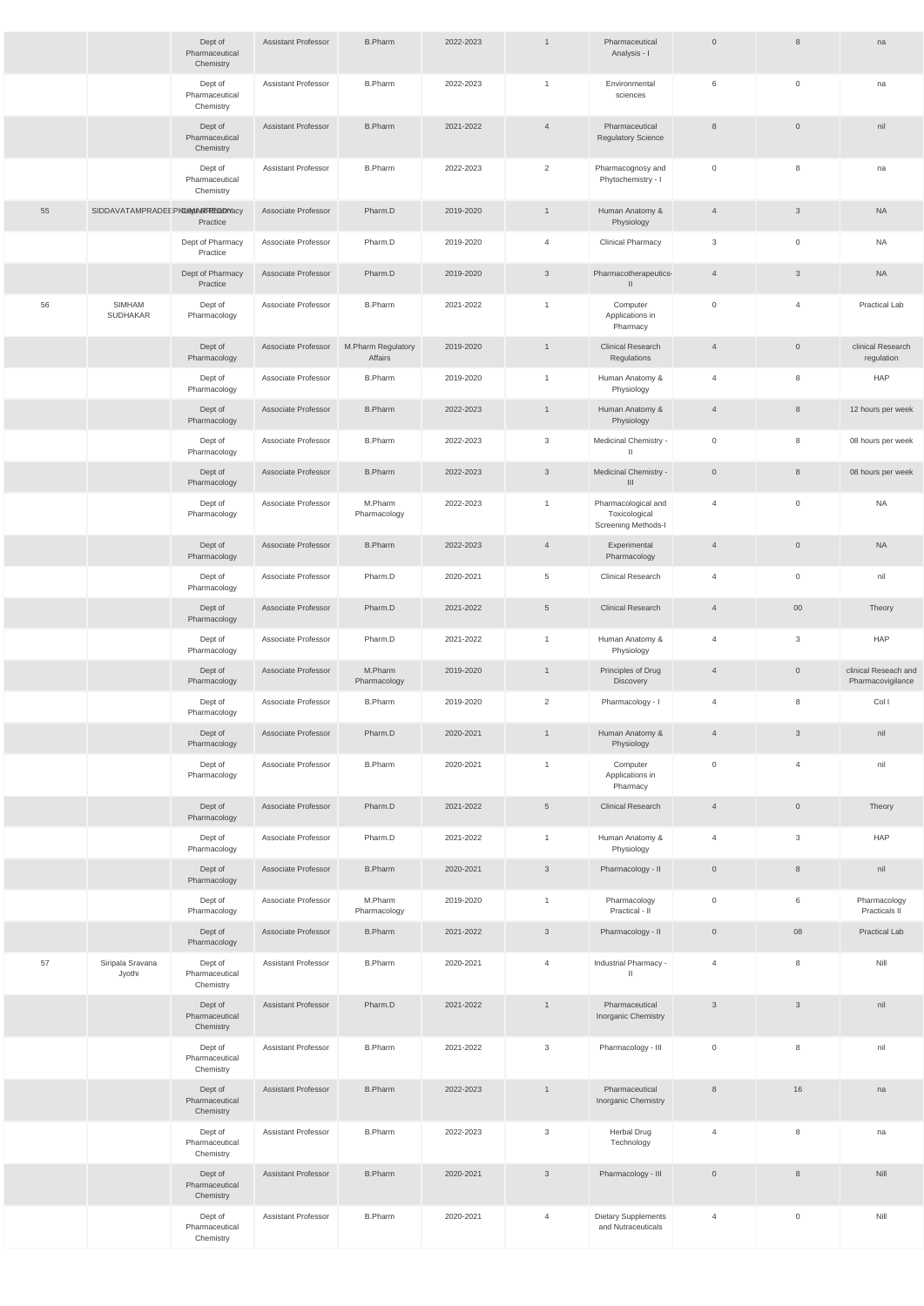|    |                                  | Dept of<br>Pharmaceutical<br>Chemistry | <b>Assistant Professor</b> | <b>B.Pharm</b>                | 2022-2023 | $\mathbf{1}$    | Pharmaceutical<br>Analysis - I                              | $\overline{0}$ | 8                   | na                                        |
|----|----------------------------------|----------------------------------------|----------------------------|-------------------------------|-----------|-----------------|-------------------------------------------------------------|----------------|---------------------|-------------------------------------------|
|    |                                  | Dept of<br>Pharmaceutical<br>Chemistry | <b>Assistant Professor</b> | <b>B.Pharm</b>                | 2022-2023 | $\overline{1}$  | Environmental<br>sciences                                   | 6              | $\mathbf 0$         | na                                        |
|    |                                  | Dept of<br>Pharmaceutical<br>Chemistry | <b>Assistant Professor</b> | <b>B.Pharm</b>                | 2021-2022 | $\overline{4}$  | Pharmaceutical<br><b>Regulatory Science</b>                 | 8              | $\mathbf{0}$        | nil                                       |
|    |                                  | Dept of<br>Pharmaceutical<br>Chemistry | <b>Assistant Professor</b> | <b>B.Pharm</b>                | 2022-2023 | 2               | Pharmacognosy and<br>Phytochemistry - I                     | $\overline{0}$ | 8                   | na                                        |
| 55 | SIDDAVATAMPRADEEPKDEMARTHEDDYACY | Practice                               | Associate Professor        | Pharm.D                       | 2019-2020 | $\mathbf{1}$    | Human Anatomy &<br>Physiology                               | $\overline{4}$ | 3                   | <b>NA</b>                                 |
|    |                                  | Dept of Pharmacy<br>Practice           | Associate Professor        | Pharm.D                       | 2019-2020 | $\overline{4}$  | <b>Clinical Pharmacy</b>                                    | 3              | $\mathbf 0$         | <b>NA</b>                                 |
|    |                                  | Dept of Pharmacy<br>Practice           | Associate Professor        | Pharm.D                       | 2019-2020 | $\mathbf{3}$    | Pharmacotherapeutics-<br>$\mathbf{H}$                       | $\overline{4}$ | $\mathfrak{Z}$      | <b>NA</b>                                 |
| 56 | SIMHAM<br><b>SUDHAKAR</b>        | Dept of<br>Pharmacology                | Associate Professor        | <b>B.Pharm</b>                | 2021-2022 | $\overline{1}$  | Computer<br>Applications in<br>Pharmacy                     | $\mathbf 0$    | $\overline{4}$      | Practical Lab                             |
|    |                                  | Dept of<br>Pharmacology                | Associate Professor        | M.Pharm Regulatory<br>Affairs | 2019-2020 | $\overline{1}$  | <b>Clinical Research</b><br>Regulations                     | $\overline{4}$ | $\mathbf 0$         | clinical Research<br>regulation           |
|    |                                  | Dept of<br>Pharmacology                | Associate Professor        | <b>B.Pharm</b>                | 2019-2020 | $\mathbf{1}$    | Human Anatomy &<br>Physiology                               | $\overline{4}$ | 8                   | <b>HAP</b>                                |
|    |                                  | Dept of<br>Pharmacology                | Associate Professor        | <b>B.Pharm</b>                | 2022-2023 | $\overline{1}$  | Human Anatomy &<br>Physiology                               | $\overline{4}$ | $8\phantom{1}$      | 12 hours per week                         |
|    |                                  | Dept of<br>Pharmacology                | Associate Professor        | <b>B.Pharm</b>                | 2022-2023 | 3               | Medicinal Chemistry -<br>$\mathbf{H}$                       | $\mathbf 0$    | 8                   | 08 hours per week                         |
|    |                                  | Dept of<br>Pharmacology                | Associate Professor        | <b>B.Pharm</b>                | 2022-2023 | $\mathbf{3}$    | Medicinal Chemistry -<br>$\mathbf{III}$                     | $\overline{0}$ | $8\phantom{1}$      | 08 hours per week                         |
|    |                                  | Dept of<br>Pharmacology                | Associate Professor        | M.Pharm<br>Pharmacology       | 2022-2023 | $\mathbf{1}$    | Pharmacological and<br>Toxicological<br>Screening Methods-I | 4              | $\mathbf 0$         | <b>NA</b>                                 |
|    |                                  | Dept of<br>Pharmacology                | Associate Professor        | <b>B.Pharm</b>                | 2022-2023 | $\overline{4}$  | Experimental<br>Pharmacology                                | $\overline{4}$ | $\overline{0}$      | <b>NA</b>                                 |
|    |                                  | Dept of<br>Pharmacology                | Associate Professor        | Pharm.D                       | 2020-2021 | $5\overline{)}$ | <b>Clinical Research</b>                                    | $\overline{4}$ | $\mathsf{O}\xspace$ | nil                                       |
|    |                                  | Dept of<br>Pharmacology                | Associate Professor        | Pharm.D                       | 2021-2022 | $5\overline{)}$ | <b>Clinical Research</b>                                    | $\overline{4}$ | $00\,$              | Theory                                    |
|    |                                  | Dept of<br>Pharmacology                | Associate Professor        | Pharm.D                       | 2021-2022 | $\mathbf{1}$    | Human Anatomy &<br>Physiology                               | $\overline{4}$ | 3                   | <b>HAP</b>                                |
|    |                                  | Dept of<br>Pharmacology                | Associate Professor        | M.Pharm<br>Pharmacology       | 2019-2020 | $\mathbf{1}$    | Principles of Drug<br>Discovery                             | $\overline{4}$ | $\overline{0}$      | clinical Reseach and<br>Pharmacovigilance |
|    |                                  | Dept of<br>Pharmacology                | Associate Professor        | <b>B.Pharm</b>                | 2019-2020 | $\overline{2}$  | Pharmacology - I                                            | $\overline{4}$ | 8                   | Col I                                     |
|    |                                  | Dept of<br>Pharmacology                | Associate Professor        | Pharm.D                       | 2020-2021 | $\mathbf{1}$    | Human Anatomy &<br>Physiology                               | $\overline{4}$ | $\mathbf{3}$        | nil                                       |
|    |                                  | Dept of<br>Pharmacology                | Associate Professor        | <b>B.Pharm</b>                | 2020-2021 | $\mathbf{1}$    | Computer<br>Applications in<br>Pharmacy                     | $\overline{0}$ | $\overline{4}$      | nil                                       |
|    |                                  | Dept of<br>Pharmacology                | Associate Professor        | Pharm.D                       | 2021-2022 | $5\overline{)}$ | <b>Clinical Research</b>                                    | $\overline{4}$ | $\mathsf{O}\xspace$ | Theory                                    |
|    |                                  | Dept of<br>Pharmacology                | Associate Professor        | Pharm.D                       | 2021-2022 | $\mathbf{1}$    | Human Anatomy &<br>Physiology                               | $\overline{4}$ | 3                   | <b>HAP</b>                                |
|    |                                  | Dept of<br>Pharmacology                | Associate Professor        | <b>B.Pharm</b>                | 2020-2021 | $\mathbf{3}$    | Pharmacology - II                                           | $\overline{0}$ | $8\phantom{1}$      | nil                                       |
|    |                                  | Dept of<br>Pharmacology                | Associate Professor        | M.Pharm<br>Pharmacology       | 2019-2020 | $\mathbf{1}$    | Pharmacology<br>Practical - II                              | $\overline{0}$ | 6                   | Pharmacology<br>Practicals II             |
|    |                                  | Dept of<br>Pharmacology                | Associate Professor        | <b>B.Pharm</b>                | 2021-2022 | $\mathbf{3}$    | Pharmacology - II                                           | $\overline{0}$ | 08                  | <b>Practical Lab</b>                      |
| 57 | Siripala Sravana<br>Jyothi       | Dept of<br>Pharmaceutical<br>Chemistry | <b>Assistant Professor</b> | <b>B.Pharm</b>                | 2020-2021 | $\overline{4}$  | Industrial Pharmacy -<br>$\mathbb{I}$                       | $\overline{4}$ | 8                   | Nill                                      |
|    |                                  | Dept of<br>Pharmaceutical<br>Chemistry | <b>Assistant Professor</b> | Pharm.D                       | 2021-2022 | $\overline{1}$  | Pharmaceutical<br>Inorganic Chemistry                       | $\mathbf{3}$   | $\mathbf{3}$        | nil                                       |
|    |                                  | Dept of<br>Pharmaceutical<br>Chemistry | <b>Assistant Professor</b> | <b>B.Pharm</b>                | 2021-2022 | $\mathbf{3}$    | Pharmacology - III                                          | $\overline{0}$ | 8                   | nil                                       |
|    |                                  | Dept of<br>Pharmaceutical<br>Chemistry | <b>Assistant Professor</b> | <b>B.Pharm</b>                | 2022-2023 | $\mathbf{1}$    | Pharmaceutical<br>Inorganic Chemistry                       | 8              | 16                  | na                                        |
|    |                                  | Dept of<br>Pharmaceutical<br>Chemistry | <b>Assistant Professor</b> | <b>B.Pharm</b>                | 2022-2023 | 3               | <b>Herbal Drug</b><br>Technology                            | $\overline{4}$ | 8                   | na                                        |
|    |                                  | Dept of<br>Pharmaceutical<br>Chemistry | <b>Assistant Professor</b> | <b>B.Pharm</b>                | 2020-2021 | $\mathbf{3}$    | Pharmacology - III                                          | $\overline{0}$ | 8                   | Nill                                      |
|    |                                  | Dept of<br>Pharmaceutical<br>Chemistry | <b>Assistant Professor</b> | <b>B.Pharm</b>                | 2020-2021 | $\overline{4}$  | Dietary Supplements<br>and Nutraceuticals                   | $\overline{4}$ | $\mathbf 0$         | Nill                                      |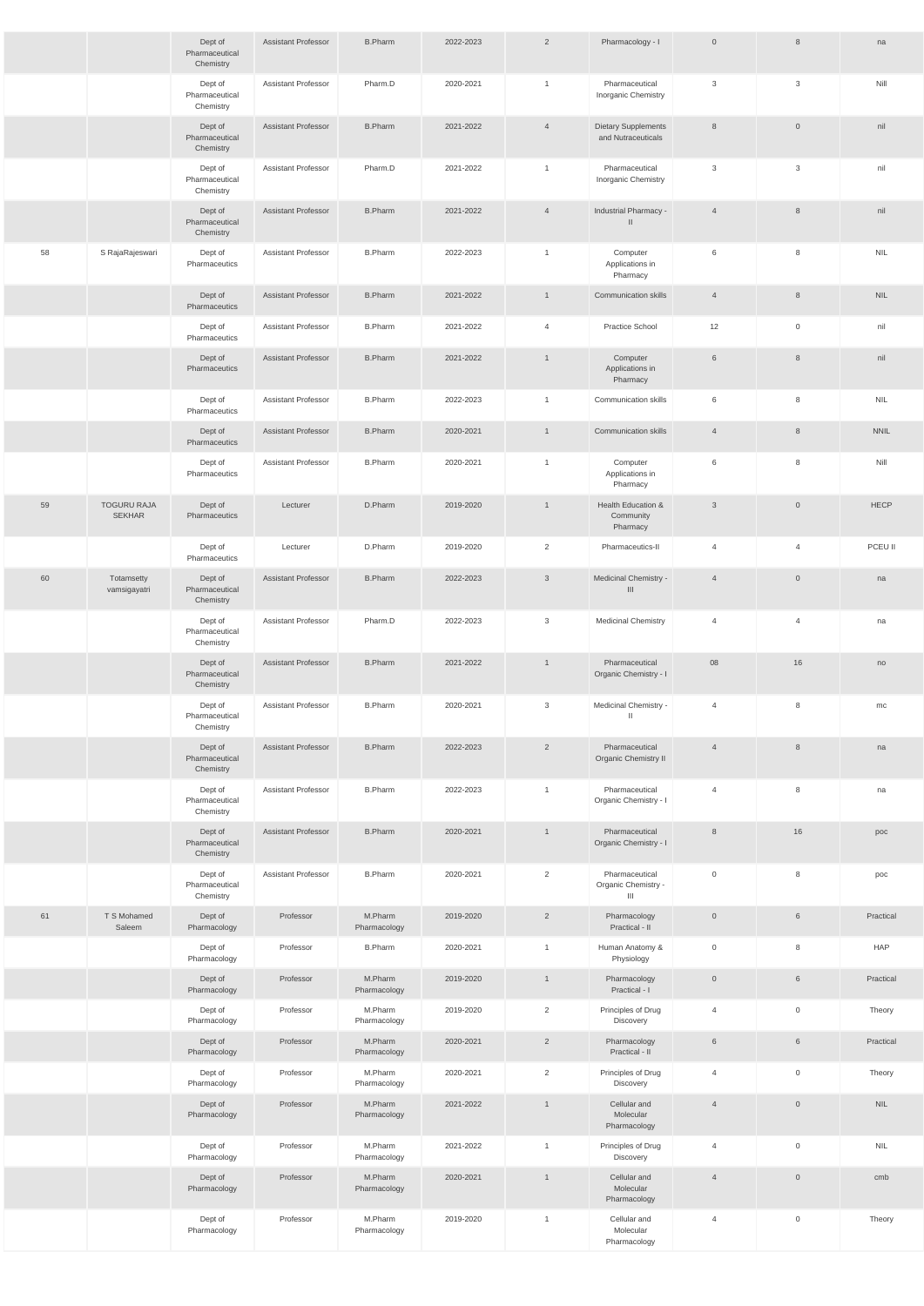|    |                                     | Dept of<br>Pharmaceutical<br>Chemistry | Assistant Professor        | <b>B.Pharm</b>          | 2022-2023 | $\overline{2}$ | Pharmacology - I                                        | $\overline{0}$      | 8                   | na                          |
|----|-------------------------------------|----------------------------------------|----------------------------|-------------------------|-----------|----------------|---------------------------------------------------------|---------------------|---------------------|-----------------------------|
|    |                                     | Dept of<br>Pharmaceutical<br>Chemistry | Assistant Professor        | Pharm.D                 | 2020-2021 | $\mathbf{1}$   | Pharmaceutical<br>Inorganic Chemistry                   | $\mathbf{3}$        | 3                   | Nill                        |
|    |                                     | Dept of<br>Pharmaceutical<br>Chemistry | <b>Assistant Professor</b> | <b>B.Pharm</b>          | 2021-2022 | $\overline{4}$ | <b>Dietary Supplements</b><br>and Nutraceuticals        | 8                   | $\overline{0}$      | nil                         |
|    |                                     | Dept of<br>Pharmaceutical<br>Chemistry | Assistant Professor        | Pharm.D                 | 2021-2022 | $\mathbf{1}$   | Pharmaceutical<br>Inorganic Chemistry                   | 3                   | $\mathbf{3}$        | nil                         |
|    |                                     | Dept of<br>Pharmaceutical<br>Chemistry | <b>Assistant Professor</b> | <b>B.Pharm</b>          | 2021-2022 | $\overline{4}$ | Industrial Pharmacy -<br>$\mathbf{II}$                  | $\overline{4}$      | 8                   | nil                         |
| 58 | S RajaRajeswari                     | Dept of<br>Pharmaceutics               | Assistant Professor        | <b>B.Pharm</b>          | 2022-2023 | $\mathbf{1}$   | Computer<br>Applications in<br>Pharmacy                 | 6                   | 8                   | $\ensuremath{\mathsf{NIL}}$ |
|    |                                     | Dept of<br>Pharmaceutics               | <b>Assistant Professor</b> | <b>B.Pharm</b>          | 2021-2022 | $\mathbf{1}$   | <b>Communication skills</b>                             | $\overline{4}$      | $8\phantom{1}$      | <b>NIL</b>                  |
|    |                                     | Dept of<br>Pharmaceutics               | Assistant Professor        | <b>B.Pharm</b>          | 2021-2022 | $\overline{4}$ | Practice School                                         | 12                  | $\mathbf 0$         | nil                         |
|    |                                     | Dept of<br>Pharmaceutics               | <b>Assistant Professor</b> | <b>B.Pharm</b>          | 2021-2022 | $\mathbf{1}$   | Computer<br>Applications in<br>Pharmacy                 | 6                   | 8                   | nil                         |
|    |                                     | Dept of<br>Pharmaceutics               | Assistant Professor        | <b>B.Pharm</b>          | 2022-2023 | $\mathbf{1}$   | Communication skills                                    | 6                   | 8                   | <b>NIL</b>                  |
|    |                                     | Dept of<br>Pharmaceutics               | <b>Assistant Professor</b> | <b>B.Pharm</b>          | 2020-2021 | $\mathbf{1}$   | <b>Communication skills</b>                             | $\overline{4}$      | 8                   | <b>NNIL</b>                 |
|    |                                     | Dept of<br>Pharmaceutics               | Assistant Professor        | <b>B.Pharm</b>          | 2020-2021 | $\mathbf{1}$   | Computer<br>Applications in<br>Pharmacy                 | 6                   | 8                   | Nill                        |
| 59 | <b>TOGURU RAJA</b><br><b>SEKHAR</b> | Dept of<br>Pharmaceutics               | Lecturer                   | D.Pharm                 | 2019-2020 | $\mathbf{1}$   | Health Education &<br>Community<br>Pharmacy             | $\mathbf{3}$        | $\overline{0}$      | <b>HECP</b>                 |
|    |                                     | Dept of<br>Pharmaceutics               | Lecturer                   | D.Pharm                 | 2019-2020 | $\overline{2}$ | Pharmaceutics-II                                        | 4                   | $\overline{4}$      | PCEU II                     |
| 60 | Totamsetty<br>vamsigayatri          | Dept of<br>Pharmaceutical<br>Chemistry | <b>Assistant Professor</b> | <b>B.Pharm</b>          | 2022-2023 | $\mathbf{3}$   | Medicinal Chemistry -<br>III                            | $\overline{4}$      | $\overline{0}$      | na                          |
|    |                                     | Dept of<br>Pharmaceutical<br>Chemistry | Assistant Professor        | Pharm.D                 | 2022-2023 | 3              | <b>Medicinal Chemistry</b>                              | $\overline{4}$      | $\overline{4}$      | na                          |
|    |                                     | Dept of<br>Pharmaceutical<br>Chemistry | <b>Assistant Professor</b> | <b>B.Pharm</b>          | 2021-2022 | $\mathbf{1}$   | Pharmaceutical<br>Organic Chemistry - I                 | 08                  | 16                  | no                          |
|    |                                     | Dept of<br>Pharmaceutical<br>Chemistry | Assistant Professor        | <b>B.Pharm</b>          | 2020-2021 | 3              | Medicinal Chemistry -<br>$\mathbf{II}$                  | 4                   | 8                   | mc                          |
|    |                                     | Dept of<br>Pharmaceutical<br>Chemistry | <b>Assistant Professor</b> | <b>B.Pharm</b>          | 2022-2023 | $\overline{2}$ | Pharmaceutical<br><b>Organic Chemistry II</b>           | $\overline{4}$      | 8                   | na                          |
|    |                                     | Dept of<br>Pharmaceutical<br>Chemistry | Assistant Professor        | <b>B.Pharm</b>          | 2022-2023 | $\mathbf{1}$   | Pharmaceutical<br>Organic Chemistry - I                 | 4                   | 8                   | na                          |
|    |                                     | Dept of<br>Pharmaceutical<br>Chemistry | <b>Assistant Professor</b> | <b>B.Pharm</b>          | 2020-2021 | $\mathbf{1}$   | Pharmaceutical<br>Organic Chemistry - I                 | $\,8\,$             | 16                  | poc                         |
|    |                                     | Dept of<br>Pharmaceutical<br>Chemistry | Assistant Professor        | <b>B.Pharm</b>          | 2020-2021 | $\overline{2}$ | Pharmaceutical<br>Organic Chemistry -<br>$\mathbf{III}$ | $\mathsf{O}\xspace$ | 8                   | poc                         |
| 61 | T S Mohamed<br>Saleem               | Dept of<br>Pharmacology                | Professor                  | M.Pharm<br>Pharmacology | 2019-2020 | $\overline{2}$ | Pharmacology<br>Practical - II                          | $\mathsf{O}$        | 6                   | Practical                   |
|    |                                     | Dept of<br>Pharmacology                | Professor                  | <b>B.Pharm</b>          | 2020-2021 | $\mathbf{1}$   | Human Anatomy &<br>Physiology                           | $\mathbf 0$         | 8                   | <b>HAP</b>                  |
|    |                                     | Dept of<br>Pharmacology                | Professor                  | M.Pharm<br>Pharmacology | 2019-2020 | $\mathbf{1}$   | Pharmacology<br>Practical - I                           | $\overline{0}$      | 6                   | Practical                   |
|    |                                     | Dept of<br>Pharmacology                | Professor                  | M.Pharm<br>Pharmacology | 2019-2020 | $\overline{2}$ | Principles of Drug<br>Discovery                         | $\overline{4}$      | $\overline{0}$      | Theory                      |
|    |                                     | Dept of<br>Pharmacology                | Professor                  | M.Pharm<br>Pharmacology | 2020-2021 | $\overline{2}$ | Pharmacology<br>Practical - II                          | $6\,$               | $6\,$               | Practical                   |
|    |                                     | Dept of<br>Pharmacology                | Professor                  | M.Pharm<br>Pharmacology | 2020-2021 | $\overline{2}$ | Principles of Drug<br>Discovery                         | 4                   | $\mathsf{O}\xspace$ | Theory                      |
|    |                                     | Dept of<br>Pharmacology                | Professor                  | M.Pharm<br>Pharmacology | 2021-2022 | $\mathbf{1}$   | Cellular and<br>Molecular<br>Pharmacology               | $\overline{4}$      | $\mathbb O$         | <b>NIL</b>                  |
|    |                                     | Dept of<br>Pharmacology                | Professor                  | M.Pharm<br>Pharmacology | 2021-2022 | $\mathbf{1}$   | Principles of Drug<br>Discovery                         | 4                   | $\boldsymbol{0}$    | $\ensuremath{\mathsf{NIL}}$ |
|    |                                     | Dept of<br>Pharmacology                | Professor                  | M.Pharm<br>Pharmacology | 2020-2021 | $\mathbf{1}$   | Cellular and<br>Molecular<br>Pharmacology               | $\overline{4}$      | $\,0\,$             | cmb                         |
|    |                                     | Dept of<br>Pharmacology                | Professor                  | M.Pharm<br>Pharmacology | 2019-2020 | $\mathbf{1}$   | Cellular and<br>Molecular<br>Pharmacology               | $\overline{4}$      | $\mathsf{O}\xspace$ | Theory                      |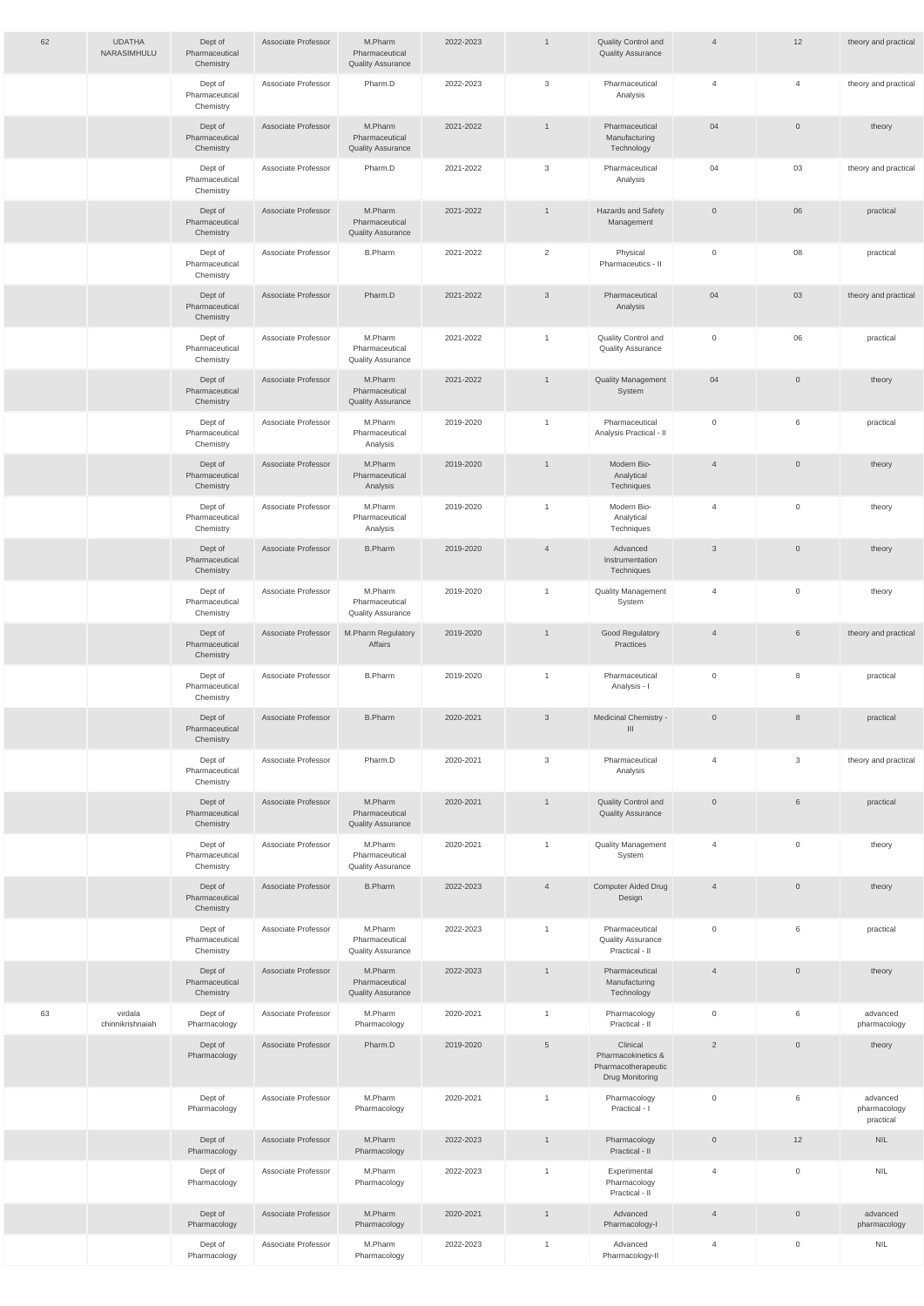| 62 | <b>UDATHA</b><br>NARASIMHULU | Dept of<br>Pharmaceutical<br>Chemistry | Associate Professor | M.Pharm<br>Pharmaceutical<br><b>Quality Assurance</b> | 2022-2023 | $\mathbf{1}$    | Quality Control and<br><b>Quality Assurance</b>                                 | $\overline{4}$      | 12                  | theory and practical                  |
|----|------------------------------|----------------------------------------|---------------------|-------------------------------------------------------|-----------|-----------------|---------------------------------------------------------------------------------|---------------------|---------------------|---------------------------------------|
|    |                              | Dept of<br>Pharmaceutical<br>Chemistry | Associate Professor | Pharm.D                                               | 2022-2023 | $\mathbf{3}$    | Pharmaceutical<br>Analysis                                                      | 4                   | $\overline{4}$      | theory and practical                  |
|    |                              | Dept of<br>Pharmaceutical<br>Chemistry | Associate Professor | M.Pharm<br>Pharmaceutical<br><b>Quality Assurance</b> | 2021-2022 | $\mathbf{1}$    | Pharmaceutical<br>Manufacturing<br>Technology                                   | 04                  | $\overline{0}$      | theory                                |
|    |                              | Dept of<br>Pharmaceutical<br>Chemistry | Associate Professor | Pharm.D                                               | 2021-2022 | 3               | Pharmaceutical<br>Analysis                                                      | 04                  | 03                  | theory and practical                  |
|    |                              | Dept of<br>Pharmaceutical<br>Chemistry | Associate Professor | M.Pharm<br>Pharmaceutical<br><b>Quality Assurance</b> | 2021-2022 | $\mathbf{1}$    | Hazards and Safety<br>Management                                                | $\overline{0}$      | 06                  | practical                             |
|    |                              | Dept of<br>Pharmaceutical<br>Chemistry | Associate Professor | <b>B.Pharm</b>                                        | 2021-2022 | $\overline{2}$  | Physical<br>Pharmaceutics - II                                                  | $\mathbf 0$         | 08                  | practical                             |
|    |                              | Dept of<br>Pharmaceutical<br>Chemistry | Associate Professor | Pharm.D                                               | 2021-2022 | $\mathbf{3}$    | Pharmaceutical<br>Analysis                                                      | 04                  | 03                  | theory and practical                  |
|    |                              | Dept of<br>Pharmaceutical<br>Chemistry | Associate Professor | M.Pharm<br>Pharmaceutical<br><b>Quality Assurance</b> | 2021-2022 | $\overline{1}$  | Quality Control and<br><b>Quality Assurance</b>                                 | $\mathbf 0$         | 06                  | practical                             |
|    |                              | Dept of<br>Pharmaceutical<br>Chemistry | Associate Professor | M.Pharm<br>Pharmaceutical<br><b>Quality Assurance</b> | 2021-2022 | $\mathbf{1}$    | <b>Quality Management</b><br>System                                             | 04                  | $\mathsf{O}\xspace$ | theory                                |
|    |                              | Dept of<br>Pharmaceutical<br>Chemistry | Associate Professor | M.Pharm<br>Pharmaceutical<br>Analysis                 | 2019-2020 | $\mathbf{1}$    | Pharmaceutical<br>Analysis Practical - II                                       | $\mathbf 0$         | 6                   | practical                             |
|    |                              | Dept of<br>Pharmaceutical<br>Chemistry | Associate Professor | M.Pharm<br>Pharmaceutical<br>Analysis                 | 2019-2020 | $\mathbf{1}$    | Modern Bio-<br>Analytical<br>Techniques                                         | $\overline{4}$      | $\overline{0}$      | theory                                |
|    |                              | Dept of<br>Pharmaceutical<br>Chemistry | Associate Professor | M.Pharm<br>Pharmaceutical<br>Analysis                 | 2019-2020 | $\overline{1}$  | Modern Bio-<br>Analytical<br>Techniques                                         | 4                   | $\mathbf 0$         | theory                                |
|    |                              | Dept of<br>Pharmaceutical<br>Chemistry | Associate Professor | <b>B.Pharm</b>                                        | 2019-2020 | $\overline{4}$  | Advanced<br>Instrumentation<br>Techniques                                       | $\mathbf{3}$        | $\mathbf 0$         | theory                                |
|    |                              | Dept of<br>Pharmaceutical<br>Chemistry | Associate Professor | M.Pharm<br>Pharmaceutical<br><b>Quality Assurance</b> | 2019-2020 | $\mathbf{1}$    | <b>Quality Management</b><br>System                                             | 4                   | $\mathbf 0$         | theory                                |
|    |                              | Dept of<br>Pharmaceutical<br>Chemistry | Associate Professor | M.Pharm Regulatory<br>Affairs                         | 2019-2020 | $\mathbf{1}$    | Good Regulatory<br>Practices                                                    | $\overline{4}$      | 6                   | theory and practical                  |
|    |                              | Dept of<br>Pharmaceutical<br>Chemistry | Associate Professor | <b>B.Pharm</b>                                        | 2019-2020 | $\overline{1}$  | Pharmaceutical<br>Analysis - I                                                  | $\mathsf{O}\xspace$ | 8                   | practical                             |
|    |                              | Dept of<br>Pharmaceutical<br>Chemistry | Associate Professor | <b>B.Pharm</b>                                        | 2020-2021 | $\mathbf{3}$    | Medicinal Chemistry -<br>$\mathbf{III}$                                         | $\overline{0}$      | $8\phantom{1}$      | practical                             |
|    |                              | Dept of<br>Pharmaceutical<br>Chemistry | Associate Professor | Pharm.D                                               | 2020-2021 | $\mathbf{3}$    | Pharmaceutical<br>Analysis                                                      | 4                   | 3                   | theory and practical                  |
|    |                              | Dept of<br>Pharmaceutical<br>Chemistry | Associate Professor | M.Pharm<br>Pharmaceutical<br><b>Quality Assurance</b> | 2020-2021 | $\overline{1}$  | Quality Control and<br><b>Quality Assurance</b>                                 | $\overline{0}$      | $6\phantom{.}$      | practical                             |
|    |                              | Dept of<br>Pharmaceutical<br>Chemistry | Associate Professor | M.Pharm<br>Pharmaceutical<br><b>Quality Assurance</b> | 2020-2021 | $\overline{1}$  | <b>Quality Management</b><br>System                                             | 4                   | $\mathsf{O}\xspace$ | theory                                |
|    |                              | Dept of<br>Pharmaceutical<br>Chemistry | Associate Professor | <b>B.Pharm</b>                                        | 2022-2023 | $\overline{4}$  | Computer Aided Drug<br>Design                                                   | $\overline{4}$      | $\mathsf{O}\xspace$ | theory                                |
|    |                              | Dept of<br>Pharmaceutical<br>Chemistry | Associate Professor | M.Pharm<br>Pharmaceutical<br><b>Quality Assurance</b> | 2022-2023 | $\mathbf{1}$    | Pharmaceutical<br><b>Quality Assurance</b><br>Practical - II                    | $\mathbf 0$         | 6                   | practical                             |
|    |                              | Dept of<br>Pharmaceutical<br>Chemistry | Associate Professor | M.Pharm<br>Pharmaceutical<br><b>Quality Assurance</b> | 2022-2023 | $\mathbf{1}$    | Pharmaceutical<br>Manufacturing<br>Technology                                   | $\overline{4}$      | $\overline{0}$      | theory                                |
| 63 | virdala<br>chinnikrishnaiah  | Dept of<br>Pharmacology                | Associate Professor | M.Pharm<br>Pharmacology                               | 2020-2021 |                 | Pharmacology<br>Practical - II                                                  | 0                   | 6                   | advanced<br>pharmacology              |
|    |                              | Dept of<br>Pharmacology                | Associate Professor | Pharm.D                                               | 2019-2020 | $5\phantom{.0}$ | Clinical<br>Pharmacokinetics &<br>Pharmacotherapeutic<br><b>Drug Monitoring</b> | $\overline{2}$      | $\mathsf{O}\xspace$ | theory                                |
|    |                              | Dept of<br>Pharmacology                | Associate Professor | M.Pharm<br>Pharmacology                               | 2020-2021 | $\mathbf{1}$    | Pharmacology<br>Practical - I                                                   | $\mathbf 0$         | 6                   | advanced<br>pharmacology<br>practical |
|    |                              | Dept of<br>Pharmacology                | Associate Professor | M.Pharm<br>Pharmacology                               | 2022-2023 | $\mathbf{1}$    | Pharmacology<br>Practical - II                                                  | $\overline{0}$      | 12                  | <b>NIL</b>                            |
|    |                              | Dept of<br>Pharmacology                | Associate Professor | M.Pharm<br>Pharmacology                               | 2022-2023 | $\overline{1}$  | Experimental<br>Pharmacology<br>Practical - II                                  | 4                   | $\mathbf 0$         | <b>NIL</b>                            |
|    |                              | Dept of<br>Pharmacology                | Associate Professor | M.Pharm<br>Pharmacology                               | 2020-2021 | $\mathbf{1}$    | Advanced<br>Pharmacology-I                                                      | $\overline{4}$      | $\mathsf{O}\xspace$ | advanced<br>pharmacology              |
|    |                              | Dept of<br>Pharmacology                | Associate Professor | M.Pharm<br>Pharmacology                               | 2022-2023 | $\overline{1}$  | Advanced<br>Pharmacology-II                                                     | 4                   | $\mathbf 0$         | <b>NIL</b>                            |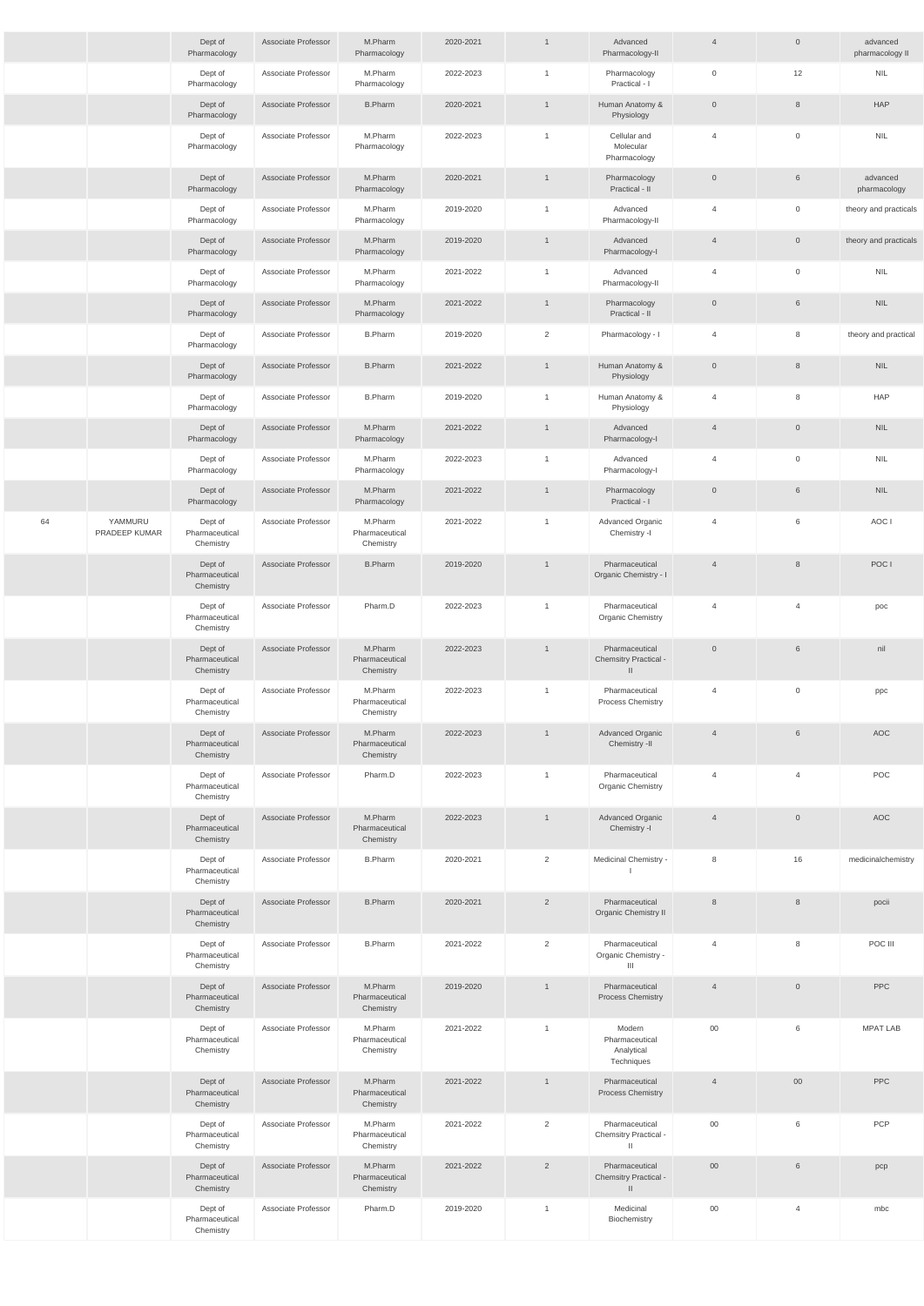|    |                          | Dept of<br>Pharmacology                | Associate Professor | M.Pharm<br>Pharmacology                | 2020-2021 | $\mathbf{1}$   | Advanced<br>Pharmacology-II                              | $\overline{4}$ | $\overline{0}$ | advanced<br>pharmacology II |
|----|--------------------------|----------------------------------------|---------------------|----------------------------------------|-----------|----------------|----------------------------------------------------------|----------------|----------------|-----------------------------|
|    |                          | Dept of<br>Pharmacology                | Associate Professor | M.Pharm<br>Pharmacology                | 2022-2023 | $\overline{1}$ | Pharmacology<br>Practical - I                            | $\mathbf 0$    | 12             | <b>NIL</b>                  |
|    |                          | Dept of<br>Pharmacology                | Associate Professor | <b>B.Pharm</b>                         | 2020-2021 | $\overline{1}$ | Human Anatomy &<br>Physiology                            | $\overline{0}$ | 8              | <b>HAP</b>                  |
|    |                          | Dept of<br>Pharmacology                | Associate Professor | M.Pharm<br>Pharmacology                | 2022-2023 | $\overline{1}$ | Cellular and<br>Molecular<br>Pharmacology                | $\overline{4}$ | $\mathbf 0$    | <b>NIL</b>                  |
|    |                          | Dept of<br>Pharmacology                | Associate Professor | M.Pharm<br>Pharmacology                | 2020-2021 | $\mathbf{1}$   | Pharmacology<br>Practical - II                           | $\overline{0}$ | 6              | advanced<br>pharmacology    |
|    |                          | Dept of<br>Pharmacology                | Associate Professor | M.Pharm<br>Pharmacology                | 2019-2020 | $\overline{1}$ | Advanced<br>Pharmacology-II                              | 4              | $\mathbf 0$    | theory and practicals       |
|    |                          | Dept of<br>Pharmacology                | Associate Professor | M.Pharm<br>Pharmacology                | 2019-2020 | $\mathbf{1}$   | Advanced<br>Pharmacology-I                               | $\overline{4}$ | $\overline{0}$ | theory and practicals       |
|    |                          | Dept of<br>Pharmacology                | Associate Professor | M.Pharm<br>Pharmacology                | 2021-2022 | $\overline{1}$ | Advanced<br>Pharmacology-II                              | $\overline{4}$ | $\mathbf{0}$   | <b>NIL</b>                  |
|    |                          | Dept of<br>Pharmacology                | Associate Professor | M.Pharm<br>Pharmacology                | 2021-2022 | $\mathbf{1}$   | Pharmacology<br>Practical - II                           | $\overline{0}$ | 6              | <b>NIL</b>                  |
|    |                          | Dept of<br>Pharmacology                | Associate Professor | <b>B.Pharm</b>                         | 2019-2020 | $\overline{2}$ | Pharmacology - I                                         | $\overline{4}$ | 8              | theory and practical        |
|    |                          | Dept of<br>Pharmacology                | Associate Professor | <b>B.Pharm</b>                         | 2021-2022 | $\overline{1}$ | Human Anatomy &<br>Physiology                            | $\overline{0}$ | 8              | <b>NIL</b>                  |
|    |                          | Dept of<br>Pharmacology                | Associate Professor | <b>B.Pharm</b>                         | 2019-2020 | $\mathbf{1}$   | Human Anatomy &<br>Physiology                            | $\overline{4}$ | 8              | <b>HAP</b>                  |
|    |                          | Dept of<br>Pharmacology                | Associate Professor | M.Pharm<br>Pharmacology                | 2021-2022 | $\mathbf{1}$   | Advanced<br>Pharmacology-I                               | $\overline{4}$ | $\mathbf{0}$   | <b>NIL</b>                  |
|    |                          | Dept of<br>Pharmacology                | Associate Professor | M.Pharm<br>Pharmacology                | 2022-2023 | $\overline{1}$ | Advanced<br>Pharmacology-I                               | 4              | $\mathbf 0$    | <b>NIL</b>                  |
|    |                          | Dept of<br>Pharmacology                | Associate Professor | M.Pharm<br>Pharmacology                | 2021-2022 | $\mathbf{1}$   | Pharmacology<br>Practical - I                            | $\overline{0}$ | 6              | <b>NIL</b>                  |
| 64 | YAMMURU<br>PRADEEP KUMAR | Dept of<br>Pharmaceutical<br>Chemistry | Associate Professor | M.Pharm<br>Pharmaceutical<br>Chemistry | 2021-2022 | $\mathbf{1}$   | Advanced Organic<br>Chemistry -I                         | 4              | 6              | AOC I                       |
|    |                          | Dept of<br>Pharmaceutical<br>Chemistry | Associate Professor | <b>B.Pharm</b>                         | 2019-2020 | $\overline{1}$ | Pharmaceutical<br>Organic Chemistry - I                  | $\overline{4}$ | 8              | POC I                       |
|    |                          | Dept of<br>Pharmaceutical<br>Chemistry | Associate Professor | Pharm.D                                | 2022-2023 | $\mathbf{1}$   | Pharmaceutical<br><b>Organic Chemistry</b>               | $\overline{4}$ | $\overline{4}$ | poc                         |
|    |                          | Dept of<br>Pharmaceutical<br>Chemistry | Associate Professor | M.Pharm<br>Pharmaceutical<br>Chemistry | 2022-2023 | $\mathbf{1}$   | Pharmaceutical<br>Chemsitry Practical -<br>$\mathbf{H}$  | $\overline{0}$ | 6              | nil                         |
|    |                          | Dept of<br>Pharmaceutical<br>Chemistry | Associate Professor | M.Pharm<br>Pharmaceutical<br>Chemistry | 2022-2023 | $\overline{1}$ | Pharmaceutical<br>Process Chemistry                      | $\overline{4}$ | $\mathbf 0$    | ppc                         |
|    |                          | Dept of<br>Pharmaceutical<br>Chemistry | Associate Professor | M.Pharm<br>Pharmaceutical<br>Chemistry | 2022-2023 | $\mathbf{1}$   | <b>Advanced Organic</b><br>Chemistry -II                 | $\overline{4}$ | $6\phantom{1}$ | AOC                         |
|    |                          | Dept of<br>Pharmaceutical<br>Chemistry | Associate Professor | Pharm.D                                | 2022-2023 | $\overline{1}$ | Pharmaceutical<br><b>Organic Chemistry</b>               | $\overline{4}$ | $\overline{4}$ | POC                         |
|    |                          | Dept of<br>Pharmaceutical<br>Chemistry | Associate Professor | M.Pharm<br>Pharmaceutical<br>Chemistry | 2022-2023 | $\mathbf{1}$   | Advanced Organic<br>Chemistry -I                         | $\overline{4}$ | $\overline{0}$ | AOC                         |
|    |                          | Dept of<br>Pharmaceutical<br>Chemistry | Associate Professor | <b>B.Pharm</b>                         | 2020-2021 | $\overline{2}$ | Medicinal Chemistry -                                    | 8              | 16             | medicinalchemistry          |
|    |                          | Dept of<br>Pharmaceutical<br>Chemistry | Associate Professor | <b>B.Pharm</b>                         | 2020-2021 | $\overline{2}$ | Pharmaceutical<br>Organic Chemistry II                   | 8              | $8\phantom{1}$ | pocii                       |
|    |                          | Dept of<br>Pharmaceutical<br>Chemistry | Associate Professor | <b>B.Pharm</b>                         | 2021-2022 | $\overline{2}$ | Pharmaceutical<br>Organic Chemistry -<br>$\mathbf{III}$  | $\overline{4}$ | 8              | POC III                     |
|    |                          | Dept of<br>Pharmaceutical<br>Chemistry | Associate Professor | M.Pharm<br>Pharmaceutical<br>Chemistry | 2019-2020 | $\overline{1}$ | Pharmaceutical<br><b>Process Chemistry</b>               | $\overline{4}$ | $\overline{0}$ | PPC                         |
|    |                          | Dept of<br>Pharmaceutical<br>Chemistry | Associate Professor | M.Pharm<br>Pharmaceutical<br>Chemistry | 2021-2022 | $\overline{1}$ | Modern<br>Pharmaceutical<br>Analytical<br>Techniques     | $00\,$         | 6              | <b>MPAT LAB</b>             |
|    |                          | Dept of<br>Pharmaceutical<br>Chemistry | Associate Professor | M.Pharm<br>Pharmaceutical<br>Chemistry | 2021-2022 | $\mathbf{1}$   | Pharmaceutical<br>Process Chemistry                      | $\overline{4}$ | $00\,$         | PPC                         |
|    |                          | Dept of<br>Pharmaceutical<br>Chemistry | Associate Professor | M.Pharm<br>Pharmaceutical<br>Chemistry | 2021-2022 | $\overline{2}$ | Pharmaceutical<br>Chemsitry Practical -<br>$\mathbf{H}$  | $00\,$         | 6              | PCP                         |
|    |                          | Dept of<br>Pharmaceutical<br>Chemistry | Associate Professor | M.Pharm<br>Pharmaceutical<br>Chemistry | 2021-2022 | $\overline{2}$ | Pharmaceutical<br>Chemsitry Practical -<br>$\mathbf{  }$ | $00\,$         | 6              | pcp                         |
|    |                          | Dept of<br>Pharmaceutical<br>Chemistry | Associate Professor | Pharm.D                                | 2019-2020 | $\overline{1}$ | Medicinal<br>Biochemistry                                | $00\,$         | $\overline{4}$ | mbc                         |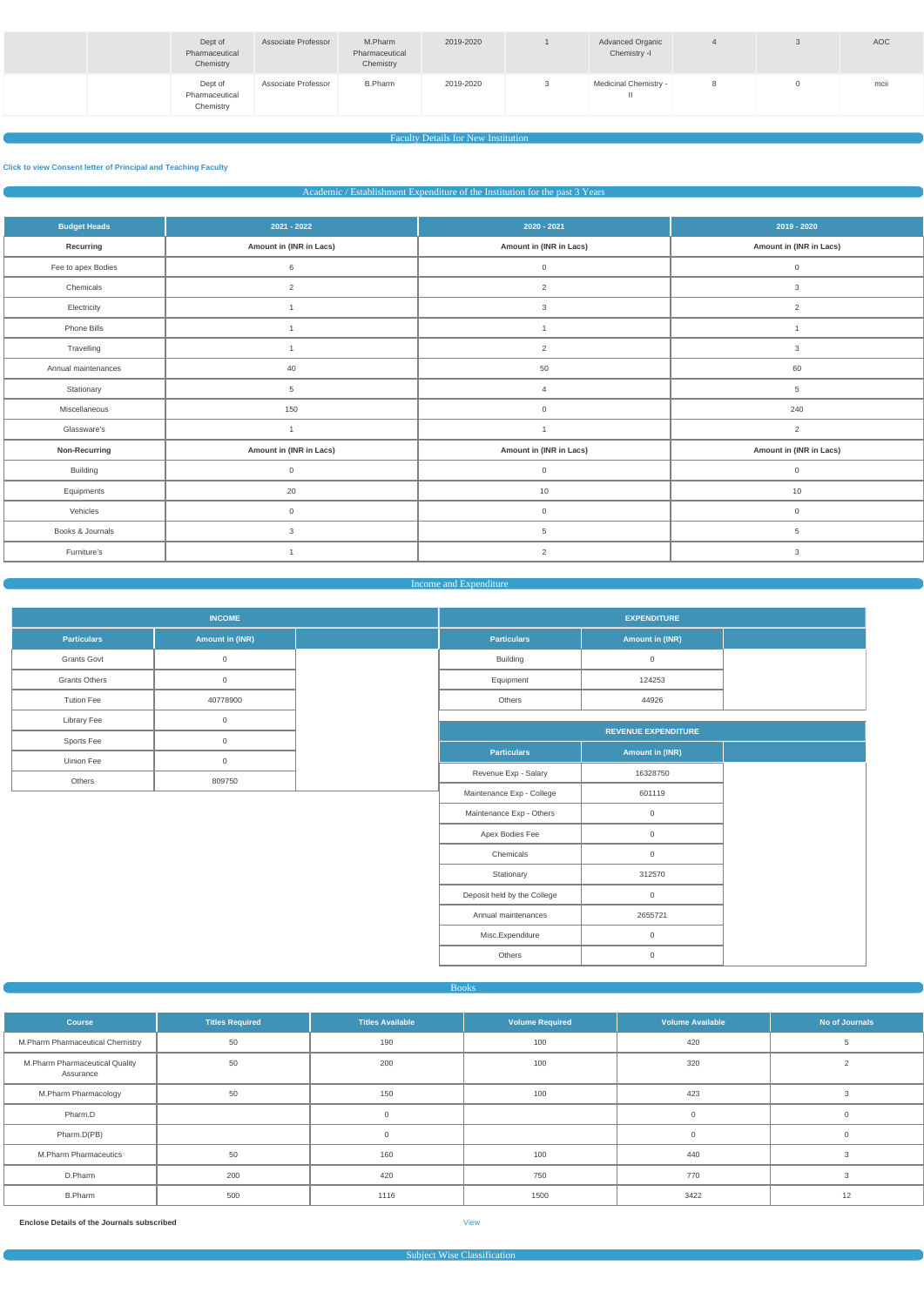| Dept of<br>Pharmaceutical<br>Chemistry | <b>Associate Professor</b> | M.Pharm<br>Pharmaceutical<br>Chemistry | 2019-2020 | <b>Advanced Organic</b><br>Chemistry -I |  | AOC  |
|----------------------------------------|----------------------------|----------------------------------------|-----------|-----------------------------------------|--|------|
| Dept of<br>Pharmaceutical<br>Chemistry | Associate Professor        | <b>B.Pharm</b>                         | 2019-2020 | <b>Medicinal Chemistry -</b>            |  | mcii |

## Faculty Details for New Institution

#### **[Click to view Consent letter of Principal and Teaching Faculty](https://dgpm.nic.in/institute/getmongoPdfFile.do?renreceiptid=&tablename=newinstfacultydoc)**

Academic / Establishment Expenditure of the Institution for the past 3 Years

| <b>Budget Heads</b> | $2021 - 2022$           | $2020 - 2021$           | 2019 - 2020             |
|---------------------|-------------------------|-------------------------|-------------------------|
| Recurring           | Amount in (INR in Lacs) | Amount in (INR in Lacs) | Amount in (INR in Lacs) |
| Fee to apex Bodies  | $\,6\,$                 | $\overline{0}$          | $\mathsf{O}$            |
| Chemicals           | $\overline{2}$          | $\overline{2}$          | $\mathbf{3}$            |
| Electricity         |                         | 3                       | 2                       |
| Phone Bills         |                         |                         |                         |
| Travelling          |                         | 2                       | 3                       |
| Annual maintenances | 40                      | 50                      | 60                      |
| Stationary          | 5                       | $\overline{4}$          | $5\phantom{.0}$         |
| Miscellaneous       | 150                     | $\mathsf{O}\xspace$     | 240                     |
| Glassware's         | $\overline{1}$          |                         | 2                       |
| Non-Recurring       | Amount in (INR in Lacs) | Amount in (INR in Lacs) | Amount in (INR in Lacs) |
| Building            | $\overline{0}$          | $\overline{0}$          | $\mathbb O$             |
| Equipments          | 20                      | 10                      | 10                      |
| Vehicles            | $\overline{0}$          | $\overline{0}$          | $\mathbb O$             |
| Books & Journals    | 3                       | $5\overline{)}$         | $5\phantom{.0}$         |
| Furniture's         |                         | $\overline{2}$          | 3                       |

#### Income and Expenditure

|                      | <b>INCOME</b>   | <b>EXPENDITURE</b>          |                            |
|----------------------|-----------------|-----------------------------|----------------------------|
| <b>Particulars</b>   | Amount in (INR) | <b>Particulars</b>          | <b>Amount in (INR)</b>     |
| Grants Govt          | $\mathsf 0$     | Building                    | $\mathbf 0$                |
| <b>Grants Others</b> | $\overline{0}$  | Equipment                   | 124253                     |
| <b>Tution Fee</b>    | 40778900        | Others                      | 44926                      |
| <b>Library Fee</b>   | $\mathsf 0$     |                             |                            |
| Sports Fee           | $\overline{0}$  |                             | <b>REVENUE EXPENDITURE</b> |
| Uinion Fee           | $\mathsf 0$     | <b>Particulars</b>          | <b>Amount in (INR)</b>     |
| Others               | 809750          | Revenue Exp - Salary        | 16328750                   |
|                      |                 | Maintenance Exp - College   | 601119                     |
|                      |                 | Maintenance Exp - Others    | $\overline{0}$             |
|                      |                 | Apex Bodies Fee             | $\mathsf{O}\xspace$        |
|                      |                 | Chemicals                   | $\overline{0}$             |
|                      |                 | Stationary                  | 312570                     |
|                      |                 | Deposit held by the College | $\overline{0}$             |
|                      |                 | Annual maintenances         | 2655721                    |
|                      |                 | Misc.Expenditure            | $\mathbf 0$                |
|                      |                 | Others                      | $\mathsf{O}\xspace$        |

| <b>Course</b>                               | <b>Titles Required</b> | <b>Titles Available</b> | <b>Volume Required</b> | <b>Volume Available</b> | No of Journals |
|---------------------------------------------|------------------------|-------------------------|------------------------|-------------------------|----------------|
| M.Pharm Pharmaceutical Chemistry            | 50                     | 190                     | 100                    | 420                     |                |
| M.Pharm Pharmaceutical Quality<br>Assurance | 50                     | 200                     | 100                    | 320                     |                |
| M.Pharm Pharmacology                        | 50                     | 150                     | 100                    | 423                     |                |
| Pharm.D                                     |                        | <sup>n</sup>            |                        | $\mathbf 0$             | $\Omega$       |
| Pharm.D(PB)                                 |                        | $\Omega$                |                        | $\mathbf 0$             | $\Omega$       |
| M.Pharm Pharmaceutics                       | 50                     | 160                     | 100                    | 440                     |                |
| D.Pharm                                     | 200                    | 420                     | 750                    | 770                     |                |
| <b>B.Pharm</b>                              | 500                    | 1116                    | 1500                   | 3422                    | 12             |

**Enclose Details of the Journals subscribed** [View](https://dgpm.nic.in/institute/getmongoPdfFile.do?renreceiptid=62e155a5-d9d0-42b5-bec2-73b60aac523d&tablename=bookjournal)

Subject Wise Classification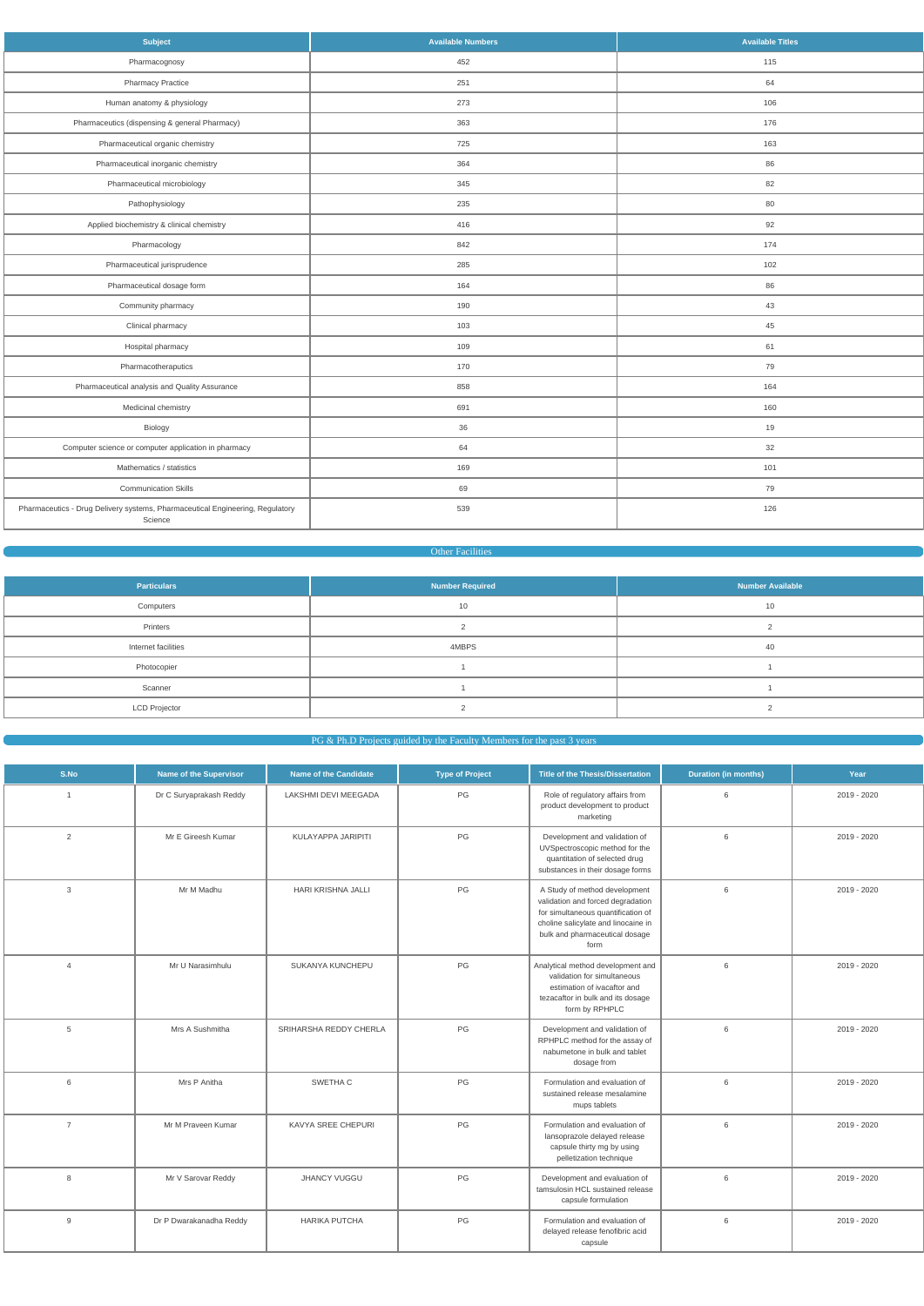| <b>Subject</b>                                                                           | <b>Available Numbers</b> | <b>Available Titles</b> |
|------------------------------------------------------------------------------------------|--------------------------|-------------------------|
| Pharmacognosy                                                                            | 452                      | 115                     |
| <b>Pharmacy Practice</b>                                                                 | 251                      | 64                      |
| Human anatomy & physiology                                                               | 273                      | 106                     |
| Pharmaceutics (dispensing & general Pharmacy)                                            | 363                      | 176                     |
| Pharmaceutical organic chemistry                                                         | 725                      | 163                     |
| Pharmaceutical inorganic chemistry                                                       | 364                      | 86                      |
| Pharmaceutical microbiology                                                              | 345                      | 82                      |
| Pathophysiology                                                                          | 235                      | 80                      |
| Applied biochemistry & clinical chemistry                                                | 416                      | 92                      |
| Pharmacology                                                                             | 842                      | 174                     |
| Pharmaceutical jurisprudence                                                             | 285                      | 102                     |
| Pharmaceutical dosage form                                                               | 164                      | 86                      |
| Community pharmacy                                                                       | 190                      | 43                      |
| Clinical pharmacy                                                                        | 103                      | 45                      |
| Hospital pharmacy                                                                        | 109                      | 61                      |
| Pharmacotheraputics                                                                      | 170                      | 79                      |
| Pharmaceutical analysis and Quality Assurance                                            | 858                      | 164                     |
| Medicinal chemistry                                                                      | 691                      | 160                     |
| Biology                                                                                  | 36                       | 19                      |
| Computer science or computer application in pharmacy                                     | 64                       | 32                      |
| Mathematics / statistics                                                                 | 169                      | 101                     |
| <b>Communication Skills</b>                                                              | 69                       | 79                      |
| Pharmaceutics - Drug Delivery systems, Pharmaceutical Engineering, Regulatory<br>Science | 539                      | 126                     |

# **Communist Communist Communist Communist Communist Communist Communist Communist Communist Communist Communist Communist Communist Communist Communist Communist Communist Communist Communist Communist Communist Communist C**

| <b>Particulars</b>   | <b>Number Required</b> | <b>Number Available</b> |
|----------------------|------------------------|-------------------------|
| Computers            | 10                     | 10                      |
| Printers             |                        |                         |
| Internet facilities  | 4MBPS                  | 40                      |
| Photocopier          |                        |                         |
| Scanner              |                        |                         |
| <b>LCD Projector</b> |                        |                         |

# PG & Ph.D Projects guided by the Faculty Members for the past 3 years

| S.No           | <b>Name of the Supervisor</b> | <b>Name of the Candidate</b> | <b>Type of Project</b> | Title of the Thesis/Dissertation                                                                                                                                                          | <b>Duration (in months)</b> | Year        |
|----------------|-------------------------------|------------------------------|------------------------|-------------------------------------------------------------------------------------------------------------------------------------------------------------------------------------------|-----------------------------|-------------|
| $\overline{1}$ | Dr C Suryaprakash Reddy       | LAKSHMI DEVI MEEGADA         | PG                     | Role of regulatory affairs from<br>product development to product<br>marketing                                                                                                            | 6                           | 2019 - 2020 |
| 2              | Mr E Gireesh Kumar            | KULAYAPPA JARIPITI           | PG                     | Development and validation of<br>UVSpectroscopic method for the<br>quantitation of selected drug<br>substances in their dosage forms                                                      | 6                           | 2019 - 2020 |
| 3              | Mr M Madhu                    | HARI KRISHNA JALLI           | $PG$                   | A Study of method development<br>validation and forced degradation<br>for simultaneous quantification of<br>choline salicylate and linocaine in<br>bulk and pharmaceutical dosage<br>form | 6                           | 2019 - 2020 |
| $\overline{4}$ | Mr U Narasimhulu              | SUKANYA KUNCHEPU             | PG                     | Analytical method development and<br>validation for simultaneous<br>estimation of ivacaftor and<br>tezacaftor in bulk and its dosage<br>form by RPHPLC                                    | 6                           | 2019 - 2020 |
| 5              | Mrs A Sushmitha               | SRIHARSHA REDDY CHERLA       | PG                     | Development and validation of<br>RPHPLC method for the assay of<br>nabumetone in bulk and tablet<br>dosage from                                                                           | 6                           | 2019 - 2020 |
| 6              | Mrs P Anitha                  | SWETHA C                     | $PG$                   | Formulation and evaluation of<br>sustained release mesalamine<br>mups tablets                                                                                                             | 6                           | 2019 - 2020 |
| $\overline{7}$ | Mr M Praveen Kumar            | KAVYA SREE CHEPURI           | $PG$                   | Formulation and evaluation of<br>lansoprazole delayed release<br>capsule thirty mg by using<br>pelletization technique                                                                    | 6                           | 2019 - 2020 |
| 8              | Mr V Sarovar Reddy            | <b>JHANCY VUGGU</b>          | PG                     | Development and evaluation of<br>tamsulosin HCL sustained release<br>capsule formulation                                                                                                  | 6                           | 2019 - 2020 |
| 9              | Dr P Dwarakanadha Reddy       | <b>HARIKA PUTCHA</b>         | PG                     | Formulation and evaluation of<br>delayed release fenofibric acid<br>capsule                                                                                                               | 6                           | 2019 - 2020 |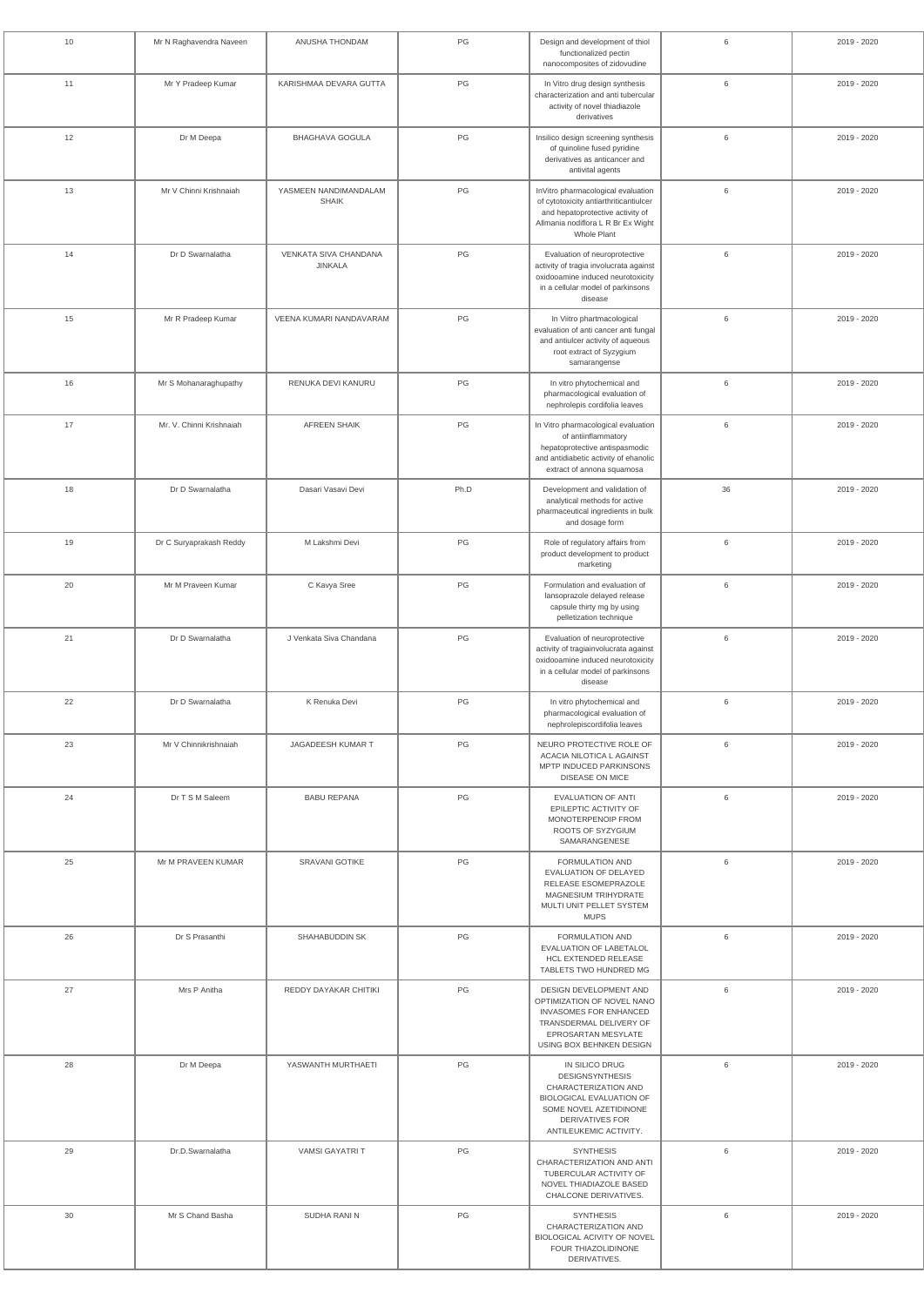| 10 | Mr N Raghavendra Naveen  | ANUSHA THONDAM                                 | PG            | Design and development of thiol<br>functionalized pectin<br>nanocomposites of zidovudine                                                                                          | 6  | 2019 - 2020 |
|----|--------------------------|------------------------------------------------|---------------|-----------------------------------------------------------------------------------------------------------------------------------------------------------------------------------|----|-------------|
| 11 | Mr Y Pradeep Kumar       | KARISHMAA DEVARA GUTTA                         | $\mathsf{PG}$ | In Vitro drug design synthesis<br>characterization and anti tubercular<br>activity of novel thiadiazole<br>derivatives                                                            | 6  | 2019 - 2020 |
| 12 | Dr M Deepa               | <b>BHAGHAVA GOGULA</b>                         | PG            | Insilico design screening synthesis<br>of quinoline fused pyridine<br>derivatives as anticancer and<br>antivital agents                                                           | 6  | 2019 - 2020 |
| 13 | Mr V Chinni Krishnaiah   | YASMEEN NANDIMANDALAM<br><b>SHAIK</b>          | PG            | InVitro pharmacological evaluation<br>of cytotoxicity antiarthriticantiulcer<br>and hepatoprotective activity of<br>Allmania nodiflora L R Br Ex Wight<br>Whole Plant             | 6  | 2019 - 2020 |
| 14 | Dr D Swarnalatha         | <b>VENKATA SIVA CHANDANA</b><br><b>JINKALA</b> | PG            | Evaluation of neuroprotective<br>activity of tragia involucrata against<br>oxidooamine induced neurotoxicity<br>in a cellular model of parkinsons<br>disease                      | 6  | 2019 - 2020 |
| 15 | Mr R Pradeep Kumar       | VEENA KUMARI NANDAVARAM                        | PG            | In Viitro phartmacological<br>evaluation of anti cancer anti fungal<br>and antiulcer activity of aqueous<br>root extract of Syzygium<br>samarangense                              | 6  | 2019 - 2020 |
| 16 | Mr S Mohanaraghupathy    | RENUKA DEVI KANURU                             | PG            | In vitro phytochemical and<br>pharmacological evaluation of<br>nephrolepis cordifolia leaves                                                                                      | 6  | 2019 - 2020 |
| 17 | Mr. V. Chinni Krishnaiah | <b>AFREEN SHAIK</b>                            | PG            | In Vitro pharmacological evaluation<br>of antiinflammatory<br>hepatoprotective antispasmodic<br>and antidiabetic activity of ehanolic<br>extract of annona squamosa               | 6  | 2019 - 2020 |
| 18 | Dr D Swarnalatha         | Dasari Vasavi Devi                             | Ph.D          | Development and validation of<br>analytical methods for active<br>pharmaceutical ingredients in bulk<br>and dosage form                                                           | 36 | 2019 - 2020 |
| 19 | Dr C Suryaprakash Reddy  | M Lakshmi Devi                                 | $\mathsf{PG}$ | Role of regulatory affairs from<br>product development to product<br>marketing                                                                                                    | 6  | 2019 - 2020 |
| 20 | Mr M Praveen Kumar       | C Kavya Sree                                   | PG            | Formulation and evaluation of<br>lansoprazole delayed release<br>capsule thirty mg by using<br>pelletization technique                                                            | 6  | 2019 - 2020 |
| 21 | Dr D Swarnalatha         | J Venkata Siva Chandana                        | PG            | Evaluation of neuroprotective<br>activity of tragiainvolucrata against<br>oxidooamine induced neurotoxicity<br>in a cellular model of parkinsons<br>disease                       | 6  | 2019 - 2020 |
| 22 | Dr D Swarnalatha         | K Renuka Devi                                  | PG            | In vitro phytochemical and<br>pharmacological evaluation of<br>nephrolepiscordifolia leaves                                                                                       | 6  | 2019 - 2020 |
| 23 | Mr V Chinnikrishnaiah    | JAGADEESH KUMAR T                              | PG            | NEURO PROTECTIVE ROLE OF<br>ACACIA NILOTICA L AGAINST<br>MPTP INDUCED PARKINSONS<br><b>DISEASE ON MICE</b>                                                                        | 6  | 2019 - 2020 |
| 24 | Dr T S M Saleem          | <b>BABU REPANA</b>                             | PG            | <b>EVALUATION OF ANTI</b><br>EPILEPTIC ACTIVITY OF<br>MONOTERPENOIP FROM<br>ROOTS OF SYZYGIUM<br>SAMARANGENESE                                                                    | 6  | 2019 - 2020 |
| 25 | Mr M PRAVEEN KUMAR       | SRAVANI GOTIKE                                 | PG            | FORMULATION AND<br>EVALUATION OF DELAYED<br>RELEASE ESOMEPRAZOLE<br>MAGNESIUM TRIHYDRATE<br>MULTI UNIT PELLET SYSTEM<br><b>MUPS</b>                                               | 6  | 2019 - 2020 |
| 26 | Dr S Prasanthi           | SHAHABUDDIN SK                                 | PG            | FORMULATION AND<br>EVALUATION OF LABETALOL<br><b>HCL EXTENDED RELEASE</b><br>TABLETS TWO HUNDRED MG                                                                               | 6  | 2019 - 2020 |
| 27 | Mrs P Anitha             | REDDY DAYAKAR CHITIKI                          | PG            | DESIGN DEVELOPMENT AND<br>OPTIMIZATION OF NOVEL NANO<br>INVASOMES FOR ENHANCED<br>TRANSDERMAL DELIVERY OF<br>EPROSARTAN MESYLATE<br>USING BOX BEHNKEN DESIGN                      | 6  | 2019 - 2020 |
| 28 | Dr M Deepa               | YASWANTH MURTHAETI                             | PG            | IN SILICO DRUG<br><b>DESIGNSYNTHESIS</b><br>CHARACTERIZATION AND<br><b>BIOLOGICAL EVALUATION OF</b><br>SOME NOVEL AZETIDINONE<br><b>DERIVATIVES FOR</b><br>ANTILEUKEMIC ACTIVITY. | 6  | 2019 - 2020 |
| 29 | Dr.D.Swarnalatha         | VAMSI GAYATRI T                                | $\mathsf{PG}$ | <b>SYNTHESIS</b><br>CHARACTERIZATION AND ANTI<br>TUBERCULAR ACTIVITY OF<br>NOVEL THIADIAZOLE BASED<br>CHALCONE DERIVATIVES.                                                       | 6  | 2019 - 2020 |
| 30 | Mr S Chand Basha         | SUDHA RANI N                                   | PG            | <b>SYNTHESIS</b><br>CHARACTERIZATION AND<br>BIOLOGICAL ACIVITY OF NOVEL<br>FOUR THIAZOLIDINONE<br>DERIVATIVES.                                                                    | 6  | 2019 - 2020 |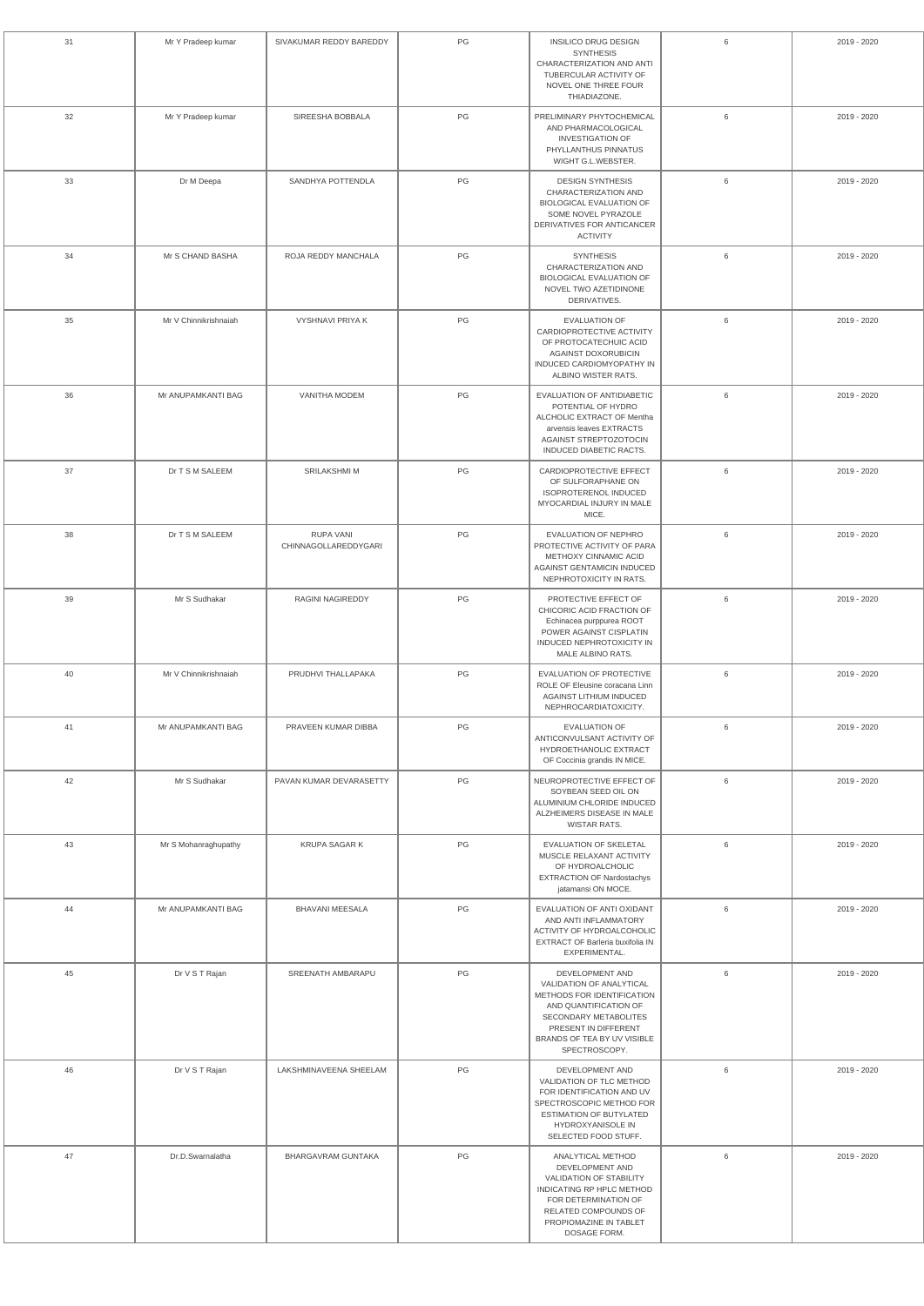| 31 | Mr Y Pradeep kumar    | SIVAKUMAR REDDY BAREDDY                  | PG            | INSILICO DRUG DESIGN<br><b>SYNTHESIS</b><br>CHARACTERIZATION AND ANTI<br>TUBERCULAR ACTIVITY OF<br>NOVEL ONE THREE FOUR<br>THIADIAZONE.                                                             | 6 | 2019 - 2020 |
|----|-----------------------|------------------------------------------|---------------|-----------------------------------------------------------------------------------------------------------------------------------------------------------------------------------------------------|---|-------------|
| 32 | Mr Y Pradeep kumar    | SIREESHA BOBBALA                         | PG            | PRELIMINARY PHYTOCHEMICAL<br>AND PHARMACOLOGICAL<br><b>INVESTIGATION OF</b><br>PHYLLANTHUS PINNATUS<br>WIGHT G.L.WEBSTER.                                                                           | 6 | 2019 - 2020 |
| 33 | Dr M Deepa            | SANDHYA POTTENDLA                        | PG            | <b>DESIGN SYNTHESIS</b><br>CHARACTERIZATION AND<br><b>BIOLOGICAL EVALUATION OF</b><br>SOME NOVEL PYRAZOLE<br>DERIVATIVES FOR ANTICANCER<br><b>ACTIVITY</b>                                          | 6 | 2019 - 2020 |
| 34 | Mr S CHAND BASHA      | ROJA REDDY MANCHALA                      | PG            | <b>SYNTHESIS</b><br>CHARACTERIZATION AND<br>BIOLOGICAL EVALUATION OF<br>NOVEL TWO AZETIDINONE<br>DERIVATIVES.                                                                                       | 6 | 2019 - 2020 |
| 35 | Mr V Chinnikrishnaiah | <b>VYSHNAVI PRIYA K</b>                  | PG            | <b>EVALUATION OF</b><br>CARDIOPROTECTIVE ACTIVITY<br>OF PROTOCATECHUIC ACID<br>AGAINST DOXORUBICIN<br>INDUCED CARDIOMYOPATHY IN<br>ALBINO WISTER RATS.                                              | 6 | 2019 - 2020 |
| 36 | Mr ANUPAMKANTI BAG    | VANITHA MODEM                            | PG            | EVALUATION OF ANTIDIABETIC<br>POTENTIAL OF HYDRO<br>ALCHOLIC EXTRACT OF Mentha<br>arvensis leaves EXTRACTS<br>AGAINST STREPTOZOTOCIN<br>INDUCED DIABETIC RACTS.                                     | 6 | 2019 - 2020 |
| 37 | Dr T S M SALEEM       | <b>SRILAKSHMI M</b>                      | PG            | CARDIOPROTECTIVE EFFECT<br>OF SULFORAPHANE ON<br><b>ISOPROTERENOL INDUCED</b><br>MYOCARDIAL INJURY IN MALE<br>MICE.                                                                                 | 6 | 2019 - 2020 |
| 38 | Dr T S M SALEEM       | <b>RUPA VANI</b><br>CHINNAGOLLAREDDYGARI | PG            | EVALUATION OF NEPHRO<br>PROTECTIVE ACTIVITY OF PARA<br>METHOXY CINNAMIC ACID<br>AGAINST GENTAMICIN INDUCED<br>NEPHROTOXICITY IN RATS.                                                               | 6 | 2019 - 2020 |
| 39 | Mr S Sudhakar         | RAGINI NAGIREDDY                         | PG            | PROTECTIVE EFFECT OF<br>CHICORIC ACID FRACTION OF<br>Echinacea purppurea ROOT<br>POWER AGAINST CISPLATIN<br><b>INDUCED NEPHROTOXICITY IN</b><br>MALE ALBINO RATS.                                   | 6 | 2019 - 2020 |
| 40 | Mr V Chinnikrishnaiah | PRUDHVI THALLAPAKA                       | PG            | EVALUATION OF PROTECTIVE<br>ROLE OF Eleusine coracana Linn<br>AGAINST LITHIUM INDUCED<br>NEPHROCARDIATOXICITY.                                                                                      | 6 | 2019 - 2020 |
| 41 | Mr ANUPAMKANTI BAG    | PRAVEEN KUMAR DIBBA                      | PG            | <b>EVALUATION OF</b><br>ANTICONVULSANT ACTIVITY OF<br>HYDROETHANOLIC EXTRACT<br>OF Coccinia grandis IN MICE.                                                                                        | 6 | 2019 - 2020 |
| 42 | Mr S Sudhakar         | PAVAN KUMAR DEVARASETTY                  | PG            | NEUROPROTECTIVE EFFECT OF<br>SOYBEAN SEED OIL ON<br>ALUMINIUM CHLORIDE INDUCED<br>ALZHEIMERS DISEASE IN MALE<br>WISTAR RATS.                                                                        | 6 | 2019 - 2020 |
| 43 | Mr S Mohanraghupathy  | KRUPA SAGAR K                            | PG            | EVALUATION OF SKELETAL<br>MUSCLE RELAXANT ACTIVITY<br>OF HYDROALCHOLIC<br><b>EXTRACTION OF Nardostachys</b><br>jatamansi ON MOCE.                                                                   | 6 | 2019 - 2020 |
| 44 | Mr ANUPAMKANTI BAG    | <b>BHAVANI MEESALA</b>                   | PG            | EVALUATION OF ANTI OXIDANT<br>AND ANTI INFLAMMATORY<br>ACTIVITY OF HYDROALCOHOLIC<br>EXTRACT OF Barleria buxifolia IN<br>EXPERIMENTAL.                                                              | 6 | 2019 - 2020 |
| 45 | Dr V S T Rajan        | SREENATH AMBARAPU                        | $\mathsf{PG}$ | DEVELOPMENT AND<br>VALIDATION OF ANALYTICAL<br>METHODS FOR IDENTIFICATION<br>AND QUANTIFICATION OF<br>SECONDARY METABOLITES<br>PRESENT IN DIFFERENT<br>BRANDS OF TEA BY UV VISIBLE<br>SPECTROSCOPY. | 6 | 2019 - 2020 |
| 46 | Dr V S T Rajan        | LAKSHMINAVEENA SHEELAM                   | PG            | DEVELOPMENT AND<br>VALIDATION OF TLC METHOD<br>FOR IDENTIFICATION AND UV<br>SPECTROSCOPIC METHOD FOR<br><b>ESTIMATION OF BUTYLATED</b><br>HYDROXYANISOLE IN<br>SELECTED FOOD STUFF.                 | 6 | 2019 - 2020 |
| 47 | Dr.D.Swarnalatha      | BHARGAVRAM GUNTAKA                       | PG            | ANALYTICAL METHOD<br>DEVELOPMENT AND<br>VALIDATION OF STABILITY<br>INDICATING RP HPLC METHOD<br>FOR DETERMINATION OF<br>RELATED COMPOUNDS OF<br>PROPIOMAZINE IN TABLET<br>DOSAGE FORM.              | 6 | 2019 - 2020 |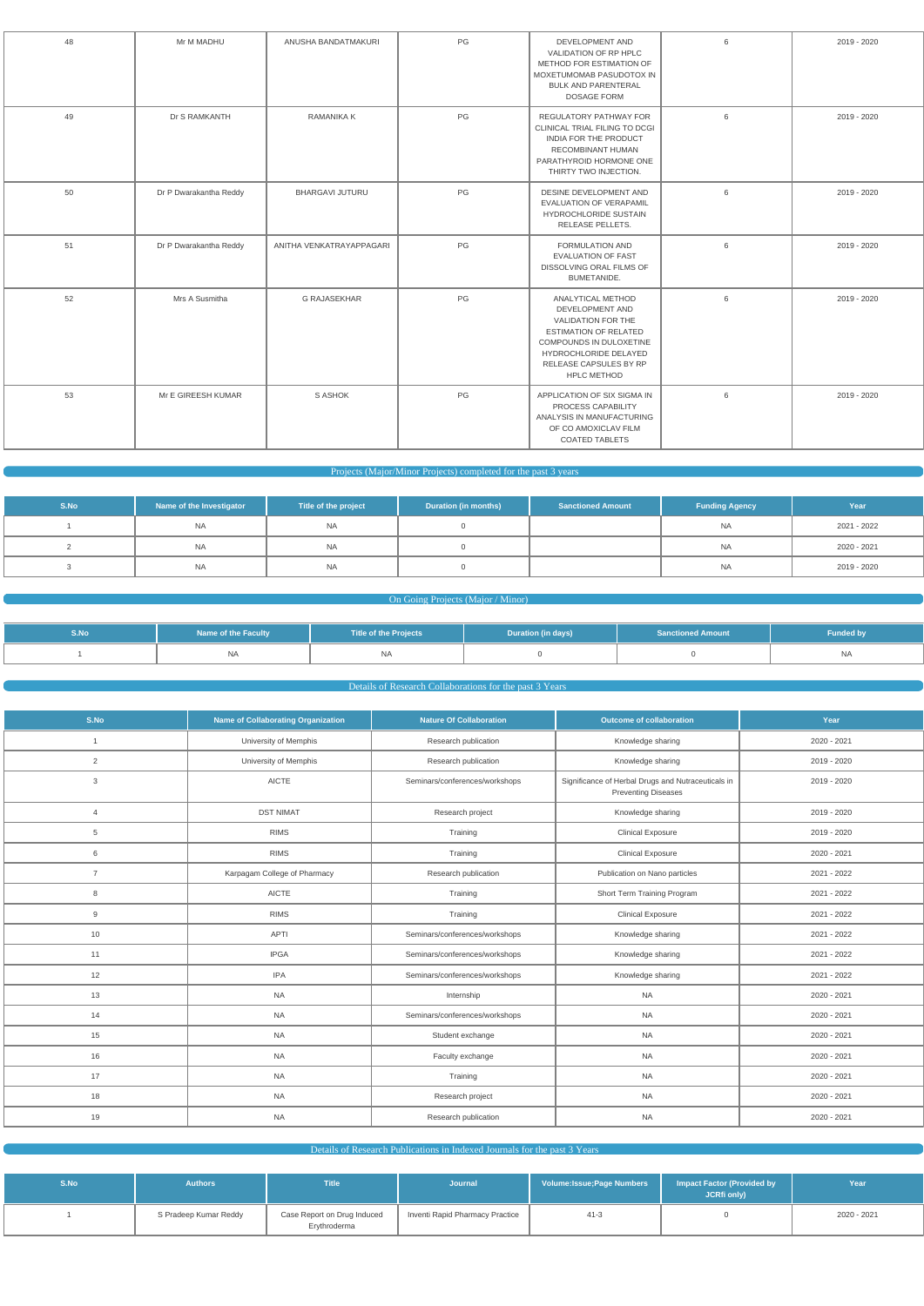| 48 | Mr M MADHU             | ANUSHA BANDATMAKURI      | PG   | DEVELOPMENT AND<br>VALIDATION OF RP HPLC<br>METHOD FOR ESTIMATION OF<br>MOXETUMOMAB PASUDOTOX IN<br><b>BULK AND PARENTERAL</b><br><b>DOSAGE FORM</b>                                                  | 6 | 2019 - 2020 |
|----|------------------------|--------------------------|------|-------------------------------------------------------------------------------------------------------------------------------------------------------------------------------------------------------|---|-------------|
| 49 | Dr S RAMKANTH          | <b>RAMANIKA K</b>        | PG   | REGULATORY PATHWAY FOR<br>CLINICAL TRIAL FILING TO DCGI<br>INDIA FOR THE PRODUCT<br>RECOMBINANT HUMAN<br>PARATHYROID HORMONE ONE<br>THIRTY TWO INJECTION.                                             | 6 | 2019 - 2020 |
| 50 | Dr P Dwarakantha Reddy | <b>BHARGAVI JUTURU</b>   | PG   | DESINE DEVELOPMENT AND<br>EVALUATION OF VERAPAMIL<br>HYDROCHLORIDE SUSTAIN<br>RELEASE PELLETS.                                                                                                        | 6 | 2019 - 2020 |
| 51 | Dr P Dwarakantha Reddy | ANITHA VENKATRAYAPPAGARI | PG   | <b>FORMULATION AND</b><br><b>EVALUATION OF FAST</b><br>DISSOLVING ORAL FILMS OF<br><b>BUMETANIDE.</b>                                                                                                 | 6 | 2019 - 2020 |
| 52 | Mrs A Susmitha         | <b>G RAJASEKHAR</b>      | PG   | ANALYTICAL METHOD<br>DEVELOPMENT AND<br>VALIDATION FOR THE<br><b>ESTIMATION OF RELATED</b><br>COMPOUNDS IN DULOXETINE<br><b>HYDROCHLORIDE DELAYED</b><br>RELEASE CAPSULES BY RP<br><b>HPLC METHOD</b> | 6 | 2019 - 2020 |
| 53 | Mr E GIREESH KUMAR     | S ASHOK                  | $PG$ | APPLICATION OF SIX SIGMA IN<br>PROCESS CAPABILITY<br>ANALYSIS IN MANUFACTURING<br>OF CO AMOXICLAV FILM<br><b>COATED TABLETS</b>                                                                       | 6 | 2019 - 2020 |

## Projects (Major/Minor Projects) completed for the past 3 years

| S.No | Name of the Investigator | Title of the project | <b>Duration (in months)</b> | <b>Sanctioned Amount</b> | <b>Funding Agency</b> | Year        |
|------|--------------------------|----------------------|-----------------------------|--------------------------|-----------------------|-------------|
|      | <b>NA</b>                | <b>NA</b>            |                             |                          | <b>NA</b>             | 2021 - 2022 |
|      | <b>NA</b>                | <b>NA</b>            |                             |                          | <b>NA</b>             | 2020 - 2021 |
|      | NA                       | <b>NA</b>            |                             |                          | <b>NA</b>             | 2019 - 2020 |

# **On Going Projects (Major / Minor)**

| S.No | <b>Name of the Faculty</b> | <b>Title of the Projects</b> | Duration (in days) | <b>Sanctioned Amount</b> | <b>Funded by</b> |
|------|----------------------------|------------------------------|--------------------|--------------------------|------------------|
|      | <b>NA</b>                  |                              |                    |                          | <b>NA</b>        |

## Details of Research Collaborations for the past 3 Years

| S.No           | <b>Name of Collaborating Organization</b> | <b>Nature Of Collaboration</b> | <b>Outcome of collaboration</b>                                                  | Year        |
|----------------|-------------------------------------------|--------------------------------|----------------------------------------------------------------------------------|-------------|
| $\mathbf{1}$   | University of Memphis                     | Research publication           | Knowledge sharing                                                                | 2020 - 2021 |
| $\overline{2}$ | University of Memphis                     | Research publication           | Knowledge sharing                                                                | 2019 - 2020 |
| 3              | <b>AICTE</b>                              | Seminars/conferences/workshops | Significance of Herbal Drugs and Nutraceuticals in<br><b>Preventing Diseases</b> | 2019 - 2020 |
| $\overline{4}$ | <b>DST NIMAT</b>                          | Research project               | Knowledge sharing                                                                | 2019 - 2020 |
| 5              | <b>RIMS</b>                               | Training                       | <b>Clinical Exposure</b>                                                         | 2019 - 2020 |
| 6              | <b>RIMS</b>                               | Training                       | <b>Clinical Exposure</b>                                                         | 2020 - 2021 |
| $\overline{7}$ | Karpagam College of Pharmacy              | Research publication           | Publication on Nano particles                                                    | 2021 - 2022 |
| 8              | <b>AICTE</b>                              | Training                       | Short Term Training Program                                                      | 2021 - 2022 |
| 9              | <b>RIMS</b>                               | Training                       | <b>Clinical Exposure</b>                                                         | 2021 - 2022 |
| 10             | <b>APTI</b>                               | Seminars/conferences/workshops | Knowledge sharing                                                                | 2021 - 2022 |
| 11             | <b>IPGA</b>                               | Seminars/conferences/workshops | Knowledge sharing                                                                | 2021 - 2022 |
| 12             | <b>IPA</b>                                | Seminars/conferences/workshops | Knowledge sharing                                                                | 2021 - 2022 |
| 13             | <b>NA</b>                                 | Internship                     | <b>NA</b>                                                                        | 2020 - 2021 |
| 14             | <b>NA</b>                                 | Seminars/conferences/workshops | <b>NA</b>                                                                        | 2020 - 2021 |
| 15             | <b>NA</b>                                 | Student exchange               | <b>NA</b>                                                                        | 2020 - 2021 |
| 16             | <b>NA</b>                                 | Faculty exchange               | <b>NA</b>                                                                        | 2020 - 2021 |
| 17             | <b>NA</b>                                 | Training                       | <b>NA</b>                                                                        | 2020 - 2021 |
| 18             | <b>NA</b>                                 | Research project               | <b>NA</b>                                                                        | 2020 - 2021 |
| 19             | <b>NA</b>                                 | Research publication           | <b>NA</b>                                                                        | 2020 - 2021 |

# Details of Research Publications in Indexed Journals for the past 3 Years

| S.No | <b>Authors</b>        | <b>Title</b>                                | <b>Journal</b>                  | Volume:Issue;Page Numbers | <b>Impact Factor (Provided by</b><br>JCRfi only) | Year        |
|------|-----------------------|---------------------------------------------|---------------------------------|---------------------------|--------------------------------------------------|-------------|
|      | S Pradeep Kumar Reddy | Case Report on Drug Induced<br>Erythroderma | Inventi Rapid Pharmacy Practice | $41 - 3$                  |                                                  | 2020 - 2021 |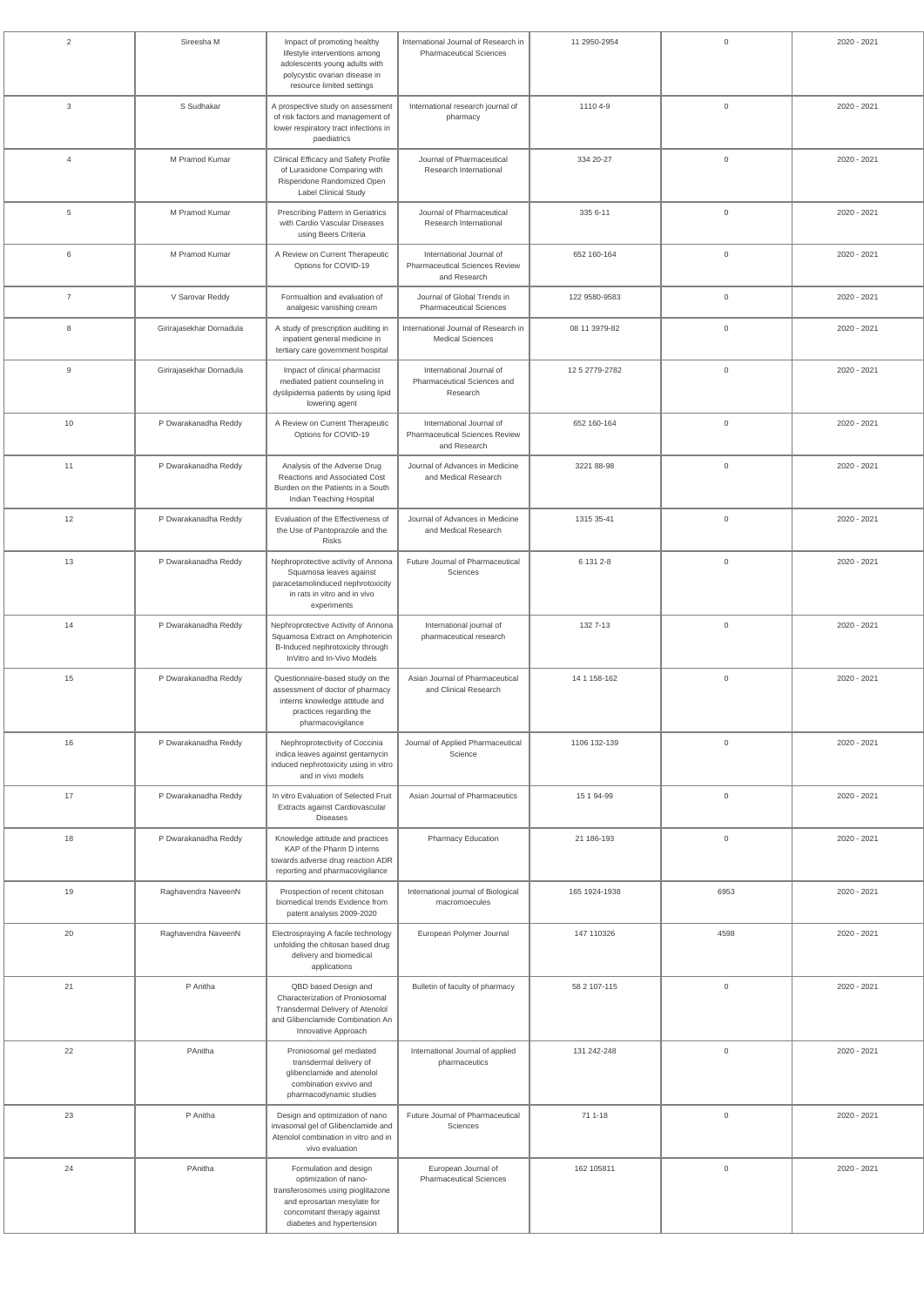| $\overline{2}$ | Sireesha M               | Impact of promoting healthy<br>lifestyle interventions among<br>adolescents young adults with<br>polycystic ovarian disease in<br>resource limited settings                     | International Journal of Research in<br><b>Pharmaceutical Sciences</b>            | 11 2950-2954   | $\overline{0}$ | 2020 - 2021 |
|----------------|--------------------------|---------------------------------------------------------------------------------------------------------------------------------------------------------------------------------|-----------------------------------------------------------------------------------|----------------|----------------|-------------|
| 3              | S Sudhakar               | A prospective study on assessment<br>of risk factors and management of<br>lower respiratory tract infections in<br>paediatrics                                                  | International research journal of<br>pharmacy                                     | 1110 4-9       | $\mathbb O$    | 2020 - 2021 |
| $\overline{4}$ | M Pramod Kumar           | Clinical Efficacy and Safety Profile<br>of Lurasidone Comparing with<br>Risperidone Randomized Open<br><b>Label Clinical Study</b>                                              | Journal of Pharmaceutical<br>Research International                               | 334 20-27      | $\mathbb O$    | 2020 - 2021 |
| 5              | M Pramod Kumar           | Prescribing Pattern in Geriatrics<br>with Cardio Vascular Diseases<br>using Beers Criteria                                                                                      | Journal of Pharmaceutical<br>Research International                               | 335 6-11       | $\overline{0}$ | 2020 - 2021 |
| 6              | M Pramod Kumar           | A Review on Current Therapeutic<br>Options for COVID-19                                                                                                                         | International Journal of<br><b>Pharmaceutical Sciences Review</b><br>and Research | 652 160-164    | $\overline{0}$ | 2020 - 2021 |
| $\overline{7}$ | V Sarovar Reddy          | Formualtion and evaluation of<br>analgesic vanishing cream                                                                                                                      | Journal of Global Trends in<br><b>Pharmaceutical Sciences</b>                     | 122 9580-9583  | $\overline{0}$ | 2020 - 2021 |
| 8              | Girirajasekhar Dornadula | A study of prescription auditing in<br>inpatient general medicine in<br>tertiary care government hospital                                                                       | International Journal of Research in<br><b>Medical Sciences</b>                   | 08 11 3979-82  | $\mathbb O$    | 2020 - 2021 |
| 9              | Girirajasekhar Dornadula | Impact of clinical pharmacist<br>mediated patient counseling in<br>dyslipidemia patients by using lipid<br>lowering agent                                                       | International Journal of<br>Pharmaceutical Sciences and<br>Research               | 12 5 2779-2782 | $\overline{0}$ | 2020 - 2021 |
| 10             | P Dwarakanadha Reddy     | A Review on Current Therapeutic<br>Options for COVID-19                                                                                                                         | International Journal of<br><b>Pharmaceutical Sciences Review</b><br>and Research | 652 160-164    | $\overline{0}$ | 2020 - 2021 |
| 11             | P Dwarakanadha Reddy     | Analysis of the Adverse Drug<br>Reactions and Associated Cost<br>Burden on the Patients in a South<br>Indian Teaching Hospital                                                  | Journal of Advances in Medicine<br>and Medical Research                           | 3221 88-98     | $\overline{0}$ | 2020 - 2021 |
| 12             | P Dwarakanadha Reddy     | Evaluation of the Effectiveness of<br>the Use of Pantoprazole and the<br>Risks                                                                                                  | Journal of Advances in Medicine<br>and Medical Research                           | 1315 35-41     | $\overline{0}$ | 2020 - 2021 |
| 13             | P Dwarakanadha Reddy     | Nephroprotective activity of Annona<br>Squamosa leaves against<br>paracetamolinduced nephrotoxicity<br>in rats in vitro and in vivo<br>experiments                              | Future Journal of Pharmaceutical<br>Sciences                                      | 6 131 2-8      | $\overline{0}$ | 2020 - 2021 |
| 14             | P Dwarakanadha Reddy     | Nephroprotective Activity of Annona<br>Squamosa Extract on Amphotericin<br>B-Induced nephrotoxicity through<br>InVitro and In-Vivo Models                                       | International journal of<br>pharmaceutical research                               | 132 7-13       | $\overline{0}$ | 2020 - 2021 |
| 15             | P Dwarakanadha Reddy     | Questionnaire-based study on the<br>assessment of doctor of pharmacy<br>interns knowledge attitude and<br>practices regarding the<br>pharmacovigilance                          | Asian Journal of Pharmaceutical<br>and Clinical Research                          | 14 1 158-162   | $\mathbb O$    | 2020 - 2021 |
| 16             | P Dwarakanadha Reddy     | Nephroprotectivity of Coccinia<br>indica leaves against gentamycin<br>induced nephrotoxicity using in vitro<br>and in vivo models                                               | Journal of Applied Pharmaceutical<br>Science                                      | 1106 132-139   | $\mathbb O$    | 2020 - 2021 |
| 17             | P Dwarakanadha Reddy     | In vitro Evaluation of Selected Fruit<br>Extracts against Cardiovascular<br><b>Diseases</b>                                                                                     | Asian Journal of Pharmaceutics                                                    | 15 1 94-99     | $\mathbb O$    | 2020 - 2021 |
| 18             | P Dwarakanadha Reddy     | Knowledge attitude and practices<br>KAP of the Pharm D interns<br>towards adverse drug reaction ADR<br>reporting and pharmacovigilance                                          | Pharmacy Education                                                                | 21 186-193     | $\overline{0}$ | 2020 - 2021 |
| 19             | Raghavendra NaveenN      | Prospection of recent chitosan<br>biomedical trends Evidence from<br>patent analysis 2009-2020                                                                                  | International journal of Biological<br>macromoecules                              | 165 1924-1938  | 6953           | 2020 - 2021 |
| 20             | Raghavendra NaveenN      | Electrospraying A facile technology<br>unfolding the chitosan based drug<br>delivery and biomedical<br>applications                                                             | European Polymer Journal                                                          | 147 110326     | 4598           | 2020 - 2021 |
| 21             | P Anitha                 | QBD based Design and<br>Characterization of Proniosomal<br>Transdermal Delivery of Atenolol<br>and Glibenclamide Combination An<br>Innovative Approach                          | Bulletin of faculty of pharmacy                                                   | 58 2 107-115   | $\overline{0}$ | 2020 - 2021 |
| 22             | PAnitha                  | Proniosomal gel mediated<br>transdermal delivery of<br>glibenclamide and atenolol<br>combination exvivo and<br>pharmacodynamic studies                                          | International Journal of applied<br>pharmaceutics                                 | 131 242-248    | $\overline{0}$ | 2020 - 2021 |
| 23             | P Anitha                 | Design and optimization of nano<br>invasomal gel of Glibenclamide and<br>Atenolol combination in vitro and in<br>vivo evaluation                                                | Future Journal of Pharmaceutical<br>Sciences                                      | 71 1-18        | $\overline{0}$ | 2020 - 2021 |
| 24             | PAnitha                  | Formulation and design<br>optimization of nano-<br>transferosomes using pioglitazone<br>and eprosartan mesylate for<br>concomitant therapy against<br>diabetes and hypertension | European Journal of<br><b>Pharmaceutical Sciences</b>                             | 162 105811     | $\mathbf 0$    | 2020 - 2021 |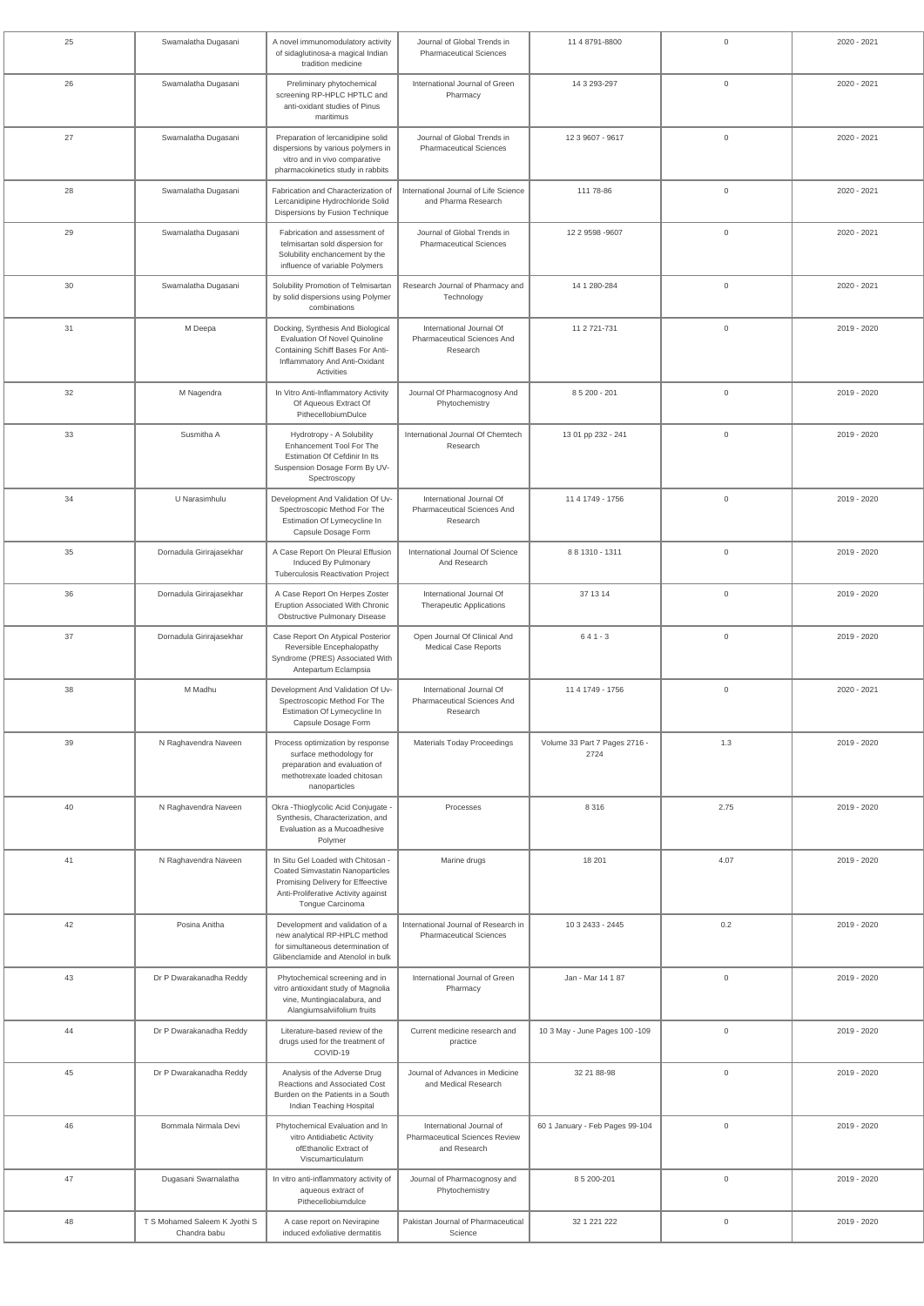| 25 | Swarnalatha Dugasani                          | A novel immunomodulatory activity<br>of sidaglutinosa-a magical Indian<br>tradition medicine                                                                           | Journal of Global Trends in<br><b>Pharmaceutical Sciences</b>              | 11 4 8791-8800                        | $\mathbf 0$    | 2020 - 2021 |
|----|-----------------------------------------------|------------------------------------------------------------------------------------------------------------------------------------------------------------------------|----------------------------------------------------------------------------|---------------------------------------|----------------|-------------|
| 26 | Swarnalatha Dugasani                          | Preliminary phytochemical<br>screening RP-HPLC HPTLC and<br>anti-oxidant studies of Pinus<br>maritimus                                                                 | International Journal of Green<br>Pharmacy                                 | 14 3 293-297                          | $\mathbf 0$    | 2020 - 2021 |
| 27 | Swarnalatha Dugasani                          | Preparation of lercanidipine solid<br>dispersions by various polymers in<br>vitro and in vivo comparative<br>pharmacokinetics study in rabbits                         | Journal of Global Trends in<br><b>Pharmaceutical Sciences</b>              | 12 3 9607 - 9617                      | $\mathbf 0$    | 2020 - 2021 |
| 28 | Swarnalatha Dugasani                          | Fabrication and Characterization of<br>Lercanidipine Hydrochloride Solid<br>Dispersions by Fusion Technique                                                            | International Journal of Life Science<br>and Pharma Research               | 111 78-86                             | $\mathbf 0$    | 2020 - 2021 |
| 29 | Swarnalatha Dugasani                          | Fabrication and assessment of<br>telmisartan sold dispersion for<br>Solubility enchancement by the<br>influence of variable Polymers                                   | Journal of Global Trends in<br><b>Pharmaceutical Sciences</b>              | 12 2 9598 - 9607                      | $\mathbf 0$    | 2020 - 2021 |
| 30 | Swarnalatha Dugasani                          | Solubility Promotion of Telmisartan<br>by solid dispersions using Polymer<br>combinations                                                                              | Research Journal of Pharmacy and<br>Technology                             | 14 1 280-284                          | $\mathbf 0$    | 2020 - 2021 |
| 31 | M Deepa                                       | Docking, Synthesis And Biological<br><b>Evaluation Of Novel Quinoline</b><br>Containing Schiff Bases For Anti-<br>Inflammatory And Anti-Oxidant<br>Activities          | International Journal Of<br>Pharmaceutical Sciences And<br>Research        | 11 2 721-731                          | $\mathbf 0$    | 2019 - 2020 |
| 32 | M Nagendra                                    | In Vitro Anti-Inflammatory Activity<br>Of Aqueous Extract Of<br>PithecellobiumDulce                                                                                    | Journal Of Pharmacognosy And<br>Phytochemistry                             | 8 5 200 - 201                         | $\mathbf 0$    | 2019 - 2020 |
| 33 | Susmitha A                                    | Hydrotropy - A Solubility<br>Enhancement Tool For The<br>Estimation Of Cefdinir In Its<br>Suspension Dosage Form By UV-<br>Spectroscopy                                | International Journal Of Chemtech<br>Research                              | 13 01 pp 232 - 241                    | $\mathbf 0$    | 2019 - 2020 |
| 34 | U Narasimhulu                                 | Development And Validation Of Uv-<br>Spectroscopic Method For The<br>Estimation Of Lymecycline In<br>Capsule Dosage Form                                               | International Journal Of<br><b>Pharmaceutical Sciences And</b><br>Research | 11 4 1749 - 1756                      | $\mathbf 0$    | 2019 - 2020 |
| 35 | Dornadula Girirajasekhar                      | A Case Report On Pleural Effusion<br>Induced By Pulmonary<br><b>Tuberculosis Reactivation Project</b>                                                                  | International Journal Of Science<br>And Research                           | 8 8 1310 - 1311                       | $\mathbf 0$    | 2019 - 2020 |
| 36 | Dornadula Girirajasekhar                      | A Case Report On Herpes Zoster<br>Eruption Associated With Chronic<br><b>Obstructive Pulmonary Disease</b>                                                             | International Journal Of<br><b>Therapeutic Applications</b>                | 37 13 14                              | $\mathbf 0$    | 2019 - 2020 |
| 37 | Dornadula Girirajasekhar                      | Case Report On Atypical Posterior<br>Reversible Encephalopathy<br>Syndrome (PRES) Associated With<br>Antepartum Eclampsia                                              | Open Journal Of Clinical And<br><b>Medical Case Reports</b>                | $641 - 3$                             | $\mathbf 0$    | 2019 - 2020 |
| 38 | M Madhu                                       | Development And Validation Of Uv-<br>Spectroscopic Method For The<br>Estimation Of Lymecycline In<br>Capsule Dosage Form                                               | International Journal Of<br>Pharmaceutical Sciences And<br>Research        | 11 4 1749 - 1756                      | $\mathbf 0$    | 2020 - 2021 |
| 39 | N Raghavendra Naveen                          | Process optimization by response<br>surface methodology for<br>preparation and evaluation of<br>methotrexate loaded chitosan<br>nanoparticles                          | <b>Materials Today Proceedings</b>                                         | Volume 33 Part 7 Pages 2716 -<br>2724 | 1.3            | 2019 - 2020 |
| 40 | N Raghavendra Naveen                          | Okra - Thioglycolic Acid Conjugate -<br>Synthesis, Characterization, and<br>Evaluation as a Mucoadhesive<br>Polymer                                                    | Processes                                                                  | 8 3 1 6                               | 2.75           | 2019 - 2020 |
| 41 | N Raghavendra Naveen                          | In Situ Gel Loaded with Chitosan -<br>Coated Simvastatin Nanoparticles<br>Promising Delivery for Effeective<br>Anti-Proliferative Activity against<br>Tongue Carcinoma | Marine drugs                                                               | 18 201                                | 4.07           | 2019 - 2020 |
| 42 | Posina Anitha                                 | Development and validation of a<br>new analytical RP-HPLC method<br>for simultaneous determination of<br>Glibenclamide and Atenolol in bulk                            | International Journal of Research in<br><b>Pharmaceutical Sciences</b>     | 10 3 2433 - 2445                      | 0.2            | 2019 - 2020 |
| 43 | Dr P Dwarakanadha Reddy                       | Phytochemical screening and in<br>vitro antioxidant study of Magnolia<br>vine, Muntingiacalabura, and<br>Alangiumsalviifolium fruits                                   | International Journal of Green<br>Pharmacy                                 | Jan - Mar 14 1 87                     | $\mathbb O$    | 2019 - 2020 |
| 44 | Dr P Dwarakanadha Reddy                       | Literature-based review of the<br>drugs used for the treatment of<br>COVID-19                                                                                          | Current medicine research and<br>practice                                  | 10 3 May - June Pages 100 -109        | $\mathbf 0$    | 2019 - 2020 |
| 45 | Dr P Dwarakanadha Reddy                       | Analysis of the Adverse Drug<br>Reactions and Associated Cost<br>Burden on the Patients in a South<br>Indian Teaching Hospital                                         | Journal of Advances in Medicine<br>and Medical Research                    | 32 21 88-98                           | $\mathbf 0$    | 2019 - 2020 |
| 46 | Bommala Nirmala Devi                          | Phytochemical Evaluation and In<br>vitro Antidiabetic Activity<br>ofEthanolic Extract of<br>Viscumarticulatum                                                          | International Journal of<br>Pharmaceutical Sciences Review<br>and Research | 60 1 January - Feb Pages 99-104       | $\mathbf 0$    | 2019 - 2020 |
| 47 | Dugasani Swarnalatha                          | In vitro anti-inflammatory activity of<br>aqueous extract of<br>Pithecellobiumdulce                                                                                    | Journal of Pharmacognosy and<br>Phytochemistry                             | 85 200-201                            | $\mathbf 0$    | 2019 - 2020 |
| 48 | T S Mohamed Saleem K Jyothi S<br>Chandra babu | A case report on Nevirapine<br>induced exfoliative dermatitis                                                                                                          | Pakistan Journal of Pharmaceutical<br>Science                              | 32 1 221 222                          | $\overline{0}$ | 2019 - 2020 |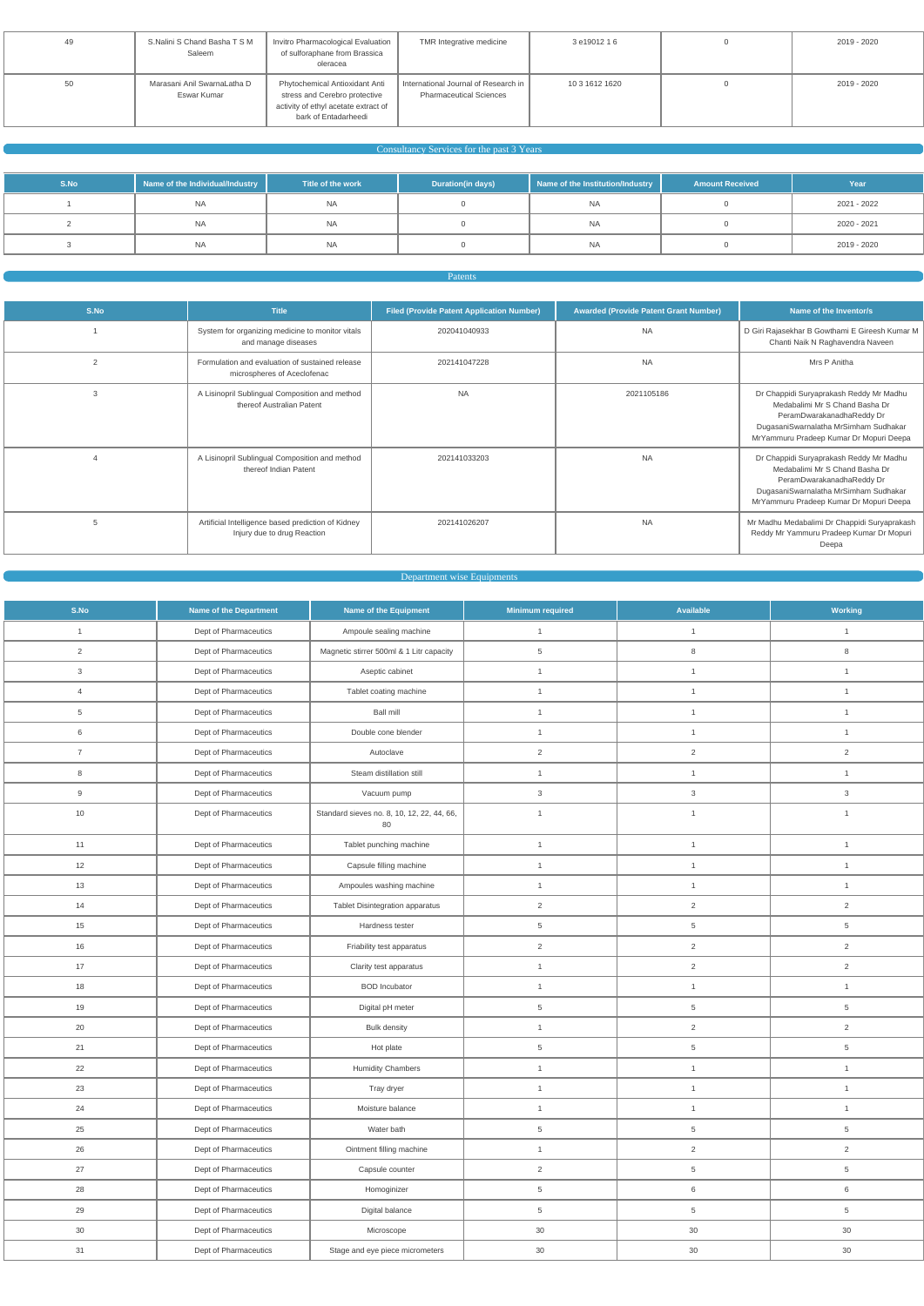| 49 | S.Nalini S Chand Basha T S M<br>Saleem     | Invitro Pharmacological Evaluation<br>of sulforaphane from Brassica<br>oleracea                                                 | TMR Integrative medicine                                               | 3 e19012 1 6   | 2019 - 2020 |
|----|--------------------------------------------|---------------------------------------------------------------------------------------------------------------------------------|------------------------------------------------------------------------|----------------|-------------|
| 50 | Marasani Anil SwarnaLatha D<br>Eswar Kumar | Phytochemical Antioxidant Anti<br>stress and Cerebro protective<br>activity of ethyl acetate extract of<br>bark of Entadarheedi | International Journal of Research in<br><b>Pharmaceutical Sciences</b> | 10 3 1612 1620 | 2019 - 2020 |

## Consultancy Services for the past 3 Years

| S.No | Name of the Individual/Industry | Title of the work | <b>Duration(in days)</b> | Name of the Institution/Industry | <b>Amount Received</b> | Year        |
|------|---------------------------------|-------------------|--------------------------|----------------------------------|------------------------|-------------|
|      | <b>NA</b>                       | <b>NA</b>         |                          | <b>NA</b>                        |                        | 2021 - 2022 |
|      | NA                              | <b>NA</b>         |                          | <b>NA</b>                        |                        | 2020 - 2021 |
|      | <b>NA</b>                       | <b>NA</b>         |                          | <b>NA</b>                        |                        | 2019 - 2020 |

Patents

| S.No           | <b>Title</b>                                                                      | <b>Filed (Provide Patent Application Number)</b> | <b>Awarded (Provide Patent Grant Number)</b> | Name of the Inventor/s                                                                                                                                                                     |
|----------------|-----------------------------------------------------------------------------------|--------------------------------------------------|----------------------------------------------|--------------------------------------------------------------------------------------------------------------------------------------------------------------------------------------------|
|                | System for organizing medicine to monitor vitals<br>and manage diseases           | 202041040933                                     | <b>NA</b>                                    | D Giri Rajasekhar B Gowthami E Gireesh Kumar M<br>Chanti Naik N Raghavendra Naveen                                                                                                         |
| $\overline{2}$ | Formulation and evaluation of sustained release<br>microspheres of Aceclofenac    | 202141047228                                     | <b>NA</b>                                    | Mrs P Anitha                                                                                                                                                                               |
| 3              | A Lisinopril Sublingual Composition and method<br>thereof Australian Patent       | <b>NA</b>                                        | 2021105186                                   | Dr Chappidi Suryaprakash Reddy Mr Madhu<br>Medabalimi Mr S Chand Basha Dr<br>PeramDwarakanadhaReddy Dr<br>DugasaniSwarnalatha MrSimham Sudhakar<br>MrYammuru Pradeep Kumar Dr Mopuri Deepa |
|                | A Lisinopril Sublingual Composition and method<br>thereof Indian Patent           | 202141033203                                     | <b>NA</b>                                    | Dr Chappidi Suryaprakash Reddy Mr Madhu<br>Medabalimi Mr S Chand Basha Dr<br>PeramDwarakanadhaReddy Dr<br>DugasaniSwarnalatha MrSimham Sudhakar<br>MrYammuru Pradeep Kumar Dr Mopuri Deepa |
|                | Artificial Intelligence based prediction of Kidney<br>Injury due to drug Reaction | 202141026207                                     | <b>NA</b>                                    | Mr Madhu Medabalimi Dr Chappidi Suryaprakash<br>Reddy Mr Yammuru Pradeep Kumar Dr Mopuri<br>Deepa                                                                                          |

#### Department wise Equipments

| S.No           | <b>Name of the Department</b> | Name of the Equipment                            | <b>Minimum required</b> | Available       | <b>Working</b>            |
|----------------|-------------------------------|--------------------------------------------------|-------------------------|-----------------|---------------------------|
| 1              | Dept of Pharmaceutics         | Ampoule sealing machine                          | $\mathbf{1}$            | $\mathbf{1}$    | $\mathbf{1}$              |
| $\overline{2}$ | Dept of Pharmaceutics         | Magnetic stirrer 500ml & 1 Litr capacity         | 5                       | 8               | $\,8\,$                   |
| $\mathbf{3}$   | Dept of Pharmaceutics         | Aseptic cabinet                                  | $\mathbf{1}$            | $\mathbf{1}$    | $\mathbf{1}$              |
| $\overline{4}$ | Dept of Pharmaceutics         | Tablet coating machine                           | $\mathbf{1}$            | $\mathbf{1}$    | $\mathbf{1}$              |
| 5              | Dept of Pharmaceutics         | <b>Ball mill</b>                                 | $\mathbf{1}$            | $\mathbf{1}$    | $\mathbf{1}$              |
| 6              | Dept of Pharmaceutics         | Double cone blender                              | $\mathbf{1}$            | $\mathbf{1}$    | $\mathbf{1}$              |
| $\overline{7}$ | Dept of Pharmaceutics         | Autoclave                                        | $\overline{2}$          | $\overline{2}$  | $\overline{2}$            |
| $\bf8$         | Dept of Pharmaceutics         | Steam distillation still                         | $\mathbf{1}$            | $\mathbf{1}$    | $\mathbf{1}$              |
| $9\,$          | Dept of Pharmaceutics         | Vacuum pump                                      | 3                       | $\mathbf{3}$    | $\ensuremath{\mathsf{3}}$ |
| 10             | Dept of Pharmaceutics         | Standard sieves no. 8, 10, 12, 22, 44, 66,<br>80 | $\mathbf{1}$            | $\mathbf{1}$    | $\mathbf{1}$              |
| 11             | Dept of Pharmaceutics         | Tablet punching machine                          | $\mathbf{1}$            | $\mathbf{1}$    | $\mathbf{1}$              |
| 12             | Dept of Pharmaceutics         | Capsule filling machine                          | $\mathbf{1}$            | $\mathbf{1}$    | $\mathbf{1}$              |
| 13             | Dept of Pharmaceutics         | Ampoules washing machine                         | $\mathbf{1}$            | $\mathbf{1}$    | $\mathbf{1}$              |
| 14             | Dept of Pharmaceutics         | <b>Tablet Disintegration apparatus</b>           | 2                       | $\overline{2}$  | $\overline{2}$            |
| 15             | Dept of Pharmaceutics         | Hardness tester                                  | 5                       | $\overline{5}$  | $\,$ 5 $\,$               |
| 16             | Dept of Pharmaceutics         | Friability test apparatus                        | $\overline{2}$          | $\overline{a}$  | $\overline{2}$            |
| 17             | Dept of Pharmaceutics         | Clarity test apparatus                           | $\mathbf{1}$            | $\overline{2}$  | $\sqrt{2}$                |
| 18             | Dept of Pharmaceutics         | <b>BOD</b> Incubator                             | $\mathbf{1}$            | $\mathbf{1}$    | $\mathbf{1}$              |
| 19             | Dept of Pharmaceutics         | Digital pH meter                                 | 5                       | $5\phantom{.0}$ | $\,$ 5 $\,$               |
| 20             | Dept of Pharmaceutics         | <b>Bulk density</b>                              | $\mathbf{1}$            | $\overline{2}$  | $\overline{2}$            |
| 21             | Dept of Pharmaceutics         | Hot plate                                        | 5                       | $\overline{5}$  | 5                         |
| 22             | Dept of Pharmaceutics         | <b>Humidity Chambers</b>                         | $\mathbf{1}$            | $\mathbf{1}$    | $\mathbf{1}$              |
| $23\,$         | Dept of Pharmaceutics         | Tray dryer                                       | $\mathbf{1}$            | $\mathbf{1}$    | $\mathbf{1}$              |
| 24             | Dept of Pharmaceutics         | Moisture balance                                 | $\mathbf{1}$            | $\mathbf{1}$    | $\mathbf{1}$              |
| 25             | Dept of Pharmaceutics         | Water bath                                       | $\,$ 5 $\,$             | $\,$ 5 $\,$     | $\,$ 5 $\,$               |
| 26             | Dept of Pharmaceutics         | Ointment filling machine                         | $\mathbf{1}$            | $\overline{a}$  | $\sqrt{2}$                |
| 27             | Dept of Pharmaceutics         | Capsule counter                                  | $\sqrt{2}$              | $\,$ 5 $\,$     | $\,$ 5 $\,$               |
| 28             | Dept of Pharmaceutics         | Homoginizer                                      | $\,$ 5 $\,$             | $\,$ 6 $\,$     | $\,6\,$                   |
| 29             | Dept of Pharmaceutics         | Digital balance                                  | $\,$ 5 $\,$             | $\,$ 5 $\,$     | $\,$ 5 $\,$               |
| 30             | Dept of Pharmaceutics         | Microscope                                       | 30                      | 30              | 30                        |
| 31             | Dept of Pharmaceutics         | Stage and eye piece micrometers                  | 30                      | 30              | 30                        |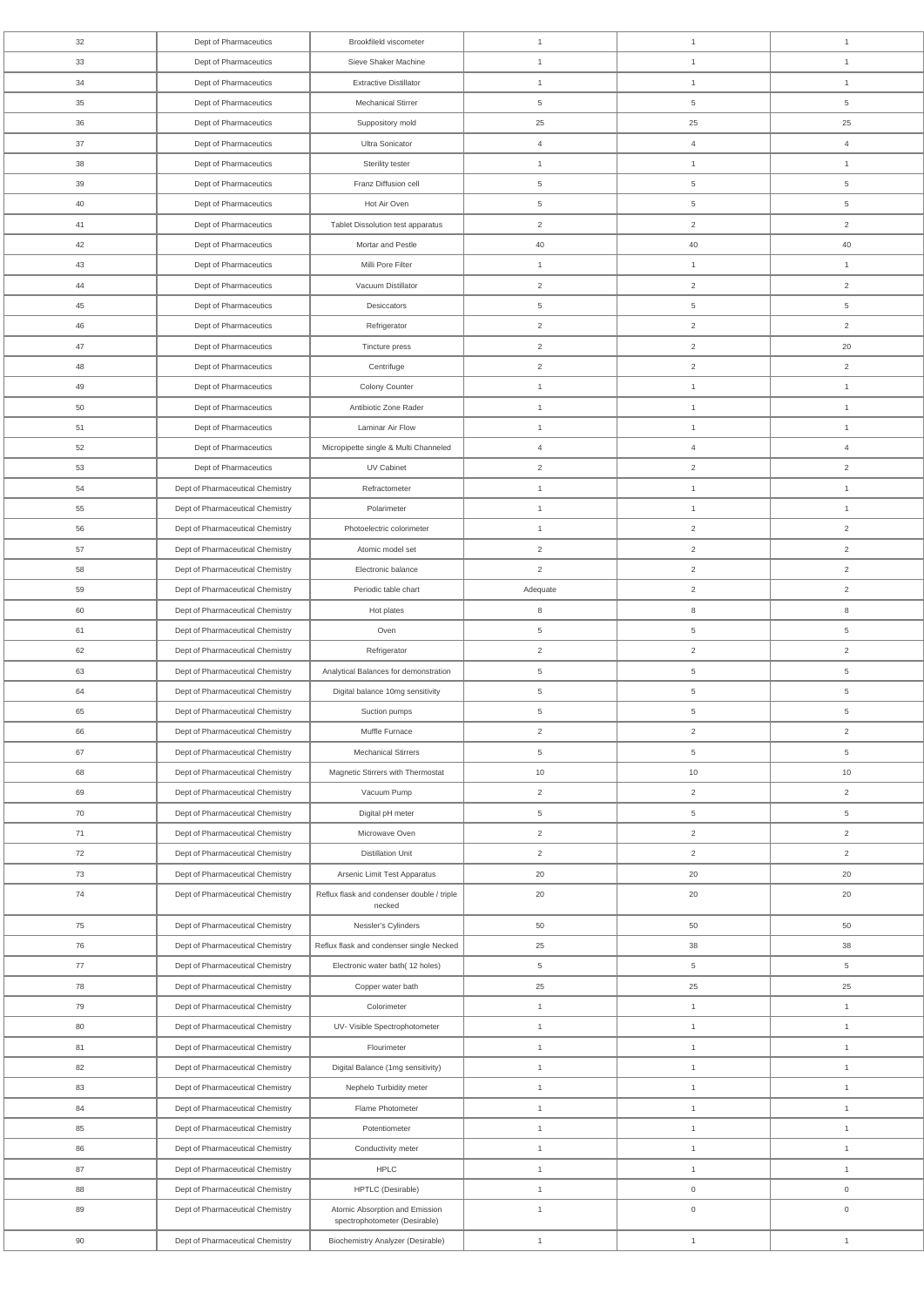| 32 | Dept of Pharmaceutics            | Brookfileld viscometer                                          | $\mathbf{1}$    | $\mathbf{1}$        | $\mathbf{1}$        |
|----|----------------------------------|-----------------------------------------------------------------|-----------------|---------------------|---------------------|
| 33 | Dept of Pharmaceutics            | Sieve Shaker Machine                                            | $\mathbf{1}$    | $\mathbf{1}$        | $\mathbf{1}$        |
| 34 | Dept of Pharmaceutics            | <b>Extractive Distillator</b>                                   | $\mathbf{1}$    | $\mathbf{1}$        | $\mathbf{1}$        |
| 35 | Dept of Pharmaceutics            | <b>Mechanical Stirrer</b>                                       | 5               | 5                   | $\overline{5}$      |
| 36 | Dept of Pharmaceutics            | Suppository mold                                                | 25              | 25                  | 25                  |
| 37 | Dept of Pharmaceutics            | Ultra Sonicator                                                 | $\overline{4}$  | $\overline{4}$      | $\overline{4}$      |
| 38 | Dept of Pharmaceutics            | Sterility tester                                                | $\mathbf{1}$    | $\mathbf{1}$        | $\mathbf{1}$        |
| 39 | Dept of Pharmaceutics            | Franz Diffusion cell                                            | 5               | 5                   | $\overline{5}$      |
| 40 | Dept of Pharmaceutics            | Hot Air Oven                                                    | 5               | 5                   | 5                   |
| 41 | Dept of Pharmaceutics            | Tablet Dissolution test apparatus                               | $\overline{2}$  | $\overline{2}$      | $\overline{2}$      |
| 42 | Dept of Pharmaceutics            | Mortar and Pestle                                               | 40              | 40                  | 40                  |
| 43 | Dept of Pharmaceutics            | Milli Pore Filter                                               | $\mathbf{1}$    | $\mathbf{1}$        | $\mathbf{1}$        |
| 44 | Dept of Pharmaceutics            | Vacuum Distillator                                              | $\overline{2}$  | $\overline{2}$      | $\overline{2}$      |
| 45 | Dept of Pharmaceutics            | Desiccators                                                     | 5               | 5                   | 5                   |
| 46 | Dept of Pharmaceutics            | Refrigerator                                                    | $\overline{2}$  | $\overline{2}$      | $\overline{2}$      |
| 47 | Dept of Pharmaceutics            | Tincture press                                                  | $\overline{2}$  | $\overline{2}$      | 20                  |
| 48 |                                  |                                                                 |                 |                     |                     |
|    | Dept of Pharmaceutics            | Centrifuge                                                      | $\overline{2}$  | $\overline{2}$      | $\overline{c}$      |
| 49 | Dept of Pharmaceutics            | Colony Counter                                                  | $\mathbf{1}$    | $\mathbf{1}$        | $\mathbf{1}$        |
| 50 | Dept of Pharmaceutics            | Antibiotic Zone Rader                                           | $\mathbf{1}$    | $\mathbf{1}$        | $\mathbf{1}$        |
| 51 | Dept of Pharmaceutics            | Laminar Air Flow                                                | $\mathbf{1}$    | $\mathbf{1}$        | $\mathbf{1}$        |
| 52 | Dept of Pharmaceutics            | Micropipette single & Multi Channeled                           | $\overline{4}$  | $\overline{4}$      | $\overline{4}$      |
| 53 | Dept of Pharmaceutics            | UV Cabinet                                                      | $\overline{2}$  | $\overline{a}$      | 2                   |
| 54 | Dept of Pharmaceutical Chemistry | Refractometer                                                   | $\mathbf{1}$    | $\mathbf{1}$        | $\mathbf{1}$        |
| 55 | Dept of Pharmaceutical Chemistry | Polarimeter                                                     | $\mathbf{1}$    | $\mathbf{1}$        | $\mathbf{1}$        |
| 56 | Dept of Pharmaceutical Chemistry | Photoelectric colorimeter                                       | $\mathbf{1}$    | $\overline{2}$      | $\overline{2}$      |
| 57 | Dept of Pharmaceutical Chemistry | Atomic model set                                                | $\overline{2}$  | $\overline{2}$      | 2                   |
| 58 | Dept of Pharmaceutical Chemistry | Electronic balance                                              | $\overline{2}$  | $\overline{2}$      | $\overline{2}$      |
| 59 | Dept of Pharmaceutical Chemistry | Periodic table chart                                            | Adequate        | $\overline{a}$      | 2                   |
| 60 | Dept of Pharmaceutical Chemistry | Hot plates                                                      | 8               | 8                   | 8                   |
| 61 | Dept of Pharmaceutical Chemistry | Oven                                                            | 5               | 5                   | 5                   |
| 62 | Dept of Pharmaceutical Chemistry | Refrigerator                                                    | $\overline{2}$  | $\overline{2}$      | $\overline{c}$      |
| 63 | Dept of Pharmaceutical Chemistry | Analytical Balances for demonstration                           | $5\phantom{.0}$ | $5\phantom{.0}$     | $\overline{5}$      |
| 64 | Dept of Pharmaceutical Chemistry | Digital balance 10mg sensitivity                                | 5               | $5\phantom{.0}$     | $\,$ 5 $\,$         |
| 65 | Dept of Pharmaceutical Chemistry | Suction pumps                                                   | 5               | 5                   | $\overline{5}$      |
| 66 | Dept of Pharmaceutical Chemistry | Muffle Furnace                                                  | $\overline{2}$  | $\overline{2}$      | $\overline{2}$      |
| 67 | Dept of Pharmaceutical Chemistry | <b>Mechanical Stirrers</b>                                      | 5               | 5                   | 5                   |
| 68 | Dept of Pharmaceutical Chemistry | Magnetic Stirrers with Thermostat                               | 10              | 10                  | 10                  |
| 69 | Dept of Pharmaceutical Chemistry | Vacuum Pump                                                     | $\overline{2}$  | $\overline{2}$      | $\overline{c}$      |
| 70 | Dept of Pharmaceutical Chemistry | Digital pH meter                                                | 5               | $\,$ 5 $\,$         | 5                   |
| 71 | Dept of Pharmaceutical Chemistry | Microwave Oven                                                  | $\overline{2}$  | $\overline{2}$      | 2                   |
| 72 | Dept of Pharmaceutical Chemistry | <b>Distillation Unit</b>                                        | $\overline{2}$  | $\overline{2}$      | 2                   |
| 73 | Dept of Pharmaceutical Chemistry | Arsenic Limit Test Apparatus                                    | 20              | 20                  | 20                  |
| 74 | Dept of Pharmaceutical Chemistry | Reflux flask and condenser double / triple                      | 20              | 20                  | 20                  |
|    |                                  | necked                                                          |                 |                     |                     |
| 75 | Dept of Pharmaceutical Chemistry | Nessler's Cylinders                                             | 50              | 50                  | 50                  |
| 76 | Dept of Pharmaceutical Chemistry | Reflux flask and condenser single Necked                        | 25              | 38                  | 38                  |
| 77 | Dept of Pharmaceutical Chemistry | Electronic water bath(12 holes)                                 | 5               | $5\phantom{.0}$     | 5                   |
| 78 | Dept of Pharmaceutical Chemistry | Copper water bath                                               | 25              | 25                  | 25                  |
| 79 | Dept of Pharmaceutical Chemistry | Colorimeter                                                     | $\mathbf{1}$    | $\mathbf{1}$        | $\mathbf{1}$        |
| 80 | Dept of Pharmaceutical Chemistry | UV- Visible Spectrophotometer                                   | $\mathbf{1}$    | $\mathbf{1}$        | $\mathbf{1}$        |
| 81 | Dept of Pharmaceutical Chemistry | Flourimeter                                                     | $\mathbf{1}$    | $\mathbf{1}$        | $\mathbf{1}$        |
| 82 | Dept of Pharmaceutical Chemistry | Digital Balance (1mg sensitivity)                               | $\mathbf{1}$    | $\mathbf{1}$        | $\mathbf{1}$        |
| 83 | Dept of Pharmaceutical Chemistry | Nephelo Turbidity meter                                         | $\mathbf{1}$    | $\mathbf{1}$        | $\mathbf{1}$        |
| 84 | Dept of Pharmaceutical Chemistry | Flame Photometer                                                | $\mathbf{1}$    | $\mathbf{1}$        | $\mathbf{1}$        |
| 85 | Dept of Pharmaceutical Chemistry | Potentiometer                                                   | $\mathbf{1}$    | $\mathbf{1}$        | $\mathbf{1}$        |
| 86 | Dept of Pharmaceutical Chemistry | Conductivity meter                                              | $\mathbf{1}$    | $\mathbf{1}$        | $\mathbf{1}$        |
| 87 | Dept of Pharmaceutical Chemistry | <b>HPLC</b>                                                     | $\mathbf{1}$    | $\mathbf{1}$        | $\mathbf{1}$        |
| 88 | Dept of Pharmaceutical Chemistry | HPTLC (Desirable)                                               | $\mathbf{1}$    | $\mathsf{O}\xspace$ | $\mathsf{O}\xspace$ |
| 89 | Dept of Pharmaceutical Chemistry | Atomic Absorption and Emission<br>spectrophotometer (Desirable) | $\mathbf{1}$    | $\mathsf{O}\xspace$ | $\mathsf{O}\xspace$ |
| 90 | Dept of Pharmaceutical Chemistry | <b>Biochemistry Analyzer (Desirable)</b>                        | $\mathbf{1}$    | $\mathbf{1}$        | $\mathbf{1}$        |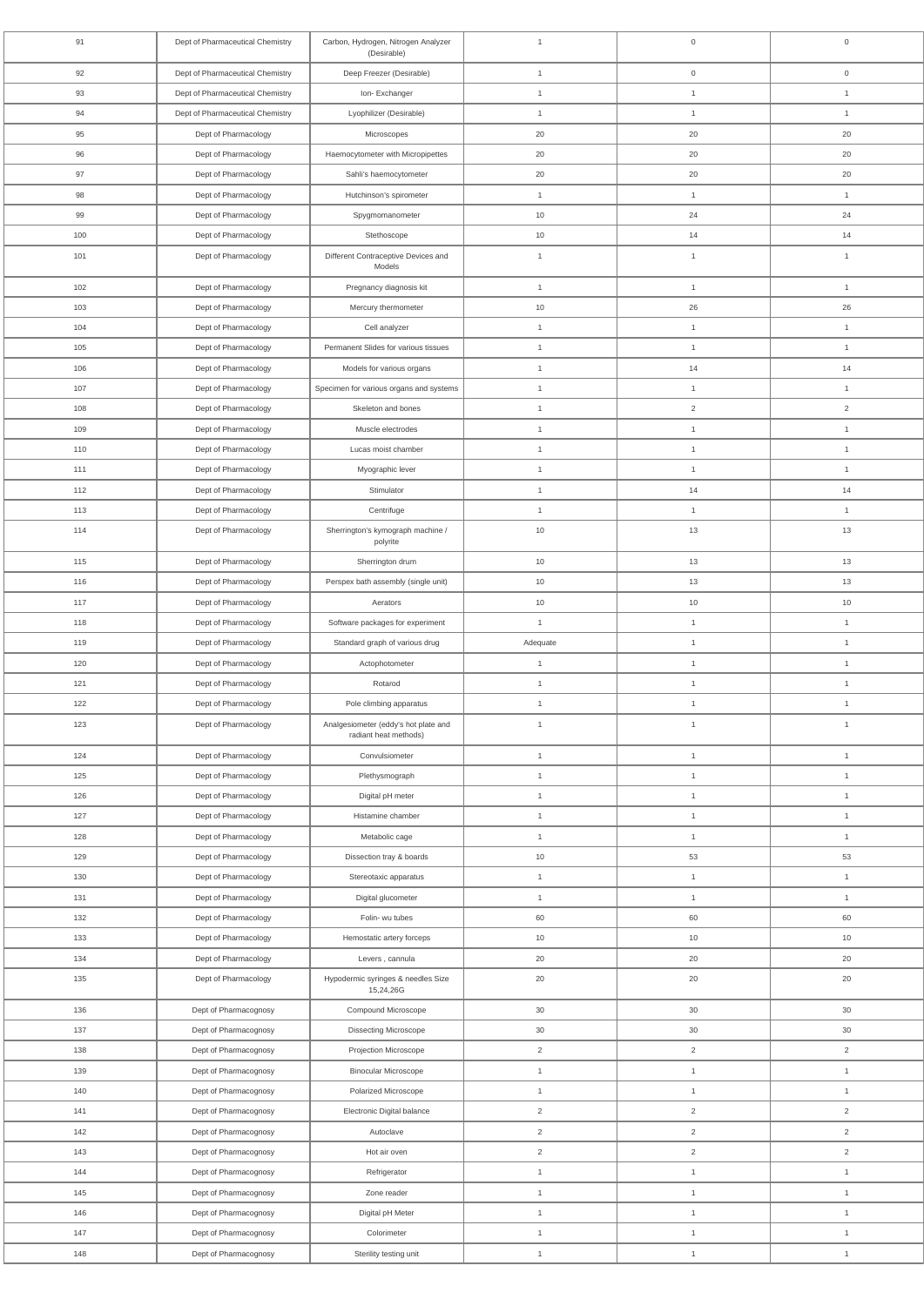| 91  | Dept of Pharmaceutical Chemistry | Carbon, Hydrogen, Nitrogen Analyzer<br>(Desirable)            | $\overline{1}$ | $\mathbf 0$    | $\mathbf 0$    |
|-----|----------------------------------|---------------------------------------------------------------|----------------|----------------|----------------|
| 92  | Dept of Pharmaceutical Chemistry | Deep Freezer (Desirable)                                      | $\mathbf{1}$   | $\overline{0}$ | $\overline{0}$ |
| 93  | Dept of Pharmaceutical Chemistry | Ion-Exchanger                                                 | $\mathbf{1}$   | $\overline{1}$ | $\mathbf{1}$   |
| 94  | Dept of Pharmaceutical Chemistry | Lyophilizer (Desirable)                                       | $\overline{1}$ | $\overline{1}$ | $\mathbf{1}$   |
| 95  | Dept of Pharmacology             | Microscopes                                                   | 20             | 20             | 20             |
| 96  | Dept of Pharmacology             | Haemocytometer with Micropipettes                             | 20             | 20             | 20             |
| 97  | Dept of Pharmacology             | Sahli's haemocytometer                                        | 20             | 20             | 20             |
| 98  | Dept of Pharmacology             | Hutchinson's spirometer                                       | $\mathbf{1}$   | $\overline{1}$ | $\mathbf{1}$   |
| 99  | Dept of Pharmacology             | Spygmomanometer                                               | 10             | 24             | 24             |
| 100 | Dept of Pharmacology             | Stethoscope                                                   | 10             | 14             | 14             |
| 101 | Dept of Pharmacology             | Different Contraceptive Devices and<br>Models                 | $\overline{1}$ | $\overline{1}$ | $\overline{1}$ |
| 102 | Dept of Pharmacology             | Pregnancy diagnosis kit                                       | $\mathbf{1}$   | $\mathbf{1}$   | $\overline{1}$ |
| 103 | Dept of Pharmacology             | Mercury thermometer                                           | 10             | 26             | 26             |
| 104 | Dept of Pharmacology             | Cell analyzer                                                 | $\mathbf{1}$   | $\mathbf{1}$   | $\overline{1}$ |
| 105 | Dept of Pharmacology             | Permanent Slides for various tissues                          | $\mathbf{1}$   | $\mathbf{1}$   | $\overline{1}$ |
| 106 | Dept of Pharmacology             | Models for various organs                                     | $\mathbf{1}$   | 14             | 14             |
| 107 | Dept of Pharmacology             | Specimen for various organs and systems                       | $\overline{1}$ | $\mathbf{1}$   | $\mathbf{1}$   |
| 108 | Dept of Pharmacology             | Skeleton and bones                                            | $\mathbf{1}$   | 2              | $\overline{2}$ |
| 109 | Dept of Pharmacology             | Muscle electrodes                                             | $\overline{1}$ | $\overline{1}$ | $\mathbf{1}$   |
| 110 | Dept of Pharmacology             | Lucas moist chamber                                           | $\mathbf{1}$   | $\mathbf{1}$   | $\mathbf{1}$   |
| 111 | Dept of Pharmacology             | Myographic lever                                              | $\overline{1}$ | $\overline{1}$ | $\overline{1}$ |
| 112 | Dept of Pharmacology             | Stimulator                                                    | $\overline{1}$ | 14             | 14             |
| 113 | Dept of Pharmacology             | Centrifuge                                                    | $\mathbf{1}$   | $\mathbf{1}$   | $\mathbf{1}$   |
| 114 | Dept of Pharmacology             | Sherrington's kymograph machine /<br>polyrite                 | $10$           | $13$           | $13$           |
| 115 | Dept of Pharmacology             | Sherrington drum                                              | 10             | 13             | 13             |
| 116 | Dept of Pharmacology             | Perspex bath assembly (single unit)                           | 10             | 13             | 13             |
| 117 | Dept of Pharmacology             | Aerators                                                      | 10             | 10             | 10             |
| 118 | Dept of Pharmacology             | Software packages for experiment                              | $\mathbf{1}$   | $\mathbf{1}$   | $\mathbf{1}$   |
| 119 | Dept of Pharmacology             | Standard graph of various drug                                | Adequate       | $\mathbf{1}$   | $\mathbf{1}$   |
| 120 | Dept of Pharmacology             | Actophotometer                                                | $\mathbf{1}$   | $\mathbf{1}$   | $\overline{1}$ |
| 121 | Dept of Pharmacology             | Rotarod                                                       | $\mathbf{1}$   | $\mathbf{1}$   | $\overline{1}$ |
| 122 | Dept of Pharmacology             | Pole climbing apparatus                                       | $\mathbf{1}$   | $\mathbf{1}$   | $\mathbf{1}$   |
| 123 | Dept of Pharmacology             | Analgesiometer (eddy's hot plate and<br>radiant heat methods) | $\overline{1}$ | $\overline{1}$ | $\overline{1}$ |
| 124 | Dept of Pharmacology             | Convulsiometer                                                | $\mathbf{1}$   | $\mathbf{1}$   | $\mathbf{1}$   |
| 125 | Dept of Pharmacology             | Plethysmograph                                                | $\mathbf{1}$   | $\mathbf{1}$   | $\overline{1}$ |
| 126 | Dept of Pharmacology             | Digital pH meter                                              | $\mathbf{1}$   | $\mathbf{1}$   | $\mathbf{1}$   |
| 127 | Dept of Pharmacology             | Histamine chamber                                             | $\mathbf{1}$   | $\mathbf{1}$   | $\mathbf{1}$   |
| 128 | Dept of Pharmacology             | Metabolic cage                                                | $\mathbf{1}$   | $\overline{1}$ | $\mathbf{1}$   |
| 129 | Dept of Pharmacology             | Dissection tray & boards                                      | 10             | 53             | $53\,$         |
| 130 | Dept of Pharmacology             | Stereotaxic apparatus                                         | $\mathbf{1}$   | $\mathbf{1}$   | $\mathbf{1}$   |
| 131 | Dept of Pharmacology             | Digital glucometer                                            | $\mathbf{1}$   | $\mathbf{1}$   | $\overline{1}$ |
| 132 | Dept of Pharmacology             | Folin- wu tubes                                               | 60             | 60             | 60             |
| 133 | Dept of Pharmacology             | Hemostatic artery forceps                                     | 10             | 10             | 10             |
| 134 | Dept of Pharmacology             | Levers, cannula                                               | 20             | 20             | 20             |
| 135 | Dept of Pharmacology             | Hypodermic syringes & needles Size<br>15,24,26G               | 20             | 20             | 20             |
| 136 | Dept of Pharmacognosy            | Compound Microscope                                           | 30             | 30             | 30             |
| 137 | Dept of Pharmacognosy            | <b>Dissecting Microscope</b>                                  | 30             | $30\,$         | 30             |
| 138 | Dept of Pharmacognosy            | Projection Microscope                                         | $\overline{2}$ | $\overline{2}$ | $\overline{2}$ |
| 139 | Dept of Pharmacognosy            | <b>Binocular Microscope</b>                                   | $\mathbf{1}$   | $\mathbf{1}$   | $\mathbf{1}$   |
| 140 | Dept of Pharmacognosy            | Polarized Microscope                                          | $\mathbf{1}$   | $\mathbf{1}$   | $\mathbf{1}$   |
| 141 | Dept of Pharmacognosy            | Electronic Digital balance                                    | $\overline{2}$ | $\overline{2}$ | $\overline{2}$ |
| 142 | Dept of Pharmacognosy            | Autoclave                                                     | $\overline{2}$ | $\overline{2}$ | $\overline{2}$ |
| 143 | Dept of Pharmacognosy            | Hot air oven                                                  | $\overline{2}$ | $\overline{2}$ | $\overline{2}$ |
| 144 | Dept of Pharmacognosy            | Refrigerator                                                  | $\mathbf{1}$   | $\mathbf{1}$   | $\mathbf{1}$   |
| 145 | Dept of Pharmacognosy            | Zone reader                                                   | $\mathbf{1}$   | $\mathbf{1}$   | $\mathbf{1}$   |
| 146 | Dept of Pharmacognosy            | Digital pH Meter                                              | $\mathbf{1}$   | $\mathbf{1}$   | $\overline{1}$ |
| 147 | Dept of Pharmacognosy            | Colorimeter                                                   | $\mathbf{1}$   | $\mathbf{1}$   | $\mathbf{1}$   |
| 148 | Dept of Pharmacognosy            | Sterility testing unit                                        | $\mathbf{1}$   | $\mathbf{1}$   | $\mathbf{1}$   |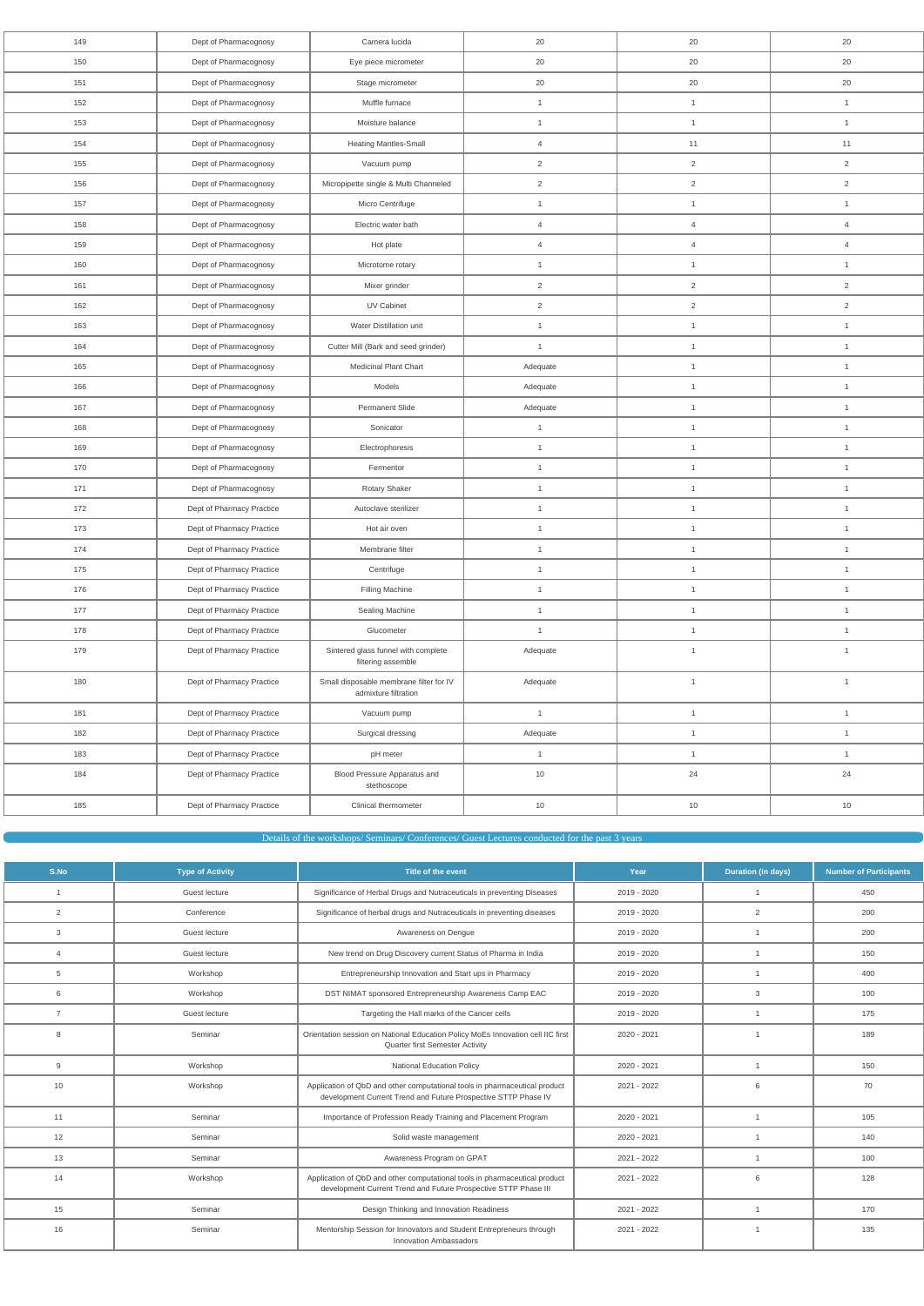| 149 | Dept of Pharmacognosy     | Camera lucida                                                   | 20             | 20             | 20             |
|-----|---------------------------|-----------------------------------------------------------------|----------------|----------------|----------------|
| 150 | Dept of Pharmacognosy     | Eye piece micrometer                                            | 20             | 20             | 20             |
| 151 | Dept of Pharmacognosy     | Stage micrometer                                                | 20             | 20             | 20             |
| 152 | Dept of Pharmacognosy     | Muffle furnace                                                  | $\mathbf{1}$   | $\mathbf{1}$   | $\mathbf{1}$   |
| 153 | Dept of Pharmacognosy     | Moisture balance                                                | $\mathbf{1}$   | $\mathbf{1}$   | $\mathbf{1}$   |
| 154 | Dept of Pharmacognosy     | <b>Heating Mantles-Small</b>                                    | $\overline{4}$ | 11             | 11             |
| 155 | Dept of Pharmacognosy     | Vacuum pump                                                     | $\overline{2}$ | $\overline{a}$ | $\overline{2}$ |
| 156 | Dept of Pharmacognosy     | Micropipette single & Multi Channeled                           | $\overline{2}$ | $\overline{2}$ | $\overline{2}$ |
| 157 | Dept of Pharmacognosy     | Micro Centrifuge                                                | $\mathbf{1}$   | $\mathbf{1}$   | $\mathbf{1}$   |
| 158 | Dept of Pharmacognosy     | Electric water bath                                             | $\overline{4}$ | $\overline{4}$ | $\overline{4}$ |
| 159 | Dept of Pharmacognosy     | Hot plate                                                       | $\overline{4}$ | $\overline{4}$ | $\overline{4}$ |
| 160 | Dept of Pharmacognosy     | Microtome rotary                                                | $\mathbf{1}$   | $\mathbf{1}$   | $\mathbf{1}$   |
| 161 | Dept of Pharmacognosy     | Mixer grinder                                                   | $\overline{2}$ | $\overline{2}$ | $\sqrt{2}$     |
| 162 | Dept of Pharmacognosy     | UV Cabinet                                                      | $\sqrt{2}$     | $\overline{2}$ | $\sqrt{2}$     |
| 163 | Dept of Pharmacognosy     | Water Distillation unit                                         | $\mathbf{1}$   | $\mathbf{1}$   | $\mathbf{1}$   |
| 164 | Dept of Pharmacognosy     | Cutter Mill (Bark and seed grinder)                             | $\mathbf{1}$   | $\mathbf{1}$   | $\mathbf{1}$   |
| 165 | Dept of Pharmacognosy     | Medicinal Plant Chart                                           | Adequate       | $\mathbf{1}$   | $\mathbf{1}$   |
| 166 | Dept of Pharmacognosy     | Models                                                          | Adequate       | $\mathbf{1}$   | $\mathbf{1}$   |
| 167 | Dept of Pharmacognosy     | Permanent Slide                                                 | Adequate       | $\mathbf{1}$   | $\mathbf{1}$   |
| 168 | Dept of Pharmacognosy     | Sonicator                                                       | $\mathbf{1}$   | $\mathbf{1}$   | $\mathbf{1}$   |
| 169 | Dept of Pharmacognosy     | Electrophoresis                                                 | $\mathbf{1}$   | $\mathbf{1}$   | $\mathbf{1}$   |
| 170 | Dept of Pharmacognosy     | Fermentor                                                       | $\mathbf{1}$   | $\mathbf{1}$   | $\mathbf{1}$   |
| 171 | Dept of Pharmacognosy     | Rotary Shaker                                                   | $\mathbf{1}$   | $\mathbf{1}$   | $\mathbf{1}$   |
| 172 | Dept of Pharmacy Practice | Autoclave sterilizer                                            | $\mathbf{1}$   | $\mathbf{1}$   | $\mathbf{1}$   |
| 173 | Dept of Pharmacy Practice | Hot air oven                                                    | $\mathbf{1}$   | $\mathbf{1}$   | $\mathbf{1}$   |
| 174 | Dept of Pharmacy Practice | Membrane filter                                                 | $\mathbf{1}$   | $\mathbf{1}$   | $\mathbf{1}$   |
| 175 | Dept of Pharmacy Practice | Centrifuge                                                      | $\mathbf{1}$   | $\mathbf{1}$   | $\mathbf{1}$   |
| 176 | Dept of Pharmacy Practice | Filling Machine                                                 | $\mathbf{1}$   | 1              | $\mathbf{1}$   |
| 177 | Dept of Pharmacy Practice | Sealing Machine                                                 | $\mathbf{1}$   | $\mathbf{1}$   | $\mathbf{1}$   |
| 178 | Dept of Pharmacy Practice | Glucometer                                                      | $\mathbf{1}$   | $\mathbf{1}$   | $\mathbf{1}$   |
| 179 | Dept of Pharmacy Practice | Sintered glass funnel with complete<br>filtering assemble       | Adequate       | $\mathbf{1}$   | $\mathbf{1}$   |
| 180 | Dept of Pharmacy Practice | Small disposable membrane filter for IV<br>admixture filtration | Adequate       | $\mathbf{1}$   | $\mathbf{1}$   |
| 181 | Dept of Pharmacy Practice | Vacuum pump                                                     | $\mathbf{1}$   | $\mathbf{1}$   | $\mathbf{1}$   |
| 182 | Dept of Pharmacy Practice | Surgical dressing                                               | Adequate       | $\mathbf{1}$   | $\mathbf{1}$   |
| 183 | Dept of Pharmacy Practice | pH meter                                                        | $\mathbf{1}$   | $\mathbf{1}$   | $\mathbf{1}$   |
| 184 | Dept of Pharmacy Practice | Blood Pressure Apparatus and<br>stethoscope                     | $10$           | 24             | 24             |
| 185 | Dept of Pharmacy Practice | Clinical thermometer                                            | 10             | 10             | $10$           |
|     |                           |                                                                 |                |                |                |

Details of the workshops/ Seminars/ Conferences/ Guest Lectures conducted for the past 3 years

| S.No           | <b>Type of Activity</b> | Title of the event                                                                                                                            | Year          | <b>Duration (in days)</b> | <b>Number of Participants</b> |
|----------------|-------------------------|-----------------------------------------------------------------------------------------------------------------------------------------------|---------------|---------------------------|-------------------------------|
| $\overline{1}$ | Guest lecture           | Significance of Herbal Drugs and Nutraceuticals in preventing Diseases                                                                        | 2019 - 2020   | $\overline{1}$            | 450                           |
| 2              | Conference              | Significance of herbal drugs and Nutraceuticals in preventing diseases                                                                        | 2019 - 2020   | 2                         | 200                           |
| 3              | Guest lecture           | Awareness on Dengue                                                                                                                           | 2019 - 2020   | $\overline{1}$            | 200                           |
| $\overline{4}$ | Guest lecture           | New trend on Drug Discovery current Status of Pharma in India                                                                                 | 2019 - 2020   | $\overline{1}$            | 150                           |
| 5              | Workshop                | Entrepreneurship Innovation and Start ups in Pharmacy                                                                                         | 2019 - 2020   | $\overline{1}$            | 400                           |
| 6              | Workshop                | DST NIMAT sponsored Entrepreneurship Awareness Camp EAC                                                                                       | 2019 - 2020   | 3                         | 100                           |
| $\overline{7}$ | Guest lecture           | Targeting the Hall marks of the Cancer cells                                                                                                  | 2019 - 2020   | $\overline{1}$            | 175                           |
| 8              | Seminar                 | Orientation session on National Education Policy MoEs Innovation cell IIC first<br><b>Quarter first Semester Activity</b>                     | 2020 - 2021   | $\overline{1}$            | 189                           |
| 9              | Workshop                | <b>National Education Policy</b>                                                                                                              | 2020 - 2021   | $\overline{1}$            | 150                           |
| 10             | Workshop                | Application of QbD and other computational tools in pharmaceutical product<br>development Current Trend and Future Prospective STTP Phase IV  | 2021 - 2022   | 6                         | 70                            |
| 11             | Seminar                 | Importance of Profession Ready Training and Placement Program                                                                                 | 2020 - 2021   | $\overline{1}$            | 105                           |
| 12             | Seminar                 | Solid waste management                                                                                                                        | 2020 - 2021   | $\overline{1}$            | 140                           |
| 13             | Seminar                 | Awareness Program on GPAT                                                                                                                     | 2021 - 2022   | -1                        | 100                           |
| 14             | Workshop                | Application of QbD and other computational tools in pharmaceutical product<br>development Current Trend and Future Prospective STTP Phase III | 2021 - 2022   | 6                         | 128                           |
| 15             | Seminar                 | Design Thinking and Innovation Readiness                                                                                                      | 2021 - 2022   | $\overline{1}$            | 170                           |
| 16             | Seminar                 | Mentorship Session for Innovators and Student Entrepreneurs through<br>Innovation Ambassadors                                                 | $2021 - 2022$ | $\overline{1}$            | 135                           |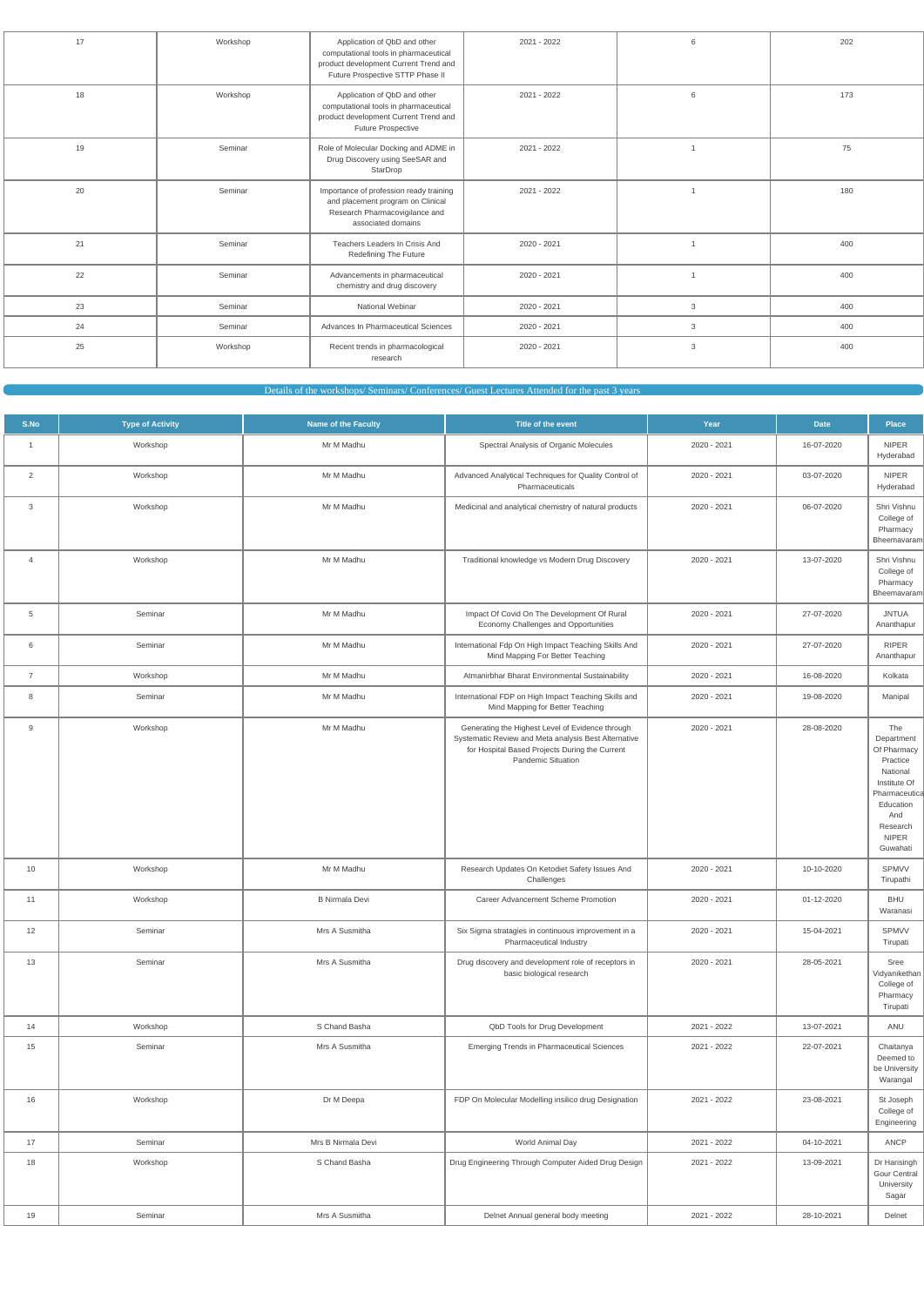| Workshop<br>202<br>17<br>Application of QbD and other<br>2021 - 2022<br>6<br>computational tools in pharmaceutical<br>product development Current Trend and<br>Future Prospective STTP Phase II<br>173<br>18<br>Workshop<br>Application of QbD and other<br>2021 - 2022<br>6<br>computational tools in pharmaceutical<br>product development Current Trend and<br>Future Prospective<br>19<br>Seminar<br>Role of Molecular Docking and ADME in<br>2021 - 2022<br>75<br>Drug Discovery using SeeSAR and<br>StarDrop<br>20<br>180<br>Seminar<br>Importance of profession ready training<br>2021 - 2022<br>and placement program on Clinical<br>Research Pharmacovigilance and<br>associated domains<br>400<br>21<br>Teachers Leaders In Crisis And<br>Seminar<br>2020 - 2021<br>Redefining The Future<br>22<br>Advancements in pharmaceutical<br>400<br>Seminar<br>2020 - 2021<br>$\mathbf{1}$<br>chemistry and drug discovery<br>23<br>National Webinar<br>400<br>Seminar<br>2020 - 2021<br>3<br>24<br>400<br>Advances In Pharmaceutical Sciences<br>Seminar<br>2020 - 2021<br>3<br>Recent trends in pharmacological<br>25<br>3<br>400<br>Workshop<br>2020 - 2021<br>research |  |  |  |
|------------------------------------------------------------------------------------------------------------------------------------------------------------------------------------------------------------------------------------------------------------------------------------------------------------------------------------------------------------------------------------------------------------------------------------------------------------------------------------------------------------------------------------------------------------------------------------------------------------------------------------------------------------------------------------------------------------------------------------------------------------------------------------------------------------------------------------------------------------------------------------------------------------------------------------------------------------------------------------------------------------------------------------------------------------------------------------------------------------------------------------------------------------------------------|--|--|--|
|                                                                                                                                                                                                                                                                                                                                                                                                                                                                                                                                                                                                                                                                                                                                                                                                                                                                                                                                                                                                                                                                                                                                                                              |  |  |  |
|                                                                                                                                                                                                                                                                                                                                                                                                                                                                                                                                                                                                                                                                                                                                                                                                                                                                                                                                                                                                                                                                                                                                                                              |  |  |  |
|                                                                                                                                                                                                                                                                                                                                                                                                                                                                                                                                                                                                                                                                                                                                                                                                                                                                                                                                                                                                                                                                                                                                                                              |  |  |  |
|                                                                                                                                                                                                                                                                                                                                                                                                                                                                                                                                                                                                                                                                                                                                                                                                                                                                                                                                                                                                                                                                                                                                                                              |  |  |  |
|                                                                                                                                                                                                                                                                                                                                                                                                                                                                                                                                                                                                                                                                                                                                                                                                                                                                                                                                                                                                                                                                                                                                                                              |  |  |  |
|                                                                                                                                                                                                                                                                                                                                                                                                                                                                                                                                                                                                                                                                                                                                                                                                                                                                                                                                                                                                                                                                                                                                                                              |  |  |  |
|                                                                                                                                                                                                                                                                                                                                                                                                                                                                                                                                                                                                                                                                                                                                                                                                                                                                                                                                                                                                                                                                                                                                                                              |  |  |  |
|                                                                                                                                                                                                                                                                                                                                                                                                                                                                                                                                                                                                                                                                                                                                                                                                                                                                                                                                                                                                                                                                                                                                                                              |  |  |  |
|                                                                                                                                                                                                                                                                                                                                                                                                                                                                                                                                                                                                                                                                                                                                                                                                                                                                                                                                                                                                                                                                                                                                                                              |  |  |  |

Details of the workshops/ Seminars/ Conferences/ Guest Lectures Attended for the past 3 years

| S.No           | <b>Type of Activity</b> | <b>Name of the Faculty</b> | Title of the event                                                                                                                                                               | Year        | <b>Date</b> | <b>Place</b>                                                                                                                                          |
|----------------|-------------------------|----------------------------|----------------------------------------------------------------------------------------------------------------------------------------------------------------------------------|-------------|-------------|-------------------------------------------------------------------------------------------------------------------------------------------------------|
| $\mathbf{1}$   | Workshop                | Mr M Madhu                 | Spectral Analysis of Organic Molecules                                                                                                                                           | 2020 - 2021 | 16-07-2020  | <b>NIPER</b><br>Hyderabad                                                                                                                             |
| $\overline{2}$ | Workshop                | Mr M Madhu                 | Advanced Analytical Techniques for Quality Control of<br>Pharmaceuticals                                                                                                         | 2020 - 2021 | 03-07-2020  | <b>NIPER</b><br>Hyderabad                                                                                                                             |
| 3              | Workshop                | Mr M Madhu                 | Medicinal and analytical chemistry of natural products                                                                                                                           | 2020 - 2021 | 06-07-2020  | Shri Vishnu<br>College of<br>Pharmacy<br>Bheemavaram                                                                                                  |
| $\overline{4}$ | Workshop                | Mr M Madhu                 | Traditional knowledge vs Modern Drug Discovery                                                                                                                                   | 2020 - 2021 | 13-07-2020  | Shri Vishnu<br>College of<br>Pharmacy<br>Bheemavaram                                                                                                  |
| 5              | Seminar                 | Mr M Madhu                 | Impact Of Covid On The Development Of Rural<br>Economy Challenges and Opportunities                                                                                              | 2020 - 2021 | 27-07-2020  | <b>JNTUA</b><br>Ananthapur                                                                                                                            |
| 6              | Seminar                 | Mr M Madhu                 | International Fdp On High Impact Teaching Skills And<br>Mind Mapping For Better Teaching                                                                                         | 2020 - 2021 | 27-07-2020  | <b>RIPER</b><br>Ananthapur                                                                                                                            |
| $\overline{7}$ | Workshop                | Mr M Madhu                 | Atmanirbhar Bharat Environmental Sustainability                                                                                                                                  | 2020 - 2021 | 16-08-2020  | Kolkata                                                                                                                                               |
| 8              | Seminar                 | Mr M Madhu                 | International FDP on High Impact Teaching Skills and<br>Mind Mapping for Better Teaching                                                                                         | 2020 - 2021 | 19-08-2020  | Manipal                                                                                                                                               |
| 9              | Workshop                | Mr M Madhu                 | Generating the Highest Level of Evidence through<br>Systematic Review and Meta analysis Best Alternative<br>for Hospital Based Projects During the Current<br>Pandemic Situation | 2020 - 2021 | 28-08-2020  | The<br>Department<br>Of Pharmacy<br>Practice<br>National<br>Institute Of<br>Pharmaceutica<br>Education<br>And<br>Research<br><b>NIPER</b><br>Guwahati |
| 10             | Workshop                | Mr M Madhu                 | Research Updates On Ketodiet Safety Issues And<br>Challenges                                                                                                                     | 2020 - 2021 | 10-10-2020  | <b>SPMVV</b><br>Tirupathi                                                                                                                             |
| 11             | Workshop                | <b>B Nirmala Devi</b>      | Career Advancement Scheme Promotion                                                                                                                                              | 2020 - 2021 | 01-12-2020  | <b>BHU</b><br>Waranasi                                                                                                                                |
| 12             | Seminar                 | Mrs A Susmitha             | Six Sigma stratagies in continuous improvement in a<br>Pharmaceutical Industry                                                                                                   | 2020 - 2021 | 15-04-2021  | SPMVV<br>Tirupati                                                                                                                                     |
| 13             | Seminar                 | Mrs A Susmitha             | Drug discovery and development role of receptors in<br>basic biological research                                                                                                 | 2020 - 2021 | 28-05-2021  | Sree<br>Vidyanikethan<br>College of<br>Pharmacy<br>Tirupati                                                                                           |
| 14             | Workshop                | S Chand Basha              | QbD Tools for Drug Development                                                                                                                                                   | 2021 - 2022 | 13-07-2021  | ANU                                                                                                                                                   |
| 15             | Seminar                 | Mrs A Susmitha             | <b>Emerging Trends in Pharmaceutical Sciences</b>                                                                                                                                | 2021 - 2022 | 22-07-2021  | Chaitanya<br>Deemed to<br>be University<br>Warangal                                                                                                   |
| 16             | Workshop                | Dr M Deepa                 | FDP On Molecular Modelling insilico drug Designation                                                                                                                             | 2021 - 2022 | 23-08-2021  | St Joseph<br>College of<br>Engineering                                                                                                                |
| 17             | Seminar                 | Mrs B Nirmala Devi         | World Animal Day                                                                                                                                                                 | 2021 - 2022 | 04-10-2021  | ANCP                                                                                                                                                  |
| 18             | Workshop                | S Chand Basha              | Drug Engineering Through Computer Aided Drug Design                                                                                                                              | 2021 - 2022 | 13-09-2021  | Dr Harisingh<br><b>Gour Central</b><br>University<br>Sagar                                                                                            |
| 19             | Seminar                 | Mrs A Susmitha             | Delnet Annual general body meeting                                                                                                                                               | 2021 - 2022 | 28-10-2021  | Delnet                                                                                                                                                |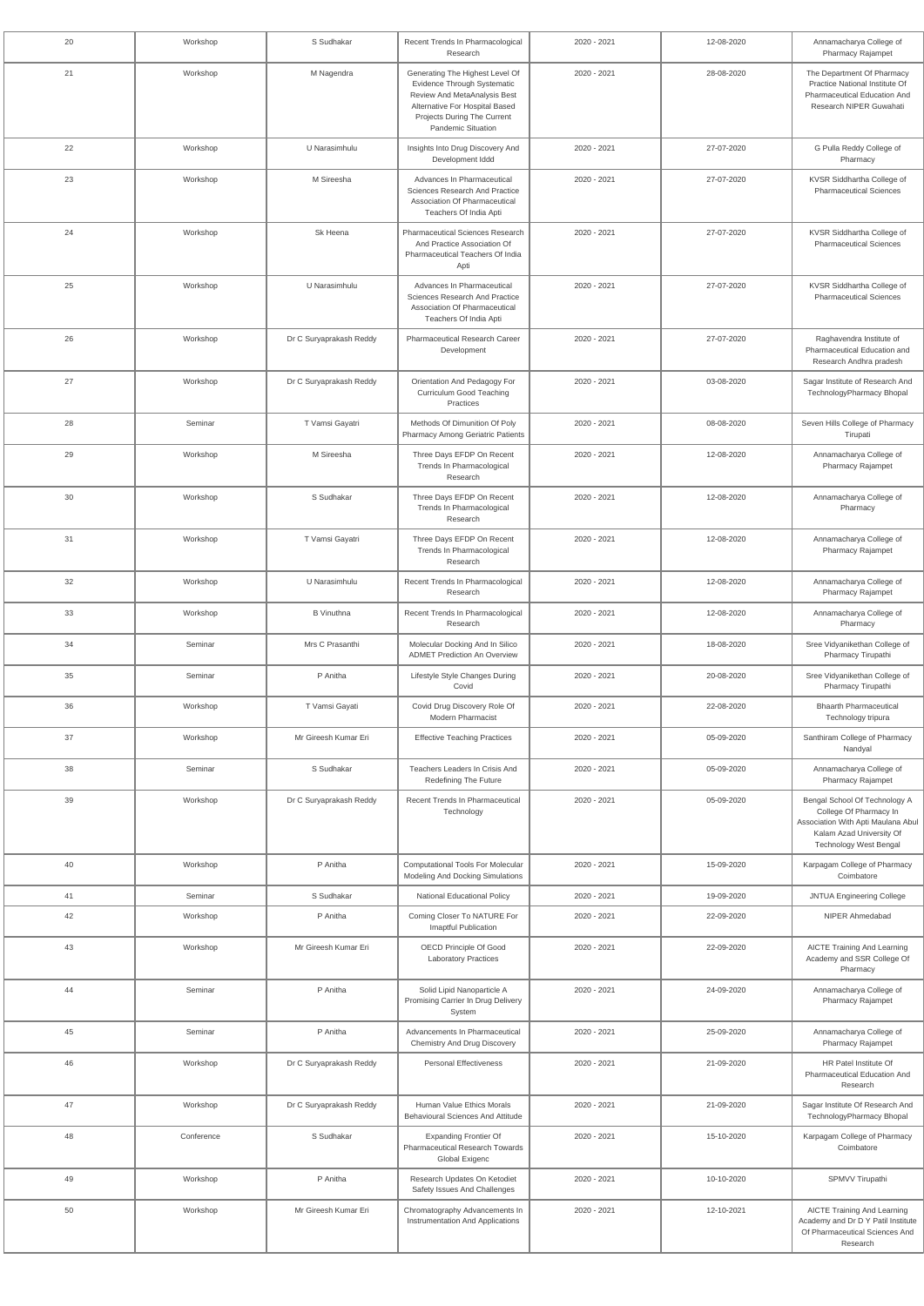| 20 | Workshop   | S Sudhakar              | Recent Trends In Pharmacological<br>Research                                                                                                                                          | 2020 - 2021 | 12-08-2020 | Annamacharya College of<br>Pharmacy Rajampet                                                                                                               |
|----|------------|-------------------------|---------------------------------------------------------------------------------------------------------------------------------------------------------------------------------------|-------------|------------|------------------------------------------------------------------------------------------------------------------------------------------------------------|
| 21 | Workshop   | M Nagendra              | Generating The Highest Level Of<br>Evidence Through Systematic<br>Review And MetaAnalysis Best<br>Alternative For Hospital Based<br>Projects During The Current<br>Pandemic Situation | 2020 - 2021 | 28-08-2020 | The Department Of Pharmacy<br>Practice National Institute Of<br>Pharmaceutical Education And<br>Research NIPER Guwahati                                    |
| 22 | Workshop   | U Narasimhulu           | Insights Into Drug Discovery And<br>Development Iddd                                                                                                                                  | 2020 - 2021 | 27-07-2020 | G Pulla Reddy College of<br>Pharmacy                                                                                                                       |
| 23 | Workshop   | M Sireesha              | Advances In Pharmaceutical<br>Sciences Research And Practice<br>Association Of Pharmaceutical<br>Teachers Of India Apti                                                               | 2020 - 2021 | 27-07-2020 | KVSR Siddhartha College of<br><b>Pharmaceutical Sciences</b>                                                                                               |
| 24 | Workshop   | Sk Heena                | <b>Pharmaceutical Sciences Research</b><br>And Practice Association Of<br>Pharmaceutical Teachers Of India<br>Apti                                                                    | 2020 - 2021 | 27-07-2020 | KVSR Siddhartha College of<br><b>Pharmaceutical Sciences</b>                                                                                               |
| 25 | Workshop   | U Narasimhulu           | Advances In Pharmaceutical<br>Sciences Research And Practice<br>Association Of Pharmaceutical<br>Teachers Of India Apti                                                               | 2020 - 2021 | 27-07-2020 | KVSR Siddhartha College of<br><b>Pharmaceutical Sciences</b>                                                                                               |
| 26 | Workshop   | Dr C Suryaprakash Reddy | <b>Pharmaceutical Research Career</b><br>Development                                                                                                                                  | 2020 - 2021 | 27-07-2020 | Raghavendra Institute of<br>Pharmaceutical Education and<br>Research Andhra pradesh                                                                        |
| 27 | Workshop   | Dr C Suryaprakash Reddy | Orientation And Pedagogy For<br>Curriculum Good Teaching<br>Practices                                                                                                                 | 2020 - 2021 | 03-08-2020 | Sagar Institute of Research And<br>TechnologyPharmacy Bhopal                                                                                               |
| 28 | Seminar    | T Vamsi Gayatri         | Methods Of Dimunition Of Poly<br><b>Pharmacy Among Geriatric Patients</b>                                                                                                             | 2020 - 2021 | 08-08-2020 | Seven Hills College of Pharmacy<br>Tirupati                                                                                                                |
| 29 | Workshop   | M Sireesha              | Three Days EFDP On Recent<br>Trends In Pharmacological<br>Research                                                                                                                    | 2020 - 2021 | 12-08-2020 | Annamacharya College of<br><b>Pharmacy Rajampet</b>                                                                                                        |
| 30 | Workshop   | S Sudhakar              | Three Days EFDP On Recent<br>Trends In Pharmacological<br>Research                                                                                                                    | 2020 - 2021 | 12-08-2020 | Annamacharya College of<br>Pharmacy                                                                                                                        |
| 31 | Workshop   | T Vamsi Gayatri         | Three Days EFDP On Recent<br>Trends In Pharmacological<br>Research                                                                                                                    | 2020 - 2021 | 12-08-2020 | Annamacharya College of<br>Pharmacy Rajampet                                                                                                               |
| 32 | Workshop   | U Narasimhulu           | Recent Trends In Pharmacological<br>Research                                                                                                                                          | 2020 - 2021 | 12-08-2020 | Annamacharya College of<br>Pharmacy Rajampet                                                                                                               |
| 33 | Workshop   | <b>B</b> Vinuthna       | Recent Trends In Pharmacological<br>Research                                                                                                                                          | 2020 - 2021 | 12-08-2020 | Annamacharya College of<br>Pharmacy                                                                                                                        |
| 34 | Seminar    | Mrs C Prasanthi         | Molecular Docking And In Silico<br><b>ADMET Prediction An Overview</b>                                                                                                                | 2020 - 2021 | 18-08-2020 | Sree Vidyanikethan College of<br>Pharmacy Tirupathi                                                                                                        |
| 35 | Seminar    | P Anitha                | Lifestyle Style Changes During<br>Covid                                                                                                                                               | 2020 - 2021 | 20-08-2020 | Sree Vidyanikethan College of<br>Pharmacy Tirupathi                                                                                                        |
| 36 | Workshop   | T Vamsi Gayati          | Covid Drug Discovery Role Of<br><b>Modern Pharmacist</b>                                                                                                                              | 2020 - 2021 | 22-08-2020 | <b>Bhaarth Pharmaceutical</b><br>Technology tripura                                                                                                        |
| 37 | Workshop   | Mr Gireesh Kumar Eri    | <b>Effective Teaching Practices</b>                                                                                                                                                   | 2020 - 2021 | 05-09-2020 | Santhiram College of Pharmacy<br>Nandyal                                                                                                                   |
| 38 | Seminar    | S Sudhakar              | Teachers Leaders In Crisis And<br><b>Redefining The Future</b>                                                                                                                        | 2020 - 2021 | 05-09-2020 | Annamacharya College of<br>Pharmacy Rajampet                                                                                                               |
| 39 | Workshop   | Dr C Suryaprakash Reddy | Recent Trends In Pharmaceutical<br>Technology                                                                                                                                         | 2020 - 2021 | 05-09-2020 | Bengal School Of Technology A<br>College Of Pharmacy In<br>Association With Apti Maulana Abul<br>Kalam Azad University Of<br><b>Technology West Bengal</b> |
| 40 | Workshop   | P Anitha                | <b>Computational Tools For Molecular</b><br>Modeling And Docking Simulations                                                                                                          | 2020 - 2021 | 15-09-2020 | Karpagam College of Pharmacy<br>Coimbatore                                                                                                                 |
| 41 | Seminar    | S Sudhakar              | <b>National Educational Policy</b>                                                                                                                                                    | 2020 - 2021 | 19-09-2020 | <b>JNTUA Engineering College</b>                                                                                                                           |
| 42 | Workshop   | P Anitha                | Coming Closer To NATURE For<br>Imaptful Publication                                                                                                                                   | 2020 - 2021 | 22-09-2020 | NIPER Ahmedabad                                                                                                                                            |
| 43 | Workshop   | Mr Gireesh Kumar Eri    | OECD Principle Of Good<br><b>Laboratory Practices</b>                                                                                                                                 | 2020 - 2021 | 22-09-2020 | <b>AICTE Training And Learning</b><br>Academy and SSR College Of<br>Pharmacy                                                                               |
| 44 | Seminar    | P Anitha                | Solid Lipid Nanoparticle A<br>Promising Carrier In Drug Delivery<br>System                                                                                                            | 2020 - 2021 | 24-09-2020 | Annamacharya College of<br>Pharmacy Rajampet                                                                                                               |
| 45 | Seminar    | P Anitha                | Advancements In Pharmaceutical<br><b>Chemistry And Drug Discovery</b>                                                                                                                 | 2020 - 2021 | 25-09-2020 | Annamacharya College of<br>Pharmacy Rajampet                                                                                                               |
| 46 | Workshop   | Dr C Suryaprakash Reddy | <b>Personal Effectiveness</b>                                                                                                                                                         | 2020 - 2021 | 21-09-2020 | HR Patel Institute Of<br>Pharmaceutical Education And<br>Research                                                                                          |
| 47 | Workshop   | Dr C Suryaprakash Reddy | Human Value Ethics Morals<br><b>Behavioural Sciences And Attitude</b>                                                                                                                 | 2020 - 2021 | 21-09-2020 | Sagar Institute Of Research And<br>TechnologyPharmacy Bhopal                                                                                               |
| 48 | Conference | S Sudhakar              | <b>Expanding Frontier Of</b><br><b>Pharmaceutical Research Towards</b><br>Global Exigenc                                                                                              | 2020 - 2021 | 15-10-2020 | Karpagam College of Pharmacy<br>Coimbatore                                                                                                                 |
| 49 | Workshop   | P Anitha                | Research Updates On Ketodiet<br>Safety Issues And Challenges                                                                                                                          | 2020 - 2021 | 10-10-2020 | SPMVV Tirupathi                                                                                                                                            |
| 50 | Workshop   | Mr Gireesh Kumar Eri    | Chromatography Advancements In<br>Instrumentation And Applications                                                                                                                    | 2020 - 2021 | 12-10-2021 | AICTE Training And Learning<br>Academy and Dr D Y Patil Institute<br>Of Pharmaceutical Sciences And<br>Research                                            |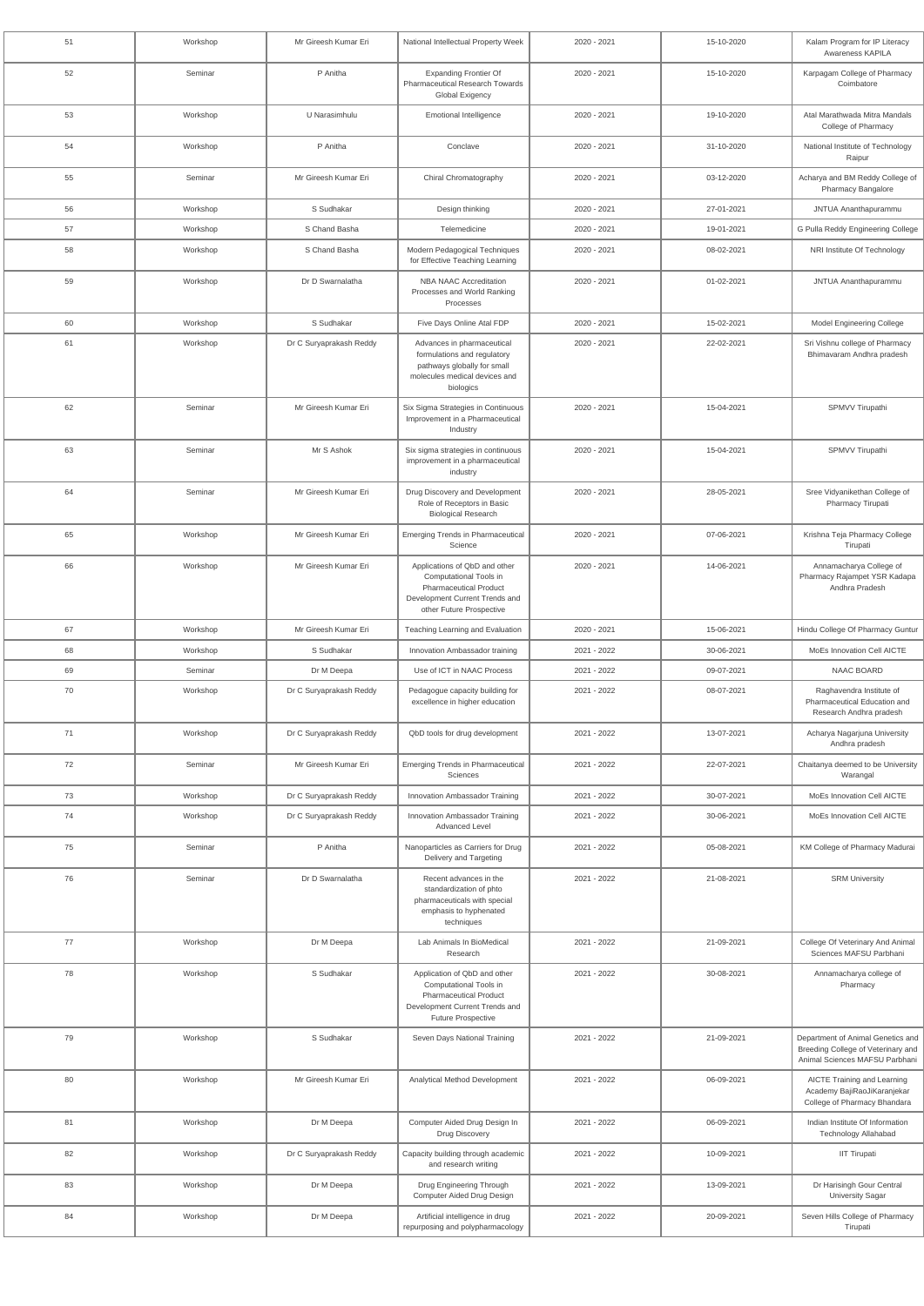| 51 | Workshop | Mr Gireesh Kumar Eri    | National Intellectual Property Week                                                                                                                           | 2020 - 2021 | 15-10-2020 | Kalam Program for IP Literacy<br>Awareness KAPILA                                                         |
|----|----------|-------------------------|---------------------------------------------------------------------------------------------------------------------------------------------------------------|-------------|------------|-----------------------------------------------------------------------------------------------------------|
| 52 | Seminar  | P Anitha                | <b>Expanding Frontier Of</b><br>Pharmaceutical Research Towards<br>Global Exigency                                                                            | 2020 - 2021 | 15-10-2020 | Karpagam College of Pharmacy<br>Coimbatore                                                                |
| 53 | Workshop | U Narasimhulu           | <b>Emotional Intelligence</b>                                                                                                                                 | 2020 - 2021 | 19-10-2020 | Atal Marathwada Mitra Mandals<br>College of Pharmacy                                                      |
| 54 | Workshop | P Anitha                | Conclave                                                                                                                                                      | 2020 - 2021 | 31-10-2020 | National Institute of Technology<br>Raipur                                                                |
| 55 | Seminar  | Mr Gireesh Kumar Eri    | Chiral Chromatography                                                                                                                                         | 2020 - 2021 | 03-12-2020 | Acharya and BM Reddy College of<br>Pharmacy Bangalore                                                     |
| 56 | Workshop | S Sudhakar              | Design thinking                                                                                                                                               | 2020 - 2021 | 27-01-2021 | JNTUA Ananthapurammu                                                                                      |
| 57 | Workshop | S Chand Basha           | Telemedicine                                                                                                                                                  | 2020 - 2021 | 19-01-2021 | G Pulla Reddy Engineering College                                                                         |
| 58 | Workshop | S Chand Basha           | Modern Pedagogical Techniques<br>for Effective Teaching Learning                                                                                              | 2020 - 2021 | 08-02-2021 | NRI Institute Of Technology                                                                               |
| 59 | Workshop | Dr D Swarnalatha        | <b>NBA NAAC Accreditation</b><br>Processes and World Ranking<br>Processes                                                                                     | 2020 - 2021 | 01-02-2021 | JNTUA Ananthapurammu                                                                                      |
| 60 | Workshop | S Sudhakar              | Five Days Online Atal FDP                                                                                                                                     | 2020 - 2021 | 15-02-2021 | Model Engineering College                                                                                 |
| 61 | Workshop | Dr C Suryaprakash Reddy | Advances in pharmaceutical<br>formulations and regulatory<br>pathways globally for small<br>molecules medical devices and<br>biologics                        | 2020 - 2021 | 22-02-2021 | Sri Vishnu college of Pharmacy<br>Bhimavaram Andhra pradesh                                               |
| 62 | Seminar  | Mr Gireesh Kumar Eri    | Six Sigma Strategies in Continuous<br>Improvement in a Pharmaceutical<br>Industry                                                                             | 2020 - 2021 | 15-04-2021 | SPMVV Tirupathi                                                                                           |
| 63 | Seminar  | Mr S Ashok              | Six sigma strategies in continuous<br>improvement in a pharmaceutical<br>industry                                                                             | 2020 - 2021 | 15-04-2021 | SPMVV Tirupathi                                                                                           |
| 64 | Seminar  | Mr Gireesh Kumar Eri    | Drug Discovery and Development<br>Role of Receptors in Basic<br><b>Biological Research</b>                                                                    | 2020 - 2021 | 28-05-2021 | Sree Vidyanikethan College of<br>Pharmacy Tirupati                                                        |
| 65 | Workshop | Mr Gireesh Kumar Eri    | <b>Emerging Trends in Pharmaceutical</b><br>Science                                                                                                           | 2020 - 2021 | 07-06-2021 | Krishna Teja Pharmacy College<br>Tirupati                                                                 |
| 66 | Workshop | Mr Gireesh Kumar Eri    | Applications of QbD and other<br>Computational Tools in<br><b>Pharmaceutical Product</b><br>Development Current Trends and<br>other Future Prospective        | 2020 - 2021 | 14-06-2021 | Annamacharya College of<br>Pharmacy Rajampet YSR Kadapa<br>Andhra Pradesh                                 |
| 67 | Workshop | Mr Gireesh Kumar Eri    | Teaching Learning and Evaluation                                                                                                                              | 2020 - 2021 | 15-06-2021 | Hindu College Of Pharmacy Guntur                                                                          |
| 68 | Workshop | S Sudhakar              | Innovation Ambassador training                                                                                                                                | 2021 - 2022 | 30-06-2021 | MoEs Innovation Cell AICTE                                                                                |
| 69 | Seminar  | Dr M Deepa              | Use of ICT in NAAC Process                                                                                                                                    | 2021 - 2022 | 09-07-2021 | NAAC BOARD                                                                                                |
| 70 | Workshop | Dr C Suryaprakash Reddy | Pedagogue capacity building for<br>excellence in higher education                                                                                             | 2021 - 2022 | 08-07-2021 | Raghavendra Institute of<br>Pharmaceutical Education and<br>Research Andhra pradesh                       |
| 71 | Workshop | Dr C Suryaprakash Reddy | QbD tools for drug development                                                                                                                                | 2021 - 2022 | 13-07-2021 | Acharya Nagarjuna University<br>Andhra pradesh                                                            |
| 72 | Seminar  | Mr Gireesh Kumar Eri    | <b>Emerging Trends in Pharmaceutical</b><br>Sciences                                                                                                          | 2021 - 2022 | 22-07-2021 | Chaitanya deemed to be University<br>Warangal                                                             |
| 73 | Workshop | Dr C Suryaprakash Reddy | Innovation Ambassador Training                                                                                                                                | 2021 - 2022 | 30-07-2021 | MoEs Innovation Cell AICTE                                                                                |
| 74 | Workshop | Dr C Suryaprakash Reddy | Innovation Ambassador Training<br><b>Advanced Level</b>                                                                                                       | 2021 - 2022 | 30-06-2021 | MoEs Innovation Cell AICTE                                                                                |
| 75 | Seminar  | P Anitha                | Nanoparticles as Carriers for Drug<br>Delivery and Targeting                                                                                                  | 2021 - 2022 | 05-08-2021 | KM College of Pharmacy Madurai                                                                            |
| 76 | Seminar  | Dr D Swarnalatha        | Recent advances in the<br>standardization of phto<br>pharmaceuticals with special<br>emphasis to hyphenated<br>techniques                                     | 2021 - 2022 | 21-08-2021 | <b>SRM University</b>                                                                                     |
| 77 | Workshop | Dr M Deepa              | Lab Animals In BioMedical<br>Research                                                                                                                         | 2021 - 2022 | 21-09-2021 | College Of Veterinary And Animal<br>Sciences MAFSU Parbhani                                               |
| 78 | Workshop | S Sudhakar              | Application of QbD and other<br><b>Computational Tools in</b><br><b>Pharmaceutical Product</b><br>Development Current Trends and<br><b>Future Prospective</b> | 2021 - 2022 | 30-08-2021 | Annamacharya college of<br>Pharmacy                                                                       |
| 79 | Workshop | S Sudhakar              | Seven Days National Training                                                                                                                                  | 2021 - 2022 | 21-09-2021 | Department of Animal Genetics and<br>Breeding College of Veterinary and<br>Animal Sciences MAFSU Parbhani |
| 80 | Workshop | Mr Gireesh Kumar Eri    | Analytical Method Development                                                                                                                                 | 2021 - 2022 | 06-09-2021 | AICTE Training and Learning<br>Academy BajiRaoJiKaranjekar<br>College of Pharmacy Bhandara                |
| 81 | Workshop | Dr M Deepa              | Computer Aided Drug Design In<br>Drug Discovery                                                                                                               | 2021 - 2022 | 06-09-2021 | Indian Institute Of Information<br><b>Technology Allahabad</b>                                            |
| 82 | Workshop | Dr C Suryaprakash Reddy | Capacity building through academic<br>and research writing                                                                                                    | 2021 - 2022 | 10-09-2021 | <b>IIT Tirupati</b>                                                                                       |
| 83 | Workshop | Dr M Deepa              | Drug Engineering Through<br>Computer Aided Drug Design                                                                                                        | 2021 - 2022 | 13-09-2021 | Dr Harisingh Gour Central<br><b>University Sagar</b>                                                      |
| 84 | Workshop | Dr M Deepa              | Artificial intelligence in drug<br>repurposing and polypharmacology                                                                                           | 2021 - 2022 | 20-09-2021 | Seven Hills College of Pharmacy<br>Tirupati                                                               |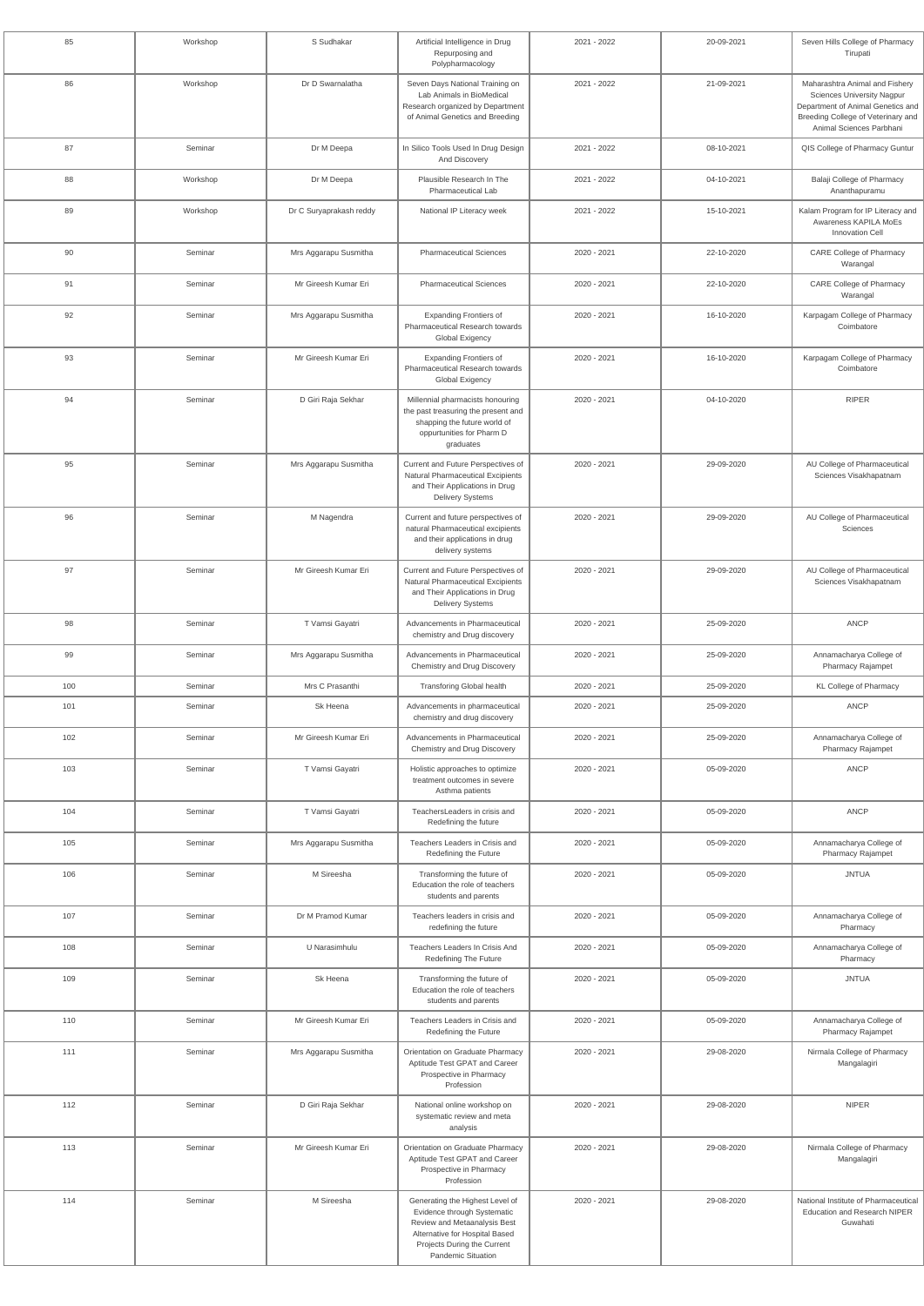| 85  | Workshop | S Sudhakar              | Artificial Intelligence in Drug<br>Repurposing and<br>Polypharmacology                                                                                                                | 2021 - 2022 | 20-09-2021 | Seven Hills College of Pharmacy<br>Tirupati                                                                                                                                |
|-----|----------|-------------------------|---------------------------------------------------------------------------------------------------------------------------------------------------------------------------------------|-------------|------------|----------------------------------------------------------------------------------------------------------------------------------------------------------------------------|
| 86  | Workshop | Dr D Swarnalatha        | Seven Days National Training on<br>Lab Animals in BioMedical<br>Research organized by Department<br>of Animal Genetics and Breeding                                                   | 2021 - 2022 | 21-09-2021 | Maharashtra Animal and Fishery<br><b>Sciences University Nagpur</b><br>Department of Animal Genetics and<br>Breeding College of Veterinary and<br>Animal Sciences Parbhani |
| 87  | Seminar  | Dr M Deepa              | In Silico Tools Used In Drug Design<br>And Discovery                                                                                                                                  | 2021 - 2022 | 08-10-2021 | QIS College of Pharmacy Guntur                                                                                                                                             |
| 88  | Workshop | Dr M Deepa              | Plausible Research In The<br><b>Pharmaceutical Lab</b>                                                                                                                                | 2021 - 2022 | 04-10-2021 | Balaji College of Pharmacy<br>Ananthapuramu                                                                                                                                |
| 89  | Workshop | Dr C Suryaprakash reddy | National IP Literacy week                                                                                                                                                             | 2021 - 2022 | 15-10-2021 | Kalam Program for IP Literacy and<br>Awareness KAPILA MoEs<br>Innovation Cell                                                                                              |
| 90  | Seminar  | Mrs Aggarapu Susmitha   | <b>Pharmaceutical Sciences</b>                                                                                                                                                        | 2020 - 2021 | 22-10-2020 | <b>CARE College of Pharmacy</b><br>Warangal                                                                                                                                |
| 91  | Seminar  | Mr Gireesh Kumar Eri    | <b>Pharmaceutical Sciences</b>                                                                                                                                                        | 2020 - 2021 | 22-10-2020 | <b>CARE College of Pharmacy</b><br>Warangal                                                                                                                                |
| 92  | Seminar  | Mrs Aggarapu Susmitha   | <b>Expanding Frontiers of</b><br>Pharmaceutical Research towards<br>Global Exigency                                                                                                   | 2020 - 2021 | 16-10-2020 | Karpagam College of Pharmacy<br>Coimbatore                                                                                                                                 |
| 93  | Seminar  | Mr Gireesh Kumar Eri    | <b>Expanding Frontiers of</b><br>Pharmaceutical Research towards<br><b>Global Exigency</b>                                                                                            | 2020 - 2021 | 16-10-2020 | Karpagam College of Pharmacy<br>Coimbatore                                                                                                                                 |
| 94  | Seminar  | D Giri Raja Sekhar      | Millennial pharmacists honouring<br>the past treasuring the present and<br>shapping the future world of<br>oppurtunities for Pharm D<br>graduates                                     | 2020 - 2021 | 04-10-2020 | <b>RIPER</b>                                                                                                                                                               |
| 95  | Seminar  | Mrs Aggarapu Susmitha   | Current and Future Perspectives of<br>Natural Pharmaceutical Excipients<br>and Their Applications in Drug<br><b>Delivery Systems</b>                                                  | 2020 - 2021 | 29-09-2020 | AU College of Pharmaceutical<br>Sciences Visakhapatnam                                                                                                                     |
| 96  | Seminar  | M Nagendra              | Current and future perspectives of<br>natural Pharmaceutical excipients<br>and their applications in drug<br>delivery systems                                                         | 2020 - 2021 | 29-09-2020 | AU College of Pharmaceutical<br>Sciences                                                                                                                                   |
| 97  | Seminar  | Mr Gireesh Kumar Eri    | Current and Future Perspectives of<br>Natural Pharmaceutical Excipients<br>and Their Applications in Drug<br><b>Delivery Systems</b>                                                  | 2020 - 2021 | 29-09-2020 | AU College of Pharmaceutical<br>Sciences Visakhapatnam                                                                                                                     |
| 98  | Seminar  | T Vamsi Gayatri         | Advancements in Pharmaceutical<br>chemistry and Drug discovery                                                                                                                        | 2020 - 2021 | 25-09-2020 | <b>ANCP</b>                                                                                                                                                                |
| 99  | Seminar  | Mrs Aggarapu Susmitha   | Advancements in Pharmaceutical<br>Chemistry and Drug Discovery                                                                                                                        | 2020 - 2021 | 25-09-2020 | Annamacharya College of<br>Pharmacy Rajampet                                                                                                                               |
| 100 | Seminar  | Mrs C Prasanthi         | <b>Transforing Global health</b>                                                                                                                                                      | 2020 - 2021 | 25-09-2020 | <b>KL College of Pharmacy</b>                                                                                                                                              |
| 101 | Seminar  | Sk Heena                | Advancements in pharmaceutical<br>chemistry and drug discovery                                                                                                                        | 2020 - 2021 | 25-09-2020 | <b>ANCP</b>                                                                                                                                                                |
| 102 | Seminar  | Mr Gireesh Kumar Eri    | Advancements in Pharmaceutical<br>Chemistry and Drug Discovery                                                                                                                        | 2020 - 2021 | 25-09-2020 | Annamacharya College of<br>Pharmacy Rajampet                                                                                                                               |
| 103 | Seminar  | T Vamsi Gayatri         | Holistic approaches to optimize<br>treatment outcomes in severe<br>Asthma patients                                                                                                    | 2020 - 2021 | 05-09-2020 | <b>ANCP</b>                                                                                                                                                                |
| 104 | Seminar  | T Vamsi Gayatri         | TeachersLeaders in crisis and<br>Redefining the future                                                                                                                                | 2020 - 2021 | 05-09-2020 | <b>ANCP</b>                                                                                                                                                                |
| 105 | Seminar  | Mrs Aggarapu Susmitha   | Teachers Leaders in Crisis and<br>Redefining the Future                                                                                                                               | 2020 - 2021 | 05-09-2020 | Annamacharya College of<br>Pharmacy Rajampet                                                                                                                               |
| 106 | Seminar  | M Sireesha              | Transforming the future of<br>Education the role of teachers<br>students and parents                                                                                                  | 2020 - 2021 | 05-09-2020 | <b>JNTUA</b>                                                                                                                                                               |
| 107 | Seminar  | Dr M Pramod Kumar       | Teachers leaders in crisis and<br>redefining the future                                                                                                                               | 2020 - 2021 | 05-09-2020 | Annamacharya College of<br>Pharmacy                                                                                                                                        |
| 108 | Seminar  | U Narasimhulu           | Teachers Leaders In Crisis And<br><b>Redefining The Future</b>                                                                                                                        | 2020 - 2021 | 05-09-2020 | Annamacharya College of<br>Pharmacy                                                                                                                                        |
| 109 | Seminar  | Sk Heena                | Transforming the future of<br>Education the role of teachers<br>students and parents                                                                                                  | 2020 - 2021 | 05-09-2020 | <b>JNTUA</b>                                                                                                                                                               |
| 110 | Seminar  | Mr Gireesh Kumar Eri    | Teachers Leaders in Crisis and<br>Redefining the Future                                                                                                                               | 2020 - 2021 | 05-09-2020 | Annamacharya College of<br>Pharmacy Rajampet                                                                                                                               |
| 111 | Seminar  | Mrs Aggarapu Susmitha   | Orientation on Graduate Pharmacy<br>Aptitude Test GPAT and Career<br>Prospective in Pharmacy<br>Profession                                                                            | 2020 - 2021 | 29-08-2020 | Nirmala College of Pharmacy<br>Mangalagiri                                                                                                                                 |
| 112 | Seminar  | D Giri Raja Sekhar      | National online workshop on<br>systematic review and meta<br>analysis                                                                                                                 | 2020 - 2021 | 29-08-2020 | <b>NIPER</b>                                                                                                                                                               |
| 113 | Seminar  | Mr Gireesh Kumar Eri    | Orientation on Graduate Pharmacy<br>Aptitude Test GPAT and Career<br>Prospective in Pharmacy<br>Profession                                                                            | 2020 - 2021 | 29-08-2020 | Nirmala College of Pharmacy<br>Mangalagiri                                                                                                                                 |
| 114 | Seminar  | M Sireesha              | Generating the Highest Level of<br>Evidence through Systematic<br>Review and Metaanalysis Best<br>Alternative for Hospital Based<br>Projects During the Current<br>Pandemic Situation | 2020 - 2021 | 29-08-2020 | National Institute of Pharmaceutical<br><b>Education and Research NIPER</b><br>Guwahati                                                                                    |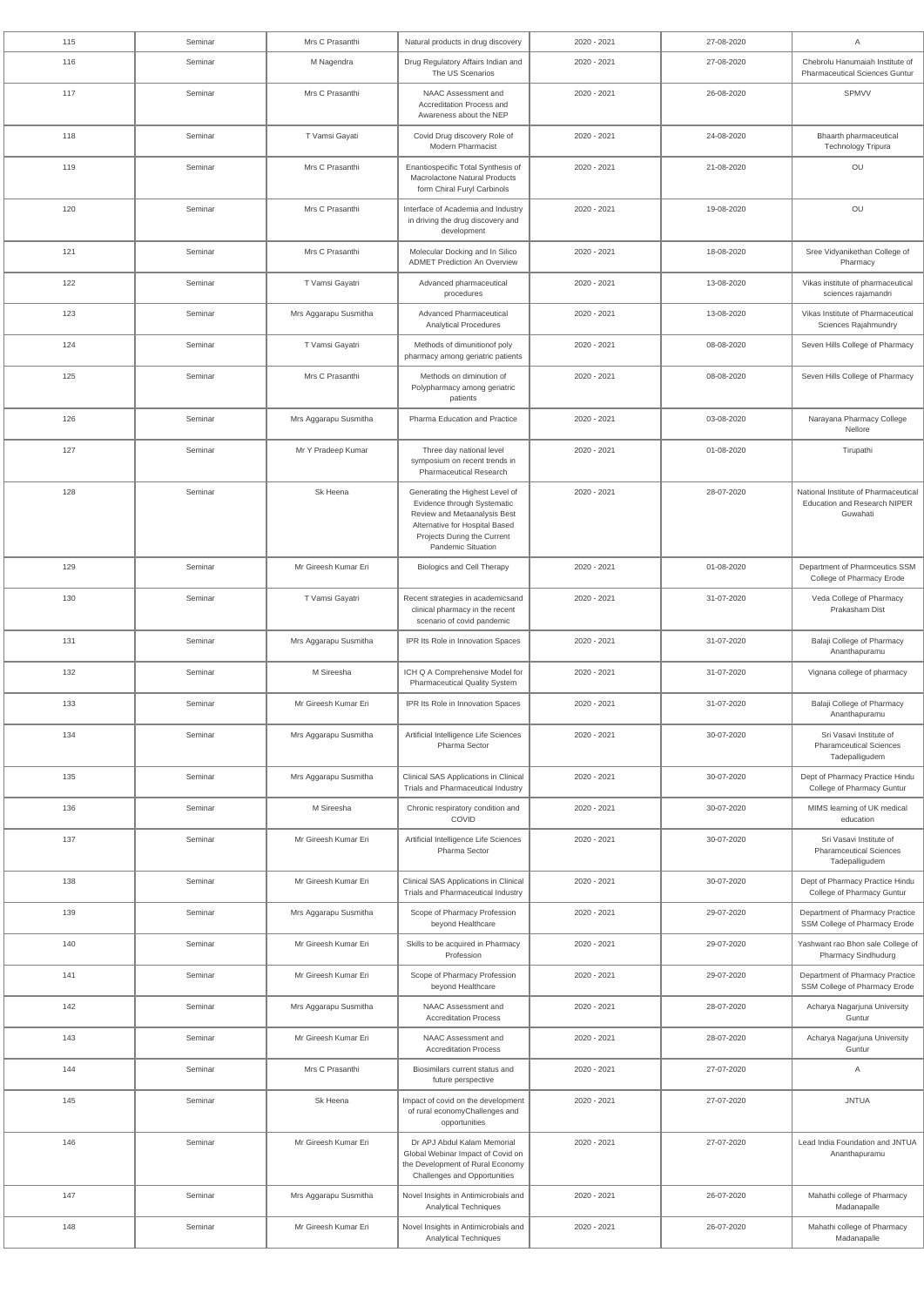| 115 | Seminar | Mrs C Prasanthi       | Natural products in drug discovery                                                                                                                                                           | 2020 - 2021 | 27-08-2020 | Α                                                                                |
|-----|---------|-----------------------|----------------------------------------------------------------------------------------------------------------------------------------------------------------------------------------------|-------------|------------|----------------------------------------------------------------------------------|
| 116 | Seminar | M Nagendra            | Drug Regulatory Affairs Indian and<br>The US Scenarios                                                                                                                                       | 2020 - 2021 | 27-08-2020 | Chebrolu Hanumaiah Institute of<br><b>Pharmaceutical Sciences Guntur</b>         |
| 117 | Seminar | Mrs C Prasanthi       | NAAC Assessment and<br>Accreditation Process and<br>Awareness about the NEP                                                                                                                  | 2020 - 2021 | 26-08-2020 | <b>SPMVV</b>                                                                     |
| 118 | Seminar | T Vamsi Gayati        | Covid Drug discovery Role of<br><b>Modern Pharmacist</b>                                                                                                                                     | 2020 - 2021 | 24-08-2020 | Bhaarth pharmaceutical<br><b>Technology Tripura</b>                              |
| 119 | Seminar | Mrs C Prasanthi       | Enantiospecific Total Synthesis of<br>Macrolactone Natural Products<br>form Chiral Furyl Carbinols                                                                                           | 2020 - 2021 | 21-08-2020 | OU                                                                               |
| 120 | Seminar | Mrs C Prasanthi       | Interface of Academia and Industry<br>in driving the drug discovery and<br>development                                                                                                       | 2020 - 2021 | 19-08-2020 | OU                                                                               |
| 121 | Seminar | Mrs C Prasanthi       | Molecular Docking and In Silico<br><b>ADMET Prediction An Overview</b>                                                                                                                       | 2020 - 2021 | 18-08-2020 | Sree Vidyanikethan College of<br>Pharmacy                                        |
| 122 | Seminar | T Vamsi Gayatri       | Advanced pharmaceutical<br>procedures                                                                                                                                                        | 2020 - 2021 | 13-08-2020 | Vikas institute of pharmaceutical<br>sciences rajamandri                         |
| 123 | Seminar | Mrs Aggarapu Susmitha | <b>Advanced Pharmaceutical</b><br><b>Analytical Procedures</b>                                                                                                                               | 2020 - 2021 | 13-08-2020 | Vikas Institute of Pharmaceutical<br>Sciences Rajahmundry                        |
| 124 | Seminar | T Vamsi Gayatri       | Methods of dimunitionof poly<br>pharmacy among geriatric patients                                                                                                                            | 2020 - 2021 | 08-08-2020 | Seven Hills College of Pharmacy                                                  |
| 125 | Seminar | Mrs C Prasanthi       | Methods on diminution of<br>Polypharmacy among geriatric<br>patients                                                                                                                         | 2020 - 2021 | 08-08-2020 | Seven Hills College of Pharmacy                                                  |
| 126 | Seminar | Mrs Aggarapu Susmitha | Pharma Education and Practice                                                                                                                                                                | 2020 - 2021 | 03-08-2020 | Narayana Pharmacy College<br>Nellore                                             |
| 127 | Seminar | Mr Y Pradeep Kumar    | Three day national level<br>symposium on recent trends in<br><b>Pharmaceutical Research</b>                                                                                                  | 2020 - 2021 | 01-08-2020 | Tirupathi                                                                        |
| 128 | Seminar | Sk Heena              | Generating the Highest Level of<br>Evidence through Systematic<br>Review and Metaanalysis Best<br>Alternative for Hospital Based<br>Projects During the Current<br><b>Pandemic Situation</b> | 2020 - 2021 | 28-07-2020 | National Institute of Pharmaceutical<br>Education and Research NIPER<br>Guwahati |
| 129 | Seminar | Mr Gireesh Kumar Eri  | <b>Biologics and Cell Therapy</b>                                                                                                                                                            | 2020 - 2021 | 01-08-2020 | Department of Pharmceutics SSM<br>College of Pharmacy Erode                      |
| 130 | Seminar | T Vamsi Gayatri       | Recent strategies in academicsand<br>clinical pharmacy in the recent<br>scenario of covid pandemic                                                                                           | 2020 - 2021 | 31-07-2020 | Veda College of Pharmacy<br>Prakasham Dist                                       |
| 131 | Seminar | Mrs Aggarapu Susmitha | IPR Its Role in Innovation Spaces                                                                                                                                                            | 2020 - 2021 | 31-07-2020 | Balaji College of Pharmacy<br>Ananthapuramu                                      |
| 132 | Seminar | M Sireesha            | ICH Q A Comprehensive Model for<br><b>Pharmaceutical Quality System</b>                                                                                                                      | 2020 - 2021 | 31-07-2020 | Vignana college of pharmacy                                                      |
| 133 | Seminar | Mr Gireesh Kumar Eri  | IPR Its Role in Innovation Spaces                                                                                                                                                            | 2020 - 2021 | 31-07-2020 | Balaji College of Pharmacy<br>Ananthapuramu                                      |
| 134 | Seminar | Mrs Aggarapu Susmitha | Artificial Intelligence Life Sciences<br>Pharma Sector                                                                                                                                       | 2020 - 2021 | 30-07-2020 | Sri Vasavi Institute of<br><b>Pharamceutical Sciences</b><br>Tadepalligudem      |
| 135 | Seminar | Mrs Aggarapu Susmitha | Clinical SAS Applications in Clinical<br>Trials and Pharmaceutical Industry                                                                                                                  | 2020 - 2021 | 30-07-2020 | Dept of Pharmacy Practice Hindu<br>College of Pharmacy Guntur                    |
| 136 | Seminar | M Sireesha            | Chronic respiratory condition and<br>COVID                                                                                                                                                   | 2020 - 2021 | 30-07-2020 | MIMS learning of UK medical<br>education                                         |
| 137 | Seminar | Mr Gireesh Kumar Eri  | Artificial Intelligence Life Sciences<br><b>Pharma Sector</b>                                                                                                                                | 2020 - 2021 | 30-07-2020 | Sri Vasavi Institute of<br><b>Pharamceutical Sciences</b><br>Tadepalligudem      |
| 138 | Seminar | Mr Gireesh Kumar Eri  | Clinical SAS Applications in Clinical<br>Trials and Pharmaceutical Industry                                                                                                                  | 2020 - 2021 | 30-07-2020 | Dept of Pharmacy Practice Hindu<br>College of Pharmacy Guntur                    |
| 139 | Seminar | Mrs Aggarapu Susmitha | Scope of Pharmacy Profession<br>beyond Healthcare                                                                                                                                            | 2020 - 2021 | 29-07-2020 | Department of Pharmacy Practice<br>SSM College of Pharmacy Erode                 |
| 140 | Seminar | Mr Gireesh Kumar Eri  | Skills to be acquired in Pharmacy<br>Profession                                                                                                                                              | 2020 - 2021 | 29-07-2020 | Yashwant rao Bhon sale College of<br><b>Pharmacy Sindhudurg</b>                  |
| 141 | Seminar | Mr Gireesh Kumar Eri  | Scope of Pharmacy Profession<br>beyond Healthcare                                                                                                                                            | 2020 - 2021 | 29-07-2020 | Department of Pharmacy Practice<br>SSM College of Pharmacy Erode                 |
| 142 | Seminar | Mrs Aggarapu Susmitha | NAAC Assessment and<br><b>Accreditation Process</b>                                                                                                                                          | 2020 - 2021 | 28-07-2020 | Acharya Nagarjuna University<br>Guntur                                           |
| 143 | Seminar | Mr Gireesh Kumar Eri  | NAAC Assessment and<br><b>Accreditation Process</b>                                                                                                                                          | 2020 - 2021 | 28-07-2020 | Acharya Nagarjuna University<br>Guntur                                           |
| 144 | Seminar | Mrs C Prasanthi       | Biosimilars current status and<br>future perspective                                                                                                                                         | 2020 - 2021 | 27-07-2020 | $\mathsf{A}$                                                                     |
| 145 | Seminar | Sk Heena              | Impact of covid on the development<br>of rural economyChallenges and<br>opportunities                                                                                                        | 2020 - 2021 | 27-07-2020 | <b>JNTUA</b>                                                                     |
| 146 | Seminar | Mr Gireesh Kumar Eri  | Dr APJ Abdul Kalam Memorial<br>Global Webinar Impact of Covid on<br>the Development of Rural Economy<br>Challenges and Opportunities                                                         | 2020 - 2021 | 27-07-2020 | Lead India Foundation and JNTUA<br>Ananthapuramu                                 |
| 147 | Seminar | Mrs Aggarapu Susmitha | Novel Insights in Antimicrobials and<br><b>Analytical Techniques</b>                                                                                                                         | 2020 - 2021 | 26-07-2020 | Mahathi college of Pharmacy<br>Madanapalle                                       |
| 148 | Seminar | Mr Gireesh Kumar Eri  | Novel Insights in Antimicrobials and<br><b>Analytical Techniques</b>                                                                                                                         | 2020 - 2021 | 26-07-2020 | Mahathi college of Pharmacy<br>Madanapalle                                       |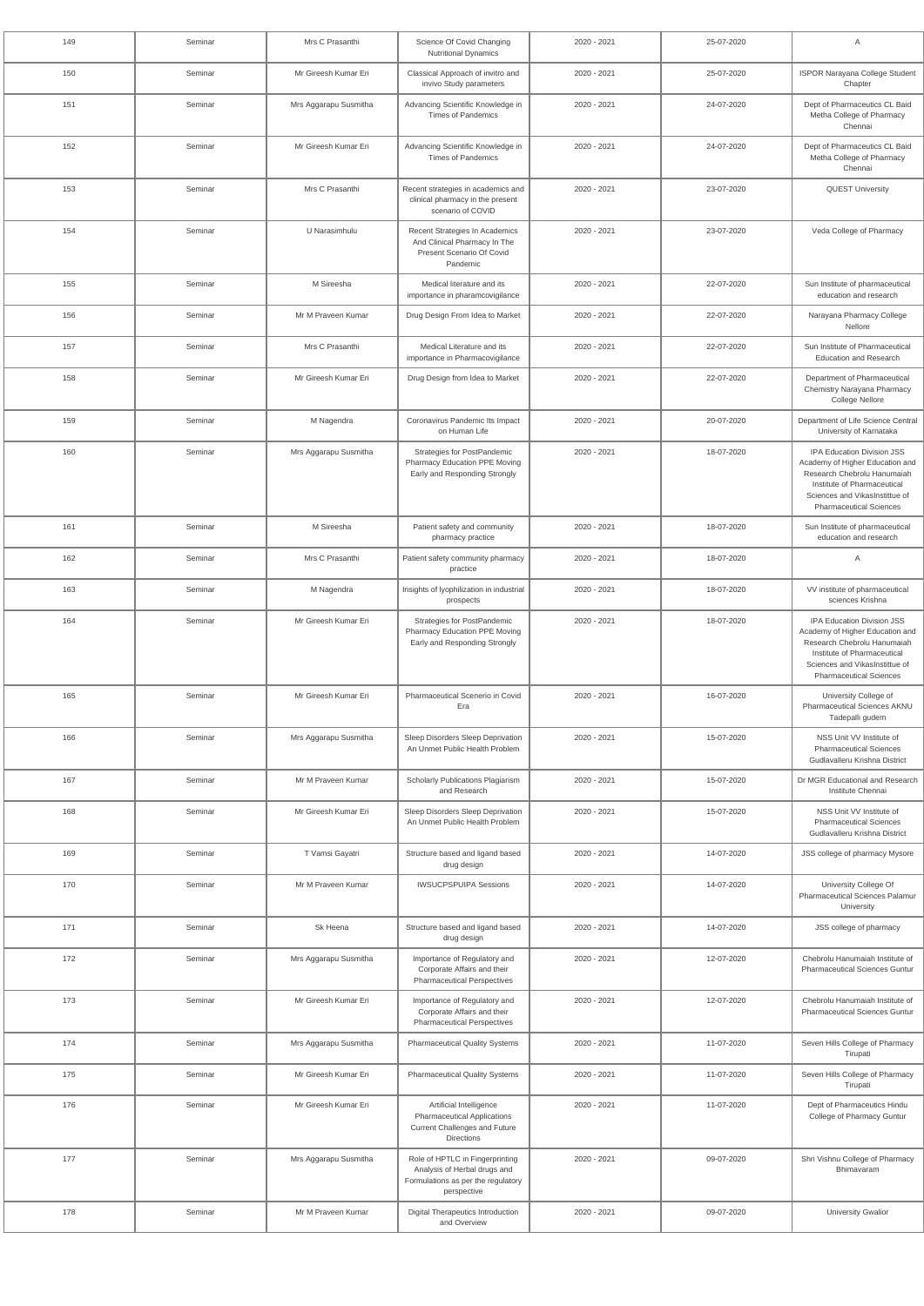| 149 | Seminar | Mrs C Prasanthi       | Science Of Covid Changing<br><b>Nutritional Dynamics</b>                                                             | 2020 - 2021 | 25-07-2020 | A                                                                                                                                                                                               |
|-----|---------|-----------------------|----------------------------------------------------------------------------------------------------------------------|-------------|------------|-------------------------------------------------------------------------------------------------------------------------------------------------------------------------------------------------|
| 150 | Seminar | Mr Gireesh Kumar Eri  | Classical Approach of invitro and<br>invivo Study parameters                                                         | 2020 - 2021 | 25-07-2020 | ISPOR Narayana College Student<br>Chapter                                                                                                                                                       |
| 151 | Seminar | Mrs Aggarapu Susmitha | Advancing Scientific Knowledge in<br><b>Times of Pandemics</b>                                                       | 2020 - 2021 | 24-07-2020 | Dept of Pharmaceutics CL Baid<br>Metha College of Pharmacy<br>Chennai                                                                                                                           |
| 152 | Seminar | Mr Gireesh Kumar Eri  | Advancing Scientific Knowledge in<br><b>Times of Pandemics</b>                                                       | 2020 - 2021 | 24-07-2020 | Dept of Pharmaceutics CL Baid<br>Metha College of Pharmacy<br>Chennai                                                                                                                           |
| 153 | Seminar | Mrs C Prasanthi       | Recent strategies in academics and<br>clinical pharmacy in the present<br>scenario of COVID                          | 2020 - 2021 | 23-07-2020 | <b>QUEST University</b>                                                                                                                                                                         |
| 154 | Seminar | U Narasimhulu         | Recent Strategies In Academics<br>And Clinical Pharmacy In The<br>Present Scenario Of Covid<br>Pandemic              | 2020 - 2021 | 23-07-2020 | Veda College of Pharmacy                                                                                                                                                                        |
| 155 | Seminar | M Sireesha            | Medical literature and its<br>importance in pharamcovigilance                                                        | 2020 - 2021 | 22-07-2020 | Sun Institute of pharmaceutical<br>education and research                                                                                                                                       |
| 156 | Seminar | Mr M Praveen Kumar    | Drug Design From Idea to Market                                                                                      | 2020 - 2021 | 22-07-2020 | Narayana Pharmacy College<br>Nellore                                                                                                                                                            |
| 157 | Seminar | Mrs C Prasanthi       | Medical Literature and its<br>importance in Pharmacovigilance                                                        | 2020 - 2021 | 22-07-2020 | Sun Institute of Pharmaceutical<br><b>Education and Research</b>                                                                                                                                |
| 158 | Seminar | Mr Gireesh Kumar Eri  | Drug Design from Idea to Market                                                                                      | 2020 - 2021 | 22-07-2020 | Department of Pharmaceutical<br>Chemistry Narayana Pharmacy<br>College Nellore                                                                                                                  |
| 159 | Seminar | M Nagendra            | Coronavirus Pandemic Its Impact<br>on Human Life                                                                     | 2020 - 2021 | 20-07-2020 | Department of Life Science Central<br>University of Karnataka                                                                                                                                   |
| 160 | Seminar | Mrs Aggarapu Susmitha | Strategies for PostPandemic<br>Pharmacy Education PPE Moving<br>Early and Responding Strongly                        | 2020 - 2021 | 18-07-2020 | IPA Education Division JSS<br>Academy of Higher Education and<br>Research Chebrolu Hanumaiah<br>Institute of Pharmaceutical<br>Sciences and VikasInstittue of<br><b>Pharmaceutical Sciences</b> |
| 161 | Seminar | M Sireesha            | Patient safety and community<br>pharmacy practice                                                                    | 2020 - 2021 | 18-07-2020 | Sun Institute of pharmaceutical<br>education and research                                                                                                                                       |
| 162 | Seminar | Mrs C Prasanthi       | Patient safety community pharmacy<br>practice                                                                        | 2020 - 2021 | 18-07-2020 | Α                                                                                                                                                                                               |
| 163 | Seminar | M Nagendra            | Insights of Iyophilization in industrial<br>prospects                                                                | 2020 - 2021 | 18-07-2020 | VV institute of pharmaceutical<br>sciences Krishna                                                                                                                                              |
| 164 | Seminar | Mr Gireesh Kumar Eri  | Strategies for PostPandemic<br>Pharmacy Education PPE Moving<br>Early and Responding Strongly                        | 2020 - 2021 | 18-07-2020 | IPA Education Division JSS<br>Academy of Higher Education and<br>Research Chebrolu Hanumaiah<br>Institute of Pharmaceutical<br>Sciences and VikasInstittue of<br><b>Pharmaceutical Sciences</b> |
| 165 | Seminar | Mr Gireesh Kumar Eri  | Pharmaceutical Scenerio in Covid<br>Era                                                                              | 2020 - 2021 | 16-07-2020 | University College of<br><b>Pharmaceutical Sciences AKNU</b><br>Tadepalli gudem                                                                                                                 |
| 166 | Seminar | Mrs Aggarapu Susmitha | Sleep Disorders Sleep Deprivation<br>An Unmet Public Health Problem                                                  | 2020 - 2021 | 15-07-2020 | NSS Unit VV Institute of<br><b>Pharmaceutical Sciences</b><br>Gudlavalleru Krishna District                                                                                                     |
| 167 | Seminar | Mr M Praveen Kumar    | Scholarly Publications Plagiarism<br>and Research                                                                    | 2020 - 2021 | 15-07-2020 | Dr MGR Educational and Research<br>Institute Chennai                                                                                                                                            |
| 168 | Seminar | Mr Gireesh Kumar Eri  | Sleep Disorders Sleep Deprivation<br>An Unmet Public Health Problem                                                  | 2020 - 2021 | 15-07-2020 | NSS Unit VV Institute of<br><b>Pharmaceutical Sciences</b><br>Gudlavalleru Krishna District                                                                                                     |
| 169 | Seminar | T Vamsi Gayatri       | Structure based and ligand based<br>drug design                                                                      | 2020 - 2021 | 14-07-2020 | JSS college of pharmacy Mysore                                                                                                                                                                  |
| 170 | Seminar | Mr M Praveen Kumar    | <b>IWSUCPSPUIPA Sessions</b>                                                                                         | 2020 - 2021 | 14-07-2020 | University College Of<br><b>Pharmaceutical Sciences Palamur</b><br>University                                                                                                                   |
| 171 | Seminar | Sk Heena              | Structure based and ligand based<br>drug design                                                                      | 2020 - 2021 | 14-07-2020 | JSS college of pharmacy                                                                                                                                                                         |
| 172 | Seminar | Mrs Aggarapu Susmitha | Importance of Regulatory and<br>Corporate Affairs and their<br><b>Pharmaceutical Perspectives</b>                    | 2020 - 2021 | 12-07-2020 | Chebrolu Hanumaiah Institute of<br><b>Pharmaceutical Sciences Guntur</b>                                                                                                                        |
| 173 | Seminar | Mr Gireesh Kumar Eri  | Importance of Regulatory and<br>Corporate Affairs and their<br><b>Pharmaceutical Perspectives</b>                    | 2020 - 2021 | 12-07-2020 | Chebrolu Hanumaiah Institute of<br><b>Pharmaceutical Sciences Guntur</b>                                                                                                                        |
| 174 | Seminar | Mrs Aggarapu Susmitha | <b>Pharmaceutical Quality Systems</b>                                                                                | 2020 - 2021 | 11-07-2020 | Seven Hills College of Pharmacy<br>Tirupati                                                                                                                                                     |
| 175 | Seminar | Mr Gireesh Kumar Eri  | <b>Pharmaceutical Quality Systems</b>                                                                                | 2020 - 2021 | 11-07-2020 | Seven Hills College of Pharmacy<br>Tirupati                                                                                                                                                     |
| 176 | Seminar | Mr Gireesh Kumar Eri  | Artificial Intelligence<br><b>Pharmaceutical Applications</b><br>Current Challenges and Future<br>Directions         | 2020 - 2021 | 11-07-2020 | Dept of Pharmaceutics Hindu<br>College of Pharmacy Guntur                                                                                                                                       |
| 177 | Seminar | Mrs Aggarapu Susmitha | Role of HPTLC in Fingerprinting<br>Analysis of Herbal drugs and<br>Formulations as per the regulatory<br>perspective | 2020 - 2021 | 09-07-2020 | Shri Vishnu College of Pharmacy<br>Bhimavaram                                                                                                                                                   |
| 178 | Seminar | Mr M Praveen Kumar    | Digital Therapeutics Introduction<br>and Overview                                                                    | 2020 - 2021 | 09-07-2020 | <b>University Gwalior</b>                                                                                                                                                                       |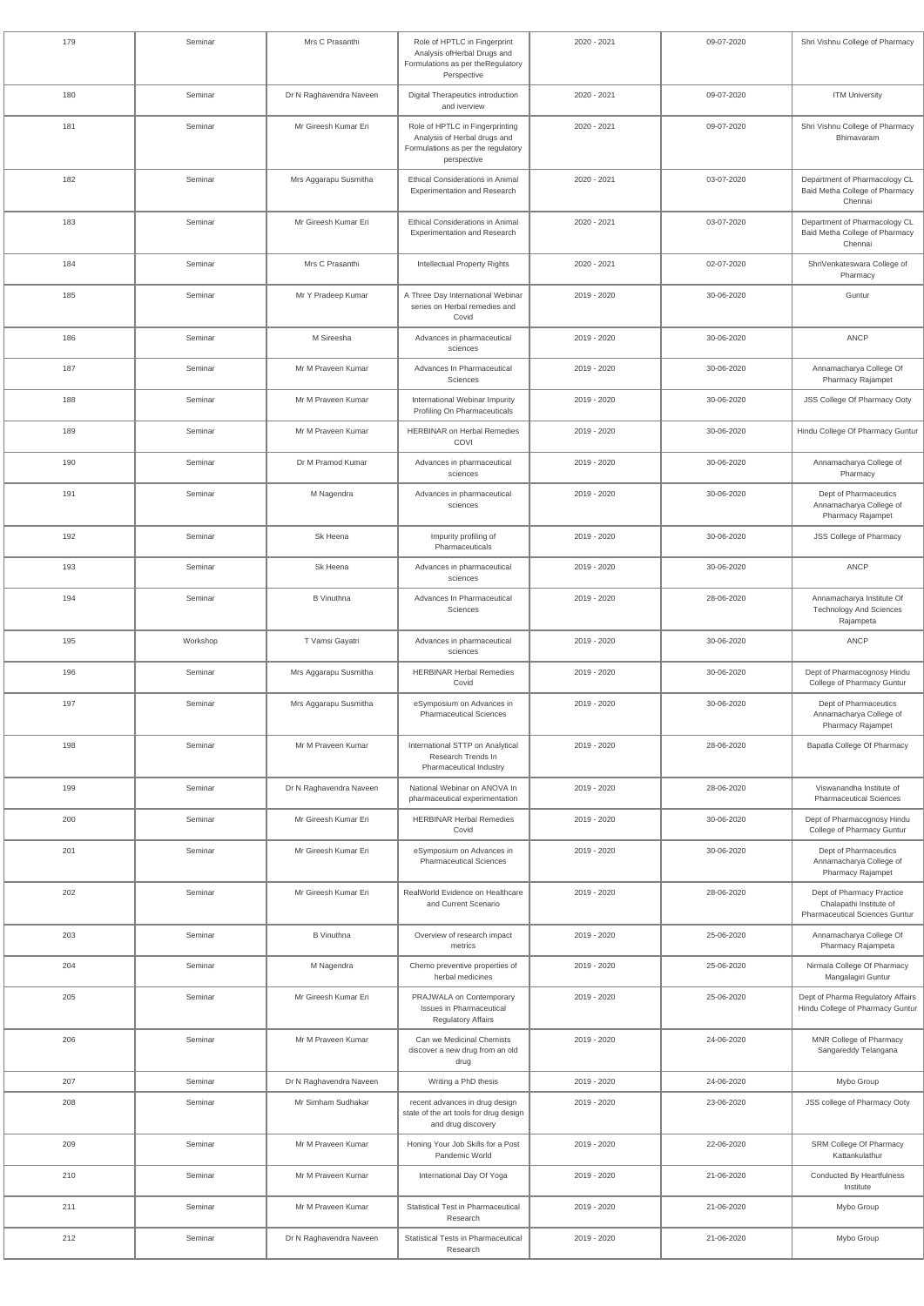| 179 | Seminar  | Mrs C Prasanthi         | Role of HPTLC in Fingerprint<br>Analysis ofHerbal Drugs and<br>Formulations as per theRegulatory<br>Perspective      | 2020 - 2021 | 09-07-2020 | Shri Vishnu College of Pharmacy                                                               |
|-----|----------|-------------------------|----------------------------------------------------------------------------------------------------------------------|-------------|------------|-----------------------------------------------------------------------------------------------|
| 180 | Seminar  | Dr N Raghavendra Naveen | Digital Therapeutics introduction<br>and iverview                                                                    | 2020 - 2021 | 09-07-2020 | <b>ITM University</b>                                                                         |
| 181 | Seminar  | Mr Gireesh Kumar Eri    | Role of HPTLC in Fingerprinting<br>Analysis of Herbal drugs and<br>Formulations as per the regulatory<br>perspective | 2020 - 2021 | 09-07-2020 | Shri Vishnu College of Pharmacy<br>Bhimavaram                                                 |
| 182 | Seminar  | Mrs Aggarapu Susmitha   | Ethical Considerations in Animal<br><b>Experimentation and Research</b>                                              | 2020 - 2021 | 03-07-2020 | Department of Pharmacology CL<br>Baid Metha College of Pharmacy<br>Chennai                    |
| 183 | Seminar  | Mr Gireesh Kumar Eri    | <b>Ethical Considerations in Animal</b><br><b>Experimentation and Research</b>                                       | 2020 - 2021 | 03-07-2020 | Department of Pharmacology CL<br>Baid Metha College of Pharmacy<br>Chennai                    |
| 184 | Seminar  | Mrs C Prasanthi         | Intellectual Property Rights                                                                                         | 2020 - 2021 | 02-07-2020 | ShriVenkateswara College of<br>Pharmacy                                                       |
| 185 | Seminar  | Mr Y Pradeep Kumar      | A Three Day International Webinar<br>series on Herbal remedies and<br>Covid                                          | 2019 - 2020 | 30-06-2020 | Guntur                                                                                        |
| 186 | Seminar  | M Sireesha              | Advances in pharmaceutical<br>sciences                                                                               | 2019 - 2020 | 30-06-2020 | <b>ANCP</b>                                                                                   |
| 187 | Seminar  | Mr M Praveen Kumar      | Advances In Pharmaceutical<br>Sciences                                                                               | 2019 - 2020 | 30-06-2020 | Annamacharya College Of<br>Pharmacy Rajampet                                                  |
| 188 | Seminar  | Mr M Praveen Kumar      | International Webinar Impurity<br>Profiling On Pharmaceuticals                                                       | 2019 - 2020 | 30-06-2020 | JSS College Of Pharmacy Ooty                                                                  |
| 189 | Seminar  | Mr M Praveen Kumar      | <b>HERBINAR on Herbal Remedies</b><br>COVI                                                                           | 2019 - 2020 | 30-06-2020 | Hindu College Of Pharmacy Guntur                                                              |
| 190 | Seminar  | Dr M Pramod Kumar       | Advances in pharmaceutical<br>sciences                                                                               | 2019 - 2020 | 30-06-2020 | Annamacharya College of<br>Pharmacy                                                           |
| 191 | Seminar  | M Nagendra              | Advances in pharmaceutical<br>sciences                                                                               | 2019 - 2020 | 30-06-2020 | Dept of Pharmaceutics<br>Annamacharya College of<br>Pharmacy Rajampet                         |
| 192 | Seminar  | Sk Heena                | Impurity profiling of<br>Pharmaceuticals                                                                             | 2019 - 2020 | 30-06-2020 | <b>JSS College of Pharmacy</b>                                                                |
| 193 | Seminar  | Sk Heena                | Advances in pharmaceutical<br>sciences                                                                               | 2019 - 2020 | 30-06-2020 | ANCP                                                                                          |
| 194 | Seminar  | <b>B</b> Vinuthna       | Advances In Pharmaceutical<br><b>Sciences</b>                                                                        | 2019 - 2020 | 28-06-2020 | Annamacharya Institute Of<br><b>Technology And Sciences</b><br>Rajampeta                      |
| 195 | Workshop | T Vamsi Gayatri         | Advances in pharmaceutical<br>sciences                                                                               | 2019 - 2020 | 30-06-2020 | <b>ANCP</b>                                                                                   |
| 196 | Seminar  | Mrs Aggarapu Susmitha   | <b>HERBINAR Herbal Remedies</b><br>Covid                                                                             | 2019 - 2020 | 30-06-2020 | Dept of Pharmacognosy Hindu<br>College of Pharmacy Guntur                                     |
| 197 | Seminar  | Mrs Aggarapu Susmitha   | eSymposium on Advances in<br><b>Pharmaceutical Sciences</b>                                                          | 2019 - 2020 | 30-06-2020 | Dept of Pharmaceutics<br>Annamacharya College of<br>Pharmacy Rajampet                         |
| 198 | Seminar  | Mr M Praveen Kumar      | International STTP on Analytical<br>Research Trends In<br>Pharmaceutical Industry                                    | 2019 - 2020 | 28-06-2020 | Bapatla College Of Pharmacy                                                                   |
| 199 | Seminar  | Dr N Raghavendra Naveen | National Webinar on ANOVA In<br>pharmaceutical experimentation                                                       | 2019 - 2020 | 28-06-2020 | Viswanandha Institute of<br><b>Pharmaceutical Sciences</b>                                    |
| 200 | Seminar  | Mr Gireesh Kumar Eri    | <b>HERBINAR Herbal Remedies</b><br>Covid                                                                             | 2019 - 2020 | 30-06-2020 | Dept of Pharmacognosy Hindu<br>College of Pharmacy Guntur                                     |
| 201 | Seminar  | Mr Gireesh Kumar Eri    | eSymposium on Advances in<br><b>Pharmaceutical Sciences</b>                                                          | 2019 - 2020 | 30-06-2020 | Dept of Pharmaceutics<br>Annamacharya College of<br>Pharmacy Rajampet                         |
| 202 | Seminar  | Mr Gireesh Kumar Eri    | RealWorld Evidence on Healthcare<br>and Current Scenario                                                             | 2019 - 2020 | 28-06-2020 | Dept of Pharmacy Practice<br>Chalapathi Institute of<br><b>Pharmaceutical Sciences Guntur</b> |
| 203 | Seminar  | <b>B</b> Vinuthna       | Overview of research impact<br>metrics                                                                               | 2019 - 2020 | 25-06-2020 | Annamacharya College Of<br>Pharmacy Rajampeta                                                 |
| 204 | Seminar  | M Nagendra              | Chemo preventive properties of<br>herbal medicines                                                                   | 2019 - 2020 | 25-06-2020 | Nirmala College Of Pharmacy<br>Mangalagiri Guntur                                             |
| 205 | Seminar  | Mr Gireesh Kumar Eri    | PRAJWALA on Contemporary<br><b>Issues in Pharmaceutical</b><br><b>Regulatory Affairs</b>                             | 2019 - 2020 | 25-06-2020 | Dept of Pharma Regulatory Affairs<br>Hindu College of Pharmacy Guntur                         |
| 206 | Seminar  | Mr M Praveen Kumar      | Can we Medicinal Chemists<br>discover a new drug from an old<br>drug                                                 | 2019 - 2020 | 24-06-2020 | MNR College of Pharmacy<br>Sangareddy Telangana                                               |
| 207 | Seminar  | Dr N Raghavendra Naveen | Writing a PhD thesis                                                                                                 | 2019 - 2020 | 24-06-2020 | Mybo Group                                                                                    |
| 208 | Seminar  | Mr Simham Sudhakar      | recent advances in drug design<br>state of the art tools for drug design<br>and drug discovery                       | 2019 - 2020 | 23-06-2020 | JSS college of Pharmacy Ooty                                                                  |
| 209 | Seminar  | Mr M Praveen Kumar      | Honing Your Job Skills for a Post<br>Pandemic World                                                                  | 2019 - 2020 | 22-06-2020 | SRM College Of Pharmacy<br>Kattankulathur                                                     |
| 210 | Seminar  | Mr M Praveen Kumar      | International Day Of Yoga                                                                                            | 2019 - 2020 | 21-06-2020 | <b>Conducted By Heartfulness</b><br>Institute                                                 |
| 211 | Seminar  | Mr M Praveen Kumar      | Statistical Test in Pharmaceutical<br>Research                                                                       | 2019 - 2020 | 21-06-2020 | Mybo Group                                                                                    |
| 212 | Seminar  | Dr N Raghavendra Naveen | <b>Statistical Tests in Pharmaceutical</b><br>Research                                                               | 2019 - 2020 | 21-06-2020 | Mybo Group                                                                                    |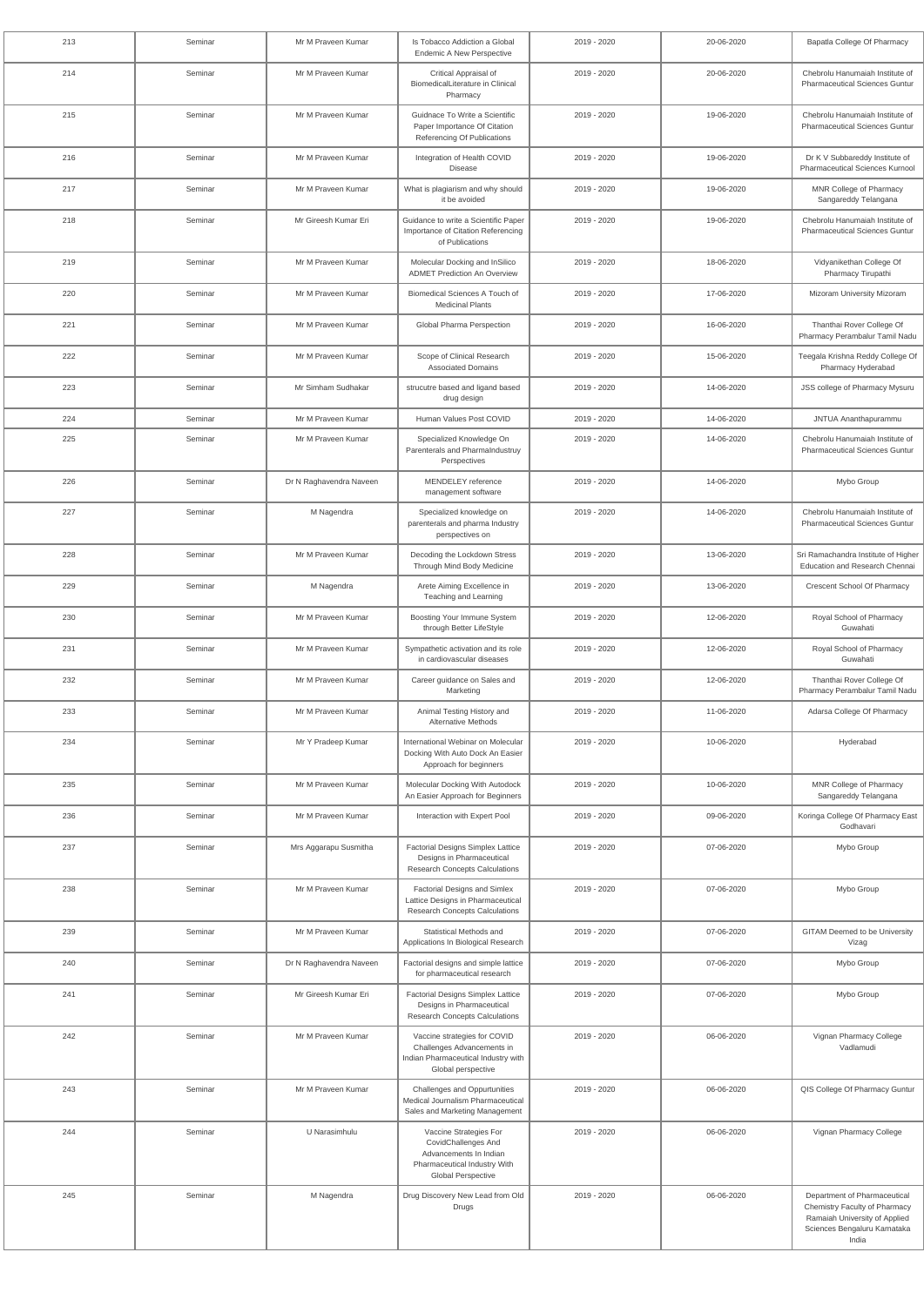| 213 | Seminar | Mr M Praveen Kumar      | Is Tobacco Addiction a Global<br><b>Endemic A New Perspective</b>                                                                    | 2019 - 2020 | 20-06-2020 | Bapatla College Of Pharmacy                                                                                                             |
|-----|---------|-------------------------|--------------------------------------------------------------------------------------------------------------------------------------|-------------|------------|-----------------------------------------------------------------------------------------------------------------------------------------|
| 214 | Seminar | Mr M Praveen Kumar      | Critical Appraisal of<br>BiomedicalLiterature in Clinical<br>Pharmacy                                                                | 2019 - 2020 | 20-06-2020 | Chebrolu Hanumaiah Institute of<br><b>Pharmaceutical Sciences Guntur</b>                                                                |
| 215 | Seminar | Mr M Praveen Kumar      | Guidnace To Write a Scientific<br>Paper Importance Of Citation<br>Referencing Of Publications                                        | 2019 - 2020 | 19-06-2020 | Chebrolu Hanumaiah Institute of<br><b>Pharmaceutical Sciences Guntur</b>                                                                |
| 216 | Seminar | Mr M Praveen Kumar      | Integration of Health COVID<br>Disease                                                                                               | 2019 - 2020 | 19-06-2020 | Dr K V Subbareddy Institute of<br><b>Pharmaceutical Sciences Kurnool</b>                                                                |
| 217 | Seminar | Mr M Praveen Kumar      | What is plagiarism and why should<br>it be avoided                                                                                   | 2019 - 2020 | 19-06-2020 | MNR College of Pharmacy<br>Sangareddy Telangana                                                                                         |
| 218 | Seminar | Mr Gireesh Kumar Eri    | Guidance to write a Scientific Paper<br>Importance of Citation Referencing<br>of Publications                                        | 2019 - 2020 | 19-06-2020 | Chebrolu Hanumaiah Institute of<br><b>Pharmaceutical Sciences Guntur</b>                                                                |
| 219 | Seminar | Mr M Praveen Kumar      | Molecular Docking and InSilico<br><b>ADMET Prediction An Overview</b>                                                                | 2019 - 2020 | 18-06-2020 | Vidyanikethan College Of<br>Pharmacy Tirupathi                                                                                          |
| 220 | Seminar | Mr M Praveen Kumar      | Biomedical Sciences A Touch of<br><b>Medicinal Plants</b>                                                                            | 2019 - 2020 | 17-06-2020 | Mizoram University Mizoram                                                                                                              |
| 221 | Seminar | Mr M Praveen Kumar      | Global Pharma Perspection                                                                                                            | 2019 - 2020 | 16-06-2020 | Thanthai Rover College Of<br>Pharmacy Perambalur Tamil Nadu                                                                             |
| 222 | Seminar | Mr M Praveen Kumar      | Scope of Clinical Research<br><b>Associated Domains</b>                                                                              | 2019 - 2020 | 15-06-2020 | Teegala Krishna Reddy College Of<br>Pharmacy Hyderabad                                                                                  |
| 223 | Seminar | Mr Simham Sudhakar      | strucutre based and ligand based<br>drug design                                                                                      | 2019 - 2020 | 14-06-2020 | JSS college of Pharmacy Mysuru                                                                                                          |
| 224 | Seminar | Mr M Praveen Kumar      | Human Values Post COVID                                                                                                              | 2019 - 2020 | 14-06-2020 | JNTUA Ananthapurammu                                                                                                                    |
| 225 | Seminar | Mr M Praveen Kumar      | Specialized Knowledge On<br>Parenterals and Pharmalndustruy<br>Perspectives                                                          | 2019 - 2020 | 14-06-2020 | Chebrolu Hanumaiah Institute of<br><b>Pharmaceutical Sciences Guntur</b>                                                                |
| 226 | Seminar | Dr N Raghavendra Naveen | MENDELEY reference<br>management software                                                                                            | 2019 - 2020 | 14-06-2020 | Mybo Group                                                                                                                              |
| 227 | Seminar | M Nagendra              | Specialized knowledge on<br>parenterals and pharma Industry<br>perspectives on                                                       | 2019 - 2020 | 14-06-2020 | Chebrolu Hanumaiah Institute of<br><b>Pharmaceutical Sciences Guntur</b>                                                                |
| 228 | Seminar | Mr M Praveen Kumar      | Decoding the Lockdown Stress<br>Through Mind Body Medicine                                                                           | 2019 - 2020 | 13-06-2020 | Sri Ramachandra Institute of Higher<br>Education and Research Chennai                                                                   |
| 229 | Seminar | M Nagendra              | Arete Aiming Excellence in<br>Teaching and Learning                                                                                  | 2019 - 2020 | 13-06-2020 | Crescent School Of Pharmacy                                                                                                             |
| 230 | Seminar | Mr M Praveen Kumar      | Boosting Your Immune System<br>through Better LifeStyle                                                                              | 2019 - 2020 | 12-06-2020 | Royal School of Pharmacy<br>Guwahati                                                                                                    |
| 231 | Seminar | Mr M Praveen Kumar      | Sympathetic activation and its role<br>in cardiovascular diseases                                                                    | 2019 - 2020 | 12-06-2020 | Royal School of Pharmacy<br>Guwahati                                                                                                    |
| 232 | Seminar | Mr M Praveen Kumar      | Career guidance on Sales and<br>Marketing                                                                                            | 2019 - 2020 | 12-06-2020 | Thanthai Rover College Of<br>Pharmacy Perambalur Tamil Nadu                                                                             |
| 233 | Seminar | Mr M Praveen Kumar      | Animal Testing History and<br><b>Alternative Methods</b>                                                                             | 2019 - 2020 | 11-06-2020 | Adarsa College Of Pharmacy                                                                                                              |
| 234 | Seminar | Mr Y Pradeep Kumar      | International Webinar on Molecular<br>Docking With Auto Dock An Easier<br>Approach for beginners                                     | 2019 - 2020 | 10-06-2020 | Hyderabad                                                                                                                               |
| 235 | Seminar | Mr M Praveen Kumar      | Molecular Docking With Autodock<br>An Easier Approach for Beginners                                                                  | 2019 - 2020 | 10-06-2020 | MNR College of Pharmacy<br>Sangareddy Telangana                                                                                         |
| 236 | Seminar | Mr M Praveen Kumar      | Interaction with Expert Pool                                                                                                         | 2019 - 2020 | 09-06-2020 | Koringa College Of Pharmacy East<br>Godhavari                                                                                           |
| 237 | Seminar | Mrs Aggarapu Susmitha   | Factorial Designs Simplex Lattice<br>Designs in Pharmaceutical<br><b>Research Concepts Calculations</b>                              | 2019 - 2020 | 07-06-2020 | Mybo Group                                                                                                                              |
| 238 | Seminar | Mr M Praveen Kumar      | Factorial Designs and Simlex<br>Lattice Designs in Pharmaceutical<br><b>Research Concepts Calculations</b>                           | 2019 - 2020 | 07-06-2020 | Mybo Group                                                                                                                              |
| 239 | Seminar | Mr M Praveen Kumar      | Statistical Methods and<br>Applications In Biological Research                                                                       | 2019 - 2020 | 07-06-2020 | <b>GITAM Deemed to be University</b><br>Vizag                                                                                           |
| 240 | Seminar | Dr N Raghavendra Naveen | Factorial designs and simple lattice<br>for pharmaceutical research                                                                  | 2019 - 2020 | 07-06-2020 | Mybo Group                                                                                                                              |
| 241 | Seminar | Mr Gireesh Kumar Eri    | Factorial Designs Simplex Lattice<br>Designs in Pharmaceutical<br><b>Research Concepts Calculations</b>                              | 2019 - 2020 | 07-06-2020 | Mybo Group                                                                                                                              |
| 242 | Seminar | Mr M Praveen Kumar      | Vaccine strategies for COVID<br>Challenges Advancements in<br>Indian Pharmaceutical Industry with<br>Global perspective              | 2019 - 2020 | 06-06-2020 | Vignan Pharmacy College<br>Vadlamudi                                                                                                    |
| 243 | Seminar | Mr M Praveen Kumar      | Challenges and Oppurtunities<br>Medical Journalism Pharmaceutical<br>Sales and Marketing Management                                  | 2019 - 2020 | 06-06-2020 | QIS College Of Pharmacy Guntur                                                                                                          |
| 244 | Seminar | U Narasimhulu           | Vaccine Strategies For<br>CovidChallenges And<br>Advancements In Indian<br>Pharmaceutical Industry With<br><b>Global Perspective</b> | 2019 - 2020 | 06-06-2020 | Vignan Pharmacy College                                                                                                                 |
| 245 | Seminar | M Nagendra              | Drug Discovery New Lead from Old<br>Drugs                                                                                            | 2019 - 2020 | 06-06-2020 | Department of Pharmaceutical<br>Chemistry Faculty of Pharmacy<br>Ramaiah University of Applied<br>Sciences Bengaluru Karnataka<br>India |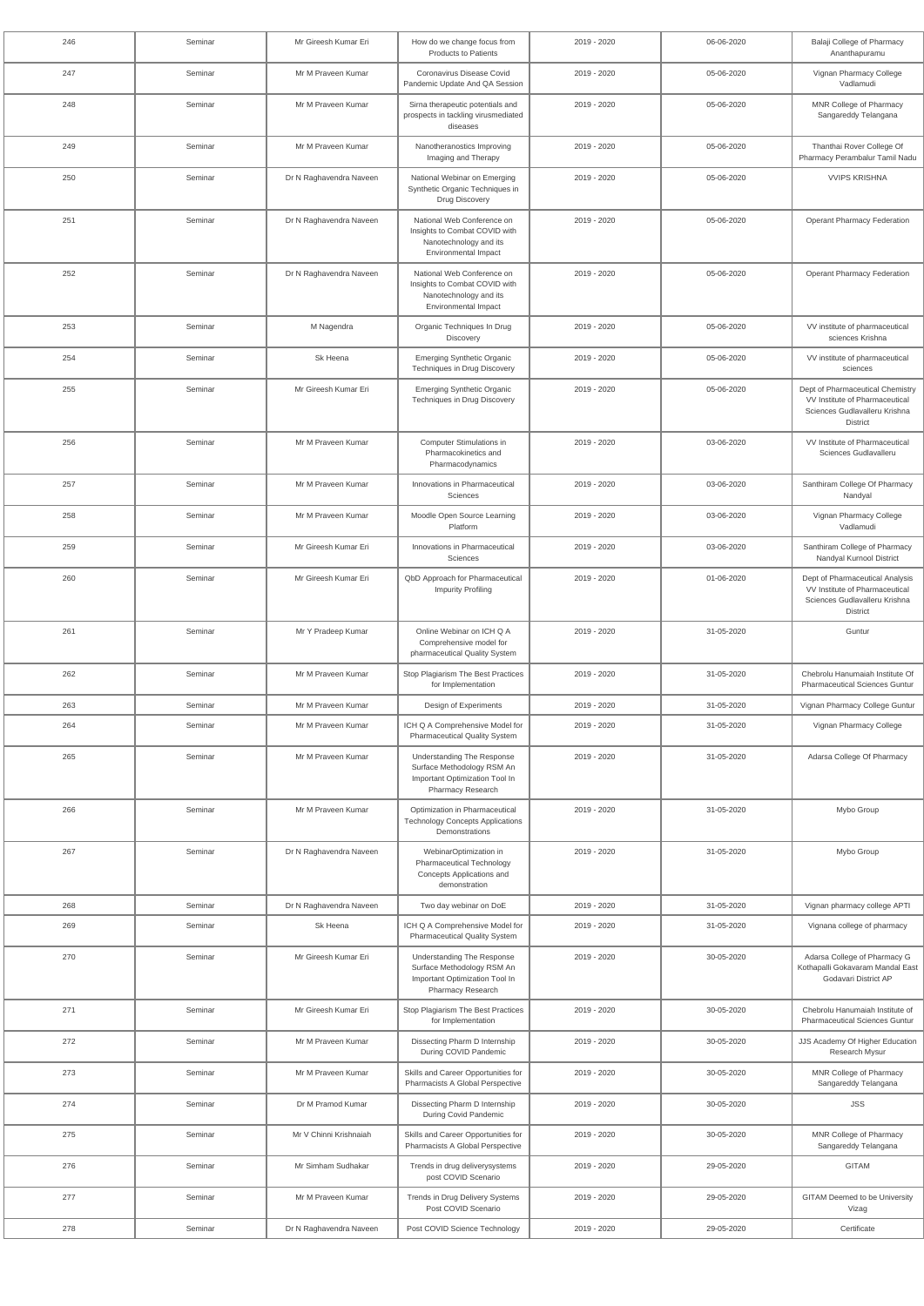| 246 | Seminar | Mr Gireesh Kumar Eri    | How do we change focus from<br><b>Products to Patients</b>                                                           | 2019 - 2020 | 06-06-2020 | Balaji College of Pharmacy<br>Ananthapuramu                                                                            |
|-----|---------|-------------------------|----------------------------------------------------------------------------------------------------------------------|-------------|------------|------------------------------------------------------------------------------------------------------------------------|
| 247 | Seminar | Mr M Praveen Kumar      | Coronavirus Disease Covid<br>Pandemic Update And QA Session                                                          | 2019 - 2020 | 05-06-2020 | Vignan Pharmacy College<br>Vadlamudi                                                                                   |
| 248 | Seminar | Mr M Praveen Kumar      | Sirna therapeutic potentials and<br>prospects in tackling virusmediated<br>diseases                                  | 2019 - 2020 | 05-06-2020 | MNR College of Pharmacy<br>Sangareddy Telangana                                                                        |
| 249 | Seminar | Mr M Praveen Kumar      | Nanotheranostics Improving<br>Imaging and Therapy                                                                    | 2019 - 2020 | 05-06-2020 | Thanthai Rover College Of<br>Pharmacy Perambalur Tamil Nadu                                                            |
| 250 | Seminar | Dr N Raghavendra Naveen | National Webinar on Emerging<br>Synthetic Organic Techniques in<br>Drug Discovery                                    | 2019 - 2020 | 05-06-2020 | <b>VVIPS KRISHNA</b>                                                                                                   |
| 251 | Seminar | Dr N Raghavendra Naveen | National Web Conference on<br>Insights to Combat COVID with<br>Nanotechnology and its<br><b>Environmental Impact</b> | 2019 - 2020 | 05-06-2020 | <b>Operant Pharmacy Federation</b>                                                                                     |
| 252 | Seminar | Dr N Raghavendra Naveen | National Web Conference on<br>Insights to Combat COVID with<br>Nanotechnology and its<br><b>Environmental Impact</b> | 2019 - 2020 | 05-06-2020 | <b>Operant Pharmacy Federation</b>                                                                                     |
| 253 | Seminar | M Nagendra              | Organic Techniques In Drug<br>Discovery                                                                              | 2019 - 2020 | 05-06-2020 | VV institute of pharmaceutical<br>sciences Krishna                                                                     |
| 254 | Seminar | Sk Heena                | <b>Emerging Synthetic Organic</b><br><b>Techniques in Drug Discovery</b>                                             | 2019 - 2020 | 05-06-2020 | VV institute of pharmaceutical<br>sciences                                                                             |
| 255 | Seminar | Mr Gireesh Kumar Eri    | <b>Emerging Synthetic Organic</b><br>Techniques in Drug Discovery                                                    | 2019 - 2020 | 05-06-2020 | Dept of Pharmaceutical Chemistry<br>VV Institute of Pharmaceutical<br>Sciences Gudlavalleru Krishna<br><b>District</b> |
| 256 | Seminar | Mr M Praveen Kumar      | Computer Stimulations in<br>Pharmacokinetics and<br>Pharmacodynamics                                                 | 2019 - 2020 | 03-06-2020 | VV Institute of Pharmaceutical<br>Sciences Gudlavalleru                                                                |
| 257 | Seminar | Mr M Praveen Kumar      | Innovations in Pharmaceutical<br>Sciences                                                                            | 2019 - 2020 | 03-06-2020 | Santhiram College Of Pharmacy<br>Nandyal                                                                               |
| 258 | Seminar | Mr M Praveen Kumar      | Moodle Open Source Learning<br>Platform                                                                              | 2019 - 2020 | 03-06-2020 | Vignan Pharmacy College<br>Vadlamudi                                                                                   |
| 259 | Seminar | Mr Gireesh Kumar Eri    | Innovations in Pharmaceutical<br>Sciences                                                                            | 2019 - 2020 | 03-06-2020 | Santhiram College of Pharmacy<br>Nandyal Kurnool District                                                              |
| 260 | Seminar | Mr Gireesh Kumar Eri    | QbD Approach for Pharmaceutical<br><b>Impurity Profiling</b>                                                         | 2019 - 2020 | 01-06-2020 | Dept of Pharmaceutical Analysis<br>VV Institute of Pharmaceutical<br>Sciences Gudlavalleru Krishna<br>District         |
| 261 | Seminar | Mr Y Pradeep Kumar      | Online Webinar on ICH Q A<br>Comprehensive model for<br>pharmaceutical Quality System                                | 2019 - 2020 | 31-05-2020 | Guntur                                                                                                                 |
| 262 | Seminar | Mr M Praveen Kumar      | Stop Plagiarism The Best Practices<br>for Implementation                                                             | 2019 - 2020 | 31-05-2020 | Chebrolu Hanumaiah Institute Of<br><b>Pharmaceutical Sciences Guntur</b>                                               |
| 263 | Seminar | Mr M Praveen Kumar      | Design of Experiments                                                                                                | 2019 - 2020 | 31-05-2020 | Vignan Pharmacy College Guntur                                                                                         |
| 264 | Seminar | Mr M Praveen Kumar      | ICH Q A Comprehensive Model for<br><b>Pharmaceutical Quality System</b>                                              | 2019 - 2020 | 31-05-2020 | Vignan Pharmacy College                                                                                                |
| 265 | Seminar | Mr M Praveen Kumar      | Understanding The Response<br>Surface Methodology RSM An<br>Important Optimization Tool In<br>Pharmacy Research      | 2019 - 2020 | 31-05-2020 | Adarsa College Of Pharmacy                                                                                             |
| 266 | Seminar | Mr M Praveen Kumar      | Optimization in Pharmaceutical<br><b>Technology Concepts Applications</b><br>Demonstrations                          | 2019 - 2020 | 31-05-2020 | Mybo Group                                                                                                             |
| 267 | Seminar | Dr N Raghavendra Naveen | WebinarOptimization in<br><b>Pharmaceutical Technology</b><br>Concepts Applications and<br>demonstration             | 2019 - 2020 | 31-05-2020 | Mybo Group                                                                                                             |
| 268 | Seminar | Dr N Raghavendra Naveen | Two day webinar on DoE                                                                                               | 2019 - 2020 | 31-05-2020 | Vignan pharmacy college APTI                                                                                           |
| 269 | Seminar | Sk Heena                | ICH Q A Comprehensive Model for<br><b>Pharmaceutical Quality System</b>                                              | 2019 - 2020 | 31-05-2020 | Vignana college of pharmacy                                                                                            |
| 270 | Seminar | Mr Gireesh Kumar Eri    | Understanding The Response<br>Surface Methodology RSM An<br>Important Optimization Tool In<br>Pharmacy Research      | 2019 - 2020 | 30-05-2020 | Adarsa College of Pharmacy G<br>Kothapalli Gokavaram Mandal East<br>Godavari District AP                               |
| 271 | Seminar | Mr Gireesh Kumar Eri    | Stop Plagiarism The Best Practices<br>for Implementation                                                             | 2019 - 2020 | 30-05-2020 | Chebrolu Hanumaiah Institute of<br><b>Pharmaceutical Sciences Guntur</b>                                               |
| 272 | Seminar | Mr M Praveen Kumar      | Dissecting Pharm D Internship<br>During COVID Pandemic                                                               | 2019 - 2020 | 30-05-2020 | JJS Academy Of Higher Education<br>Research Mysur                                                                      |
| 273 | Seminar | Mr M Praveen Kumar      | Skills and Career Opportunities for<br>Pharmacists A Global Perspective                                              | 2019 - 2020 | 30-05-2020 | MNR College of Pharmacy<br>Sangareddy Telangana                                                                        |
| 274 | Seminar | Dr M Pramod Kumar       | Dissecting Pharm D Internship<br>During Covid Pandemic                                                               | 2019 - 2020 | 30-05-2020 | <b>JSS</b>                                                                                                             |
| 275 | Seminar | Mr V Chinni Krishnaiah  | Skills and Career Opportunities for<br>Pharmacists A Global Perspective                                              | 2019 - 2020 | 30-05-2020 | MNR College of Pharmacy<br>Sangareddy Telangana                                                                        |
| 276 | Seminar | Mr Simham Sudhakar      | Trends in drug deliverysystems<br>post COVID Scenario                                                                | 2019 - 2020 | 29-05-2020 | <b>GITAM</b>                                                                                                           |
| 277 | Seminar | Mr M Praveen Kumar      | Trends in Drug Delivery Systems<br>Post COVID Scenario                                                               | 2019 - 2020 | 29-05-2020 | <b>GITAM Deemed to be University</b><br>Vizag                                                                          |
| 278 | Seminar | Dr N Raghavendra Naveen | Post COVID Science Technology                                                                                        | 2019 - 2020 | 29-05-2020 | Certificate                                                                                                            |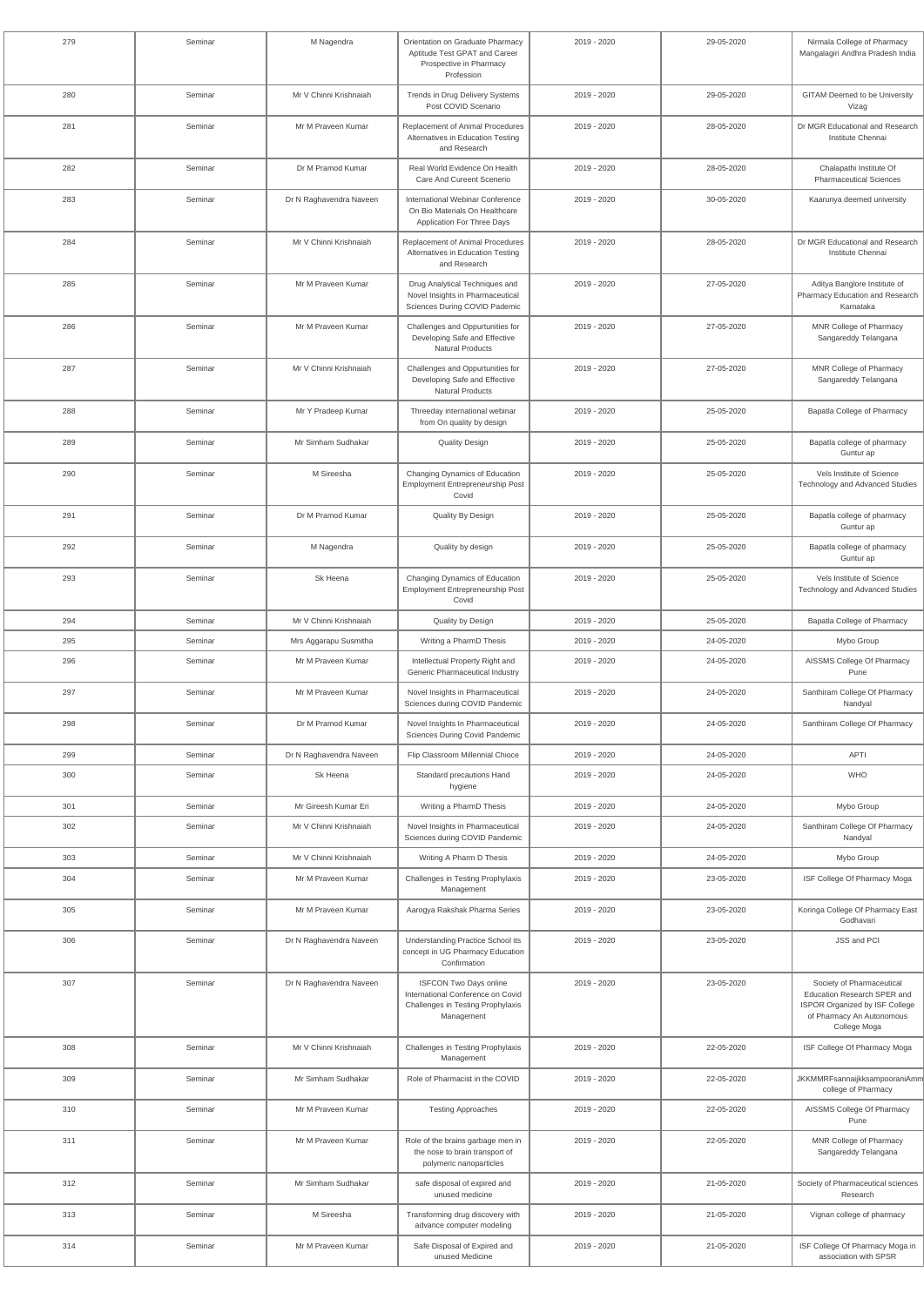| 279 | Seminar | M Nagendra              | Orientation on Graduate Pharmacy<br>Aptitude Test GPAT and Career<br>Prospective in Pharmacy<br>Profession            | 2019 - 2020 | 29-05-2020 | Nirmala College of Pharmacy<br>Mangalagiri Andhra Pradesh India                                                                         |
|-----|---------|-------------------------|-----------------------------------------------------------------------------------------------------------------------|-------------|------------|-----------------------------------------------------------------------------------------------------------------------------------------|
| 280 | Seminar | Mr V Chinni Krishnaiah  | Trends in Drug Delivery Systems<br>Post COVID Scenario                                                                | 2019 - 2020 | 29-05-2020 | <b>GITAM Deemed to be University</b><br>Vizag                                                                                           |
| 281 | Seminar | Mr M Praveen Kumar      | Replacement of Animal Procedures<br>Alternatives in Education Testing<br>and Research                                 | 2019 - 2020 | 28-05-2020 | Dr MGR Educational and Research<br>Institute Chennai                                                                                    |
| 282 | Seminar | Dr M Pramod Kumar       | Real World Evidence On Health<br>Care And Cureent Scenerio                                                            | 2019 - 2020 | 28-05-2020 | Chalapathi Institute Of<br><b>Pharmaceutical Sciences</b>                                                                               |
| 283 | Seminar | Dr N Raghavendra Naveen | International Webinar Conference<br>On Bio Materials On Healthcare<br><b>Application For Three Days</b>               | 2019 - 2020 | 30-05-2020 | Kaarunya deemed university                                                                                                              |
| 284 | Seminar | Mr V Chinni Krishnaiah  | Replacement of Animal Procedures<br>Alternatives in Education Testing<br>and Research                                 | 2019 - 2020 | 28-05-2020 | Dr MGR Educational and Research<br>Institute Chennai                                                                                    |
| 285 | Seminar | Mr M Praveen Kumar      | Drug Analytical Techniques and<br>Novel Insights in Pharmaceutical<br>Sciences During COVID Pademic                   | 2019 - 2020 | 27-05-2020 | Aditya Banglore Institute of<br>Pharmacy Education and Research<br>Karnataka                                                            |
| 286 | Seminar | Mr M Praveen Kumar      | Challenges and Oppurtunities for<br>Developing Safe and Effective<br><b>Natural Products</b>                          | 2019 - 2020 | 27-05-2020 | MNR College of Pharmacy<br>Sangareddy Telangana                                                                                         |
| 287 | Seminar | Mr V Chinni Krishnaiah  | Challenges and Oppurtunities for<br>Developing Safe and Effective<br><b>Natural Products</b>                          | 2019 - 2020 | 27-05-2020 | MNR College of Pharmacy<br>Sangareddy Telangana                                                                                         |
| 288 | Seminar | Mr Y Pradeep Kumar      | Threeday international webinar<br>from On quality by design                                                           | 2019 - 2020 | 25-05-2020 | Bapatla College of Pharmacy                                                                                                             |
| 289 | Seminar | Mr Simham Sudhakar      | <b>Quality Design</b>                                                                                                 | 2019 - 2020 | 25-05-2020 | Bapatla college of pharmacy<br>Guntur ap                                                                                                |
| 290 | Seminar | M Sireesha              | Changing Dynamics of Education<br><b>Employment Entrepreneurship Post</b><br>Covid                                    | 2019 - 2020 | 25-05-2020 | Vels Institute of Science<br>Technology and Advanced Studies                                                                            |
| 291 | Seminar | Dr M Pramod Kumar       | Quality By Design                                                                                                     | 2019 - 2020 | 25-05-2020 | Bapatla college of pharmacy<br>Guntur ap                                                                                                |
| 292 | Seminar | M Nagendra              | Quality by design                                                                                                     | 2019 - 2020 | 25-05-2020 | Bapatla college of pharmacy<br>Guntur ap                                                                                                |
| 293 | Seminar | Sk Heena                | Changing Dynamics of Education<br><b>Employment Entrepreneurship Post</b><br>Covid                                    | 2019 - 2020 | 25-05-2020 | Vels Institute of Science<br>Technology and Advanced Studies                                                                            |
| 294 | Seminar | Mr V Chinni Krishnaiah  | Quality by Design                                                                                                     | 2019 - 2020 | 25-05-2020 | <b>Bapatla College of Pharmacy</b>                                                                                                      |
| 295 | Seminar | Mrs Aggarapu Susmitha   | Writing a PharmD Thesis                                                                                               | 2019 - 2020 | 24-05-2020 | Mybo Group                                                                                                                              |
| 296 | Seminar | Mr M Praveen Kumar      | Intellectual Property Right and<br>Generic Pharmaceutical Industry                                                    | 2019 - 2020 | 24-05-2020 | AISSMS College Of Pharmacy<br>Pune                                                                                                      |
| 297 | Seminar | Mr M Praveen Kumar      | Novel Insights in Pharmaceutical<br>Sciences during COVID Pandemic                                                    | 2019 - 2020 | 24-05-2020 | Santhiram College Of Pharmacy<br>Nandyal                                                                                                |
| 298 | Seminar | Dr M Pramod Kumar       | Novel Insights In Pharmaceutical<br>Sciences During Covid Pandemic                                                    | 2019 - 2020 | 24-05-2020 | Santhiram College Of Pharmacy                                                                                                           |
| 299 | Seminar | Dr N Raghavendra Naveen | Flip Classroom Millennial Chioce                                                                                      | 2019 - 2020 | 24-05-2020 | <b>APTI</b>                                                                                                                             |
| 300 | Seminar | Sk Heena                | Standard precautions Hand<br>hygiene                                                                                  | 2019 - 2020 | 24-05-2020 | <b>WHO</b>                                                                                                                              |
| 301 | Seminar | Mr Gireesh Kumar Eri    | Writing a PharmD Thesis                                                                                               | 2019 - 2020 | 24-05-2020 | Mybo Group                                                                                                                              |
| 302 | Seminar | Mr V Chinni Krishnaiah  | Novel Insights in Pharmaceutical<br>Sciences during COVID Pandemic                                                    | 2019 - 2020 | 24-05-2020 | Santhiram College Of Pharmacy<br>Nandyal                                                                                                |
| 303 | Seminar | Mr V Chinni Krishnaiah  | Writing A Pharm D Thesis                                                                                              | 2019 - 2020 | 24-05-2020 | Mybo Group                                                                                                                              |
| 304 | Seminar | Mr M Praveen Kumar      | Challenges in Testing Prophylaxis<br>Management                                                                       | 2019 - 2020 | 23-05-2020 | ISF College Of Pharmacy Moga                                                                                                            |
| 305 | Seminar | Mr M Praveen Kumar      | Aarogya Rakshak Pharma Series                                                                                         | 2019 - 2020 | 23-05-2020 | Koringa College Of Pharmacy East<br>Godhavari                                                                                           |
| 306 | Seminar | Dr N Raghavendra Naveen | Understanding Practice School its<br>concept in UG Pharmacy Education<br>Confirmation                                 | 2019 - 2020 | 23-05-2020 | <b>JSS and PCI</b>                                                                                                                      |
| 307 | Seminar | Dr N Raghavendra Naveen | <b>ISFCON Two Days online</b><br>International Conference on Covid<br>Challenges in Testing Prophylaxis<br>Management | 2019 - 2020 | 23-05-2020 | Society of Pharmaceutical<br>Education Research SPER and<br>ISPOR Organized by ISF College<br>of Pharmacy An Autonomous<br>College Moga |
| 308 | Seminar | Mr V Chinni Krishnaiah  | Challenges in Testing Prophylaxis<br>Management                                                                       | 2019 - 2020 | 22-05-2020 | ISF College Of Pharmacy Moga                                                                                                            |
| 309 | Seminar | Mr Simham Sudhakar      | Role of Pharmacist in the COVID                                                                                       | 2019 - 2020 | 22-05-2020 | JKKMMRFsannaijkksampooraniAmm<br>college of Pharmacy                                                                                    |
| 310 | Seminar | Mr M Praveen Kumar      | <b>Testing Approaches</b>                                                                                             | 2019 - 2020 | 22-05-2020 | AISSMS College Of Pharmacy<br>Pune                                                                                                      |
| 311 | Seminar | Mr M Praveen Kumar      | Role of the brains garbage men in<br>the nose to brain transport of<br>polymeric nanoparticles                        | 2019 - 2020 | 22-05-2020 | MNR College of Pharmacy<br>Sangareddy Telangana                                                                                         |
| 312 | Seminar | Mr Simham Sudhakar      | safe disposal of expired and<br>unused medicine                                                                       | 2019 - 2020 | 21-05-2020 | Society of Pharmaceutical sciences<br>Research                                                                                          |
| 313 | Seminar | M Sireesha              | Transforming drug discovery with<br>advance computer modeling                                                         | 2019 - 2020 | 21-05-2020 | Vignan college of pharmacy                                                                                                              |
| 314 | Seminar | Mr M Praveen Kumar      | Safe Disposal of Expired and<br>unused Medicine                                                                       | 2019 - 2020 | 21-05-2020 | ISF College Of Pharmacy Moga in<br>association with SPSR                                                                                |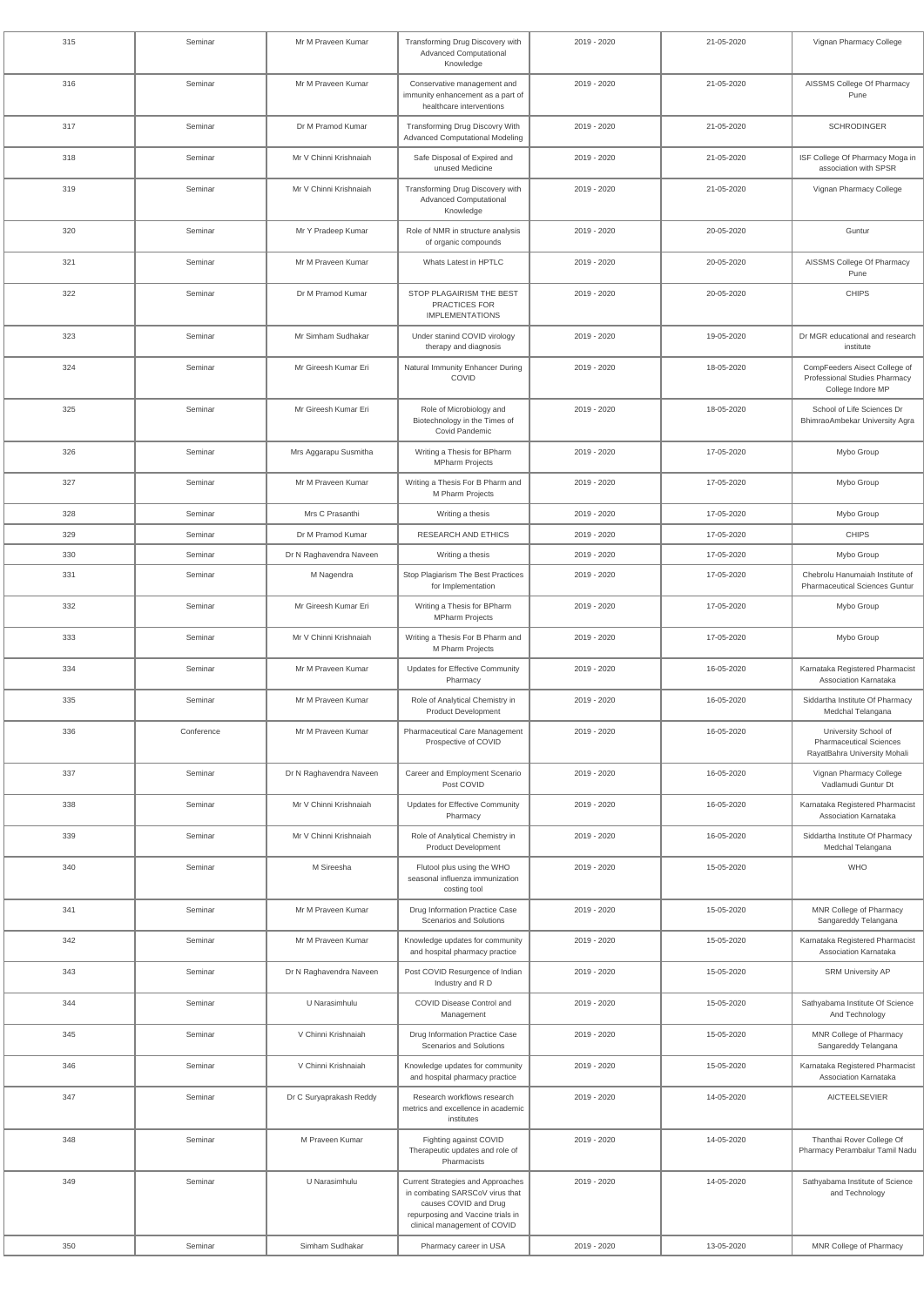| 315 | Seminar    | Mr M Praveen Kumar      | Transforming Drug Discovery with<br><b>Advanced Computational</b><br>Knowledge                                                                                     | 2019 - 2020 | 21-05-2020 | Vignan Pharmacy College                                                                |
|-----|------------|-------------------------|--------------------------------------------------------------------------------------------------------------------------------------------------------------------|-------------|------------|----------------------------------------------------------------------------------------|
| 316 | Seminar    | Mr M Praveen Kumar      | Conservative management and<br>immunity enhancement as a part of<br>healthcare interventions                                                                       | 2019 - 2020 | 21-05-2020 | AISSMS College Of Pharmacy<br>Pune                                                     |
| 317 | Seminar    | Dr M Pramod Kumar       | Transforming Drug Discovry With<br><b>Advanced Computational Modeling</b>                                                                                          | 2019 - 2020 | 21-05-2020 | <b>SCHRODINGER</b>                                                                     |
| 318 | Seminar    | Mr V Chinni Krishnaiah  | Safe Disposal of Expired and<br>unused Medicine                                                                                                                    | 2019 - 2020 | 21-05-2020 | ISF College Of Pharmacy Moga in<br>association with SPSR                               |
| 319 | Seminar    | Mr V Chinni Krishnaiah  | Transforming Drug Discovery with<br><b>Advanced Computational</b><br>Knowledge                                                                                     | 2019 - 2020 | 21-05-2020 | Vignan Pharmacy College                                                                |
| 320 | Seminar    | Mr Y Pradeep Kumar      | Role of NMR in structure analysis<br>of organic compounds                                                                                                          | 2019 - 2020 | 20-05-2020 | Guntur                                                                                 |
| 321 | Seminar    | Mr M Praveen Kumar      | Whats Latest in HPTLC                                                                                                                                              | 2019 - 2020 | 20-05-2020 | AISSMS College Of Pharmacy<br>Pune                                                     |
| 322 | Seminar    | Dr M Pramod Kumar       | STOP PLAGAIRISM THE BEST<br>PRACTICES FOR<br><b>IMPLEMENTATIONS</b>                                                                                                | 2019 - 2020 | 20-05-2020 | <b>CHIPS</b>                                                                           |
| 323 | Seminar    | Mr Simham Sudhakar      | Under stanind COVID virology<br>therapy and diagnosis                                                                                                              | 2019 - 2020 | 19-05-2020 | Dr MGR educational and research<br>institute                                           |
| 324 | Seminar    | Mr Gireesh Kumar Eri    | Natural Immunity Enhancer During<br>COVID                                                                                                                          | 2019 - 2020 | 18-05-2020 | CompFeeders Aisect College of<br>Professional Studies Pharmacy<br>College Indore MP    |
| 325 | Seminar    | Mr Gireesh Kumar Eri    | Role of Microbiology and<br>Biotechnology in the Times of<br>Covid Pandemic                                                                                        | 2019 - 2020 | 18-05-2020 | School of Life Sciences Dr<br>BhimraoAmbekar University Agra                           |
| 326 | Seminar    | Mrs Aggarapu Susmitha   | Writing a Thesis for BPharm<br><b>MPharm Projects</b>                                                                                                              | 2019 - 2020 | 17-05-2020 | Mybo Group                                                                             |
| 327 | Seminar    | Mr M Praveen Kumar      | Writing a Thesis For B Pharm and<br>M Pharm Projects                                                                                                               | 2019 - 2020 | 17-05-2020 | Mybo Group                                                                             |
| 328 | Seminar    | Mrs C Prasanthi         | Writing a thesis                                                                                                                                                   | 2019 - 2020 | 17-05-2020 | Mybo Group                                                                             |
| 329 | Seminar    | Dr M Pramod Kumar       | <b>RESEARCH AND ETHICS</b>                                                                                                                                         | 2019 - 2020 | 17-05-2020 | <b>CHIPS</b>                                                                           |
| 330 | Seminar    | Dr N Raghavendra Naveen | Writing a thesis                                                                                                                                                   | 2019 - 2020 | 17-05-2020 | Mybo Group                                                                             |
| 331 | Seminar    | M Nagendra              | Stop Plagiarism The Best Practices<br>for Implementation                                                                                                           | 2019 - 2020 | 17-05-2020 | Chebrolu Hanumaiah Institute of<br><b>Pharmaceutical Sciences Guntur</b>               |
| 332 | Seminar    | Mr Gireesh Kumar Eri    | Writing a Thesis for BPharm<br><b>MPharm Projects</b>                                                                                                              | 2019 - 2020 | 17-05-2020 | Mybo Group                                                                             |
| 333 | Seminar    | Mr V Chinni Krishnaiah  | Writing a Thesis For B Pharm and<br>M Pharm Projects                                                                                                               | 2019 - 2020 | 17-05-2020 | Mybo Group                                                                             |
| 334 | Seminar    | Mr M Praveen Kumar      | <b>Updates for Effective Community</b><br>Pharmacy                                                                                                                 | 2019 - 2020 | 16-05-2020 | Karnataka Registered Pharmacist<br>Association Karnataka                               |
| 335 | Seminar    | Mr M Praveen Kumar      | Role of Analytical Chemistry in<br><b>Product Development</b>                                                                                                      | 2019 - 2020 | 16-05-2020 | Siddartha Institute Of Pharmacy<br>Medchal Telangana                                   |
| 336 | Conference | Mr M Praveen Kumar      | Pharmaceutical Care Management<br>Prospective of COVID                                                                                                             | 2019 - 2020 | 16-05-2020 | University School of<br><b>Pharmaceutical Sciences</b><br>RayatBahra University Mohali |
| 337 | Seminar    | Dr N Raghavendra Naveen | Career and Employment Scenario<br>Post COVID                                                                                                                       | 2019 - 2020 | 16-05-2020 | Vignan Pharmacy College<br>Vadlamudi Guntur Dt                                         |
| 338 | Seminar    | Mr V Chinni Krishnaiah  | Updates for Effective Community<br>Pharmacy                                                                                                                        | 2019 - 2020 | 16-05-2020 | Karnataka Registered Pharmacist<br>Association Karnataka                               |
| 339 | Seminar    | Mr V Chinni Krishnaiah  | Role of Analytical Chemistry in<br>Product Development                                                                                                             | 2019 - 2020 | 16-05-2020 | Siddartha Institute Of Pharmacy<br>Medchal Telangana                                   |
| 340 | Seminar    | M Sireesha              | Flutool plus using the WHO<br>seasonal influenza immunization<br>costing tool                                                                                      | 2019 - 2020 | 15-05-2020 | <b>WHO</b>                                                                             |
| 341 | Seminar    | Mr M Praveen Kumar      | Drug Information Practice Case<br>Scenarios and Solutions                                                                                                          | 2019 - 2020 | 15-05-2020 | MNR College of Pharmacy<br>Sangareddy Telangana                                        |
| 342 | Seminar    | Mr M Praveen Kumar      | Knowledge updates for community<br>and hospital pharmacy practice                                                                                                  | 2019 - 2020 | 15-05-2020 | Karnataka Registered Pharmacist<br>Association Karnataka                               |
| 343 | Seminar    | Dr N Raghavendra Naveen | Post COVID Resurgence of Indian<br>Industry and R D                                                                                                                | 2019 - 2020 | 15-05-2020 | <b>SRM University AP</b>                                                               |
| 344 | Seminar    | U Narasimhulu           | COVID Disease Control and<br>Management                                                                                                                            | 2019 - 2020 | 15-05-2020 | Sathyabama Institute Of Science<br>And Technology                                      |
| 345 | Seminar    | V Chinni Krishnaiah     | Drug Information Practice Case<br>Scenarios and Solutions                                                                                                          | 2019 - 2020 | 15-05-2020 | MNR College of Pharmacy<br>Sangareddy Telangana                                        |
| 346 | Seminar    | V Chinni Krishnaiah     | Knowledge updates for community<br>and hospital pharmacy practice                                                                                                  | 2019 - 2020 | 15-05-2020 | Karnataka Registered Pharmacist<br>Association Karnataka                               |
| 347 | Seminar    | Dr C Suryaprakash Reddy | Research workflows research<br>metrics and excellence in academic<br>institutes                                                                                    | 2019 - 2020 | 14-05-2020 | <b>AICTEELSEVIER</b>                                                                   |
| 348 | Seminar    | M Praveen Kumar         | Fighting against COVID<br>Therapeutic updates and role of<br>Pharmacists                                                                                           | 2019 - 2020 | 14-05-2020 | Thanthai Rover College Of<br>Pharmacy Perambalur Tamil Nadu                            |
| 349 | Seminar    | U Narasimhulu           | Current Strategies and Approaches<br>in combating SARSCoV virus that<br>causes COVID and Drug<br>repurposing and Vaccine trials in<br>clinical management of COVID | 2019 - 2020 | 14-05-2020 | Sathyabama Institute of Science<br>and Technology                                      |
| 350 | Seminar    | Simham Sudhakar         | Pharmacy career in USA                                                                                                                                             | 2019 - 2020 | 13-05-2020 | MNR College of Pharmacy                                                                |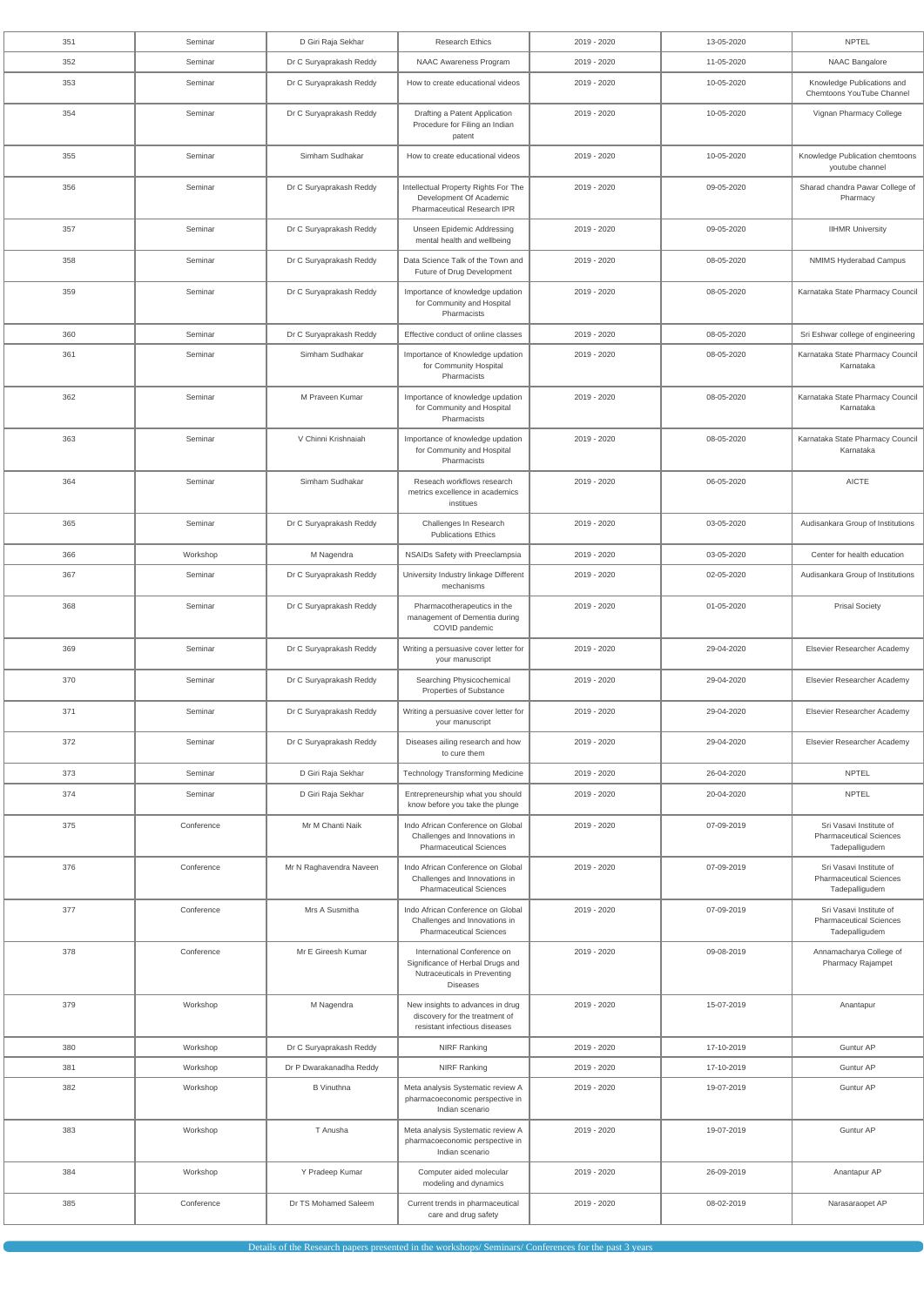| 351 | Seminar    | D Giri Raja Sekhar      | <b>Research Ethics</b>                                                                                             | 2019 - 2020 | 13-05-2020 | <b>NPTEL</b>                                                                |
|-----|------------|-------------------------|--------------------------------------------------------------------------------------------------------------------|-------------|------------|-----------------------------------------------------------------------------|
| 352 | Seminar    | Dr C Suryaprakash Reddy | NAAC Awareness Program                                                                                             | 2019 - 2020 | 11-05-2020 | NAAC Bangalore                                                              |
| 353 | Seminar    | Dr C Suryaprakash Reddy | How to create educational videos                                                                                   | 2019 - 2020 | 10-05-2020 | Knowledge Publications and<br>Chemtoons YouTube Channel                     |
| 354 | Seminar    | Dr C Suryaprakash Reddy | Drafting a Patent Application<br>Procedure for Filing an Indian<br>patent                                          | 2019 - 2020 | 10-05-2020 | Vignan Pharmacy College                                                     |
| 355 | Seminar    | Simham Sudhakar         | How to create educational videos                                                                                   | 2019 - 2020 | 10-05-2020 | Knowledge Publication chemtoons<br>youtube channel                          |
| 356 | Seminar    | Dr C Suryaprakash Reddy | Intellectual Property Rights For The<br>Development Of Academic<br><b>Pharmaceutical Research IPR</b>              | 2019 - 2020 | 09-05-2020 | Sharad chandra Pawar College of<br>Pharmacy                                 |
| 357 | Seminar    | Dr C Suryaprakash Reddy | <b>Unseen Epidemic Addressing</b><br>mental health and wellbeing                                                   | 2019 - 2020 | 09-05-2020 | <b>IIHMR University</b>                                                     |
| 358 | Seminar    | Dr C Suryaprakash Reddy | Data Science Talk of the Town and<br>Future of Drug Development                                                    | 2019 - 2020 | 08-05-2020 | NMIMS Hyderabad Campus                                                      |
| 359 | Seminar    | Dr C Suryaprakash Reddy | Importance of knowledge updation<br>for Community and Hospital<br>Pharmacists                                      | 2019 - 2020 | 08-05-2020 | Karnataka State Pharmacy Council                                            |
| 360 | Seminar    | Dr C Suryaprakash Reddy | Effective conduct of online classes                                                                                | 2019 - 2020 | 08-05-2020 | Sri Eshwar college of engineering                                           |
| 361 | Seminar    | Simham Sudhakar         | Importance of Knowledge updation<br>for Community Hospital<br>Pharmacists                                          | 2019 - 2020 | 08-05-2020 | Karnataka State Pharmacy Council<br>Karnataka                               |
| 362 | Seminar    | M Praveen Kumar         | Importance of knowledge updation<br>for Community and Hospital<br>Pharmacists                                      | 2019 - 2020 | 08-05-2020 | Karnataka State Pharmacy Council<br>Karnataka                               |
| 363 | Seminar    | V Chinni Krishnaiah     | Importance of knowledge updation<br>for Community and Hospital<br>Pharmacists                                      | 2019 - 2020 | 08-05-2020 | Karnataka State Pharmacy Council<br>Karnataka                               |
| 364 | Seminar    | Simham Sudhakar         | Reseach workflows research<br>metrics excellence in academics<br>institues                                         | 2019 - 2020 | 06-05-2020 | <b>AICTE</b>                                                                |
| 365 | Seminar    | Dr C Suryaprakash Reddy | Challenges In Research<br><b>Publications Ethics</b>                                                               | 2019 - 2020 | 03-05-2020 | Audisankara Group of Institutions                                           |
| 366 | Workshop   | M Nagendra              | NSAIDs Safety with Preeclampsia                                                                                    | 2019 - 2020 | 03-05-2020 | Center for health education                                                 |
| 367 | Seminar    | Dr C Suryaprakash Reddy | University Industry linkage Different<br>mechanisms                                                                | 2019 - 2020 | 02-05-2020 | Audisankara Group of Institutions                                           |
| 368 | Seminar    | Dr C Suryaprakash Reddy | Pharmacotherapeutics in the<br>management of Dementia during<br>COVID pandemic                                     | 2019 - 2020 | 01-05-2020 | <b>Prisal Society</b>                                                       |
| 369 | Seminar    | Dr C Suryaprakash Reddy | Writing a persuasive cover letter for<br>your manuscript                                                           | 2019 - 2020 | 29-04-2020 | Elsevier Researcher Academy                                                 |
| 370 | Seminar    | Dr C Suryaprakash Reddy | Searching Physicochemical<br>Properties of Substance                                                               | 2019 - 2020 | 29-04-2020 | Elsevier Researcher Academy                                                 |
| 371 | Seminar    | Dr C Suryaprakash Reddy | Writing a persuasive cover letter for<br>your manuscript                                                           | 2019 - 2020 | 29-04-2020 | Elsevier Researcher Academy                                                 |
| 372 | Seminar    | Dr C Suryaprakash Reddy | Diseases ailing research and how<br>to cure them                                                                   | 2019 - 2020 | 29-04-2020 | Elsevier Researcher Academy                                                 |
| 373 | Seminar    | D Giri Raja Sekhar      | <b>Technology Transforming Medicine</b>                                                                            | 2019 - 2020 | 26-04-2020 | <b>NPTEL</b>                                                                |
| 374 | Seminar    | D Giri Raja Sekhar      | Entrepreneurship what you should<br>know before you take the plunge                                                | 2019 - 2020 | 20-04-2020 | <b>NPTEL</b>                                                                |
| 375 | Conference | Mr M Chanti Naik        | Indo African Conference on Global<br>Challenges and Innovations in<br><b>Pharmaceutical Sciences</b>               | 2019 - 2020 | 07-09-2019 | Sri Vasavi Institute of<br><b>Pharmaceutical Sciences</b><br>Tadepalligudem |
| 376 | Conference | Mr N Raghavendra Naveen | Indo African Conference on Global<br>Challenges and Innovations in<br><b>Pharmaceutical Sciences</b>               | 2019 - 2020 | 07-09-2019 | Sri Vasavi Institute of<br><b>Pharmaceutical Sciences</b><br>Tadepalligudem |
| 377 | Conference | Mrs A Susmitha          | Indo African Conference on Global<br>Challenges and Innovations in<br><b>Pharmaceutical Sciences</b>               | 2019 - 2020 | 07-09-2019 | Sri Vasavi Institute of<br><b>Pharmaceutical Sciences</b><br>Tadepalligudem |
| 378 | Conference | Mr E Gireesh Kumar      | International Conference on<br>Significance of Herbal Drugs and<br>Nutraceuticals in Preventing<br><b>Diseases</b> | 2019 - 2020 | 09-08-2019 | Annamacharya College of<br><b>Pharmacy Rajampet</b>                         |
| 379 | Workshop   | M Nagendra              | New insights to advances in drug<br>discovery for the treatment of<br>resistant infectious diseases                | 2019 - 2020 | 15-07-2019 | Anantapur                                                                   |
| 380 | Workshop   | Dr C Suryaprakash Reddy | <b>NIRF Ranking</b>                                                                                                | 2019 - 2020 | 17-10-2019 | Guntur AP                                                                   |
| 381 | Workshop   | Dr P Dwarakanadha Reddy | <b>NIRF Ranking</b>                                                                                                | 2019 - 2020 | 17-10-2019 | Guntur AP                                                                   |
| 382 | Workshop   | <b>B</b> Vinuthna       | Meta analysis Systematic review A<br>pharmacoeconomic perspective in<br>Indian scenario                            | 2019 - 2020 | 19-07-2019 | Guntur AP                                                                   |
| 383 | Workshop   | T Anusha                | Meta analysis Systematic review A<br>pharmacoeconomic perspective in<br>Indian scenario                            | 2019 - 2020 | 19-07-2019 | Guntur AP                                                                   |
| 384 | Workshop   | Y Pradeep Kumar         | Computer aided molecular<br>modeling and dynamics                                                                  | 2019 - 2020 | 26-09-2019 | Anantapur AP                                                                |
| 385 | Conference | Dr TS Mohamed Saleem    | Current trends in pharmaceutical<br>care and drug safety                                                           | 2019 - 2020 | 08-02-2019 | Narasaraopet AP                                                             |

Details of the Research papers presented in the workshops/ Seminars/ Conferences for the past 3 years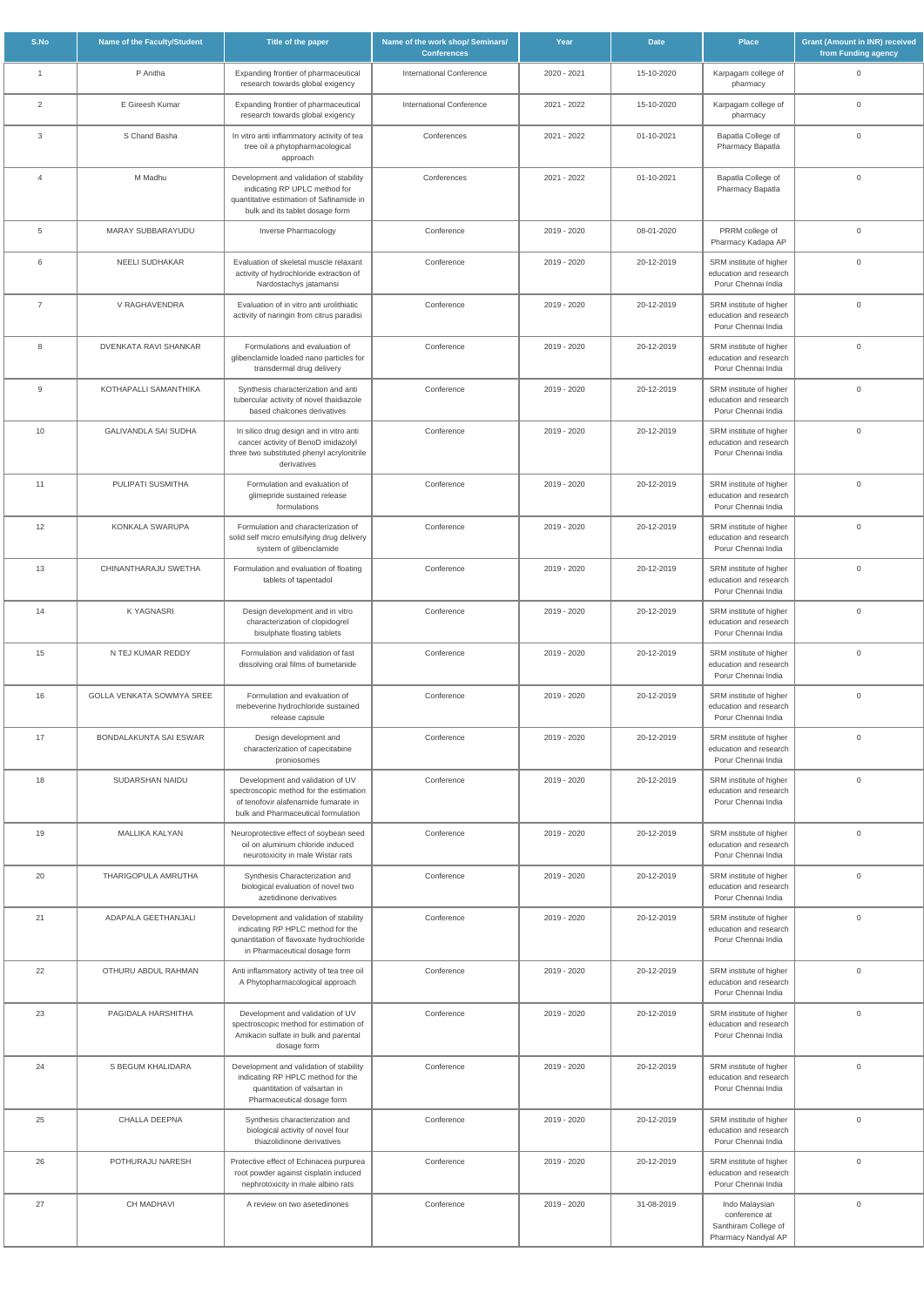| S.No           | Name of the Faculty/Student | Title of the paper                                                                                                                                         | Name of the work shop/ Seminars/<br><b>Conferences</b> | Year        | <b>Date</b> | <b>Place</b>                                                                   | <b>Grant (Amount in INR) received</b><br>from Funding agency |
|----------------|-----------------------------|------------------------------------------------------------------------------------------------------------------------------------------------------------|--------------------------------------------------------|-------------|-------------|--------------------------------------------------------------------------------|--------------------------------------------------------------|
| $\overline{1}$ | P Anitha                    | Expanding frontier of pharmaceutical<br>research towards global exigency                                                                                   | <b>International Conference</b>                        | 2020 - 2021 | 15-10-2020  | Karpagam college of<br>pharmacy                                                | $\mathbf 0$                                                  |
| 2              | E Gireesh Kumar             | Expanding frontier of pharmaceutical<br>research towards global exigency                                                                                   | <b>International Conference</b>                        | 2021 - 2022 | 15-10-2020  | Karpagam college of<br>pharmacy                                                | $\mathbf 0$                                                  |
| 3              | S Chand Basha               | In vitro anti inflammatory activity of tea<br>tree oil a phytopharmacological<br>approach                                                                  | Conferences                                            | 2021 - 2022 | 01-10-2021  | Bapatla College of<br>Pharmacy Bapatla                                         | $\mathbf 0$                                                  |
| $\overline{4}$ | M Madhu                     | Development and validation of stability<br>indicating RP UPLC method for<br>quantitative estimation of Safinamide in<br>bulk and its tablet dosage form    | Conferences                                            | 2021 - 2022 | 01-10-2021  | Bapatla College of<br>Pharmacy Bapatla                                         | $\mathbf 0$                                                  |
| 5              | MARAY SUBBARAYUDU           | Inverse Pharmacology                                                                                                                                       | Conference                                             | 2019 - 2020 | 08-01-2020  | PRRM college of<br>Pharmacy Kadapa AP                                          | $\mathbf 0$                                                  |
| 6              | <b>NEELI SUDHAKAR</b>       | Evaluation of skeletal muscle relaxant<br>activity of hydrochloride extraction of<br>Nardostachys jatamansi                                                | Conference                                             | 2019 - 2020 | 20-12-2019  | SRM institute of higher<br>education and research<br>Porur Chennai India       | $\mathbf 0$                                                  |
| $\overline{7}$ | V RAGHAVENDRA               | Evaluation of in vitro anti urolithiatic<br>activity of naringin from citrus paradisi                                                                      | Conference                                             | 2019 - 2020 | 20-12-2019  | SRM institute of higher<br>education and research<br>Porur Chennai India       | $\mathbf 0$                                                  |
| 8              | DVENKATA RAVI SHANKAR       | Formulations and evaluation of<br>glibenclamide loaded nano particles for<br>transdermal drug delivery                                                     | Conference                                             | 2019 - 2020 | 20-12-2019  | SRM institute of higher<br>education and research<br>Porur Chennai India       | $\mathbf{0}$                                                 |
| 9              | KOTHAPALLI SAMANTHIKA       | Synthesis characterization and anti<br>tubercular activity of novel thaidiazole<br>based chalcones derivatives                                             | Conference                                             | 2019 - 2020 | 20-12-2019  | SRM institute of higher<br>education and research<br>Porur Chennai India       | $\mathbf 0$                                                  |
| 10             | <b>GALIVANDLA SAI SUDHA</b> | In silico drug design and in vitro anti<br>cancer activity of BenoD imidazolyl<br>three two substituted phenyl acrylonitrile<br>derivatives                | Conference                                             | 2019 - 2020 | 20-12-2019  | SRM institute of higher<br>education and research<br>Porur Chennai India       | $\mathbf 0$                                                  |
| 11             | PULIPATI SUSMITHA           | Formulation and evaluation of<br>glimepride sustained release<br>formulations                                                                              | Conference                                             | 2019 - 2020 | 20-12-2019  | SRM institute of higher<br>education and research<br>Porur Chennai India       | $\mathbf 0$                                                  |
| 12             | KONKALA SWARUPA             | Formulation and characterization of<br>solid self micro emulsifying drug delivery<br>system of glibenclamide                                               | Conference                                             | 2019 - 2020 | 20-12-2019  | SRM institute of higher<br>education and research<br>Porur Chennai India       | $\mathbf 0$                                                  |
| 13             | CHINANTHARAJU SWETHA        | Formulation and evaluation of floating<br>tablets of tapentadol                                                                                            | Conference                                             | 2019 - 2020 | 20-12-2019  | SRM institute of higher<br>education and research<br>Porur Chennai India       | $\mathsf{O}\xspace$                                          |
| 14             | <b>KYAGNASRI</b>            | Design development and in vitro<br>characterization of clopidogrel<br>bisulphate floating tablets                                                          | Conference                                             | 2019 - 2020 | 20-12-2019  | SRM institute of higher<br>education and research<br>Porur Chennai India       | $\mathbf 0$                                                  |
| 15             | N TEJ KUMAR REDDY           | Formulation and validation of fast<br>dissolving oral films of bumetanide                                                                                  | Conference                                             | 2019 - 2020 | 20-12-2019  | SRM institute of higher<br>education and research<br>Porur Chennai India       | $\mathbf 0$                                                  |
| 16             | GOLLA VENKATA SOWMYA SREE   | Formulation and evaluation of<br>mebeverine hydrochloride sustained<br>release capsule                                                                     | Conference                                             | 2019 - 2020 | 20-12-2019  | SRM institute of higher<br>education and research<br>Porur Chennai India       | $\mathbf 0$                                                  |
| 17             | BONDALAKUNTA SAI ESWAR      | Design development and<br>characterization of capecitabine<br>proniosomes                                                                                  | Conference                                             | 2019 - 2020 | 20-12-2019  | SRM institute of higher<br>education and research<br>Porur Chennai India       | $\mathbf 0$                                                  |
| 18             | SUDARSHAN NAIDU             | Development and validation of UV<br>spectroscopic method for the estimation<br>of tenofovir alafenamide fumarate in<br>bulk and Pharmaceutical formulation | Conference                                             | 2019 - 2020 | 20-12-2019  | SRM institute of higher<br>education and research<br>Porur Chennai India       | $\mathsf{O}\xspace$                                          |
| 19             | MALLIKA KALYAN              | Neuroprotective effect of soybean seed<br>oil on aluminum chloride induced<br>neurotoxicity in male Wistar rats                                            | Conference                                             | 2019 - 2020 | 20-12-2019  | SRM institute of higher<br>education and research<br>Porur Chennai India       | $\mathbf 0$                                                  |
| 20             | THARIGOPULA AMRUTHA         | Synthesis Characterization and<br>biological evaluation of novel two<br>azetidinone derivatives                                                            | Conference                                             | 2019 - 2020 | 20-12-2019  | SRM institute of higher<br>education and research<br>Porur Chennai India       | $\mathbf 0$                                                  |
| 21             | ADAPALA GEETHANJALI         | Development and validation of stability<br>indicating RP HPLC method for the<br>qunantitation of flavoxate hydrochloride<br>in Pharmaceutical dosage form  | Conference                                             | 2019 - 2020 | 20-12-2019  | SRM institute of higher<br>education and research<br>Porur Chennai India       | $\mathbf 0$                                                  |
| 22             | OTHURU ABDUL RAHMAN         | Anti inflammatory activity of tea tree oil<br>A Phytopharmacological approach                                                                              | Conference                                             | 2019 - 2020 | 20-12-2019  | SRM institute of higher<br>education and research<br>Porur Chennai India       | $\mathbf 0$                                                  |
| 23             | PAGIDALA HARSHITHA          | Development and validation of UV<br>spectroscopic method for estimation of<br>Amikacin sulfate in bulk and parental<br>dosage form                         | Conference                                             | 2019 - 2020 | 20-12-2019  | SRM institute of higher<br>education and research<br>Porur Chennai India       | $\overline{0}$                                               |
| 24             | S BEGUM KHALIDARA           | Development and validation of stability<br>indicating RP HPLC method for the<br>quantitation of valsartan in<br>Pharmaceutical dosage form                 | Conference                                             | 2019 - 2020 | 20-12-2019  | SRM institute of higher<br>education and research<br>Porur Chennai India       | $\mathbf 0$                                                  |
| 25             | CHALLA DEEPNA               | Synthesis characterization and<br>biological activity of novel four<br>thiazolidinone derivatives                                                          | Conference                                             | 2019 - 2020 | 20-12-2019  | SRM institute of higher<br>education and research<br>Porur Chennai India       | $\mathbf 0$                                                  |
| 26             | POTHURAJU NARESH            | Protective effect of Echinacea purpurea<br>root powder against cisplatin induced<br>nephrotoxicity in male albino rats                                     | Conference                                             | 2019 - 2020 | 20-12-2019  | SRM institute of higher<br>education and research<br>Porur Chennai India       | $\mathsf{O}\xspace$                                          |
| 27             | <b>CH MADHAVI</b>           | A review on two asetedinones                                                                                                                               | Conference                                             | 2019 - 2020 | 31-08-2019  | Indo Malaysian<br>conference at<br>Santhiram College of<br>Pharmacy Nandyal AP | $\mathsf{O}\xspace$                                          |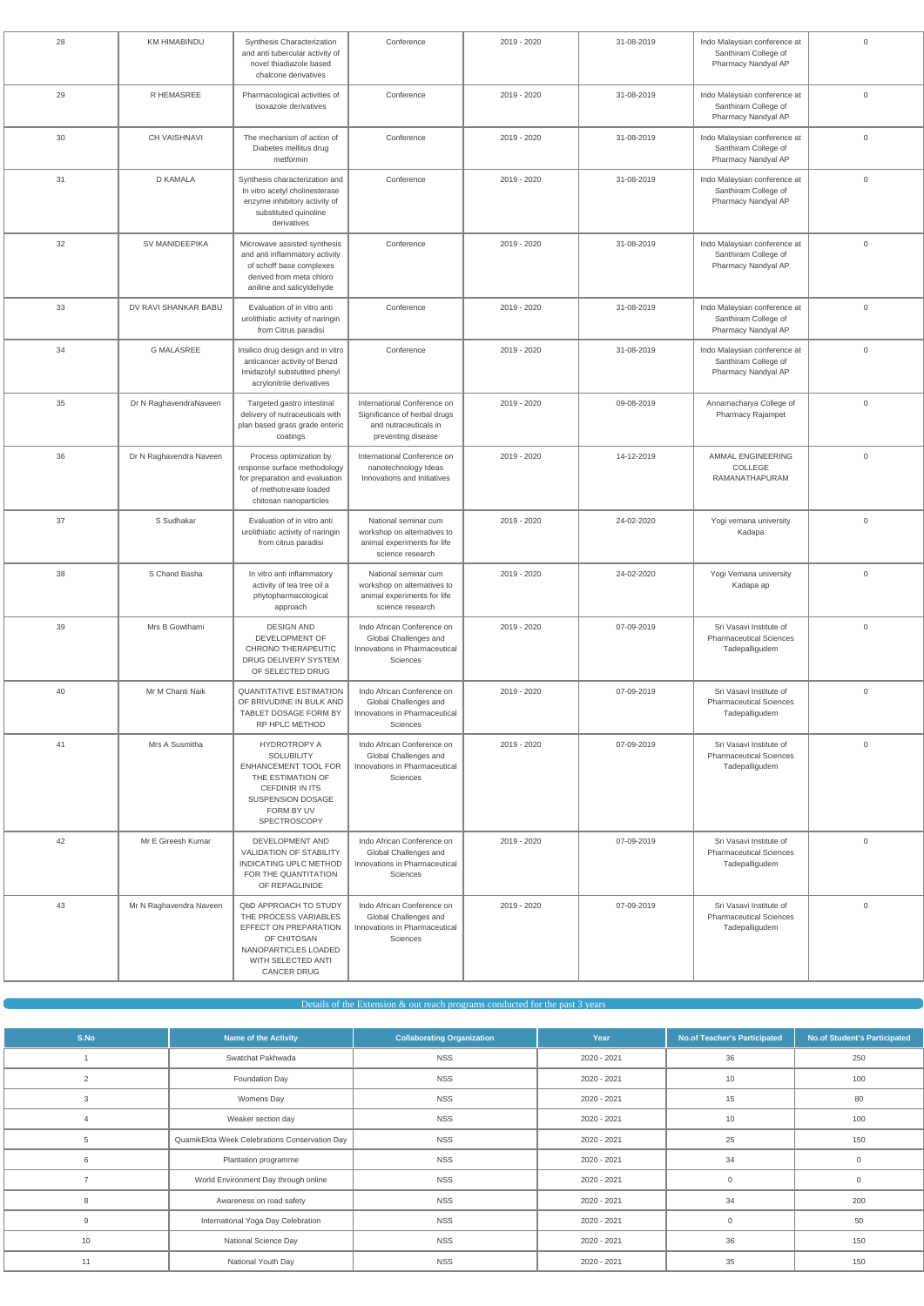| 28 | <b>KM HIMABINDU</b>     | Synthesis Characterization<br>and anti tubercular activity of<br>novel thiadiazole based<br>chalcone derivatives                                                   | Conference                                                                                                 | 2019 - 2020 | 31-08-2019 | Indo Malaysian conference at<br>Santhiram College of<br>Pharmacy Nandyal AP | $\mathsf{O}\xspace$ |
|----|-------------------------|--------------------------------------------------------------------------------------------------------------------------------------------------------------------|------------------------------------------------------------------------------------------------------------|-------------|------------|-----------------------------------------------------------------------------|---------------------|
| 29 | R HEMASREE              | Pharmacological activities of<br>isoxazole derivatives                                                                                                             | Conference                                                                                                 | 2019 - 2020 | 31-08-2019 | Indo Malaysian conference at<br>Santhiram College of<br>Pharmacy Nandyal AP | $\mathbf 0$         |
| 30 | CH VAISHNAVI            | The mechanism of action of<br>Diabetes mellitus drug<br>metformin                                                                                                  | Conference                                                                                                 | 2019 - 2020 | 31-08-2019 | Indo Malaysian conference at<br>Santhiram College of<br>Pharmacy Nandyal AP | $\mathsf{O}\xspace$ |
| 31 | <b>D KAMALA</b>         | Synthesis characterization and<br>In vitro acetyl cholinesterase<br>enzyme inhibitory activity of<br>substituted quinoline<br>derivatives                          | Conference                                                                                                 | 2019 - 2020 | 31-08-2019 | Indo Malaysian conference at<br>Santhiram College of<br>Pharmacy Nandyal AP | $\mathbf 0$         |
| 32 | SV MANIDEEPIKA          | Microwave assisted synthesis<br>and anti inflammatory activity<br>of schoff base complexes<br>derived from meta chloro<br>aniline and salicyldehyde                | Conference                                                                                                 | 2019 - 2020 | 31-08-2019 | Indo Malaysian conference at<br>Santhiram College of<br>Pharmacy Nandyal AP | $\mathbf 0$         |
| 33 | DV RAVI SHANKAR BABU    | Evaluation of in vitro anti<br>urolithiatic activity of naringin<br>from Citrus paradisi                                                                           | Conference                                                                                                 | 2019 - 2020 | 31-08-2019 | Indo Malaysian conference at<br>Santhiram College of<br>Pharmacy Nandyal AP | $\mathbf 0$         |
| 34 | <b>G MALASREE</b>       | Insilico drug design and in vitro<br>anticancer activity of Benzd<br>Imidazolyl substutited phenyl<br>acrylonitrile derivatives                                    | Conference                                                                                                 | 2019 - 2020 | 31-08-2019 | Indo Malaysian conference at<br>Santhiram College of<br>Pharmacy Nandyal AP | $\mathbf 0$         |
| 35 | Dr N RaghavendraNaveen  | Targeted gastro intestinal<br>delivery of nutraceuticals with<br>plan based grass grade enteric<br>coatings                                                        | International Conference on<br>Significance of herbal drugs<br>and nutraceuticals in<br>preventing disease | 2019 - 2020 | 09-08-2019 | Annamacharya College of<br>Pharmacy Rajampet                                | $\mathbf 0$         |
| 36 | Dr N Raghavendra Naveen | Process optimization by<br>response surface methodology<br>for preparation and evaluation<br>of methotrexate loaded<br>chitosan nanoparticles                      | International Conference on<br>nanotechnology Ideas<br>Innovations and Initiatives                         | 2019 - 2020 | 14-12-2019 | AMMAL ENGINEERING<br>COLLEGE<br>RAMANATHAPURAM                              | $\mathbf 0$         |
| 37 | S Sudhakar              | Evaluation of in vitro anti<br>urolithiatic activity of naringin<br>from citrus paradisi                                                                           | National seminar cum<br>workshop on alternatives to<br>animal experiments for life<br>science research     | 2019 - 2020 | 24-02-2020 | Yogi vemana university<br>Kadapa                                            | $\overline{0}$      |
| 38 | S Chand Basha           | In vitro anti inflammatory<br>activity of tea tree oil a<br>phytopharmacological<br>approach                                                                       | National seminar cum<br>workshop on alternatives to<br>animal experiments for life<br>science research     | 2019 - 2020 | 24-02-2020 | Yogi Vemana university<br>Kadapa ap                                         | $\mathbf 0$         |
| 39 | Mrs B Gowthami          | <b>DESIGN AND</b><br>DEVELOPMENT OF<br>CHRONO THERAPEUTIC<br>DRUG DELIVERY SYSTEM<br>OF SELECTED DRUG                                                              | Indo African Conference on<br>Global Challenges and<br>Innovations in Pharmaceutical<br>Sciences           | 2019 - 2020 | 07-09-2019 | Sri Vasavi Institute of<br><b>Pharmaceutical Sciences</b><br>Tadepalligudem | $\mathbf 0$         |
| 40 | Mr M Chanti Naik        | <b>QUANTITATIVE ESTIMATION</b><br>OF BRIVUDINE IN BULK AND<br>TABLET DOSAGE FORM BY<br>RP HPLC METHOD                                                              | Indo African Conference on<br>Global Challenges and<br>Innovations in Pharmaceutical<br>Sciences           | 2019 - 2020 | 07-09-2019 | Sri Vasavi Institute of<br><b>Pharmaceutical Sciences</b><br>Tadepalligudem | $\mathbf 0$         |
| 41 | Mrs A Susmitha          | <b>HYDROTROPY A</b><br><b>SOLUBILITY</b><br>ENHANCEMENT TOOL FOR<br>THE ESTIMATION OF<br><b>CEFDINIR IN ITS</b><br>SUSPENSION DOSAGE<br>FORM BY UV<br>SPECTROSCOPY | Indo African Conference on<br>Global Challenges and<br>Innovations in Pharmaceutical<br>Sciences           | 2019 - 2020 | 07-09-2019 | Sri Vasavi Institute of<br><b>Pharmaceutical Sciences</b><br>Tadepalligudem | $\mathbf 0$         |
| 42 | Mr E Gireesh Kumar      | DEVELOPMENT AND<br><b>VALIDATION OF STABILITY</b><br>INDICATING UPLC METHOD<br>FOR THE QUANTITATION<br>OF REPAGLINIDE                                              | Indo African Conference on<br>Global Challenges and<br>Innovations in Pharmaceutical<br>Sciences           | 2019 - 2020 | 07-09-2019 | Sri Vasavi Institute of<br><b>Pharmaceutical Sciences</b><br>Tadepalligudem | $\mathbf 0$         |
| 43 | Mr N Raghavendra Naveen | <b>QbD APPROACH TO STUDY</b><br>THE PROCESS VARIABLES<br>EFFECT ON PREPARATION<br>OF CHITOSAN<br>NANOPARTICLES LOADED<br>WITH SELECTED ANTI<br><b>CANCER DRUG</b>  | Indo African Conference on<br>Global Challenges and<br>Innovations in Pharmaceutical<br>Sciences           | 2019 - 2020 | 07-09-2019 | Sri Vasavi Institute of<br><b>Pharmaceutical Sciences</b><br>Tadepalligudem | $\mathbf 0$         |

| S.No | <b>Name of the Activity</b>                   | <b>Collaborating Organization</b> | Year        | <b>No.of Teacher's Participated</b> | <b>No.of Student's Participated</b> |
|------|-----------------------------------------------|-----------------------------------|-------------|-------------------------------------|-------------------------------------|
|      | Swatchat Pakhwada                             | <b>NSS</b>                        | 2020 - 2021 | 36                                  | 250                                 |
| 2    | Foundation Day                                | <b>NSS</b>                        | 2020 - 2021 | 10                                  | 100                                 |
| 3    | Womens Day                                    | <b>NSS</b>                        | 2020 - 2021 | 15                                  | 80                                  |
|      | Weaker section day                            | <b>NSS</b>                        | 2020 - 2021 | 10                                  | 100                                 |
| 5    | QuamikEkta Week Celebrations Conservation Day | <b>NSS</b>                        | 2020 - 2021 | 25                                  | 150                                 |
| 6    | Plantation programme                          | <b>NSS</b>                        | 2020 - 2021 | 34                                  | $\mathbf 0$                         |
|      | World Environment Day through online          | <b>NSS</b>                        | 2020 - 2021 |                                     | $\mathbf{0}$                        |
| 8    | Awareness on road safety                      | <b>NSS</b>                        | 2020 - 2021 | 34                                  | 200                                 |
| 9    | International Yoga Day Celebration            | <b>NSS</b>                        | 2020 - 2021 |                                     | 50                                  |
| 10   | National Science Day                          | <b>NSS</b>                        | 2020 - 2021 | 36                                  | 150                                 |
| 11   | National Youth Day                            | <b>NSS</b>                        | 2020 - 2021 | 35                                  | 150                                 |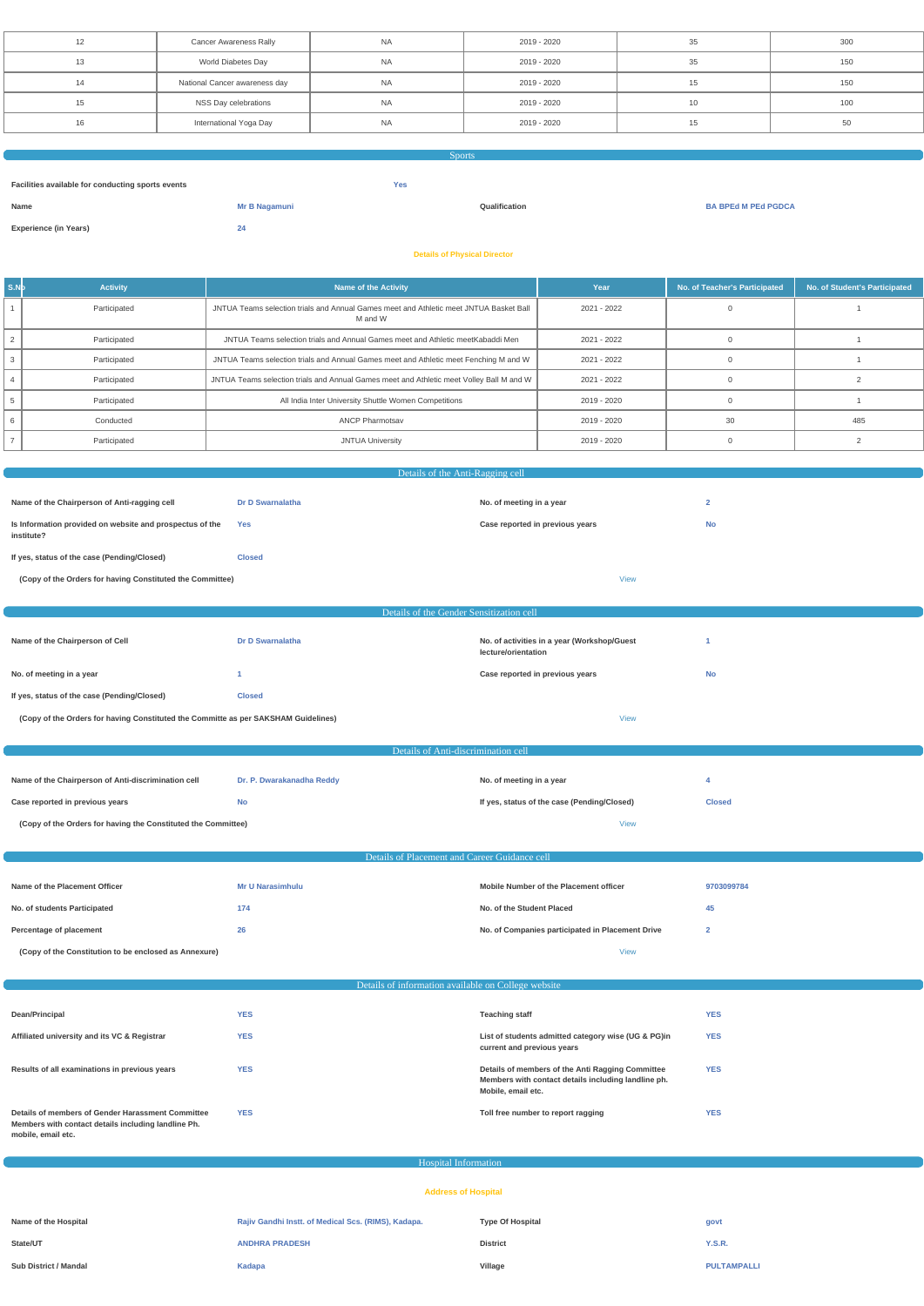| 12 | <b>Cancer Awareness Rally</b> | <b>NA</b> | 2019 - 2020 | 35 | 300 |
|----|-------------------------------|-----------|-------------|----|-----|
|    | World Diabetes Day            | <b>NA</b> | 2019 - 2020 | 35 | 150 |
| 14 | National Cancer awareness day | <b>NA</b> | 2019 - 2020 |    | 150 |
| 15 | NSS Day celebrations          | <b>NA</b> | 2019 - 2020 |    | 100 |
| 16 | International Yoga Day        | <b>NA</b> | 2019 - 2020 |    | 50  |

| <b>Sports</b>                                     |               |               |                            |  |  |
|---------------------------------------------------|---------------|---------------|----------------------------|--|--|
|                                                   |               |               |                            |  |  |
| Facilities available for conducting sports events |               | <b>Yes</b>    |                            |  |  |
| Name                                              | Mr B Nagamuni | Qualification | <b>BA BPEd M PEd PGDCA</b> |  |  |
|                                                   |               |               |                            |  |  |
| <b>Experience (in Years)</b>                      | 24            |               |                            |  |  |
|                                                   |               |               |                            |  |  |
| <b>Details of Physical Director</b>               |               |               |                            |  |  |

| s.n b | <b>Activity</b> | <b>Name of the Activity</b>                                                                       | Year        | No. of Teacher's Participated | No. of Student's Participated |
|-------|-----------------|---------------------------------------------------------------------------------------------------|-------------|-------------------------------|-------------------------------|
|       | Participated    | JNTUA Teams selection trials and Annual Games meet and Athletic meet JNTUA Basket Ball<br>M and W | 2021 - 2022 |                               |                               |
|       | Participated    | JNTUA Teams selection trials and Annual Games meet and Athletic meet Kabaddi Men                  | 2021 - 2022 |                               |                               |
|       | Participated    | JNTUA Teams selection trials and Annual Games meet and Athletic meet Fenching M and W             | 2021 - 2022 |                               |                               |
|       | Participated    | JNTUA Teams selection trials and Annual Games meet and Athletic meet Volley Ball M and W          | 2021 - 2022 |                               |                               |
|       | Participated    | All India Inter University Shuttle Women Competitions                                             | 2019 - 2020 |                               |                               |
|       | Conducted       | <b>ANCP Pharmotsav</b>                                                                            | 2019 - 2020 | 30                            | 485                           |
|       | Participated    | <b>JNTUA University</b>                                                                           | 2019 - 2020 |                               |                               |

| Details of the Anti-Ragging cell                                                   |                                               |                                                                    |                |  |  |
|------------------------------------------------------------------------------------|-----------------------------------------------|--------------------------------------------------------------------|----------------|--|--|
|                                                                                    |                                               |                                                                    |                |  |  |
| Name of the Chairperson of Anti-ragging cell                                       | Dr D Swarnalatha                              | No. of meeting in a year                                           | $\overline{2}$ |  |  |
| Is Information provided on website and prospectus of the<br>institute?             | <b>Yes</b>                                    | Case reported in previous years                                    | <b>No</b>      |  |  |
| If yes, status of the case (Pending/Closed)                                        | <b>Closed</b>                                 |                                                                    |                |  |  |
| (Copy of the Orders for having Constituted the Committee)                          |                                               | <b>View</b>                                                        |                |  |  |
|                                                                                    |                                               |                                                                    |                |  |  |
|                                                                                    | Details of the Gender Sensitization cell      |                                                                    |                |  |  |
| Name of the Chairperson of Cell                                                    | <b>Dr D Swarnalatha</b>                       | No. of activities in a year (Workshop/Guest<br>lecture/orientation | -1             |  |  |
| No. of meeting in a year                                                           | $\blacktriangleleft$                          | Case reported in previous years                                    | <b>No</b>      |  |  |
| If yes, status of the case (Pending/Closed)                                        | <b>Closed</b>                                 |                                                                    |                |  |  |
| (Copy of the Orders for having Constituted the Committe as per SAKSHAM Guidelines) |                                               | <b>View</b>                                                        |                |  |  |
|                                                                                    |                                               |                                                                    |                |  |  |
|                                                                                    | Details of Anti-discrimination cell           |                                                                    |                |  |  |
| Name of the Chairperson of Anti-discrimination cell                                | Dr. P. Dwarakanadha Reddy                     | No. of meeting in a year                                           | 4              |  |  |
| Case reported in previous years                                                    | <b>No</b>                                     | If yes, status of the case (Pending/Closed)                        | <b>Closed</b>  |  |  |
| (Copy of the Orders for having the Constituted the Committee)                      |                                               | <b>View</b>                                                        |                |  |  |
|                                                                                    |                                               |                                                                    |                |  |  |
|                                                                                    | Details of Placement and Career Guidance cell |                                                                    |                |  |  |
| Name of the Placement Officer                                                      | <b>Mr U Narasimhulu</b>                       | Mobile Number of the Placement officer                             | 9703099784     |  |  |
| No. of students Participated                                                       | 174                                           | No. of the Student Placed                                          | 45             |  |  |
| Percentage of placement                                                            | 26                                            | No. of Companies participated in Placement Drive                   | $\overline{2}$ |  |  |
|                                                                                    |                                               | <b>View</b>                                                        |                |  |  |

| Dean/Principal                                                                                                                 | <b>YES</b> | <b>Teaching staff</b>                                                                                                         | <b>YES</b> |
|--------------------------------------------------------------------------------------------------------------------------------|------------|-------------------------------------------------------------------------------------------------------------------------------|------------|
| Affiliated university and its VC & Registrar                                                                                   | <b>YES</b> | List of students admitted category wise (UG & PG)in<br>current and previous years                                             | <b>YES</b> |
| Results of all examinations in previous years                                                                                  | <b>YES</b> | Details of members of the Anti Ragging Committee<br>Members with contact details including landline ph.<br>Mobile, email etc. | <b>YES</b> |
| Details of members of Gender Harassment Committee<br>Members with contact details including landline Ph.<br>mobile, email etc. | <b>YES</b> | Toll free number to report ragging                                                                                            | <b>YES</b> |

| Hospital Information         |                                                     |                         |                    |  |  |
|------------------------------|-----------------------------------------------------|-------------------------|--------------------|--|--|
| <b>Address of Hospital</b>   |                                                     |                         |                    |  |  |
|                              |                                                     |                         |                    |  |  |
| Name of the Hospital         | Rajiv Gandhi Instt. of Medical Scs. (RIMS), Kadapa. | <b>Type Of Hospital</b> | govt               |  |  |
| State/UT                     | <b>ANDHRA PRADESH</b>                               | <b>District</b>         | <b>Y.S.R.</b>      |  |  |
| <b>Sub District / Mandal</b> | Kadapa                                              | Village                 | <b>PULTAMPALLI</b> |  |  |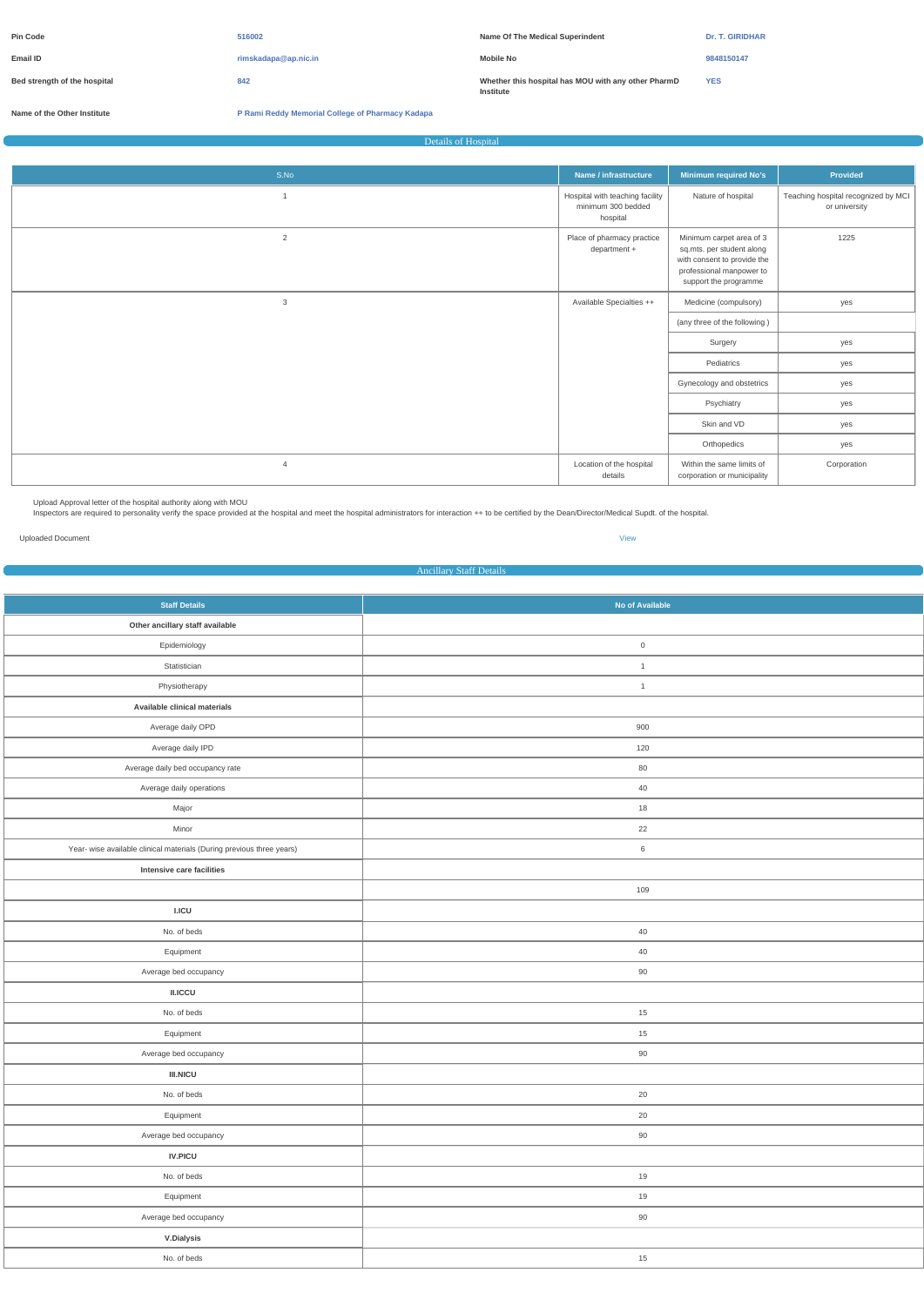| <b>Pin Code</b>              | 516002               | Name Of The Medical Superindent                                  | <b>Dr. T. GIRIDHAR</b> |
|------------------------------|----------------------|------------------------------------------------------------------|------------------------|
| Email ID                     | rimskadapa@ap.nic.in | <b>Mobile No</b>                                                 | 9848150147             |
| Bed strength of the hospital | 842                  | Whether this hospital has MOU with any other PharmD<br>Institute | <b>YES</b>             |

**Name of the Other Institute P Rami Reddy Memorial College of Pharmacy Kadapa**

Details of Hospital

| S.No           | Name / infrastructure                                             | Minimum required No's                                                                                                                     | <b>Provided</b>                                      |
|----------------|-------------------------------------------------------------------|-------------------------------------------------------------------------------------------------------------------------------------------|------------------------------------------------------|
|                | Hospital with teaching facility<br>minimum 300 bedded<br>hospital | Nature of hospital                                                                                                                        | Teaching hospital recognized by MCI<br>or university |
| $\overline{2}$ | Place of pharmacy practice<br>department +                        | Minimum carpet area of 3<br>sq.mts. per student along<br>with consent to provide the<br>professional manpower to<br>support the programme | 1225                                                 |
| 3              | Available Specialties ++                                          | Medicine (compulsory)                                                                                                                     | yes                                                  |
|                |                                                                   | (any three of the following)                                                                                                              |                                                      |
|                |                                                                   | Surgery                                                                                                                                   | yes                                                  |
|                |                                                                   | Pediatrics                                                                                                                                | yes                                                  |
|                |                                                                   | Gynecology and obstetrics                                                                                                                 | yes                                                  |
|                |                                                                   | Psychiatry                                                                                                                                | yes                                                  |
|                |                                                                   | Skin and VD                                                                                                                               | yes                                                  |
|                |                                                                   | Orthopedics                                                                                                                               | yes                                                  |
| $\overline{4}$ | Location of the hospital<br>details                               | Within the same limits of<br>corporation or municipality                                                                                  | Corporation                                          |

â Upload Approval letter of the hospital authority along with MOU

<sup>a</sup> Inspectors are required to personality verify the space provided at the hospital and meet the hospital administrators for interaction ++ to be certified by the Dean/Director/Medical Supdt. of the hospital.

Uploaded Document [View](https://dgpm.nic.in/institute/getmongoPdfFile.do?renreceiptid=1981af53-7f08-4872-a2f2-4be848813805&tablename=hospitaldetails)

Ancillary Staff Details

| <b>Staff Details</b>                                                  | No of Available     |  |  |
|-----------------------------------------------------------------------|---------------------|--|--|
| Other ancillary staff available                                       |                     |  |  |
| Epidemiology                                                          | $\mathsf{O}\xspace$ |  |  |
| Statistician                                                          | $\overline{1}$      |  |  |
| Physiotherapy                                                         | $\overline{1}$      |  |  |
| Available clinical materials                                          |                     |  |  |
| Average daily OPD                                                     | 900                 |  |  |
| Average daily IPD                                                     | 120                 |  |  |
| Average daily bed occupancy rate                                      | 80                  |  |  |
| Average daily operations                                              | 40                  |  |  |
| Major                                                                 | 18                  |  |  |
| Minor                                                                 | 22                  |  |  |
| Year- wise available clinical materials (During previous three years) | $6\,$               |  |  |
| Intensive care facilities                                             |                     |  |  |
|                                                                       | 109                 |  |  |
| LICU                                                                  |                     |  |  |
| No. of beds                                                           | 40                  |  |  |
| Equipment                                                             | 40                  |  |  |
| Average bed occupancy                                                 | 90                  |  |  |
| II.ICCU                                                               |                     |  |  |
| No. of beds                                                           | 15                  |  |  |
| Equipment                                                             | 15                  |  |  |
| Average bed occupancy                                                 | 90                  |  |  |
| $\textsf{III}.\textsf{NICU}$                                          |                     |  |  |
| No. of beds                                                           | $20\,$              |  |  |
| Equipment                                                             | $20\,$              |  |  |
| Average bed occupancy                                                 | 90                  |  |  |
| $\textsf{IV}.\textsf{PICU}$                                           |                     |  |  |
| No. of beds                                                           | 19                  |  |  |
| Equipment                                                             | 19                  |  |  |
| Average bed occupancy                                                 | 90                  |  |  |
| <b>V.Dialysis</b>                                                     |                     |  |  |
| No. of beds                                                           | 15                  |  |  |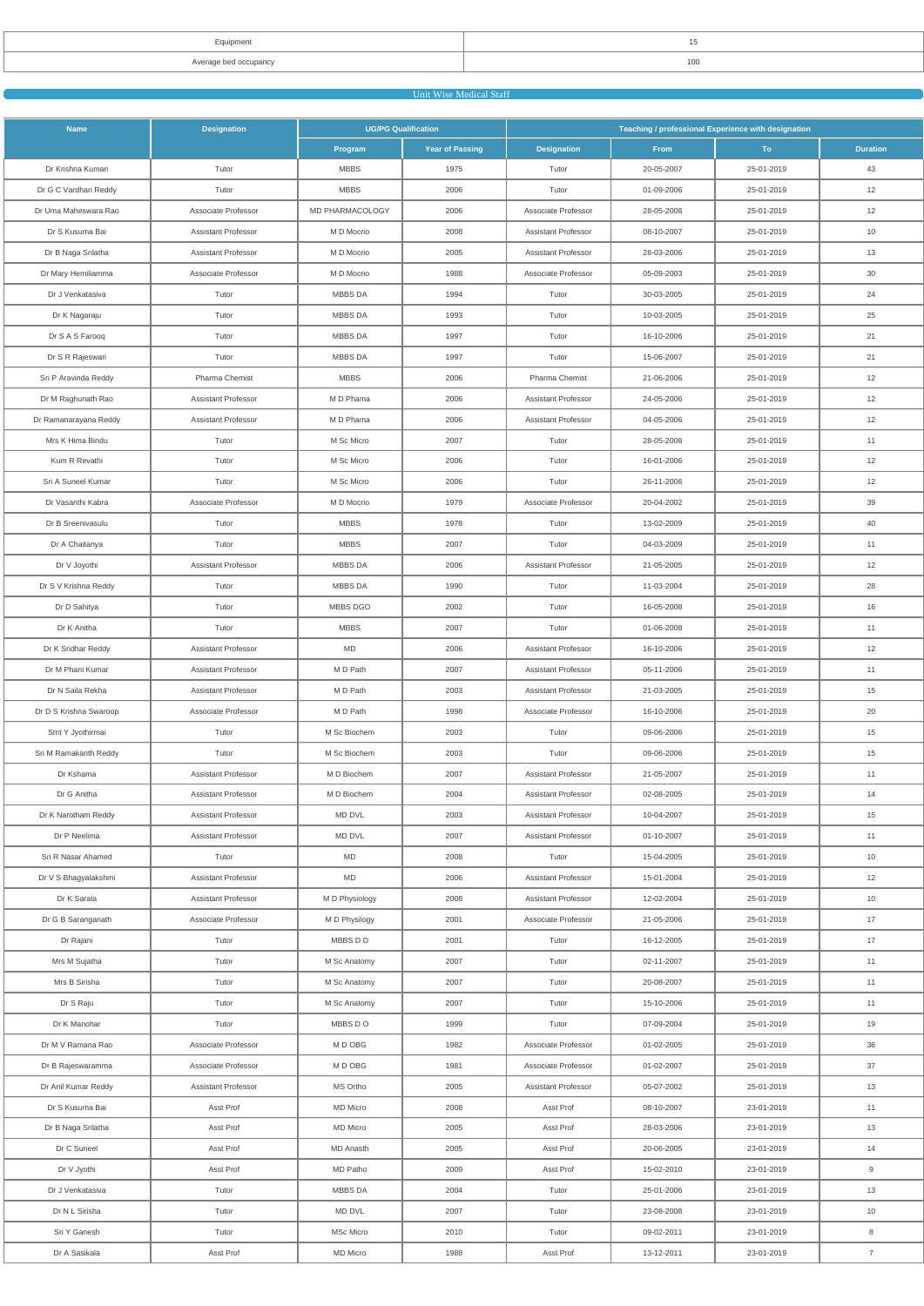| <b>Fruipment</b> |     |
|------------------|-----|
| erane hed occu   | 100 |

# **Unit Wise Medical Staff Contract of the Unit Wise Medical Staff**

| <b>Name</b>            | <b>Designation</b>         | <b>UG/PG Qualification</b> |                        | Teaching / professional Experience with designation |             |            |                 |
|------------------------|----------------------------|----------------------------|------------------------|-----------------------------------------------------|-------------|------------|-----------------|
|                        |                            | Program                    | <b>Year of Passing</b> | <b>Designation</b>                                  | <b>From</b> | To:        | <b>Duration</b> |
| Dr Krishna Kumari      | Tutor                      | <b>MBBS</b>                | 1975                   | Tutor                                               | 20-05-2007  | 25-01-2019 | 43              |
| Dr G C Vardhan Reddy   | Tutor                      | <b>MBBS</b>                | 2006                   | Tutor                                               | 01-09-2006  | 25-01-2019 | 12              |
| Dr Uma Maheswara Rao   | Associate Professor        | MD PHARMACOLOGY            | 2006                   | Associate Professor                                 | 28-05-2008  | 25-01-2019 | 12              |
| Dr S Kusuma Bai        | <b>Assistant Professor</b> | M D Mocrio                 | 2008                   | <b>Assistant Professor</b>                          | 08-10-2007  | 25-01-2019 | 10              |
| Dr B Naga Srilatha     | <b>Assistant Professor</b> | M D Mocrio                 | 2005                   | Assistant Professor                                 | 28-03-2006  | 25-01-2019 | 13              |
| Dr Mary Hemiliamma     | Associate Professor        | M D Mocrio                 | 1988                   | Associate Professor                                 | 05-09-2003  | 25-01-2019 | 30              |
| Dr J Venkatasiva       | Tutor                      | MBBS DA                    | 1994                   | Tutor                                               | 30-03-2005  | 25-01-2019 | 24              |
| Dr K Nagaraju          | Tutor                      | <b>MBBS DA</b>             | 1993                   | Tutor                                               | 10-03-2005  | 25-01-2019 | 25              |
| Dr S A S Farooq        | Tutor                      | MBBS DA                    | 1997                   | Tutor                                               | 16-10-2006  | 25-01-2019 | 21              |
| Dr S R Rajeswari       | Tutor                      | MBBS DA                    | 1997                   | Tutor                                               | 15-06-2007  | 25-01-2019 | 21              |
| Sri P Aravinda Reddy   | Pharma Chemist             | <b>MBBS</b>                | 2006                   | Pharma Chemist                                      | 21-06-2006  | 25-01-2019 | 12              |
| Dr M Raghunath Rao     | <b>Assistant Professor</b> | M D Phama                  | 2006                   | <b>Assistant Professor</b>                          | 24-05-2006  | 25-01-2019 | 12              |
| Dr Ramanarayana Reddy  | <b>Assistant Professor</b> | M D Phama                  | 2006                   | Assistant Professor                                 | 04-05-2006  | 25-01-2019 | 12              |
| Mrs K Hima Bindu       | Tutor                      | M Sc Micro                 | 2007                   | Tutor                                               | 28-05-2008  | 25-01-2019 | 11              |
| Kum R Revathi          | Tutor                      | M Sc Micro                 | 2006                   | Tutor                                               | 16-01-2006  | 25-01-2019 | 12              |
| Sri A Suneel Kumar     | Tutor                      | M Sc Micro                 | 2006                   | Tutor                                               | 26-11-2006  | 25-01-2019 | 12              |
| Dr Vasanthi Kabra      | Associate Professor        | M D Mocrio                 | 1979                   | Associate Professor                                 | 20-04-2002  | 25-01-2019 | 39              |
| Dr B Sreenivasulu      | Tutor                      | <b>MBBS</b>                | 1978                   | Tutor                                               | 13-02-2009  | 25-01-2019 | 40              |
| Dr A Chaitanya         | Tutor                      | <b>MBBS</b>                | 2007                   | Tutor                                               | 04-03-2009  | 25-01-2019 | 11              |
| Dr V Joyothi           | <b>Assistant Professor</b> | <b>MBBS DA</b>             | 2006                   | Assistant Professor                                 | 21-05-2005  | 25-01-2019 | 12              |
| Dr S V Krishna Reddy   | Tutor                      | <b>MBBS DA</b>             | 1990                   | Tutor                                               | 11-03-2004  | 25-01-2019 | 28              |
| Dr D Sahitya           | Tutor                      | MBBS DGO                   | 2002                   | Tutor                                               | 16-05-2008  | 25-01-2019 | 16              |
| Dr K Anitha            | Tutor                      | <b>MBBS</b>                | 2007                   | Tutor                                               | 01-06-2008  | 25-01-2019 | 11              |
| Dr K Sridhar Reddy     | <b>Assistant Professor</b> | MD                         | 2006                   | Assistant Professor                                 | 16-10-2006  | 25-01-2019 | 12              |
| Dr M Phani Kumar       | <b>Assistant Professor</b> | M D Path                   | 2007                   | Assistant Professor                                 | 05-11-2006  | 25-01-2019 | 11              |
| Dr N Saila Rekha       | <b>Assistant Professor</b> | M D Path                   | 2003                   | Assistant Professor                                 | 21-03-2005  | 25-01-2019 | 15              |
| Dr D S Krishna Swaroop | Associate Professor        | M D Path                   | 1998                   | Associate Professor                                 | 16-10-2006  | 25-01-2019 | 20              |
| Smt Y Jyothirmai       | Tutor                      | M Sc Biochem               | 2003                   | Tutor                                               | 09-06-2006  | 25-01-2019 | 15              |
| Sri M Ramakanth Reddy  | Tutor                      | M Sc Biochem               | 2003                   | Tutor                                               | 09-06-2006  | 25-01-2019 | 15              |
| Dr Kshama              | Assistant Professor        | M D Biochem                | 2007                   | Assistant Professor                                 | 21-05-2007  | 25-01-2019 | 11              |
| Dr G Anitha            | <b>Assistant Professor</b> | M D Biochem                | 2004                   | Assistant Professor                                 | 02-08-2005  | 25-01-2019 | 14              |
| Dr K Narotham Reddy    | <b>Assistant Professor</b> | MD DVL                     | 2003                   | Assistant Professor                                 | 10-04-2007  | 25-01-2019 | 15              |
| Dr P Neelima           | Assistant Professor        | MD DVL                     | 2007                   | Assistant Professor                                 | 01-10-2007  | 25-01-2019 | 11              |
| Sri R Nasar Ahamed     | Tutor                      | MD                         | 2008                   | Tutor                                               | 15-04-2005  | 25-01-2019 | 10              |
| Dr V S Bhagyalakshmi   | Assistant Professor        | MD                         | 2006                   | Assistant Professor                                 | 15-01-2004  | 25-01-2019 | 12              |
| Dr K Sarala            | <b>Assistant Professor</b> | M D Physiology             | 2008                   | Assistant Professor                                 | 12-02-2004  | 25-01-2019 | 10              |
| Dr G B Saranganath     | Associate Professor        | M D Physilogy              | 2001                   | Associate Professor                                 | 21-05-2006  | 25-01-2019 | 17              |
| Dr Rajani              | Tutor                      | MBBS D D                   | 2001                   | Tutor                                               | 16-12-2005  | 25-01-2019 | 17              |
| Mrs M Sujatha          | Tutor                      | M Sc Anatomy               | 2007                   | Tutor                                               | 02-11-2007  | 25-01-2019 | 11              |
| Mrs B Sirisha          | Tutor                      | M Sc Anatomy               | 2007                   | Tutor                                               | 20-08-2007  | 25-01-2019 | 11              |
| Dr S Raju              | Tutor                      | M Sc Anatomy               | 2007                   | Tutor                                               | 15-10-2006  | 25-01-2019 | 11              |
| Dr K Manohar           | Tutor                      | MBBS DO                    | 1999                   | Tutor                                               | 07-09-2004  | 25-01-2019 | 19              |
| Dr M V Ramana Rao      | Associate Professor        | M D OBG                    | 1982                   | Associate Professor                                 | 01-02-2005  | 25-01-2019 | 36              |
| Dr B Rajeswaramma      | Associate Professor        | M D OBG                    | 1981                   | Associate Professor                                 | 01-02-2007  | 25-01-2019 | 37              |
| Dr Anil Kumar Reddy    | <b>Assistant Professor</b> | MS Ortho                   | 2005                   | Assistant Professor                                 | 05-07-2002  | 25-01-2019 | 13              |
| Dr S Kusuma Bai        | Asst Prof                  | MD Micro                   | 2008                   | Asst Prof                                           | 08-10-2007  | 23-01-2019 | 11              |
| Dr B Naga Srilatha     | Asst Prof                  | <b>MD</b> Micro            | 2005                   | Asst Prof                                           | 28-03-2006  | 23-01-2019 | 13              |
| Dr C Suneel            | Asst Prof                  | MD Anasth                  | 2005                   | Asst Prof                                           | 20-06-2005  | 23-01-2019 | 14              |
| Dr V Jyothi            | Asst Prof                  | MD Patho                   | 2009                   | Asst Prof                                           | 15-02-2010  | 23-01-2019 | 9               |
| Dr J Venkatasiva       | Tutor                      | MBBS DA                    | 2004                   | Tutor                                               | 25-01-2006  | 23-01-2019 | 13              |
| Dr N L Sirisha         | Tutor                      | MD DVL                     | 2007                   | Tutor                                               | 23-08-2008  | 23-01-2019 | 10              |
| Sri Y Ganesh           | Tutor                      | MSc Micro                  | 2010                   | Tutor                                               | 09-02-2011  | 23-01-2019 | 8               |
| Dr A Sasikala          | Asst Prof                  | <b>MD</b> Micro            | 1988                   | Asst Prof                                           | 13-12-2011  | 23-01-2019 | $\overline{7}$  |
|                        |                            |                            |                        |                                                     |             |            |                 |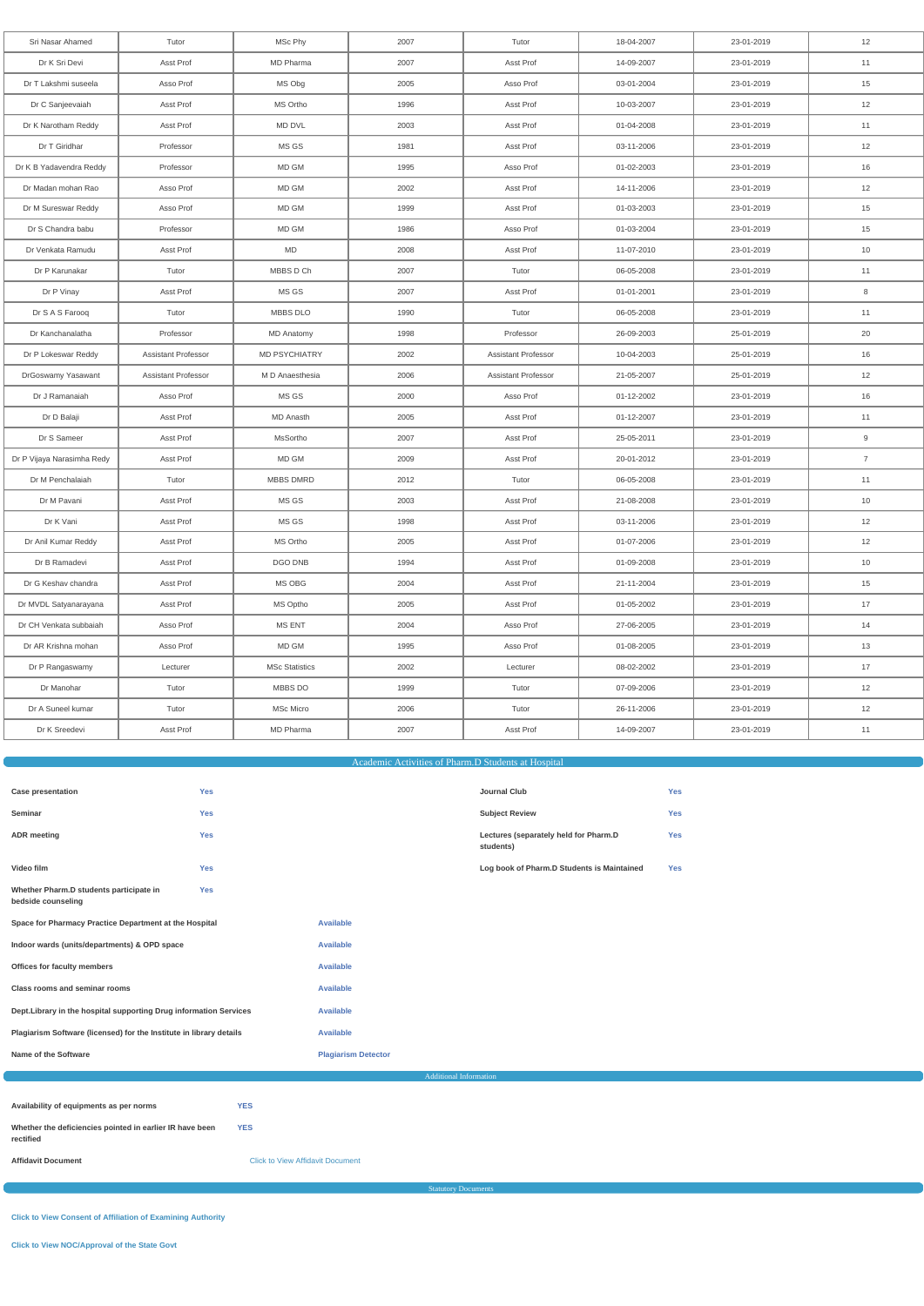| Sri Nasar Ahamed           | Tutor               | MSc Phy               | 2007 | Tutor                      | 18-04-2007 | 23-01-2019 | 12             |
|----------------------------|---------------------|-----------------------|------|----------------------------|------------|------------|----------------|
| Dr K Sri Devi              | Asst Prof           | MD Pharma             | 2007 | Asst Prof                  | 14-09-2007 | 23-01-2019 | 11             |
| Dr T Lakshmi suseela       | Asso Prof           | MS Obg                | 2005 | Asso Prof                  | 03-01-2004 | 23-01-2019 | 15             |
| Dr C Sanjeevaiah           | Asst Prof           | MS Ortho              | 1996 | Asst Prof                  | 10-03-2007 | 23-01-2019 | 12             |
| Dr K Narotham Reddy        | Asst Prof           | MD DVL                | 2003 | Asst Prof                  | 01-04-2008 | 23-01-2019 | 11             |
| Dr T Giridhar              | Professor           | MS GS                 | 1981 | Asst Prof                  | 03-11-2006 | 23-01-2019 | 12             |
| Dr K B Yadavendra Reddy    | Professor           | MD GM                 | 1995 | Asso Prof                  | 01-02-2003 | 23-01-2019 | 16             |
| Dr Madan mohan Rao         | Asso Prof           | MD GM                 | 2002 | Asst Prof                  | 14-11-2006 | 23-01-2019 | 12             |
| Dr M Sureswar Reddy        | Asso Prof           | MD GM                 | 1999 | Asst Prof                  | 01-03-2003 | 23-01-2019 | 15             |
| Dr S Chandra babu          | Professor           | MD GM                 | 1986 | Asso Prof                  | 01-03-2004 | 23-01-2019 | 15             |
| Dr Venkata Ramudu          | Asst Prof           | <b>MD</b>             | 2008 | Asst Prof                  | 11-07-2010 | 23-01-2019 | 10             |
| Dr P Karunakar             | Tutor               | MBBS D Ch             | 2007 | Tutor                      | 06-05-2008 | 23-01-2019 | 11             |
| Dr P Vinay                 | Asst Prof           | MS GS                 | 2007 | Asst Prof                  | 01-01-2001 | 23-01-2019 | 8              |
| Dr S A S Farooq            | Tutor               | MBBS DLO              | 1990 | Tutor                      | 06-05-2008 | 23-01-2019 | 11             |
| Dr Kanchanalatha           | Professor           | <b>MD Anatomy</b>     | 1998 | Professor                  | 26-09-2003 | 25-01-2019 | 20             |
| Dr P Lokeswar Reddy        | Assistant Professor | <b>MD PSYCHIATRY</b>  | 2002 | <b>Assistant Professor</b> | 10-04-2003 | 25-01-2019 | 16             |
| DrGoswamy Yasawant         | Assistant Professor | M D Anaesthesia       | 2006 | <b>Assistant Professor</b> | 21-05-2007 | 25-01-2019 | 12             |
| Dr J Ramanaiah             | Asso Prof           | MS GS                 | 2000 | Asso Prof                  | 01-12-2002 | 23-01-2019 | 16             |
| Dr D Balaji                | Asst Prof           | <b>MD Anasth</b>      | 2005 | Asst Prof                  | 01-12-2007 | 23-01-2019 | 11             |
| Dr S Sameer                | Asst Prof           | MsSortho              | 2007 | Asst Prof                  | 25-05-2011 | 23-01-2019 | 9              |
| Dr P Vijaya Narasimha Redy | Asst Prof           | MD GM                 | 2009 | Asst Prof                  | 20-01-2012 | 23-01-2019 | $\overline{7}$ |
| Dr M Penchalaiah           | Tutor               | <b>MBBS DMRD</b>      | 2012 | Tutor                      | 06-05-2008 | 23-01-2019 | 11             |
| Dr M Pavani                | Asst Prof           | MS GS                 | 2003 | Asst Prof                  | 21-08-2008 | 23-01-2019 | 10             |
| Dr K Vani                  | Asst Prof           | MS GS                 | 1998 | Asst Prof                  | 03-11-2006 | 23-01-2019 | 12             |
| Dr Anil Kumar Reddy        | Asst Prof           | MS Ortho              | 2005 | Asst Prof                  | 01-07-2006 | 23-01-2019 | 12             |
| Dr B Ramadevi              | Asst Prof           | DGO DNB               | 1994 | Asst Prof                  | 01-09-2008 | 23-01-2019 | 10             |
| Dr G Keshav chandra        | Asst Prof           | MS OBG                | 2004 | Asst Prof                  | 21-11-2004 | 23-01-2019 | 15             |
| Dr MVDL Satyanarayana      | Asst Prof           | MS Optho              | 2005 | Asst Prof                  | 01-05-2002 | 23-01-2019 | 17             |
| Dr CH Venkata subbaiah     | Asso Prof           | <b>MS ENT</b>         | 2004 | Asso Prof                  | 27-06-2005 | 23-01-2019 | 14             |
| Dr AR Krishna mohan        | Asso Prof           | MD GM                 | 1995 | Asso Prof                  | 01-08-2005 | 23-01-2019 | 13             |
| Dr P Rangaswamy            | Lecturer            | <b>MSc Statistics</b> | 2002 | Lecturer                   | 08-02-2002 | 23-01-2019 | 17             |
| Dr Manohar                 | Tutor               | MBBS DO               | 1999 | Tutor                      | 07-09-2006 | 23-01-2019 | 12             |
| Dr A Suneel kumar          | Tutor               | MSc Micro             | 2006 | Tutor                      | 26-11-2006 | 23-01-2019 | 12             |
| Dr K Sreedevi              | Asst Prof           | MD Pharma             | 2007 | Asst Prof                  | 14-09-2007 | 23-01-2019 | 11             |
|                            |                     |                       |      |                            |            |            |                |

# Academic Activities of Pharm.D Students at Hospital

| <b>Case presentation</b>                                      | <b>Yes</b> |                  | <b>Journal Club</b>                                | <b>Yes</b> |
|---------------------------------------------------------------|------------|------------------|----------------------------------------------------|------------|
| Seminar                                                       | <b>Yes</b> |                  | <b>Subject Review</b>                              | <b>Yes</b> |
| <b>ADR</b> meeting                                            | <b>Yes</b> |                  | Lectures (separately held for Pharm.D<br>students) | <b>Yes</b> |
| Video film                                                    | <b>Yes</b> |                  | Log book of Pharm.D Students is Maintained         | <b>Yes</b> |
| Whether Pharm.D students participate in<br>bedside counseling | <b>Yes</b> |                  |                                                    |            |
| Space for Pharmacy Practice Department at the Hospital        |            | <b>Available</b> |                                                    |            |
| Indoor wards (units/departments) & OPD space                  |            | <b>Available</b> |                                                    |            |
| Offices for faculty members                                   |            | <b>Available</b> |                                                    |            |

| Class rooms and seminar rooms                                         |                                         | Available                  |  |  |
|-----------------------------------------------------------------------|-----------------------------------------|----------------------------|--|--|
| Dept. Library in the hospital supporting Drug information Services    |                                         | <b>Available</b>           |  |  |
| Plagiarism Software (licensed) for the Institute in library details   |                                         | Available                  |  |  |
| Name of the Software                                                  |                                         | <b>Plagiarism Detector</b> |  |  |
| <b>Additional Information</b>                                         |                                         |                            |  |  |
|                                                                       |                                         |                            |  |  |
| Availability of equipments as per norms                               | <b>YES</b>                              |                            |  |  |
| Whether the deficiencies pointed in earlier IR have been<br>rectified | <b>YES</b>                              |                            |  |  |
| <b>Affidavit Document</b>                                             | <b>Click to View Affidavit Document</b> |                            |  |  |

**Statutory Docum** 

**[Click to View Consent of Affiliation of Examining Authority](https://dgpm.nic.in/institute/getmongoPdfFile.do?renreceiptid=e32a5e73-79ea-4241-90e9-1cc9a93ed825&tablename=doc_affexamauthdoc)**

**[Click to View NOC/Approval of the State Govt](https://dgpm.nic.in/institute/getmongoPdfFile.do?renreceiptid=9c3b0578-230f-42cc-b6c0-9a7f6fed4cca&tablename=doc_nocaprvaldoc)**